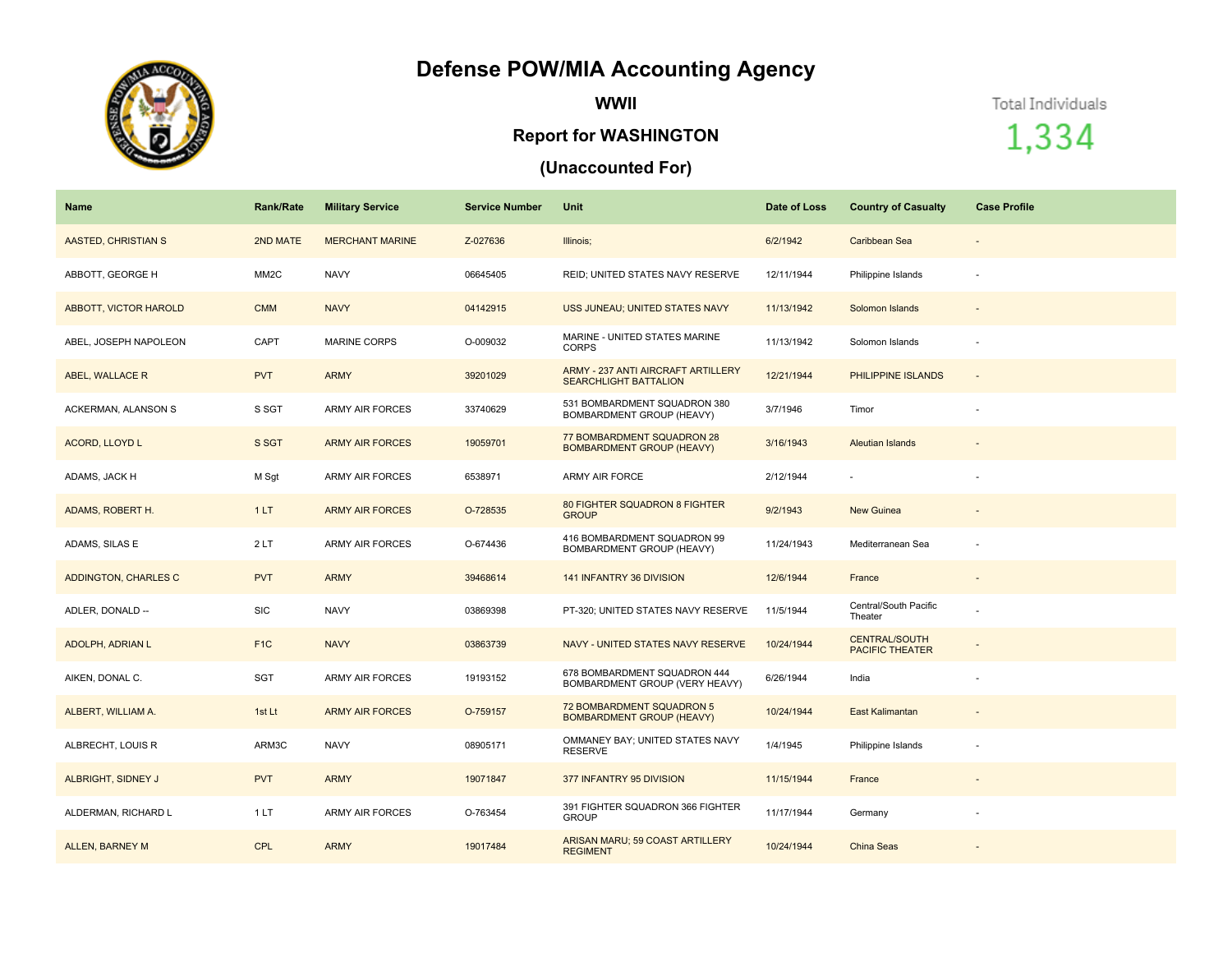## **Defense POW/MIA Accounting Agency**



**WWII**

## **Report for WASHINGTON**

## **(Unaccounted For)**

Total Individuals

1,334

| Name                       | <b>Rank/Rate</b>  | <b>Military Service</b> | <b>Service Number</b> | Unit                                                               | Date of Loss | <b>Country of Casualty</b>                     | <b>Case Profile</b>      |
|----------------------------|-------------------|-------------------------|-----------------------|--------------------------------------------------------------------|--------------|------------------------------------------------|--------------------------|
| <b>AASTED, CHRISTIAN S</b> | 2ND MATE          | <b>MERCHANT MARINE</b>  | Z-027636              | Illinois;                                                          | 6/2/1942     | Caribbean Sea                                  | $\overline{\phantom{a}}$ |
| ABBOTT, GEORGE H           | MM <sub>2</sub> C | <b>NAVY</b>             | 06645405              | REID; UNITED STATES NAVY RESERVE                                   | 12/11/1944   | Philippine Islands                             |                          |
| ABBOTT, VICTOR HAROLD      | <b>CMM</b>        | <b>NAVY</b>             | 04142915              | USS JUNEAU; UNITED STATES NAVY                                     | 11/13/1942   | Solomon Islands                                |                          |
| ABEL, JOSEPH NAPOLEON      | CAPT              | <b>MARINE CORPS</b>     | O-009032              | MARINE - UNITED STATES MARINE<br><b>CORPS</b>                      | 11/13/1942   | Solomon Islands                                |                          |
| ABEL, WALLACE R            | <b>PVT</b>        | <b>ARMY</b>             | 39201029              | ARMY - 237 ANTI AIRCRAFT ARTILLERY<br><b>SEARCHLIGHT BATTALION</b> | 12/21/1944   | PHILIPPINE ISLANDS                             | $\overline{\phantom{a}}$ |
| ACKERMAN, ALANSON S        | S SGT             | <b>ARMY AIR FORCES</b>  | 33740629              | 531 BOMBARDMENT SQUADRON 380<br>BOMBARDMENT GROUP (HEAVY)          | 3/7/1946     | Timor                                          |                          |
| ACORD, LLOYD L             | S SGT             | <b>ARMY AIR FORCES</b>  | 19059701              | 77 BOMBARDMENT SQUADRON 28<br><b>BOMBARDMENT GROUP (HEAVY)</b>     | 3/16/1943    | <b>Aleutian Islands</b>                        |                          |
| ADAMS, JACK H              | M Sgt             | <b>ARMY AIR FORCES</b>  | 6538971               | ARMY AIR FORCE                                                     | 2/12/1944    |                                                |                          |
| ADAMS, ROBERT H.           | 1LT               | <b>ARMY AIR FORCES</b>  | O-728535              | 80 FIGHTER SQUADRON 8 FIGHTER<br><b>GROUP</b>                      | 9/2/1943     | <b>New Guinea</b>                              | $\overline{\phantom{a}}$ |
| ADAMS, SILAS E             | 2LT               | <b>ARMY AIR FORCES</b>  | O-674436              | 416 BOMBARDMENT SQUADRON 99<br>BOMBARDMENT GROUP (HEAVY)           | 11/24/1943   | Mediterranean Sea                              |                          |
| ADDINGTON, CHARLES C       | <b>PVT</b>        | <b>ARMY</b>             | 39468614              | 141 INFANTRY 36 DIVISION                                           | 12/6/1944    | France                                         |                          |
| ADLER, DONALD --           | <b>SIC</b>        | <b>NAVY</b>             | 03869398              | PT-320; UNITED STATES NAVY RESERVE                                 | 11/5/1944    | Central/South Pacific<br>Theater               |                          |
| <b>ADOLPH, ADRIAN L</b>    | F <sub>1C</sub>   | <b>NAVY</b>             | 03863739              | NAVY - UNITED STATES NAVY RESERVE                                  | 10/24/1944   | <b>CENTRAL/SOUTH</b><br><b>PACIFIC THEATER</b> |                          |
| AIKEN, DONAL C.            | SGT               | ARMY AIR FORCES         | 19193152              | 678 BOMBARDMENT SQUADRON 444<br>BOMBARDMENT GROUP (VERY HEAVY)     | 6/26/1944    | India                                          |                          |
| ALBERT, WILLIAM A.         | 1st Lt            | <b>ARMY AIR FORCES</b>  | O-759157              | 72 BOMBARDMENT SQUADRON 5<br><b>BOMBARDMENT GROUP (HEAVY)</b>      | 10/24/1944   | East Kalimantan                                |                          |
| ALBRECHT, LOUIS R          | ARM3C             | <b>NAVY</b>             | 08905171              | OMMANEY BAY; UNITED STATES NAVY<br><b>RESERVE</b>                  | 1/4/1945     | Philippine Islands                             |                          |
| ALBRIGHT, SIDNEY J         | <b>PVT</b>        | <b>ARMY</b>             | 19071847              | 377 INFANTRY 95 DIVISION                                           | 11/15/1944   | France                                         | $\overline{\phantom{a}}$ |
| ALDERMAN, RICHARD L        | 1 LT              | <b>ARMY AIR FORCES</b>  | O-763454              | 391 FIGHTER SQUADRON 366 FIGHTER<br><b>GROUP</b>                   | 11/17/1944   | Germany                                        |                          |
| ALLEN, BARNEY M            | <b>CPL</b>        | <b>ARMY</b>             | 19017484              | ARISAN MARU; 59 COAST ARTILLERY<br><b>REGIMENT</b>                 | 10/24/1944   | China Seas                                     |                          |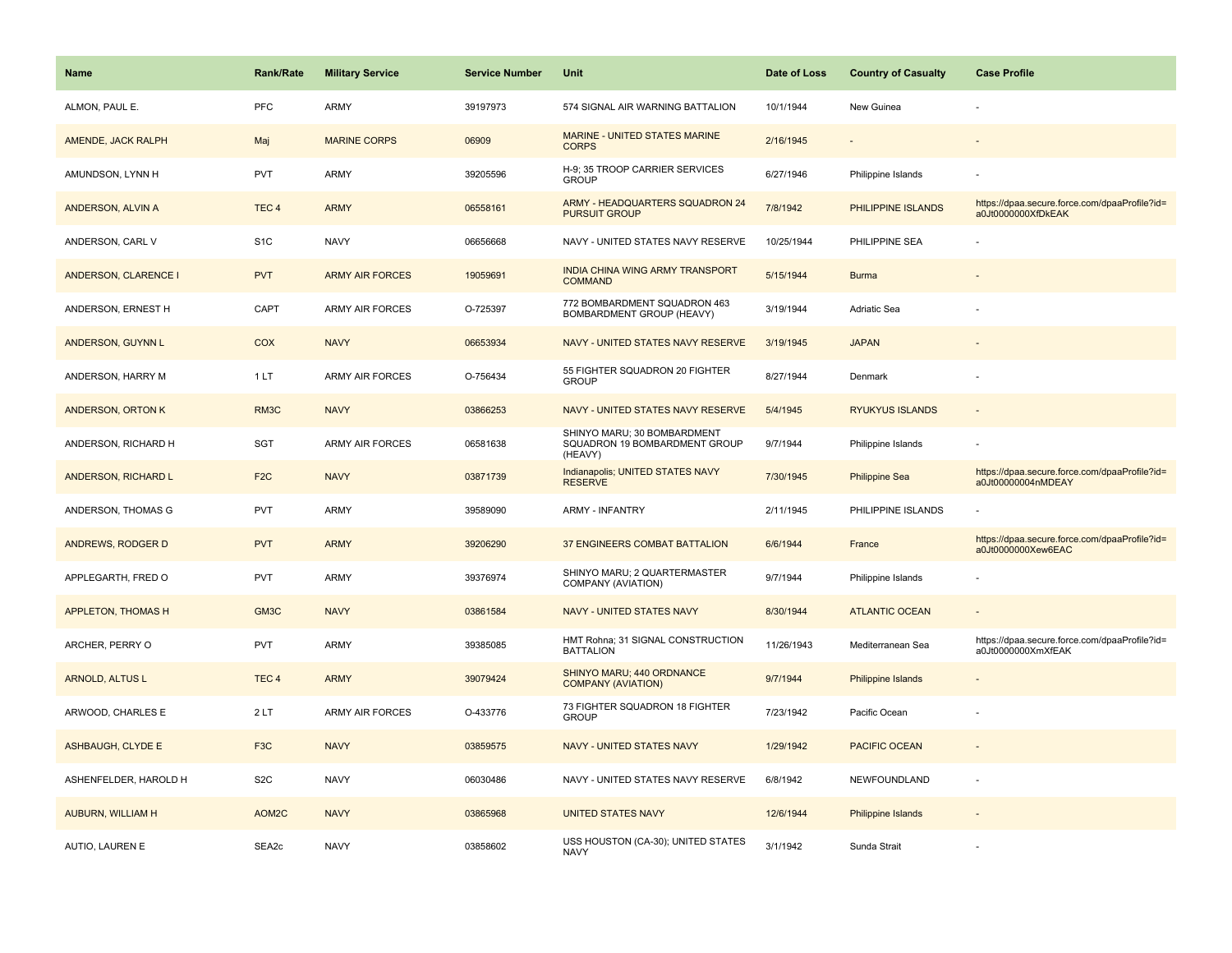| <b>Name</b>                 | <b>Rank/Rate</b>  | <b>Military Service</b> | <b>Service Number</b> | Unit                                                                    | Date of Loss | <b>Country of Casualty</b> | <b>Case Profile</b>                                                 |
|-----------------------------|-------------------|-------------------------|-----------------------|-------------------------------------------------------------------------|--------------|----------------------------|---------------------------------------------------------------------|
| ALMON, PAUL E.              | <b>PFC</b>        | ARMY                    | 39197973              | 574 SIGNAL AIR WARNING BATTALION                                        | 10/1/1944    | New Guinea                 |                                                                     |
| AMENDE, JACK RALPH          | Maj               | <b>MARINE CORPS</b>     | 06909                 | MARINE - UNITED STATES MARINE<br><b>CORPS</b>                           | 2/16/1945    |                            |                                                                     |
| AMUNDSON, LYNN H            | <b>PVT</b>        | <b>ARMY</b>             | 39205596              | H-9; 35 TROOP CARRIER SERVICES<br><b>GROUP</b>                          | 6/27/1946    | Philippine Islands         |                                                                     |
| ANDERSON, ALVIN A           | TEC <sub>4</sub>  | <b>ARMY</b>             | 06558161              | <b>ARMY - HEADQUARTERS SQUADRON 24</b><br><b>PURSUIT GROUP</b>          | 7/8/1942     | PHILIPPINE ISLANDS         | https://dpaa.secure.force.com/dpaaProfile?id=<br>a0Jt0000000XfDkEAK |
| ANDERSON, CARL V            | S <sub>1</sub> C  | <b>NAVY</b>             | 06656668              | NAVY - UNITED STATES NAVY RESERVE                                       | 10/25/1944   | PHILIPPINE SEA             |                                                                     |
| <b>ANDERSON, CLARENCE I</b> | <b>PVT</b>        | <b>ARMY AIR FORCES</b>  | 19059691              | INDIA CHINA WING ARMY TRANSPORT<br><b>COMMAND</b>                       | 5/15/1944    | <b>Burma</b>               |                                                                     |
| ANDERSON, ERNEST H          | CAPT              | <b>ARMY AIR FORCES</b>  | O-725397              | 772 BOMBARDMENT SQUADRON 463<br>BOMBARDMENT GROUP (HEAVY)               | 3/19/1944    | Adriatic Sea               |                                                                     |
| <b>ANDERSON, GUYNN L</b>    | COX               | <b>NAVY</b>             | 06653934              | NAVY - UNITED STATES NAVY RESERVE                                       | 3/19/1945    | <b>JAPAN</b>               |                                                                     |
| ANDERSON, HARRY M           | 1LT               | <b>ARMY AIR FORCES</b>  | O-756434              | 55 FIGHTER SQUADRON 20 FIGHTER<br><b>GROUP</b>                          | 8/27/1944    | Denmark                    |                                                                     |
| ANDERSON, ORTON K           | RM3C              | <b>NAVY</b>             | 03866253              | NAVY - UNITED STATES NAVY RESERVE                                       | 5/4/1945     | <b>RYUKYUS ISLANDS</b>     |                                                                     |
| ANDERSON, RICHARD H         | SGT               | <b>ARMY AIR FORCES</b>  | 06581638              | SHINYO MARU; 30 BOMBARDMENT<br>SQUADRON 19 BOMBARDMENT GROUP<br>(HEAVY) | 9/7/1944     | Philippine Islands         |                                                                     |
| ANDERSON, RICHARD L         | F <sub>2C</sub>   | <b>NAVY</b>             | 03871739              | Indianapolis; UNITED STATES NAVY<br><b>RESERVE</b>                      | 7/30/1945    | <b>Philippine Sea</b>      | https://dpaa.secure.force.com/dpaaProfile?id=<br>a0Jt00000004nMDEAY |
| ANDERSON, THOMAS G          | <b>PVT</b>        | <b>ARMY</b>             | 39589090              | <b>ARMY - INFANTRY</b>                                                  | 2/11/1945    | PHILIPPINE ISLANDS         |                                                                     |
| ANDREWS, RODGER D           | <b>PVT</b>        | <b>ARMY</b>             | 39206290              | <b>37 ENGINEERS COMBAT BATTALION</b>                                    | 6/6/1944     | France                     | https://dpaa.secure.force.com/dpaaProfile?id=<br>a0Jt0000000Xew6EAC |
| APPLEGARTH, FRED O          | PVT               | <b>ARMY</b>             | 39376974              | SHINYO MARU; 2 QUARTERMASTER<br>COMPANY (AVIATION)                      | 9/7/1944     | Philippine Islands         |                                                                     |
| <b>APPLETON, THOMAS H</b>   | GM3C              | <b>NAVY</b>             | 03861584              | <b>NAVY - UNITED STATES NAVY</b>                                        | 8/30/1944    | <b>ATLANTIC OCEAN</b>      |                                                                     |
| ARCHER, PERRY O             | <b>PVT</b>        | <b>ARMY</b>             | 39385085              | HMT Rohna; 31 SIGNAL CONSTRUCTION<br><b>BATTALION</b>                   | 11/26/1943   | Mediterranean Sea          | https://dpaa.secure.force.com/dpaaProfile?id=<br>a0Jt0000000XmXfEAK |
| <b>ARNOLD, ALTUS L</b>      | TEC <sub>4</sub>  | <b>ARMY</b>             | 39079424              | SHINYO MARU; 440 ORDNANCE<br><b>COMPANY (AVIATION)</b>                  | 9/7/1944     | Philippine Islands         |                                                                     |
| ARWOOD, CHARLES E           | 2LT               | <b>ARMY AIR FORCES</b>  | O-433776              | 73 FIGHTER SQUADRON 18 FIGHTER<br><b>GROUP</b>                          | 7/23/1942    | Pacific Ocean              |                                                                     |
| <b>ASHBAUGH, CLYDE E</b>    | F <sub>3</sub> C  | <b>NAVY</b>             | 03859575              | NAVY - UNITED STATES NAVY                                               | 1/29/1942    | PACIFIC OCEAN              |                                                                     |
| ASHENFELDER, HAROLD H       | S <sub>2</sub> C  | <b>NAVY</b>             | 06030486              | NAVY - UNITED STATES NAVY RESERVE                                       | 6/8/1942     | NEWFOUNDLAND               |                                                                     |
| <b>AUBURN, WILLIAM H</b>    | AOM <sub>2C</sub> | <b>NAVY</b>             | 03865968              | <b>UNITED STATES NAVY</b>                                               | 12/6/1944    | <b>Philippine Islands</b>  |                                                                     |
| AUTIO, LAUREN E             | SEA2c             | <b>NAVY</b>             | 03858602              | USS HOUSTON (CA-30); UNITED STATES<br><b>NAVY</b>                       | 3/1/1942     | Sunda Strait               |                                                                     |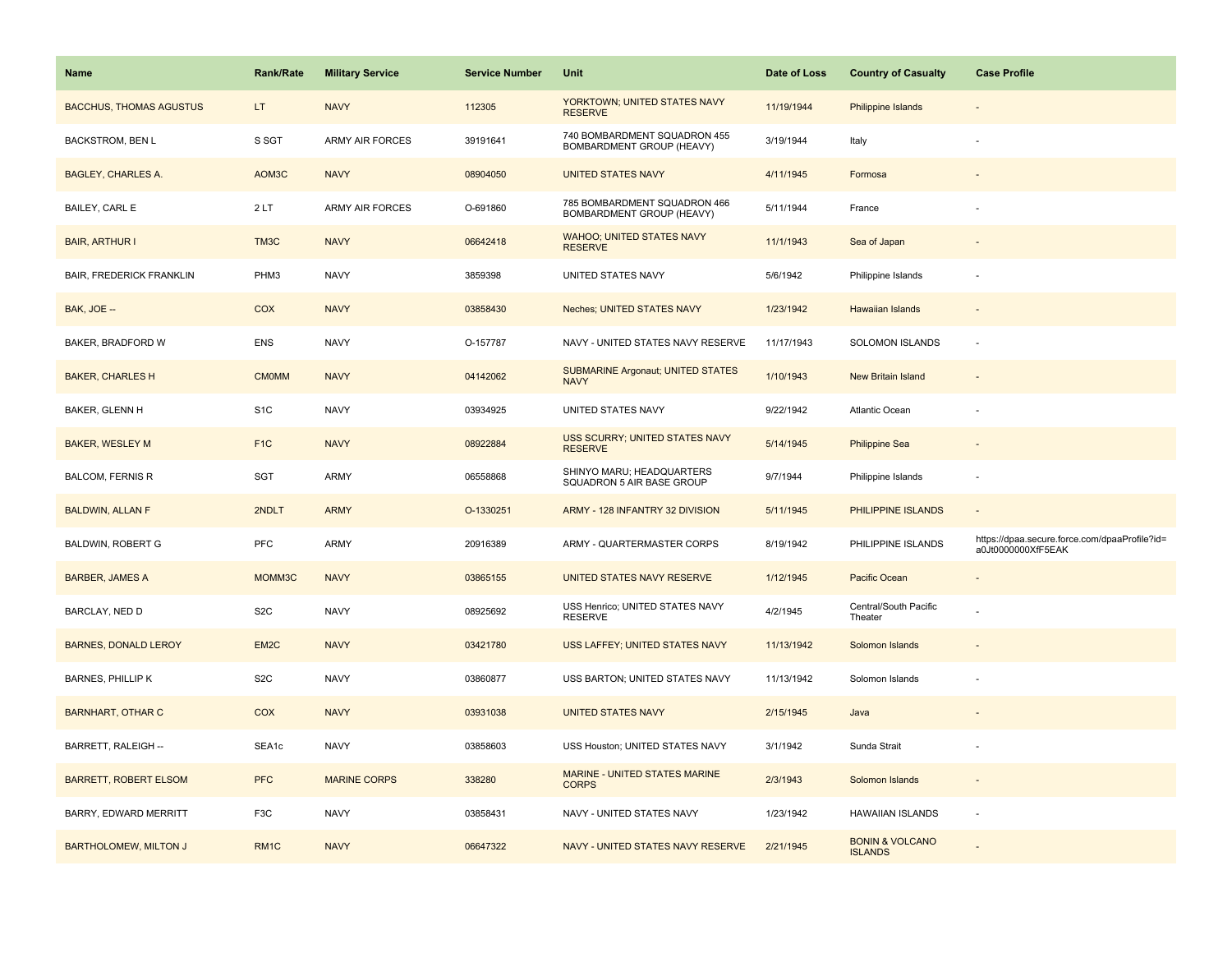| Name                            | <b>Rank/Rate</b> | <b>Military Service</b> | <b>Service Number</b> | Unit                                                      | Date of Loss | <b>Country of Casualty</b>                   | <b>Case Profile</b>                                                 |
|---------------------------------|------------------|-------------------------|-----------------------|-----------------------------------------------------------|--------------|----------------------------------------------|---------------------------------------------------------------------|
| <b>BACCHUS, THOMAS AGUSTUS</b>  | LT.              | <b>NAVY</b>             | 112305                | YORKTOWN; UNITED STATES NAVY<br><b>RESERVE</b>            | 11/19/1944   | <b>Philippine Islands</b>                    |                                                                     |
| <b>BACKSTROM, BEN L</b>         | S SGT            | <b>ARMY AIR FORCES</b>  | 39191641              | 740 BOMBARDMENT SQUADRON 455<br>BOMBARDMENT GROUP (HEAVY) | 3/19/1944    | Italy                                        |                                                                     |
| <b>BAGLEY, CHARLES A.</b>       | AOM3C            | <b>NAVY</b>             | 08904050              | <b>UNITED STATES NAVY</b>                                 | 4/11/1945    | Formosa                                      |                                                                     |
| BAILEY, CARL E                  | 2LT              | <b>ARMY AIR FORCES</b>  | O-691860              | 785 BOMBARDMENT SQUADRON 466<br>BOMBARDMENT GROUP (HEAVY) | 5/11/1944    | France                                       |                                                                     |
| <b>BAIR, ARTHUR I</b>           | TM3C             | <b>NAVY</b>             | 06642418              | <b>WAHOO; UNITED STATES NAVY</b><br><b>RESERVE</b>        | 11/1/1943    | Sea of Japan                                 |                                                                     |
| <b>BAIR, FREDERICK FRANKLIN</b> | PHM3             | <b>NAVY</b>             | 3859398               | UNITED STATES NAVY                                        | 5/6/1942     | Philippine Islands                           |                                                                     |
| BAK, JOE --                     | COX              | <b>NAVY</b>             | 03858430              | Neches; UNITED STATES NAVY                                | 1/23/1942    | Hawaiian Islands                             | $\sim$                                                              |
| BAKER, BRADFORD W               | <b>ENS</b>       | <b>NAVY</b>             | O-157787              | NAVY - UNITED STATES NAVY RESERVE                         | 11/17/1943   | SOLOMON ISLANDS                              | $\sim$                                                              |
| <b>BAKER, CHARLES H</b>         | <b>CMOMM</b>     | <b>NAVY</b>             | 04142062              | SUBMARINE Argonaut; UNITED STATES<br><b>NAVY</b>          | 1/10/1943    | New Britain Island                           |                                                                     |
| BAKER, GLENN H                  | S <sub>1</sub> C | <b>NAVY</b>             | 03934925              | UNITED STATES NAVY                                        | 9/22/1942    | Atlantic Ocean                               |                                                                     |
| <b>BAKER, WESLEY M</b>          | F <sub>1C</sub>  | <b>NAVY</b>             | 08922884              | USS SCURRY; UNITED STATES NAVY<br><b>RESERVE</b>          | 5/14/1945    | <b>Philippine Sea</b>                        |                                                                     |
| <b>BALCOM, FERNIS R</b>         | SGT              | <b>ARMY</b>             | 06558868              | SHINYO MARU; HEADQUARTERS<br>SQUADRON 5 AIR BASE GROUP    | 9/7/1944     | Philippine Islands                           |                                                                     |
| <b>BALDWIN, ALLAN F</b>         | 2NDLT            | <b>ARMY</b>             | O-1330251             | ARMY - 128 INFANTRY 32 DIVISION                           | 5/11/1945    | PHILIPPINE ISLANDS                           |                                                                     |
| BALDWIN, ROBERT G               | <b>PFC</b>       | <b>ARMY</b>             | 20916389              | ARMY - QUARTERMASTER CORPS                                | 8/19/1942    | PHILIPPINE ISLANDS                           | https://dpaa.secure.force.com/dpaaProfile?id=<br>a0Jt0000000XfF5EAK |
| <b>BARBER, JAMES A</b>          | MOMM3C           | <b>NAVY</b>             | 03865155              | UNITED STATES NAVY RESERVE                                | 1/12/1945    | Pacific Ocean                                |                                                                     |
| BARCLAY, NED D                  | S <sub>2</sub> C | <b>NAVY</b>             | 08925692              | USS Henrico; UNITED STATES NAVY<br><b>RESERVE</b>         | 4/2/1945     | Central/South Pacific<br>Theater             |                                                                     |
| <b>BARNES, DONALD LEROY</b>     | EM <sub>2C</sub> | <b>NAVY</b>             | 03421780              | USS LAFFEY; UNITED STATES NAVY                            | 11/13/1942   | Solomon Islands                              |                                                                     |
| <b>BARNES, PHILLIP K</b>        | S <sub>2</sub> C | <b>NAVY</b>             | 03860877              | USS BARTON; UNITED STATES NAVY                            | 11/13/1942   | Solomon Islands                              |                                                                     |
| <b>BARNHART, OTHAR C</b>        | COX              | <b>NAVY</b>             | 03931038              | <b>UNITED STATES NAVY</b>                                 | 2/15/1945    | Java                                         |                                                                     |
| BARRETT, RALEIGH --             | SEA1c            | <b>NAVY</b>             | 03858603              | USS Houston; UNITED STATES NAVY                           | 3/1/1942     | Sunda Strait                                 |                                                                     |
| <b>BARRETT, ROBERT ELSOM</b>    | <b>PFC</b>       | <b>MARINE CORPS</b>     | 338280                | MARINE - UNITED STATES MARINE<br><b>CORPS</b>             | 2/3/1943     | Solomon Islands                              |                                                                     |
| BARRY, EDWARD MERRITT           | F3C              | <b>NAVY</b>             | 03858431              | NAVY - UNITED STATES NAVY                                 | 1/23/1942    | <b>HAWAIIAN ISLANDS</b>                      | $\sim$                                                              |
| <b>BARTHOLOMEW, MILTON J</b>    | RM <sub>1C</sub> | <b>NAVY</b>             | 06647322              | NAVY - UNITED STATES NAVY RESERVE                         | 2/21/1945    | <b>BONIN &amp; VOLCANO</b><br><b>ISLANDS</b> |                                                                     |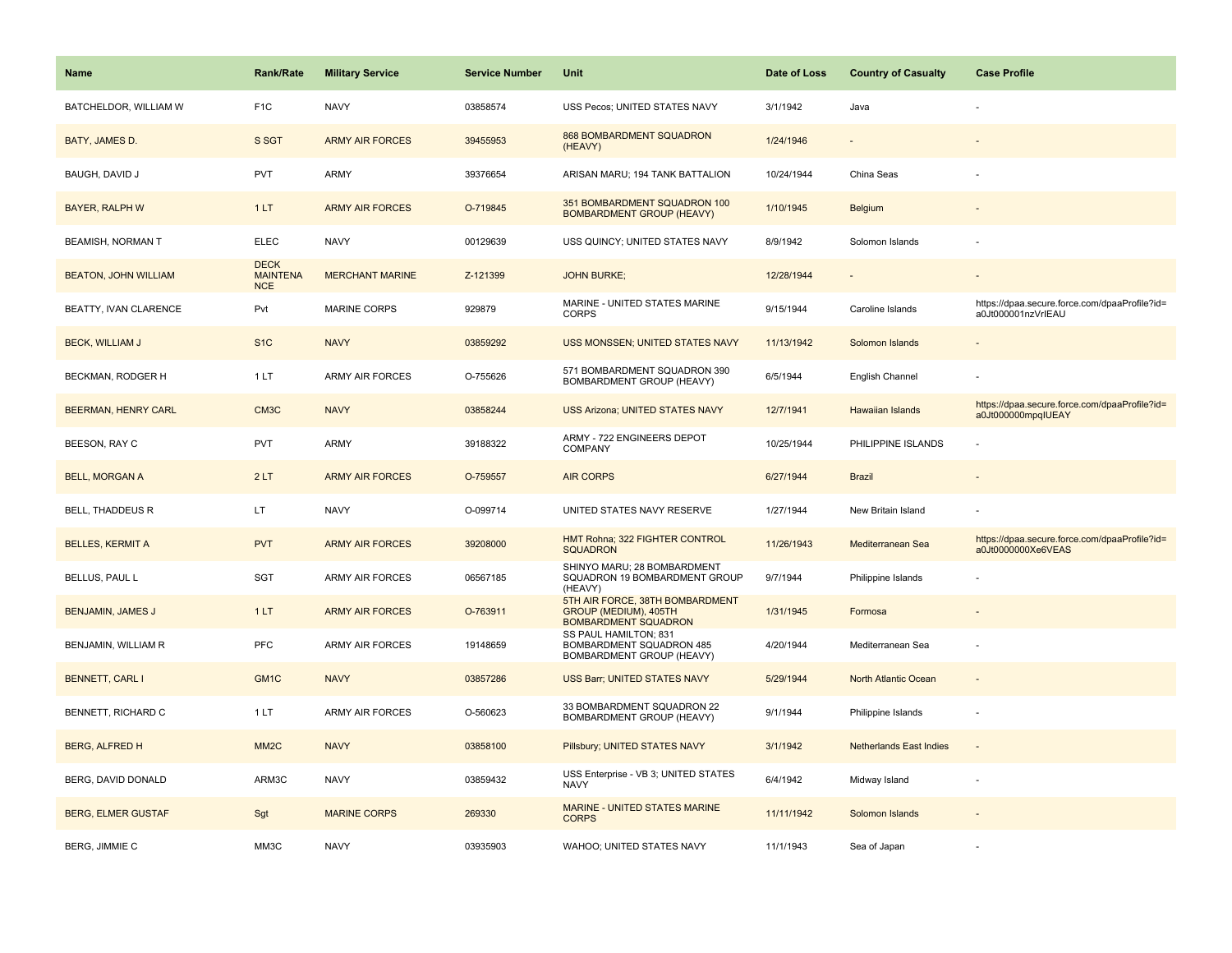| <b>Name</b>                 | Rank/Rate                                    | <b>Military Service</b> | <b>Service Number</b> | Unit                                                                                    | Date of Loss | <b>Country of Casualty</b>     | <b>Case Profile</b>                                                 |
|-----------------------------|----------------------------------------------|-------------------------|-----------------------|-----------------------------------------------------------------------------------------|--------------|--------------------------------|---------------------------------------------------------------------|
| BATCHELDOR, WILLIAM W       | F <sub>1</sub> C                             | <b>NAVY</b>             | 03858574              | USS Pecos; UNITED STATES NAVY                                                           | 3/1/1942     | Java                           |                                                                     |
| BATY, JAMES D.              | S SGT                                        | <b>ARMY AIR FORCES</b>  | 39455953              | <b>868 BOMBARDMENT SQUADRON</b><br>(HEAVY)                                              | 1/24/1946    |                                |                                                                     |
| BAUGH, DAVID J              | <b>PVT</b>                                   | <b>ARMY</b>             | 39376654              | ARISAN MARU; 194 TANK BATTALION                                                         | 10/24/1944   | China Seas                     |                                                                     |
| <b>BAYER, RALPH W</b>       | 1LT                                          | <b>ARMY AIR FORCES</b>  | O-719845              | 351 BOMBARDMENT SQUADRON 100<br><b>BOMBARDMENT GROUP (HEAVY)</b>                        | 1/10/1945    | <b>Belgium</b>                 |                                                                     |
| <b>BEAMISH, NORMAN T</b>    | <b>ELEC</b>                                  | <b>NAVY</b>             | 00129639              | USS QUINCY; UNITED STATES NAVY                                                          | 8/9/1942     | Solomon Islands                |                                                                     |
| <b>BEATON, JOHN WILLIAM</b> | <b>DECK</b><br><b>MAINTENA</b><br><b>NCE</b> | <b>MERCHANT MARINE</b>  | Z-121399              | <b>JOHN BURKE;</b>                                                                      | 12/28/1944   |                                |                                                                     |
| BEATTY, IVAN CLARENCE       | Pvt                                          | MARINE CORPS            | 929879                | MARINE - UNITED STATES MARINE<br><b>CORPS</b>                                           | 9/15/1944    | Caroline Islands               | https://dpaa.secure.force.com/dpaaProfile?id=<br>a0Jt000001nzVrIEAU |
| <b>BECK, WILLIAM J</b>      | S <sub>1C</sub>                              | <b>NAVY</b>             | 03859292              | USS MONSSEN; UNITED STATES NAVY                                                         | 11/13/1942   | Solomon Islands                |                                                                     |
| BECKMAN, RODGER H           | 1LT                                          | <b>ARMY AIR FORCES</b>  | O-755626              | 571 BOMBARDMENT SQUADRON 390<br>BOMBARDMENT GROUP (HEAVY)                               | 6/5/1944     | English Channel                |                                                                     |
| BEERMAN, HENRY CARL         | CM <sub>3</sub> C                            | <b>NAVY</b>             | 03858244              | <b>USS Arizona; UNITED STATES NAVY</b>                                                  | 12/7/1941    | <b>Hawaiian Islands</b>        | https://dpaa.secure.force.com/dpaaProfile?id=<br>a0Jt000000mpqIUEAY |
| BEESON, RAY C               | <b>PVT</b>                                   | <b>ARMY</b>             | 39188322              | ARMY - 722 ENGINEERS DEPOT<br><b>COMPANY</b>                                            | 10/25/1944   | PHILIPPINE ISLANDS             |                                                                     |
| <b>BELL, MORGAN A</b>       | 2LT                                          | <b>ARMY AIR FORCES</b>  | O-759557              | <b>AIR CORPS</b>                                                                        | 6/27/1944    | <b>Brazil</b>                  |                                                                     |
| BELL, THADDEUS R            | LT                                           | <b>NAVY</b>             | O-099714              | UNITED STATES NAVY RESERVE                                                              | 1/27/1944    | New Britain Island             |                                                                     |
| <b>BELLES, KERMIT A</b>     | <b>PVT</b>                                   | <b>ARMY AIR FORCES</b>  | 39208000              | HMT Rohna; 322 FIGHTER CONTROL<br><b>SQUADRON</b>                                       | 11/26/1943   | Mediterranean Sea              | https://dpaa.secure.force.com/dpaaProfile?id=<br>a0Jt0000000Xe6VEAS |
| BELLUS, PAUL L              | SGT                                          | ARMY AIR FORCES         | 06567185              | SHINYO MARU; 28 BOMBARDMENT<br>SQUADRON 19 BOMBARDMENT GROUP<br>(HEAVY)                 | 9/7/1944     | Philippine Islands             |                                                                     |
| <b>BENJAMIN, JAMES J</b>    | 1LT                                          | <b>ARMY AIR FORCES</b>  | O-763911              | 5TH AIR FORCE, 38TH BOMBARDMENT<br>GROUP (MEDIUM), 405TH<br><b>BOMBARDMENT SQUADRON</b> | 1/31/1945    | Formosa                        |                                                                     |
| BENJAMIN, WILLIAM R         | <b>PFC</b>                                   | <b>ARMY AIR FORCES</b>  | 19148659              | SS PAUL HAMILTON; 831<br>BOMBARDMENT SQUADRON 485<br>BOMBARDMENT GROUP (HEAVY)          | 4/20/1944    | Mediterranean Sea              |                                                                     |
| <b>BENNETT, CARL I</b>      | GM <sub>1</sub> C                            | <b>NAVY</b>             | 03857286              | USS Barr; UNITED STATES NAVY                                                            | 5/29/1944    | North Atlantic Ocean           |                                                                     |
| BENNETT, RICHARD C          | 1LT                                          | ARMY AIR FORCES         | O-560623              | 33 BOMBARDMENT SQUADRON 22<br>BOMBARDMENT GROUP (HEAVY)                                 | 9/1/1944     | Philippine Islands             | $\overline{\phantom{a}}$                                            |
| <b>BERG, ALFRED H</b>       | MM <sub>2</sub> C                            | <b>NAVY</b>             | 03858100              | Pillsbury; UNITED STATES NAVY                                                           | 3/1/1942     | <b>Netherlands East Indies</b> | $\blacksquare$                                                      |
| BERG, DAVID DONALD          | ARM3C                                        | <b>NAVY</b>             | 03859432              | USS Enterprise - VB 3; UNITED STATES<br>NAVY                                            | 6/4/1942     | Midway Island                  |                                                                     |
| <b>BERG, ELMER GUSTAF</b>   | Sgt                                          | <b>MARINE CORPS</b>     | 269330                | <b>MARINE - UNITED STATES MARINE</b><br><b>CORPS</b>                                    | 11/11/1942   | Solomon Islands                |                                                                     |
| BERG, JIMMIE C              | MM3C                                         | <b>NAVY</b>             | 03935903              | WAHOO; UNITED STATES NAVY                                                               | 11/1/1943    | Sea of Japan                   |                                                                     |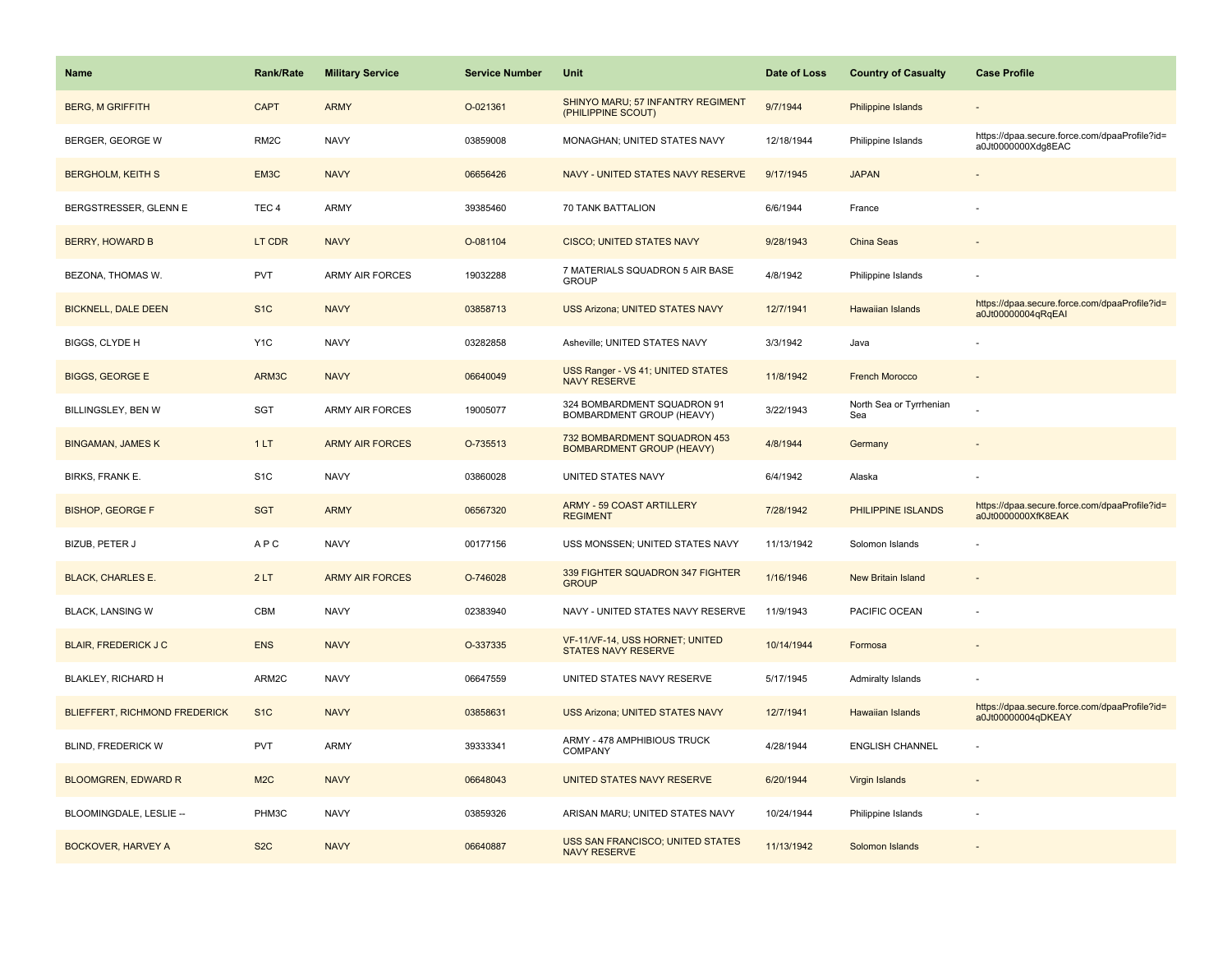| Name                                 | Rank/Rate         | <b>Military Service</b> | <b>Service Number</b> | Unit                                                             | Date of Loss | <b>Country of Casualty</b>     | <b>Case Profile</b>                                                 |
|--------------------------------------|-------------------|-------------------------|-----------------------|------------------------------------------------------------------|--------------|--------------------------------|---------------------------------------------------------------------|
| <b>BERG, M GRIFFITH</b>              | <b>CAPT</b>       | <b>ARMY</b>             | O-021361              | SHINYO MARU; 57 INFANTRY REGIMENT<br>(PHILIPPINE SCOUT)          | 9/7/1944     | Philippine Islands             |                                                                     |
| BERGER, GEORGE W                     | RM <sub>2</sub> C | <b>NAVY</b>             | 03859008              | MONAGHAN; UNITED STATES NAVY                                     | 12/18/1944   | Philippine Islands             | https://dpaa.secure.force.com/dpaaProfile?id=<br>a0Jt0000000Xdg8EAC |
| <b>BERGHOLM, KEITH S</b>             | EM3C              | <b>NAVY</b>             | 06656426              | NAVY - UNITED STATES NAVY RESERVE                                | 9/17/1945    | <b>JAPAN</b>                   |                                                                     |
| BERGSTRESSER, GLENN E                | TEC <sub>4</sub>  | <b>ARMY</b>             | 39385460              | 70 TANK BATTALION                                                | 6/6/1944     | France                         |                                                                     |
| <b>BERRY, HOWARD B</b>               | LT CDR            | <b>NAVY</b>             | O-081104              | <b>CISCO; UNITED STATES NAVY</b>                                 | 9/28/1943    | China Seas                     |                                                                     |
| BEZONA, THOMAS W.                    | <b>PVT</b>        | <b>ARMY AIR FORCES</b>  | 19032288              | 7 MATERIALS SQUADRON 5 AIR BASE<br><b>GROUP</b>                  | 4/8/1942     | Philippine Islands             |                                                                     |
| <b>BICKNELL, DALE DEEN</b>           | S <sub>1C</sub>   | <b>NAVY</b>             | 03858713              | <b>USS Arizona: UNITED STATES NAVY</b>                           | 12/7/1941    | <b>Hawaiian Islands</b>        | https://dpaa.secure.force.com/dpaaProfile?id=<br>a0Jt00000004qRqEAI |
| BIGGS, CLYDE H                       | Y <sub>1</sub> C  | <b>NAVY</b>             | 03282858              | Asheville; UNITED STATES NAVY                                    | 3/3/1942     | Java                           |                                                                     |
| <b>BIGGS, GEORGE E</b>               | ARM3C             | <b>NAVY</b>             | 06640049              | USS Ranger - VS 41; UNITED STATES<br><b>NAVY RESERVE</b>         | 11/8/1942    | <b>French Morocco</b>          |                                                                     |
| BILLINGSLEY, BEN W                   | SGT               | ARMY AIR FORCES         | 19005077              | 324 BOMBARDMENT SQUADRON 91<br>BOMBARDMENT GROUP (HEAVY)         | 3/22/1943    | North Sea or Tyrrhenian<br>Sea |                                                                     |
| <b>BINGAMAN, JAMES K</b>             | 1LT               | <b>ARMY AIR FORCES</b>  | O-735513              | 732 BOMBARDMENT SQUADRON 453<br><b>BOMBARDMENT GROUP (HEAVY)</b> | 4/8/1944     | Germany                        |                                                                     |
| BIRKS, FRANK E.                      | S <sub>1</sub> C  | <b>NAVY</b>             | 03860028              | UNITED STATES NAVY                                               | 6/4/1942     | Alaska                         |                                                                     |
| <b>BISHOP, GEORGE F</b>              | <b>SGT</b>        | <b>ARMY</b>             | 06567320              | ARMY - 59 COAST ARTILLERY<br><b>REGIMENT</b>                     | 7/28/1942    | PHILIPPINE ISLANDS             | https://dpaa.secure.force.com/dpaaProfile?id=<br>a0Jt0000000XfK8EAK |
| BIZUB, PETER J                       | <b>APC</b>        | <b>NAVY</b>             | 00177156              | USS MONSSEN; UNITED STATES NAVY                                  | 11/13/1942   | Solomon Islands                |                                                                     |
| <b>BLACK, CHARLES E.</b>             | 2LT               | <b>ARMY AIR FORCES</b>  | O-746028              | 339 FIGHTER SQUADRON 347 FIGHTER<br><b>GROUP</b>                 | 1/16/1946    | New Britain Island             |                                                                     |
| <b>BLACK, LANSING W</b>              | CBM               | <b>NAVY</b>             | 02383940              | NAVY - UNITED STATES NAVY RESERVE                                | 11/9/1943    | PACIFIC OCEAN                  |                                                                     |
| <b>BLAIR, FREDERICK J C</b>          | <b>ENS</b>        | <b>NAVY</b>             | O-337335              | VF-11/VF-14, USS HORNET; UNITED<br><b>STATES NAVY RESERVE</b>    | 10/14/1944   | Formosa                        |                                                                     |
| <b>BLAKLEY, RICHARD H</b>            | ARM2C             | <b>NAVY</b>             | 06647559              | UNITED STATES NAVY RESERVE                                       | 5/17/1945    | Admiralty Islands              |                                                                     |
| <b>BLIEFFERT, RICHMOND FREDERICK</b> | S <sub>1</sub> C  | <b>NAVY</b>             | 03858631              | <b>USS Arizona; UNITED STATES NAVY</b>                           | 12/7/1941    | <b>Hawaiian Islands</b>        | https://dpaa.secure.force.com/dpaaProfile?id=<br>a0Jt00000004qDKEAY |
| <b>BLIND, FREDERICK W</b>            | <b>PVT</b>        | <b>ARMY</b>             | 39333341              | ARMY - 478 AMPHIBIOUS TRUCK<br>COMPANY                           | 4/28/1944    | <b>ENGLISH CHANNEL</b>         |                                                                     |
| <b>BLOOMGREN, EDWARD R</b>           | M <sub>2</sub> C  | <b>NAVY</b>             | 06648043              | UNITED STATES NAVY RESERVE                                       | 6/20/1944    | Virgin Islands                 |                                                                     |
| BLOOMINGDALE, LESLIE --              | PHM3C             | <b>NAVY</b>             | 03859326              | ARISAN MARU; UNITED STATES NAVY                                  | 10/24/1944   | Philippine Islands             |                                                                     |
| <b>BOCKOVER, HARVEY A</b>            | S <sub>2</sub> C  | <b>NAVY</b>             | 06640887              | <b>USS SAN FRANCISCO; UNITED STATES</b><br><b>NAVY RESERVE</b>   | 11/13/1942   | Solomon Islands                |                                                                     |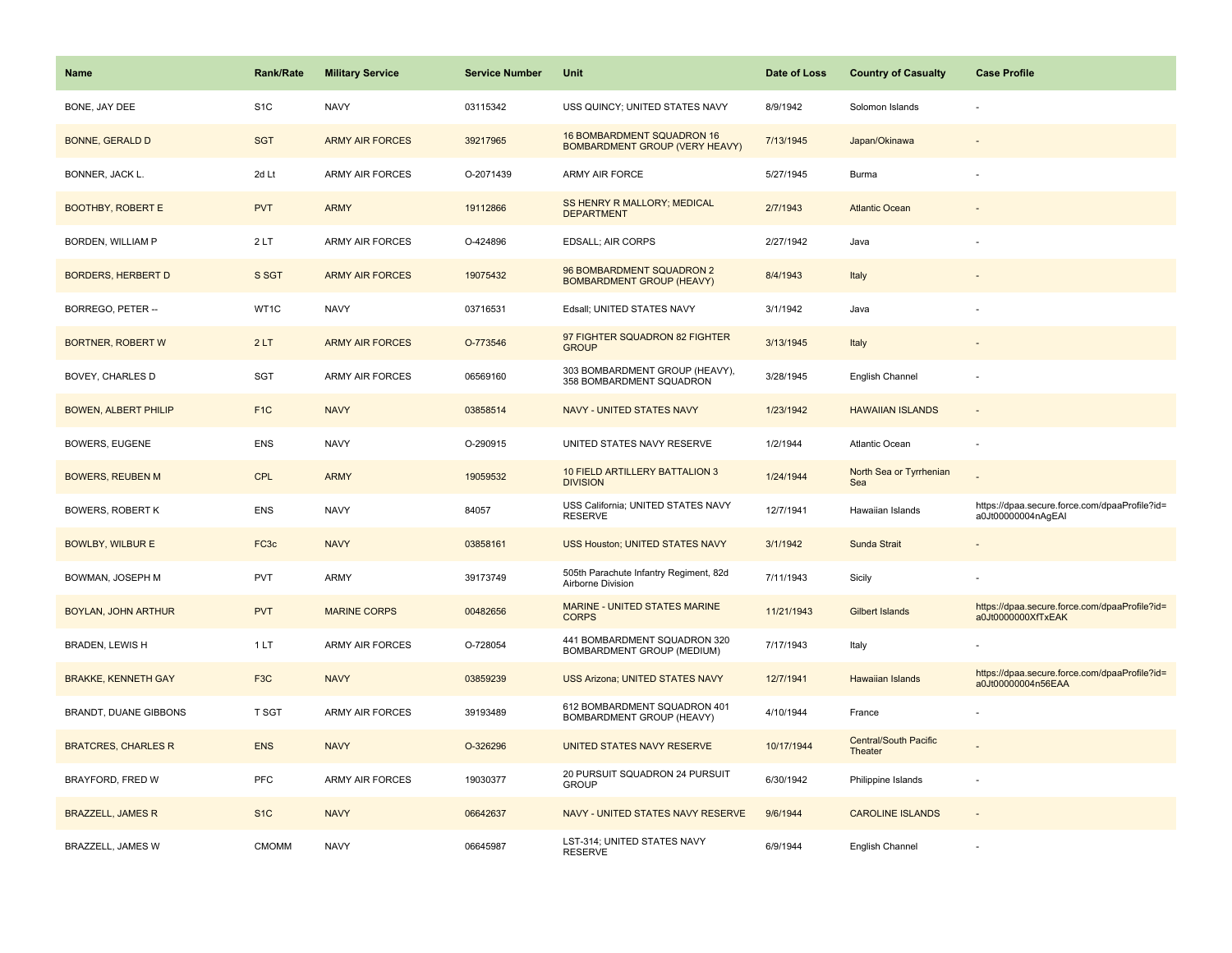| <b>Name</b>                 | <b>Rank/Rate</b>  | <b>Military Service</b> | <b>Service Number</b> | Unit                                                                | Date of Loss | <b>Country of Casualty</b>              | <b>Case Profile</b>                                                 |
|-----------------------------|-------------------|-------------------------|-----------------------|---------------------------------------------------------------------|--------------|-----------------------------------------|---------------------------------------------------------------------|
| BONE, JAY DEE               | S <sub>1</sub> C  | <b>NAVY</b>             | 03115342              | USS QUINCY; UNITED STATES NAVY                                      | 8/9/1942     | Solomon Islands                         |                                                                     |
| <b>BONNE, GERALD D</b>      | <b>SGT</b>        | <b>ARMY AIR FORCES</b>  | 39217965              | 16 BOMBARDMENT SQUADRON 16<br><b>BOMBARDMENT GROUP (VERY HEAVY)</b> | 7/13/1945    | Japan/Okinawa                           |                                                                     |
| BONNER, JACK L.             | 2d Lt             | <b>ARMY AIR FORCES</b>  | O-2071439             | <b>ARMY AIR FORCE</b>                                               | 5/27/1945    | <b>Burma</b>                            |                                                                     |
| <b>BOOTHBY, ROBERT E</b>    | <b>PVT</b>        | <b>ARMY</b>             | 19112866              | SS HENRY R MALLORY; MEDICAL<br><b>DEPARTMENT</b>                    | 2/7/1943     | <b>Atlantic Ocean</b>                   |                                                                     |
| <b>BORDEN, WILLIAM P</b>    | 2LT               | <b>ARMY AIR FORCES</b>  | O-424896              | <b>EDSALL; AIR CORPS</b>                                            | 2/27/1942    | Java                                    |                                                                     |
| <b>BORDERS, HERBERT D</b>   | S SGT             | <b>ARMY AIR FORCES</b>  | 19075432              | 96 BOMBARDMENT SQUADRON 2<br><b>BOMBARDMENT GROUP (HEAVY)</b>       | 8/4/1943     | Italy                                   |                                                                     |
| BORREGO, PETER --           | WT1C              | <b>NAVY</b>             | 03716531              | Edsall; UNITED STATES NAVY                                          | 3/1/1942     | Java                                    |                                                                     |
| <b>BORTNER, ROBERT W</b>    | 2LT               | <b>ARMY AIR FORCES</b>  | O-773546              | 97 FIGHTER SQUADRON 82 FIGHTER<br><b>GROUP</b>                      | 3/13/1945    | Italy                                   |                                                                     |
| BOVEY, CHARLES D            | SGT               | ARMY AIR FORCES         | 06569160              | 303 BOMBARDMENT GROUP (HEAVY),<br>358 BOMBARDMENT SQUADRON          | 3/28/1945    | English Channel                         |                                                                     |
| <b>BOWEN, ALBERT PHILIP</b> | F <sub>1</sub> C  | <b>NAVY</b>             | 03858514              | NAVY - UNITED STATES NAVY                                           | 1/23/1942    | <b>HAWAIIAN ISLANDS</b>                 |                                                                     |
| BOWERS, EUGENE              | <b>ENS</b>        | <b>NAVY</b>             | O-290915              | UNITED STATES NAVY RESERVE                                          | 1/2/1944     | Atlantic Ocean                          |                                                                     |
| <b>BOWERS, REUBEN M</b>     | <b>CPL</b>        | <b>ARMY</b>             | 19059532              | 10 FIELD ARTILLERY BATTALION 3<br><b>DIVISION</b>                   | 1/24/1944    | North Sea or Tyrrhenian<br>Sea          |                                                                     |
| <b>BOWERS, ROBERT K</b>     | <b>ENS</b>        | <b>NAVY</b>             | 84057                 | USS California; UNITED STATES NAVY<br><b>RESERVE</b>                | 12/7/1941    | Hawaiian Islands                        | https://dpaa.secure.force.com/dpaaProfile?id=<br>a0Jt00000004nAgEAI |
| <b>BOWLBY, WILBUR E</b>     | FC <sub>3</sub> c | <b>NAVY</b>             | 03858161              | USS Houston; UNITED STATES NAVY                                     | 3/1/1942     | Sunda Strait                            |                                                                     |
| BOWMAN, JOSEPH M            | PVT               | ARMY                    | 39173749              | 505th Parachute Infantry Regiment, 82d<br>Airborne Division         | 7/11/1943    | Sicily                                  |                                                                     |
| <b>BOYLAN, JOHN ARTHUR</b>  | <b>PVT</b>        | <b>MARINE CORPS</b>     | 00482656              | MARINE - UNITED STATES MARINE<br><b>CORPS</b>                       | 11/21/1943   | <b>Gilbert Islands</b>                  | https://dpaa.secure.force.com/dpaaProfile?id=<br>a0Jt0000000XfTxEAK |
| BRADEN, LEWIS H             | 1LT               | ARMY AIR FORCES         | O-728054              | 441 BOMBARDMENT SQUADRON 320<br>BOMBARDMENT GROUP (MEDIUM)          | 7/17/1943    | Italy                                   |                                                                     |
| <b>BRAKKE, KENNETH GAY</b>  | F <sub>3</sub> C  | <b>NAVY</b>             | 03859239              | <b>USS Arizona; UNITED STATES NAVY</b>                              | 12/7/1941    | Hawaiian Islands                        | https://dpaa.secure.force.com/dpaaProfile?id=<br>a0Jt00000004n56EAA |
| BRANDT, DUANE GIBBONS       | T SGT             | <b>ARMY AIR FORCES</b>  | 39193489              | 612 BOMBARDMENT SQUADRON 401<br>BOMBARDMENT GROUP (HEAVY)           | 4/10/1944    | France                                  |                                                                     |
| <b>BRATCRES, CHARLES R</b>  | <b>ENS</b>        | <b>NAVY</b>             | O-326296              | UNITED STATES NAVY RESERVE                                          | 10/17/1944   | <b>Central/South Pacific</b><br>Theater |                                                                     |
| BRAYFORD, FRED W            | <b>PFC</b>        | <b>ARMY AIR FORCES</b>  | 19030377              | 20 PURSUIT SQUADRON 24 PURSUIT<br><b>GROUP</b>                      | 6/30/1942    | Philippine Islands                      |                                                                     |
| <b>BRAZZELL, JAMES R</b>    | S <sub>1</sub> C  | <b>NAVY</b>             | 06642637              | NAVY - UNITED STATES NAVY RESERVE                                   | 9/6/1944     | <b>CAROLINE ISLANDS</b>                 | $\sim$                                                              |
| BRAZZELL, JAMES W           | <b>CMOMM</b>      | <b>NAVY</b>             | 06645987              | LST-314; UNITED STATES NAVY<br><b>RESERVE</b>                       | 6/9/1944     | English Channel                         |                                                                     |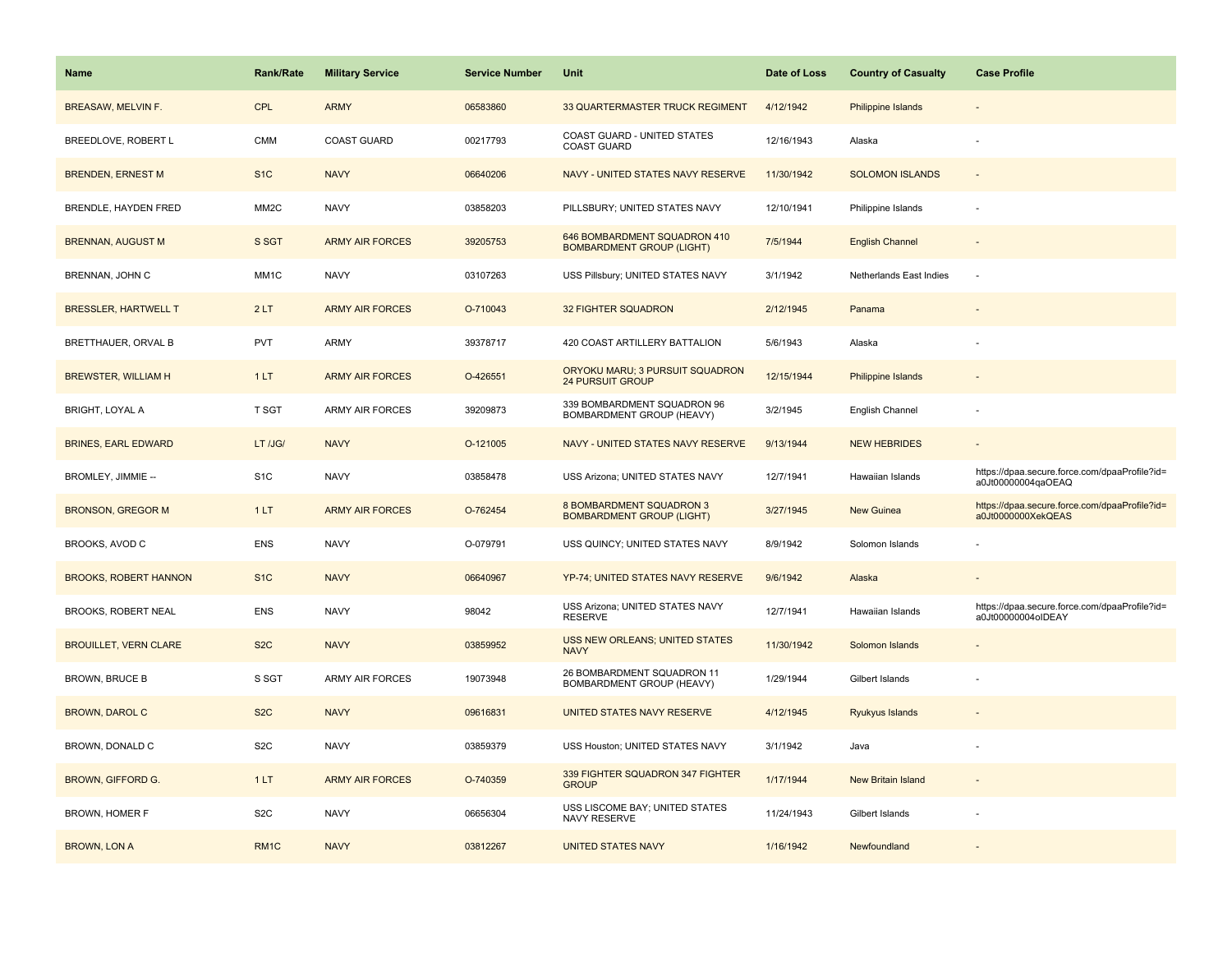| Name                         | <b>Rank/Rate</b>  | <b>Military Service</b> | <b>Service Number</b> | Unit                                                                | Date of Loss | <b>Country of Casualty</b> | <b>Case Profile</b>                                                 |
|------------------------------|-------------------|-------------------------|-----------------------|---------------------------------------------------------------------|--------------|----------------------------|---------------------------------------------------------------------|
| <b>BREASAW, MELVIN F.</b>    | <b>CPL</b>        | <b>ARMY</b>             | 06583860              | 33 QUARTERMASTER TRUCK REGIMENT                                     | 4/12/1942    | Philippine Islands         |                                                                     |
| BREEDLOVE, ROBERT L          | <b>CMM</b>        | <b>COAST GUARD</b>      | 00217793              | COAST GUARD - UNITED STATES<br>COAST GUARD                          | 12/16/1943   | Alaska                     |                                                                     |
| <b>BRENDEN, ERNEST M</b>     | S <sub>1</sub> C  | <b>NAVY</b>             | 06640206              | NAVY - UNITED STATES NAVY RESERVE                                   | 11/30/1942   | <b>SOLOMON ISLANDS</b>     |                                                                     |
| BRENDLE, HAYDEN FRED         | MM <sub>2</sub> C | <b>NAVY</b>             | 03858203              | PILLSBURY; UNITED STATES NAVY                                       | 12/10/1941   | Philippine Islands         |                                                                     |
| <b>BRENNAN, AUGUST M</b>     | S SGT             | <b>ARMY AIR FORCES</b>  | 39205753              | 646 BOMBARDMENT SQUADRON 410<br><b>BOMBARDMENT GROUP (LIGHT)</b>    | 7/5/1944     | <b>English Channel</b>     |                                                                     |
| BRENNAN, JOHN C              | MM <sub>1</sub> C | <b>NAVY</b>             | 03107263              | USS Pillsbury; UNITED STATES NAVY                                   | 3/1/1942     | Netherlands East Indies    |                                                                     |
| <b>BRESSLER, HARTWELL T</b>  | 2LT               | <b>ARMY AIR FORCES</b>  | O-710043              | <b>32 FIGHTER SQUADRON</b>                                          | 2/12/1945    | Panama                     | $\overline{\phantom{a}}$                                            |
| BRETTHAUER, ORVAL B          | PVT               | ARMY                    | 39378717              | 420 COAST ARTILLERY BATTALION                                       | 5/6/1943     | Alaska                     |                                                                     |
| <b>BREWSTER, WILLIAM H</b>   | 1LT               | <b>ARMY AIR FORCES</b>  | O-426551              | ORYOKU MARU; 3 PURSUIT SQUADRON<br><b>24 PURSUIT GROUP</b>          | 12/15/1944   | Philippine Islands         |                                                                     |
| <b>BRIGHT, LOYAL A</b>       | T SGT             | <b>ARMY AIR FORCES</b>  | 39209873              | 339 BOMBARDMENT SQUADRON 96<br>BOMBARDMENT GROUP (HEAVY)            | 3/2/1945     | English Channel            |                                                                     |
| <b>BRINES, EARL EDWARD</b>   | LT /JG/           | <b>NAVY</b>             | O-121005              | NAVY - UNITED STATES NAVY RESERVE                                   | 9/13/1944    | <b>NEW HEBRIDES</b>        |                                                                     |
| BROMLEY, JIMMIE --           | S <sub>1</sub> C  | <b>NAVY</b>             | 03858478              | USS Arizona; UNITED STATES NAVY                                     | 12/7/1941    | Hawaiian Islands           | https://dpaa.secure.force.com/dpaaProfile?id=<br>a0Jt00000004qaOEAQ |
| <b>BRONSON, GREGOR M</b>     | 1LT               | <b>ARMY AIR FORCES</b>  | O-762454              | <b>8 BOMBARDMENT SQUADRON 3</b><br><b>BOMBARDMENT GROUP (LIGHT)</b> | 3/27/1945    | <b>New Guinea</b>          | https://dpaa.secure.force.com/dpaaProfile?id=<br>a0Jt0000000XekQEAS |
| BROOKS, AVOD C               | ENS               | <b>NAVY</b>             | O-079791              | USS QUINCY; UNITED STATES NAVY                                      | 8/9/1942     | Solomon Islands            |                                                                     |
| <b>BROOKS, ROBERT HANNON</b> | S <sub>1C</sub>   | <b>NAVY</b>             | 06640967              | YP-74; UNITED STATES NAVY RESERVE                                   | 9/6/1942     | Alaska                     | $\overline{\phantom{a}}$                                            |
| BROOKS, ROBERT NEAL          | ENS               | <b>NAVY</b>             | 98042                 | USS Arizona; UNITED STATES NAVY<br><b>RESERVE</b>                   | 12/7/1941    | Hawaiian Islands           | https://dpaa.secure.force.com/dpaaProfile?id=<br>a0Jt00000004oIDEAY |
| <b>BROUILLET, VERN CLARE</b> | S <sub>2</sub> C  | <b>NAVY</b>             | 03859952              | <b>USS NEW ORLEANS; UNITED STATES</b><br><b>NAVY</b>                | 11/30/1942   | Solomon Islands            |                                                                     |
| <b>BROWN, BRUCE B</b>        | S SGT             | ARMY AIR FORCES         | 19073948              | 26 BOMBARDMENT SQUADRON 11<br>BOMBARDMENT GROUP (HEAVY)             | 1/29/1944    | Gilbert Islands            |                                                                     |
| <b>BROWN, DAROL C</b>        | S <sub>2</sub> C  | <b>NAVY</b>             | 09616831              | UNITED STATES NAVY RESERVE                                          | 4/12/1945    | Ryukyus Islands            |                                                                     |
| BROWN, DONALD C              | S <sub>2</sub> C  | <b>NAVY</b>             | 03859379              | USS Houston; UNITED STATES NAVY                                     | 3/1/1942     | Java                       |                                                                     |
| <b>BROWN, GIFFORD G.</b>     | 1LT               | <b>ARMY AIR FORCES</b>  | O-740359              | 339 FIGHTER SQUADRON 347 FIGHTER<br><b>GROUP</b>                    | 1/17/1944    | New Britain Island         |                                                                     |
| BROWN, HOMER F               | S <sub>2</sub> C  | <b>NAVY</b>             | 06656304              | USS LISCOME BAY; UNITED STATES<br>NAVY RESERVE                      | 11/24/1943   | Gilbert Islands            |                                                                     |
| <b>BROWN, LON A</b>          | RM <sub>1C</sub>  | <b>NAVY</b>             | 03812267              | <b>UNITED STATES NAVY</b>                                           | 1/16/1942    | Newfoundland               |                                                                     |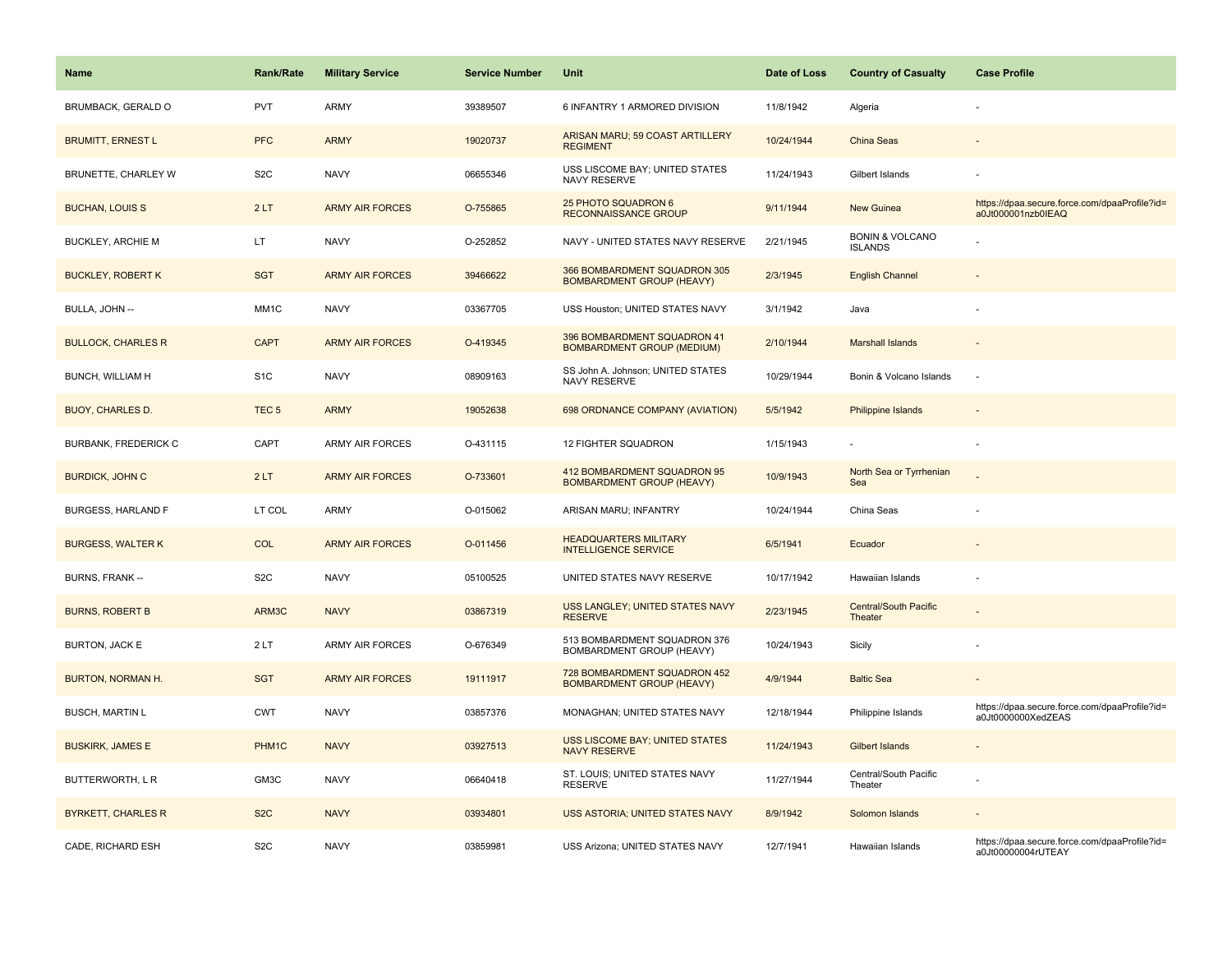| <b>Name</b>                 | <b>Rank/Rate</b>  | <b>Military Service</b> | <b>Service Number</b> | Unit                                                             | Date of Loss | <b>Country of Casualty</b>                   | <b>Case Profile</b>                                                 |
|-----------------------------|-------------------|-------------------------|-----------------------|------------------------------------------------------------------|--------------|----------------------------------------------|---------------------------------------------------------------------|
| BRUMBACK, GERALD O          | PVT               | ARMY                    | 39389507              | 6 INFANTRY 1 ARMORED DIVISION                                    | 11/8/1942    | Algeria                                      |                                                                     |
| <b>BRUMITT, ERNEST L</b>    | <b>PFC</b>        | <b>ARMY</b>             | 19020737              | ARISAN MARU; 59 COAST ARTILLERY<br><b>REGIMENT</b>               | 10/24/1944   | <b>China Seas</b>                            |                                                                     |
| BRUNETTE, CHARLEY W         | S <sub>2</sub> C  | <b>NAVY</b>             | 06655346              | USS LISCOME BAY; UNITED STATES<br><b>NAVY RESERVE</b>            | 11/24/1943   | Gilbert Islands                              |                                                                     |
| <b>BUCHAN, LOUIS S</b>      | 2LT               | <b>ARMY AIR FORCES</b>  | O-755865              | 25 PHOTO SQUADRON 6<br><b>RECONNAISSANCE GROUP</b>               | 9/11/1944    | <b>New Guinea</b>                            | https://dpaa.secure.force.com/dpaaProfile?id=<br>a0Jt000001nzb0IEAQ |
| <b>BUCKLEY, ARCHIE M</b>    | LT                | <b>NAVY</b>             | O-252852              | NAVY - UNITED STATES NAVY RESERVE                                | 2/21/1945    | <b>BONIN &amp; VOLCANO</b><br><b>ISLANDS</b> |                                                                     |
| <b>BUCKLEY, ROBERT K</b>    | <b>SGT</b>        | <b>ARMY AIR FORCES</b>  | 39466622              | 366 BOMBARDMENT SQUADRON 305<br><b>BOMBARDMENT GROUP (HEAVY)</b> | 2/3/1945     | <b>English Channel</b>                       |                                                                     |
| BULLA, JOHN --              | MM1C              | <b>NAVY</b>             | 03367705              | USS Houston; UNITED STATES NAVY                                  | 3/1/1942     | Java                                         |                                                                     |
| <b>BULLOCK, CHARLES R</b>   | <b>CAPT</b>       | <b>ARMY AIR FORCES</b>  | O-419345              | 396 BOMBARDMENT SQUADRON 41<br><b>BOMBARDMENT GROUP (MEDIUM)</b> | 2/10/1944    | <b>Marshall Islands</b>                      |                                                                     |
| BUNCH, WILLIAM H            | S <sub>1</sub> C  | <b>NAVY</b>             | 08909163              | SS John A. Johnson; UNITED STATES<br>NAVY RESERVE                | 10/29/1944   | Bonin & Volcano Islands                      | J.                                                                  |
| <b>BUOY, CHARLES D.</b>     | TEC <sub>5</sub>  | <b>ARMY</b>             | 19052638              | 698 ORDNANCE COMPANY (AVIATION)                                  | 5/5/1942     | <b>Philippine Islands</b>                    |                                                                     |
| <b>BURBANK, FREDERICK C</b> | CAPT              | <b>ARMY AIR FORCES</b>  | O-431115              | 12 FIGHTER SQUADRON                                              | 1/15/1943    |                                              |                                                                     |
| <b>BURDICK, JOHN C</b>      | 2LT               | <b>ARMY AIR FORCES</b>  | O-733601              | 412 BOMBARDMENT SQUADRON 95<br><b>BOMBARDMENT GROUP (HEAVY)</b>  | 10/9/1943    | North Sea or Tyrrhenian<br>Sea               |                                                                     |
| <b>BURGESS, HARLAND F</b>   | LT COL            | <b>ARMY</b>             | O-015062              | ARISAN MARU; INFANTRY                                            | 10/24/1944   | China Seas                                   |                                                                     |
| <b>BURGESS, WALTER K</b>    | <b>COL</b>        | <b>ARMY AIR FORCES</b>  | O-011456              | <b>HEADQUARTERS MILITARY</b><br><b>INTELLIGENCE SERVICE</b>      | 6/5/1941     | Ecuador                                      |                                                                     |
| BURNS, FRANK --             | S <sub>2</sub> C  | <b>NAVY</b>             | 05100525              | UNITED STATES NAVY RESERVE                                       | 10/17/1942   | Hawaiian Islands                             | ÷,                                                                  |
| <b>BURNS, ROBERT B</b>      | ARM3C             | <b>NAVY</b>             | 03867319              | USS LANGLEY; UNITED STATES NAVY<br><b>RESERVE</b>                | 2/23/1945    | <b>Central/South Pacific</b><br>Theater      |                                                                     |
| BURTON, JACK E              | 2LT               | <b>ARMY AIR FORCES</b>  | O-676349              | 513 BOMBARDMENT SQUADRON 376<br>BOMBARDMENT GROUP (HEAVY)        | 10/24/1943   | Sicily                                       |                                                                     |
| <b>BURTON, NORMAN H.</b>    | <b>SGT</b>        | <b>ARMY AIR FORCES</b>  | 19111917              | 728 BOMBARDMENT SQUADRON 452<br><b>BOMBARDMENT GROUP (HEAVY)</b> | 4/9/1944     | <b>Baltic Sea</b>                            |                                                                     |
| <b>BUSCH, MARTIN L</b>      | <b>CWT</b>        | <b>NAVY</b>             | 03857376              | MONAGHAN; UNITED STATES NAVY                                     | 12/18/1944   | Philippine Islands                           | https://dpaa.secure.force.com/dpaaProfile?id=<br>a0Jt0000000XedZEAS |
| <b>BUSKIRK, JAMES E</b>     | PHM <sub>1C</sub> | <b>NAVY</b>             | 03927513              | <b>USS LISCOME BAY; UNITED STATES</b><br><b>NAVY RESERVE</b>     | 11/24/1943   | <b>Gilbert Islands</b>                       |                                                                     |
| BUTTERWORTH, L R            | GM3C              | <b>NAVY</b>             | 06640418              | ST. LOUIS; UNITED STATES NAVY<br><b>RESERVE</b>                  | 11/27/1944   | Central/South Pacific<br>Theater             |                                                                     |
| <b>BYRKETT, CHARLES R</b>   | S <sub>2</sub> C  | <b>NAVY</b>             | 03934801              | USS ASTORIA; UNITED STATES NAVY                                  | 8/9/1942     | Solomon Islands                              |                                                                     |
| CADE, RICHARD ESH           | S <sub>2</sub> C  | <b>NAVY</b>             | 03859981              | USS Arizona; UNITED STATES NAVY                                  | 12/7/1941    | Hawaiian Islands                             | https://dpaa.secure.force.com/dpaaProfile?id=<br>a0Jt00000004rUTEAY |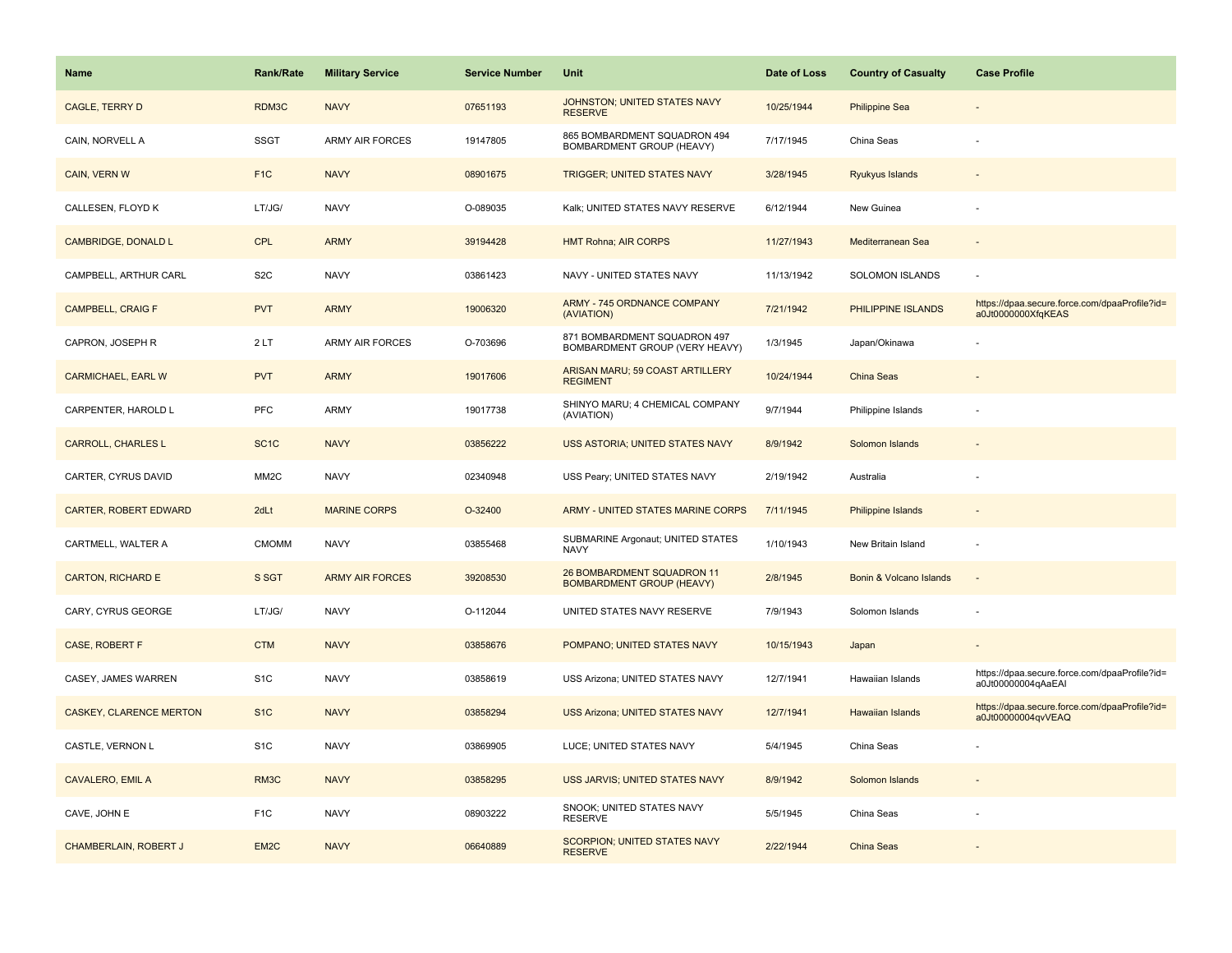| Name                           | <b>Rank/Rate</b>  | <b>Military Service</b> | <b>Service Number</b> | Unit                                                           | Date of Loss | <b>Country of Casualty</b> | <b>Case Profile</b>                                                 |
|--------------------------------|-------------------|-------------------------|-----------------------|----------------------------------------------------------------|--------------|----------------------------|---------------------------------------------------------------------|
| <b>CAGLE, TERRY D</b>          | RDM3C             | <b>NAVY</b>             | 07651193              | JOHNSTON; UNITED STATES NAVY<br><b>RESERVE</b>                 | 10/25/1944   | <b>Philippine Sea</b>      |                                                                     |
| CAIN, NORVELL A                | <b>SSGT</b>       | ARMY AIR FORCES         | 19147805              | 865 BOMBARDMENT SQUADRON 494<br>BOMBARDMENT GROUP (HEAVY)      | 7/17/1945    | China Seas                 |                                                                     |
| CAIN, VERN W                   | F <sub>1C</sub>   | <b>NAVY</b>             | 08901675              | <b>TRIGGER; UNITED STATES NAVY</b>                             | 3/28/1945    | Ryukyus Islands            |                                                                     |
| CALLESEN, FLOYD K              | LT/JG/            | <b>NAVY</b>             | O-089035              | Kalk; UNITED STATES NAVY RESERVE                               | 6/12/1944    | New Guinea                 |                                                                     |
| <b>CAMBRIDGE, DONALD L</b>     | <b>CPL</b>        | <b>ARMY</b>             | 39194428              | <b>HMT Rohna; AIR CORPS</b>                                    | 11/27/1943   | Mediterranean Sea          |                                                                     |
| CAMPBELL, ARTHUR CARL          | S <sub>2</sub> C  | <b>NAVY</b>             | 03861423              | NAVY - UNITED STATES NAVY                                      | 11/13/1942   | <b>SOLOMON ISLANDS</b>     |                                                                     |
| <b>CAMPBELL, CRAIG F</b>       | <b>PVT</b>        | <b>ARMY</b>             | 19006320              | ARMY - 745 ORDNANCE COMPANY<br>(AVIATION)                      | 7/21/1942    | PHILIPPINE ISLANDS         | https://dpaa.secure.force.com/dpaaProfile?id=<br>a0Jt0000000XfqKEAS |
| CAPRON, JOSEPH R               | 2LT               | <b>ARMY AIR FORCES</b>  | O-703696              | 871 BOMBARDMENT SQUADRON 497<br>BOMBARDMENT GROUP (VERY HEAVY) | 1/3/1945     | Japan/Okinawa              |                                                                     |
| <b>CARMICHAEL, EARL W</b>      | <b>PVT</b>        | <b>ARMY</b>             | 19017606              | ARISAN MARU; 59 COAST ARTILLERY<br><b>REGIMENT</b>             | 10/24/1944   | <b>China Seas</b>          |                                                                     |
| CARPENTER, HAROLD L            | PFC               | ARMY                    | 19017738              | SHINYO MARU; 4 CHEMICAL COMPANY<br>(AVIATION)                  | 9/7/1944     | Philippine Islands         |                                                                     |
| <b>CARROLL, CHARLES L</b>      | SC <sub>1</sub> C | <b>NAVY</b>             | 03856222              | <b>USS ASTORIA: UNITED STATES NAVY</b>                         | 8/9/1942     | Solomon Islands            |                                                                     |
| CARTER, CYRUS DAVID            | MM <sub>2</sub> C | <b>NAVY</b>             | 02340948              | USS Peary; UNITED STATES NAVY                                  | 2/19/1942    | Australia                  |                                                                     |
| <b>CARTER, ROBERT EDWARD</b>   | 2dLt              | <b>MARINE CORPS</b>     | O-32400               | ARMY - UNITED STATES MARINE CORPS                              | 7/11/1945    | Philippine Islands         |                                                                     |
| CARTMELL, WALTER A             | <b>CMOMM</b>      | <b>NAVY</b>             | 03855468              | SUBMARINE Argonaut; UNITED STATES<br><b>NAVY</b>               | 1/10/1943    | New Britain Island         |                                                                     |
| <b>CARTON, RICHARD E</b>       | S SGT             | <b>ARMY AIR FORCES</b>  | 39208530              | 26 BOMBARDMENT SQUADRON 11<br><b>BOMBARDMENT GROUP (HEAVY)</b> | 2/8/1945     | Bonin & Volcano Islands    | $\sim$                                                              |
| CARY, CYRUS GEORGE             | LT/JG/            | <b>NAVY</b>             | O-112044              | UNITED STATES NAVY RESERVE                                     | 7/9/1943     | Solomon Islands            |                                                                     |
| CASE, ROBERT F                 | <b>CTM</b>        | <b>NAVY</b>             | 03858676              | POMPANO; UNITED STATES NAVY                                    | 10/15/1943   | Japan                      |                                                                     |
| CASEY, JAMES WARREN            | S <sub>1</sub> C  | <b>NAVY</b>             | 03858619              | USS Arizona; UNITED STATES NAVY                                | 12/7/1941    | Hawaiian Islands           | https://dpaa.secure.force.com/dpaaProfile?id=<br>a0Jt00000004qAaEAI |
| <b>CASKEY, CLARENCE MERTON</b> | S <sub>1</sub> C  | <b>NAVY</b>             | 03858294              | <b>USS Arizona; UNITED STATES NAVY</b>                         | 12/7/1941    | <b>Hawaiian Islands</b>    | https://dpaa.secure.force.com/dpaaProfile?id=<br>a0Jt00000004qvVEAQ |
| CASTLE, VERNON L               | S <sub>1</sub> C  | <b>NAVY</b>             | 03869905              | LUCE; UNITED STATES NAVY                                       | 5/4/1945     | China Seas                 |                                                                     |
| <b>CAVALERO, EMIL A</b>        | RM <sub>3</sub> C | <b>NAVY</b>             | 03858295              | USS JARVIS; UNITED STATES NAVY                                 | 8/9/1942     | Solomon Islands            |                                                                     |
| CAVE, JOHN E                   | F <sub>1</sub> C  | <b>NAVY</b>             | 08903222              | SNOOK; UNITED STATES NAVY<br><b>RESERVE</b>                    | 5/5/1945     | China Seas                 |                                                                     |
| CHAMBERLAIN, ROBERT J          | EM <sub>2</sub> C | <b>NAVY</b>             | 06640889              | SCORPION; UNITED STATES NAVY<br><b>RESERVE</b>                 | 2/22/1944    | China Seas                 |                                                                     |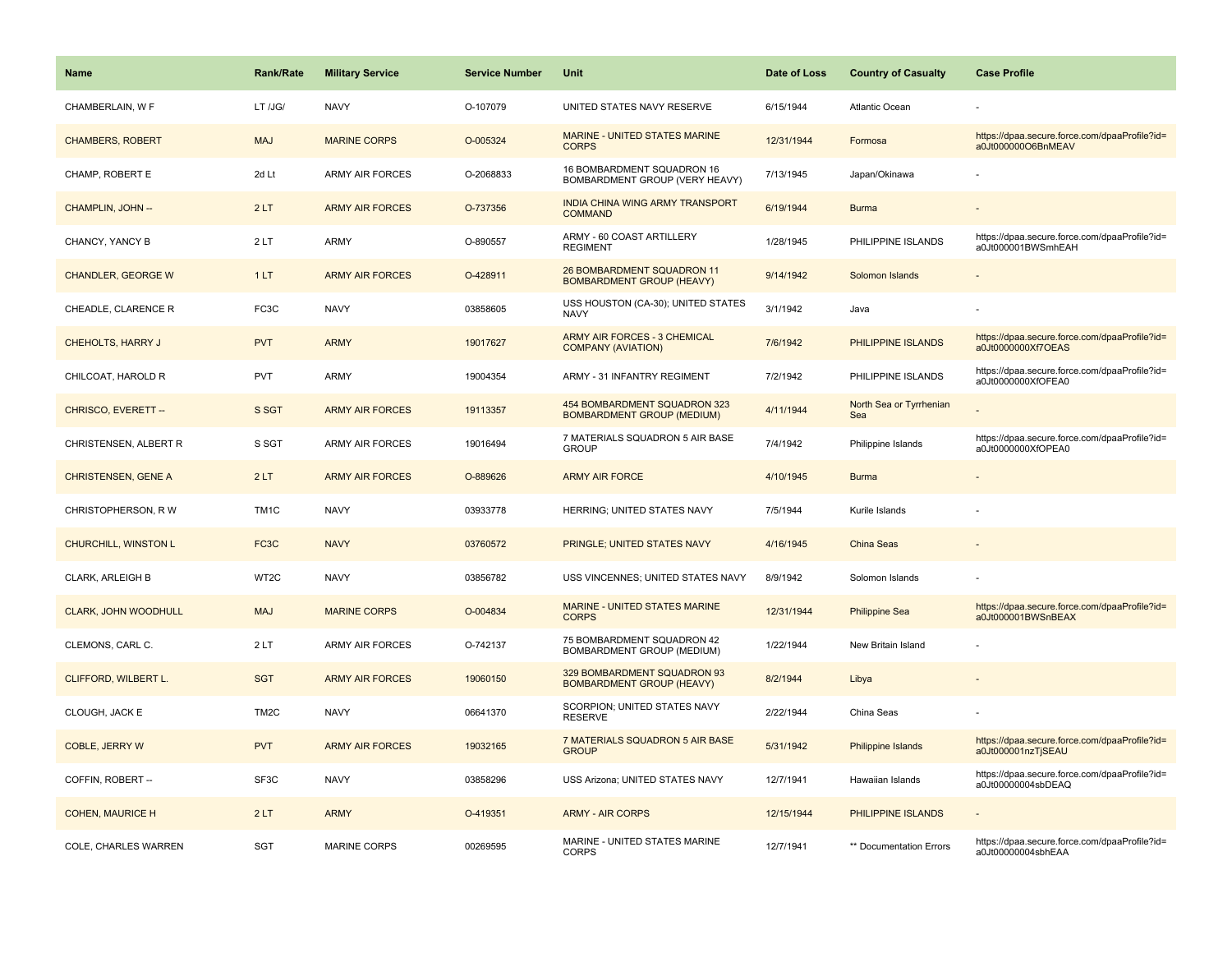| Name                        | <b>Rank/Rate</b>  | <b>Military Service</b> | <b>Service Number</b> | Unit                                                              | Date of Loss | <b>Country of Casualty</b>     | <b>Case Profile</b>                                                 |
|-----------------------------|-------------------|-------------------------|-----------------------|-------------------------------------------------------------------|--------------|--------------------------------|---------------------------------------------------------------------|
| CHAMBERLAIN, W F            | LT /JG/           | <b>NAVY</b>             | O-107079              | UNITED STATES NAVY RESERVE                                        | 6/15/1944    | <b>Atlantic Ocean</b>          |                                                                     |
| <b>CHAMBERS, ROBERT</b>     | <b>MAJ</b>        | <b>MARINE CORPS</b>     | O-005324              | <b>MARINE - UNITED STATES MARINE</b><br><b>CORPS</b>              | 12/31/1944   | Formosa                        | https://dpaa.secure.force.com/dpaaProfile?id=<br>a0Jt000000O6BnMEAV |
| CHAMP, ROBERT E             | 2d Lt             | <b>ARMY AIR FORCES</b>  | O-2068833             | 16 BOMBARDMENT SQUADRON 16<br>BOMBARDMENT GROUP (VERY HEAVY)      | 7/13/1945    | Japan/Okinawa                  |                                                                     |
| CHAMPLIN, JOHN --           | 2LT               | <b>ARMY AIR FORCES</b>  | O-737356              | <b>INDIA CHINA WING ARMY TRANSPORT</b><br><b>COMMAND</b>          | 6/19/1944    | <b>Burma</b>                   |                                                                     |
| CHANCY, YANCY B             | 2LT               | <b>ARMY</b>             | O-890557              | ARMY - 60 COAST ARTILLERY<br><b>REGIMENT</b>                      | 1/28/1945    | PHILIPPINE ISLANDS             | https://dpaa.secure.force.com/dpaaProfile?id=<br>a0Jt000001BWSmhEAH |
| <b>CHANDLER, GEORGE W</b>   | 1LT               | <b>ARMY AIR FORCES</b>  | O-428911              | 26 BOMBARDMENT SQUADRON 11<br><b>BOMBARDMENT GROUP (HEAVY)</b>    | 9/14/1942    | Solomon Islands                |                                                                     |
| CHEADLE, CLARENCE R         | FC3C              | <b>NAVY</b>             | 03858605              | USS HOUSTON (CA-30); UNITED STATES<br><b>NAVY</b>                 | 3/1/1942     | Java                           |                                                                     |
| <b>CHEHOLTS, HARRY J</b>    | <b>PVT</b>        | <b>ARMY</b>             | 19017627              | <b>ARMY AIR FORCES - 3 CHEMICAL</b><br><b>COMPANY (AVIATION)</b>  | 7/6/1942     | PHILIPPINE ISLANDS             | https://dpaa.secure.force.com/dpaaProfile?id=<br>a0Jt0000000Xf7OEAS |
| CHILCOAT, HAROLD R          | <b>PVT</b>        | <b>ARMY</b>             | 19004354              | ARMY - 31 INFANTRY REGIMENT                                       | 7/2/1942     | PHILIPPINE ISLANDS             | https://dpaa.secure.force.com/dpaaProfile?id=<br>a0Jt0000000XfOFEA0 |
| CHRISCO, EVERETT --         | S SGT             | <b>ARMY AIR FORCES</b>  | 19113357              | 454 BOMBARDMENT SQUADRON 323<br><b>BOMBARDMENT GROUP (MEDIUM)</b> | 4/11/1944    | North Sea or Tyrrhenian<br>Sea |                                                                     |
| CHRISTENSEN, ALBERT R       | S SGT             | <b>ARMY AIR FORCES</b>  | 19016494              | 7 MATERIALS SQUADRON 5 AIR BASE<br><b>GROUP</b>                   | 7/4/1942     | Philippine Islands             | https://dpaa.secure.force.com/dpaaProfile?id=<br>a0Jt0000000XfOPEA0 |
| <b>CHRISTENSEN, GENE A</b>  | 2LT               | <b>ARMY AIR FORCES</b>  | O-889626              | <b>ARMY AIR FORCE</b>                                             | 4/10/1945    | <b>Burma</b>                   |                                                                     |
| CHRISTOPHERSON, R W         | TM <sub>1C</sub>  | <b>NAVY</b>             | 03933778              | HERRING; UNITED STATES NAVY                                       | 7/5/1944     | Kurile Islands                 |                                                                     |
| <b>CHURCHILL, WINSTON L</b> | FC <sub>3</sub> C | <b>NAVY</b>             | 03760572              | PRINGLE; UNITED STATES NAVY                                       | 4/16/1945    | China Seas                     |                                                                     |
| <b>CLARK, ARLEIGH B</b>     | WT2C              | <b>NAVY</b>             | 03856782              | USS VINCENNES; UNITED STATES NAVY                                 | 8/9/1942     | Solomon Islands                |                                                                     |
| <b>CLARK, JOHN WOODHULL</b> | <b>MAJ</b>        | <b>MARINE CORPS</b>     | O-004834              | <b>MARINE - UNITED STATES MARINE</b><br><b>CORPS</b>              | 12/31/1944   | <b>Philippine Sea</b>          | https://dpaa.secure.force.com/dpaaProfile?id=<br>a0Jt000001BWSnBEAX |
| CLEMONS, CARL C.            | 2LT               | ARMY AIR FORCES         | O-742137              | 75 BOMBARDMENT SQUADRON 42<br><b>BOMBARDMENT GROUP (MEDIUM)</b>   | 1/22/1944    | New Britain Island             |                                                                     |
| CLIFFORD, WILBERT L.        | <b>SGT</b>        | <b>ARMY AIR FORCES</b>  | 19060150              | 329 BOMBARDMENT SQUADRON 93<br><b>BOMBARDMENT GROUP (HEAVY)</b>   | 8/2/1944     | Libya                          |                                                                     |
| CLOUGH, JACK E              | TM <sub>2</sub> C | <b>NAVY</b>             | 06641370              | SCORPION; UNITED STATES NAVY<br><b>RESERVE</b>                    | 2/22/1944    | China Seas                     |                                                                     |
| <b>COBLE, JERRY W</b>       | <b>PVT</b>        | <b>ARMY AIR FORCES</b>  | 19032165              | 7 MATERIALS SQUADRON 5 AIR BASE<br><b>GROUP</b>                   | 5/31/1942    | Philippine Islands             | https://dpaa.secure.force.com/dpaaProfile?id=<br>a0Jt000001nzTjSEAU |
| COFFIN, ROBERT --           | SF3C              | <b>NAVY</b>             | 03858296              | USS Arizona; UNITED STATES NAVY                                   | 12/7/1941    | Hawaiian Islands               | https://dpaa.secure.force.com/dpaaProfile?id=<br>a0Jt00000004sbDEAQ |
| <b>COHEN, MAURICE H</b>     | 2LT               | <b>ARMY</b>             | O-419351              | <b>ARMY - AIR CORPS</b>                                           | 12/15/1944   | PHILIPPINE ISLANDS             |                                                                     |
| COLE, CHARLES WARREN        | <b>SGT</b>        | <b>MARINE CORPS</b>     | 00269595              | MARINE - UNITED STATES MARINE<br><b>CORPS</b>                     | 12/7/1941    | ** Documentation Errors        | https://dpaa.secure.force.com/dpaaProfile?id=<br>a0Jt00000004sbhEAA |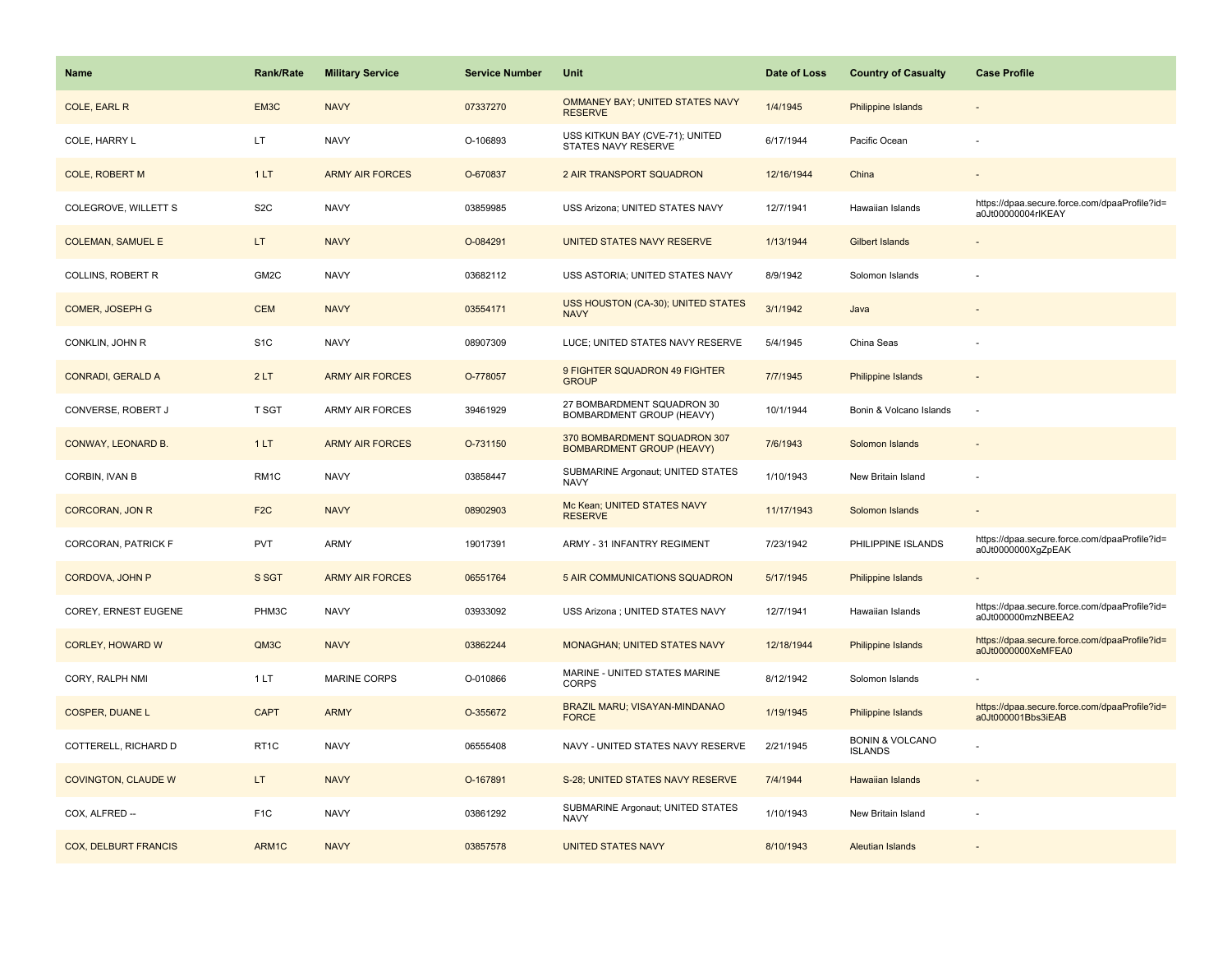| <b>Name</b>                 | <b>Rank/Rate</b>  | <b>Military Service</b> | <b>Service Number</b> | Unit                                                             | Date of Loss | <b>Country of Casualty</b>                   | <b>Case Profile</b>                                                 |
|-----------------------------|-------------------|-------------------------|-----------------------|------------------------------------------------------------------|--------------|----------------------------------------------|---------------------------------------------------------------------|
| COLE, EARL R                | EM3C              | <b>NAVY</b>             | 07337270              | OMMANEY BAY; UNITED STATES NAVY<br><b>RESERVE</b>                | 1/4/1945     | Philippine Islands                           |                                                                     |
| COLE, HARRY L               | LT.               | <b>NAVY</b>             | O-106893              | USS KITKUN BAY (CVE-71); UNITED<br>STATES NAVY RESERVE           | 6/17/1944    | Pacific Ocean                                |                                                                     |
| <b>COLE, ROBERT M</b>       | 1LT               | <b>ARMY AIR FORCES</b>  | O-670837              | 2 AIR TRANSPORT SQUADRON                                         | 12/16/1944   | China                                        |                                                                     |
| COLEGROVE, WILLETT S        | S <sub>2</sub> C  | <b>NAVY</b>             | 03859985              | USS Arizona; UNITED STATES NAVY                                  | 12/7/1941    | Hawaiian Islands                             | https://dpaa.secure.force.com/dpaaProfile?id=<br>a0Jt00000004rlKEAY |
| <b>COLEMAN, SAMUEL E</b>    | LT                | <b>NAVY</b>             | O-084291              | UNITED STATES NAVY RESERVE                                       | 1/13/1944    | Gilbert Islands                              |                                                                     |
| COLLINS, ROBERT R           | GM2C              | <b>NAVY</b>             | 03682112              | USS ASTORIA; UNITED STATES NAVY                                  | 8/9/1942     | Solomon Islands                              |                                                                     |
| COMER, JOSEPH G             | <b>CEM</b>        | <b>NAVY</b>             | 03554171              | USS HOUSTON (CA-30); UNITED STATES<br><b>NAVY</b>                | 3/1/1942     | Java                                         |                                                                     |
| CONKLIN, JOHN R             | S <sub>1</sub> C  | <b>NAVY</b>             | 08907309              | LUCE; UNITED STATES NAVY RESERVE                                 | 5/4/1945     | China Seas                                   |                                                                     |
| <b>CONRADI, GERALD A</b>    | 2LT               | <b>ARMY AIR FORCES</b>  | O-778057              | 9 FIGHTER SQUADRON 49 FIGHTER<br><b>GROUP</b>                    | 7/7/1945     | <b>Philippine Islands</b>                    |                                                                     |
| CONVERSE, ROBERT J          | T SGT             | ARMY AIR FORCES         | 39461929              | 27 BOMBARDMENT SQUADRON 30<br>BOMBARDMENT GROUP (HEAVY)          | 10/1/1944    | Bonin & Volcano Islands                      | $\sim$                                                              |
| CONWAY, LEONARD B.          | 1LT               | <b>ARMY AIR FORCES</b>  | O-731150              | 370 BOMBARDMENT SQUADRON 307<br><b>BOMBARDMENT GROUP (HEAVY)</b> | 7/6/1943     | Solomon Islands                              |                                                                     |
| CORBIN, IVAN B              | RM <sub>1</sub> C | <b>NAVY</b>             | 03858447              | SUBMARINE Argonaut; UNITED STATES<br><b>NAVY</b>                 | 1/10/1943    | New Britain Island                           |                                                                     |
| <b>CORCORAN, JON R</b>      | F <sub>2C</sub>   | <b>NAVY</b>             | 08902903              | Mc Kean; UNITED STATES NAVY<br><b>RESERVE</b>                    | 11/17/1943   | Solomon Islands                              |                                                                     |
| CORCORAN, PATRICK F         | <b>PVT</b>        | <b>ARMY</b>             | 19017391              | ARMY - 31 INFANTRY REGIMENT                                      | 7/23/1942    | PHILIPPINE ISLANDS                           | https://dpaa.secure.force.com/dpaaProfile?id=<br>a0Jt0000000XgZpEAK |
| CORDOVA, JOHN P             | S SGT             | <b>ARMY AIR FORCES</b>  | 06551764              | 5 AIR COMMUNICATIONS SQUADRON                                    | 5/17/1945    | <b>Philippine Islands</b>                    |                                                                     |
| COREY, ERNEST EUGENE        | PHM3C             | <b>NAVY</b>             | 03933092              | USS Arizona ; UNITED STATES NAVY                                 | 12/7/1941    | Hawaiian Islands                             | https://dpaa.secure.force.com/dpaaProfile?id=<br>a0Jt000000mzNBEEA2 |
| <b>CORLEY, HOWARD W</b>     | QM3C              | <b>NAVY</b>             | 03862244              | <b>MONAGHAN; UNITED STATES NAVY</b>                              | 12/18/1944   | <b>Philippine Islands</b>                    | https://dpaa.secure.force.com/dpaaProfile?id=<br>a0Jt0000000XeMFEA0 |
| CORY, RALPH NMI             | 1LT               | <b>MARINE CORPS</b>     | O-010866              | MARINE - UNITED STATES MARINE<br><b>CORPS</b>                    | 8/12/1942    | Solomon Islands                              |                                                                     |
| <b>COSPER, DUANE L</b>      | <b>CAPT</b>       | <b>ARMY</b>             | O-355672              | BRAZIL MARU; VISAYAN-MINDANAO<br><b>FORCE</b>                    | 1/19/1945    | Philippine Islands                           | https://dpaa.secure.force.com/dpaaProfile?id=<br>a0Jt000001Bbs3iEAB |
| COTTERELL, RICHARD D        | RT <sub>1</sub> C | <b>NAVY</b>             | 06555408              | NAVY - UNITED STATES NAVY RESERVE                                | 2/21/1945    | <b>BONIN &amp; VOLCANO</b><br><b>ISLANDS</b> |                                                                     |
| <b>COVINGTON, CLAUDE W</b>  | LT.               | <b>NAVY</b>             | O-167891              | S-28; UNITED STATES NAVY RESERVE                                 | 7/4/1944     | <b>Hawaiian Islands</b>                      |                                                                     |
| COX, ALFRED --              | F <sub>1</sub> C  | <b>NAVY</b>             | 03861292              | SUBMARINE Argonaut; UNITED STATES<br><b>NAVY</b>                 | 1/10/1943    | New Britain Island                           |                                                                     |
| <b>COX, DELBURT FRANCIS</b> | ARM1C             | <b>NAVY</b>             | 03857578              | <b>UNITED STATES NAVY</b>                                        | 8/10/1943    | <b>Aleutian Islands</b>                      |                                                                     |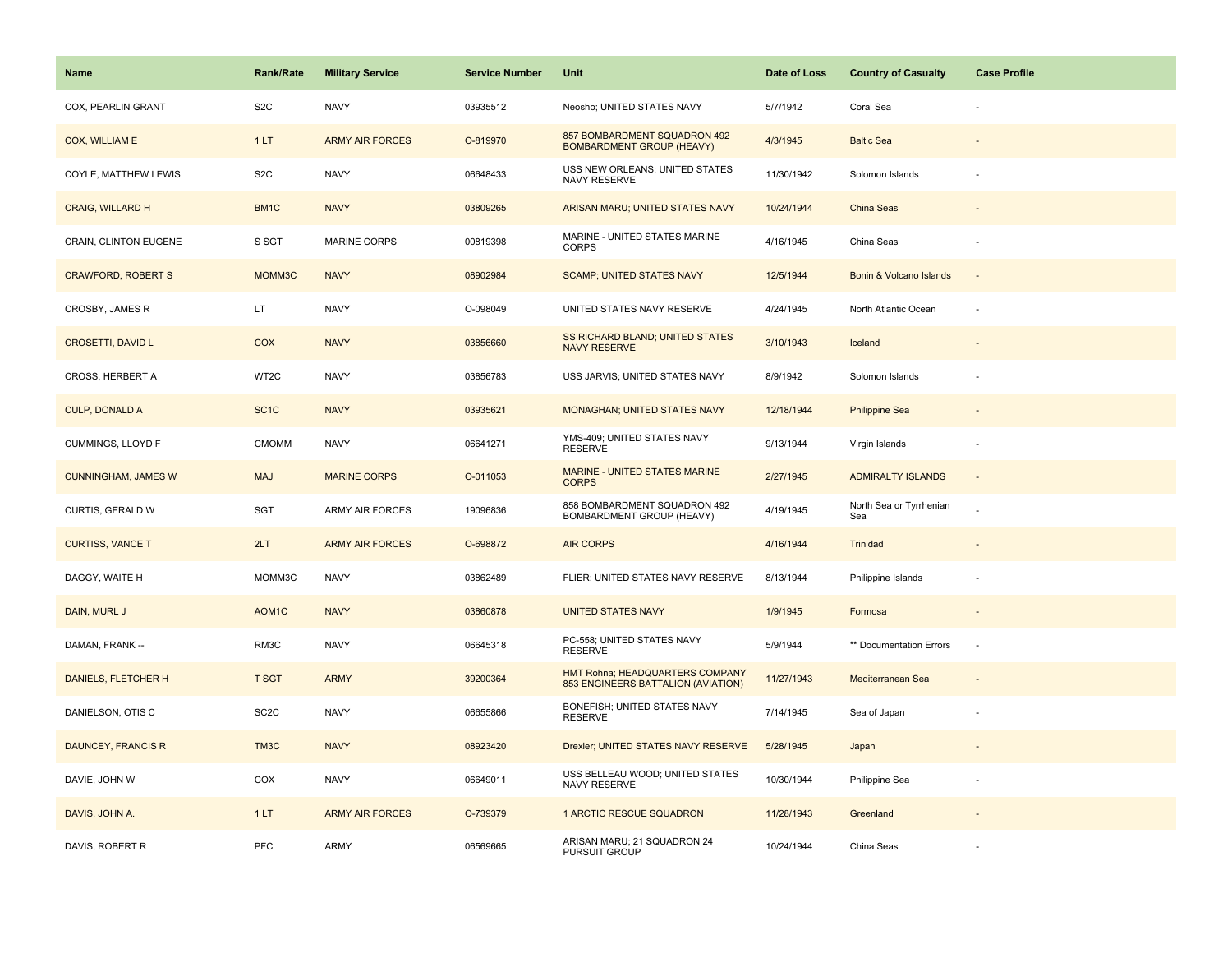| <b>Name</b>                  | Rank/Rate          | <b>Military Service</b> | <b>Service Number</b> | Unit                                                                  | Date of Loss | <b>Country of Casualty</b>     | <b>Case Profile</b> |
|------------------------------|--------------------|-------------------------|-----------------------|-----------------------------------------------------------------------|--------------|--------------------------------|---------------------|
| COX, PEARLIN GRANT           | S <sub>2</sub> C   | <b>NAVY</b>             | 03935512              | Neosho; UNITED STATES NAVY                                            | 5/7/1942     | Coral Sea                      |                     |
| COX, WILLIAM E               | 1LT                | <b>ARMY AIR FORCES</b>  | O-819970              | 857 BOMBARDMENT SQUADRON 492<br><b>BOMBARDMENT GROUP (HEAVY)</b>      | 4/3/1945     | <b>Baltic Sea</b>              |                     |
| COYLE, MATTHEW LEWIS         | S <sub>2</sub> C   | <b>NAVY</b>             | 06648433              | USS NEW ORLEANS; UNITED STATES<br>NAVY RESERVE                        | 11/30/1942   | Solomon Islands                |                     |
| <b>CRAIG, WILLARD H</b>      | BM1C               | <b>NAVY</b>             | 03809265              | ARISAN MARU; UNITED STATES NAVY                                       | 10/24/1944   | China Seas                     |                     |
| <b>CRAIN, CLINTON EUGENE</b> | S SGT              | <b>MARINE CORPS</b>     | 00819398              | MARINE - UNITED STATES MARINE<br><b>CORPS</b>                         | 4/16/1945    | China Seas                     |                     |
| <b>CRAWFORD, ROBERT S</b>    | MOMM3C             | <b>NAVY</b>             | 08902984              | <b>SCAMP; UNITED STATES NAVY</b>                                      | 12/5/1944    | Bonin & Volcano Islands        | $\sim$              |
| CROSBY, JAMES R              | LT.                | <b>NAVY</b>             | O-098049              | UNITED STATES NAVY RESERVE                                            | 4/24/1945    | North Atlantic Ocean           | ÷,                  |
| <b>CROSETTI, DAVID L</b>     | <b>COX</b>         | <b>NAVY</b>             | 03856660              | SS RICHARD BLAND; UNITED STATES<br><b>NAVY RESERVE</b>                | 3/10/1943    | Iceland                        |                     |
| CROSS, HERBERT A             | WT2C               | <b>NAVY</b>             | 03856783              | USS JARVIS; UNITED STATES NAVY                                        | 8/9/1942     | Solomon Islands                |                     |
| <b>CULP, DONALD A</b>        | SC <sub>1</sub> C  | <b>NAVY</b>             | 03935621              | <b>MONAGHAN; UNITED STATES NAVY</b>                                   | 12/18/1944   | <b>Philippine Sea</b>          |                     |
| CUMMINGS, LLOYD F            | CMOMM              | <b>NAVY</b>             | 06641271              | YMS-409; UNITED STATES NAVY<br><b>RESERVE</b>                         | 9/13/1944    | Virgin Islands                 |                     |
| <b>CUNNINGHAM, JAMES W</b>   | <b>MAJ</b>         | <b>MARINE CORPS</b>     | O-011053              | <b>MARINE - UNITED STATES MARINE</b><br><b>CORPS</b>                  | 2/27/1945    | <b>ADMIRALTY ISLANDS</b>       | $\blacksquare$      |
| CURTIS, GERALD W             | SGT                | ARMY AIR FORCES         | 19096836              | 858 BOMBARDMENT SQUADRON 492<br>BOMBARDMENT GROUP (HEAVY)             | 4/19/1945    | North Sea or Tyrrhenian<br>Sea |                     |
| <b>CURTISS, VANCE T</b>      | 2LT                | <b>ARMY AIR FORCES</b>  | O-698872              | <b>AIR CORPS</b>                                                      | 4/16/1944    | Trinidad                       |                     |
| DAGGY, WAITE H               | MOMM3C             | <b>NAVY</b>             | 03862489              | FLIER; UNITED STATES NAVY RESERVE                                     | 8/13/1944    | Philippine Islands             |                     |
| DAIN, MURL J                 | AOM <sub>1</sub> C | <b>NAVY</b>             | 03860878              | <b>UNITED STATES NAVY</b>                                             | 1/9/1945     | Formosa                        |                     |
| DAMAN, FRANK --              | RM3C               | <b>NAVY</b>             | 06645318              | PC-558; UNITED STATES NAVY<br><b>RESERVE</b>                          | 5/9/1944     | ** Documentation Errors        | ÷,                  |
| DANIELS, FLETCHER H          | <b>T SGT</b>       | <b>ARMY</b>             | 39200364              | HMT Rohna; HEADQUARTERS COMPANY<br>853 ENGINEERS BATTALION (AVIATION) | 11/27/1943   | Mediterranean Sea              |                     |
| DANIELSON, OTIS C            | SC <sub>2</sub> C  | <b>NAVY</b>             | 06655866              | BONEFISH; UNITED STATES NAVY<br><b>RESERVE</b>                        | 7/14/1945    | Sea of Japan                   |                     |
| DAUNCEY, FRANCIS R           | TM3C               | <b>NAVY</b>             | 08923420              | Drexler; UNITED STATES NAVY RESERVE                                   | 5/28/1945    | Japan                          |                     |
| DAVIE, JOHN W                | COX                | <b>NAVY</b>             | 06649011              | USS BELLEAU WOOD; UNITED STATES<br>NAVY RESERVE                       | 10/30/1944   | Philippine Sea                 |                     |
| DAVIS, JOHN A.               | 1LT                | <b>ARMY AIR FORCES</b>  | O-739379              | 1 ARCTIC RESCUE SQUADRON                                              | 11/28/1943   | Greenland                      |                     |
| DAVIS, ROBERT R              | PFC                | <b>ARMY</b>             | 06569665              | ARISAN MARU; 21 SQUADRON 24<br>PURSUIT GROUP                          | 10/24/1944   | China Seas                     |                     |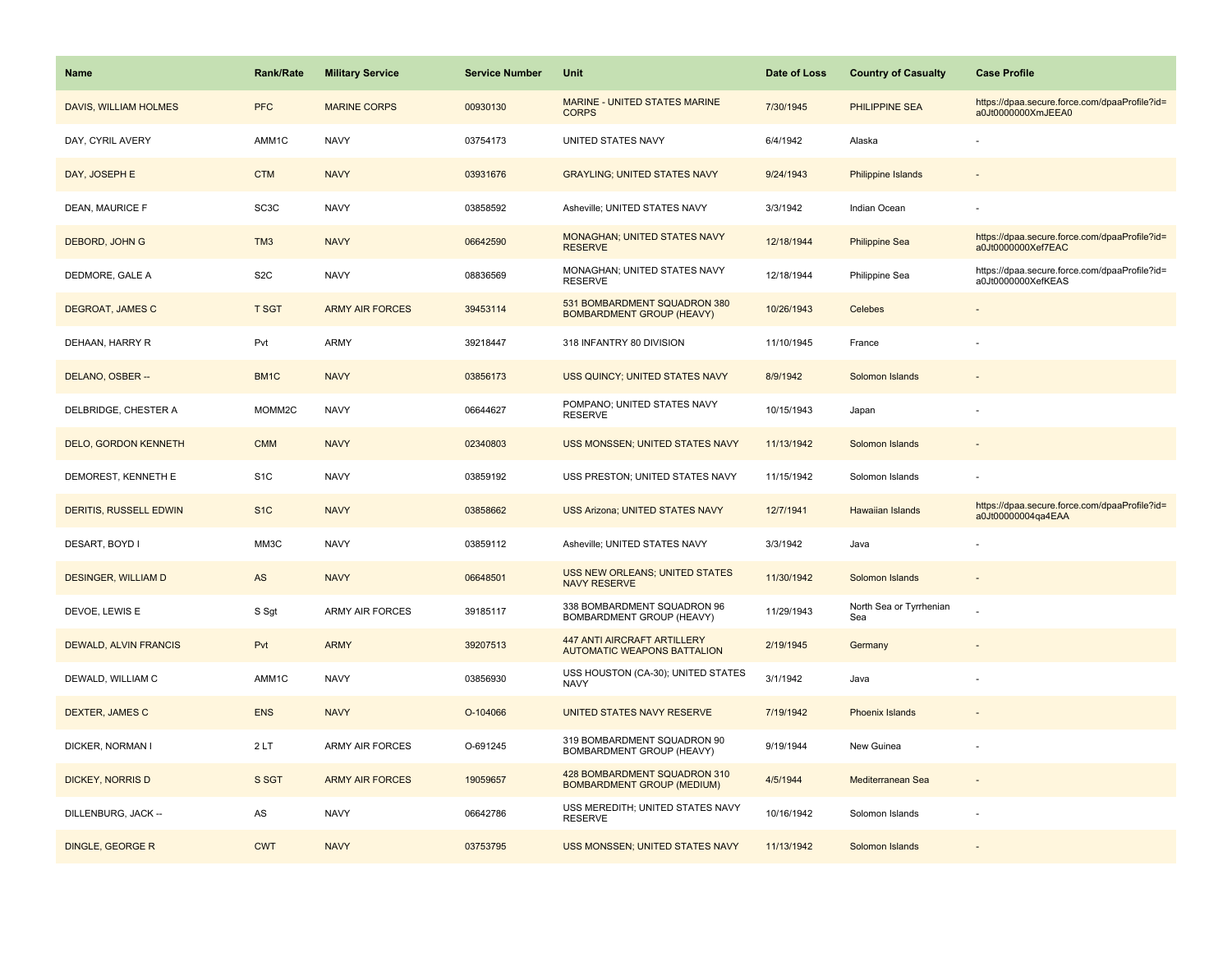| <b>Name</b>                   | <b>Rank/Rate</b>  | <b>Military Service</b> | <b>Service Number</b> | Unit                                                                     | Date of Loss | <b>Country of Casualty</b>     | <b>Case Profile</b>                                                 |
|-------------------------------|-------------------|-------------------------|-----------------------|--------------------------------------------------------------------------|--------------|--------------------------------|---------------------------------------------------------------------|
| DAVIS, WILLIAM HOLMES         | <b>PFC</b>        | <b>MARINE CORPS</b>     | 00930130              | <b>MARINE - UNITED STATES MARINE</b><br><b>CORPS</b>                     | 7/30/1945    | <b>PHILIPPINE SEA</b>          | https://dpaa.secure.force.com/dpaaProfile?id=<br>a0Jt0000000XmJEEA0 |
| DAY, CYRIL AVERY              | AMM1C             | <b>NAVY</b>             | 03754173              | UNITED STATES NAVY                                                       | 6/4/1942     | Alaska                         |                                                                     |
| DAY, JOSEPH E                 | <b>CTM</b>        | <b>NAVY</b>             | 03931676              | <b>GRAYLING; UNITED STATES NAVY</b>                                      | 9/24/1943    | <b>Philippine Islands</b>      |                                                                     |
| DEAN, MAURICE F               | SC <sub>3</sub> C | <b>NAVY</b>             | 03858592              | Asheville; UNITED STATES NAVY                                            | 3/3/1942     | Indian Ocean                   |                                                                     |
| DEBORD, JOHN G                | TM <sub>3</sub>   | <b>NAVY</b>             | 06642590              | <b>MONAGHAN; UNITED STATES NAVY</b><br><b>RESERVE</b>                    | 12/18/1944   | <b>Philippine Sea</b>          | https://dpaa.secure.force.com/dpaaProfile?id=<br>a0Jt0000000Xef7EAC |
| DEDMORE, GALE A               | S <sub>2</sub> C  | <b>NAVY</b>             | 08836569              | MONAGHAN; UNITED STATES NAVY<br><b>RESERVE</b>                           | 12/18/1944   | Philippine Sea                 | https://dpaa.secure.force.com/dpaaProfile?id=<br>a0Jt0000000XefKEAS |
| DEGROAT, JAMES C              | <b>T SGT</b>      | <b>ARMY AIR FORCES</b>  | 39453114              | 531 BOMBARDMENT SQUADRON 380<br><b>BOMBARDMENT GROUP (HEAVY)</b>         | 10/26/1943   | Celebes                        |                                                                     |
| DEHAAN, HARRY R               | Pvt               | <b>ARMY</b>             | 39218447              | 318 INFANTRY 80 DIVISION                                                 | 11/10/1945   | France                         |                                                                     |
| DELANO, OSBER --              | BM <sub>1</sub> C | <b>NAVY</b>             | 03856173              | <b>USS QUINCY; UNITED STATES NAVY</b>                                    | 8/9/1942     | Solomon Islands                |                                                                     |
| DELBRIDGE, CHESTER A          | MOMM2C            | <b>NAVY</b>             | 06644627              | POMPANO; UNITED STATES NAVY<br><b>RESERVE</b>                            | 10/15/1943   | Japan                          |                                                                     |
| <b>DELO, GORDON KENNETH</b>   | <b>CMM</b>        | <b>NAVY</b>             | 02340803              | USS MONSSEN; UNITED STATES NAVY                                          | 11/13/1942   | Solomon Islands                |                                                                     |
| DEMOREST, KENNETH E           | S <sub>1</sub> C  | <b>NAVY</b>             | 03859192              | USS PRESTON; UNITED STATES NAVY                                          | 11/15/1942   | Solomon Islands                |                                                                     |
| <b>DERITIS, RUSSELL EDWIN</b> | S <sub>1</sub> C  | <b>NAVY</b>             | 03858662              | <b>USS Arizona; UNITED STATES NAVY</b>                                   | 12/7/1941    | <b>Hawaiian Islands</b>        | https://dpaa.secure.force.com/dpaaProfile?id=<br>a0Jt00000004ga4EAA |
| DESART, BOYD I                | MM3C              | <b>NAVY</b>             | 03859112              | Asheville; UNITED STATES NAVY                                            | 3/3/1942     | Java                           |                                                                     |
| <b>DESINGER, WILLIAM D</b>    | AS                | <b>NAVY</b>             | 06648501              | USS NEW ORLEANS; UNITED STATES<br><b>NAVY RESERVE</b>                    | 11/30/1942   | Solomon Islands                |                                                                     |
| DEVOE, LEWIS E                | S Sgt             | ARMY AIR FORCES         | 39185117              | 338 BOMBARDMENT SQUADRON 96<br>BOMBARDMENT GROUP (HEAVY)                 | 11/29/1943   | North Sea or Tyrrhenian<br>Sea |                                                                     |
| DEWALD, ALVIN FRANCIS         | Pvt               | <b>ARMY</b>             | 39207513              | <b>447 ANTI AIRCRAFT ARTILLERY</b><br><b>AUTOMATIC WEAPONS BATTALION</b> | 2/19/1945    | Germany                        |                                                                     |
| DEWALD, WILLIAM C             | AMM1C             | <b>NAVY</b>             | 03856930              | USS HOUSTON (CA-30); UNITED STATES<br><b>NAVY</b>                        | 3/1/1942     | Java                           |                                                                     |
| DEXTER, JAMES C               | <b>ENS</b>        | <b>NAVY</b>             | O-104066              | UNITED STATES NAVY RESERVE                                               | 7/19/1942    | <b>Phoenix Islands</b>         |                                                                     |
| DICKER, NORMAN I              | 2LT               | <b>ARMY AIR FORCES</b>  | O-691245              | 319 BOMBARDMENT SQUADRON 90<br>BOMBARDMENT GROUP (HEAVY)                 | 9/19/1944    | New Guinea                     |                                                                     |
| <b>DICKEY, NORRIS D</b>       | S SGT             | <b>ARMY AIR FORCES</b>  | 19059657              | 428 BOMBARDMENT SQUADRON 310<br><b>BOMBARDMENT GROUP (MEDIUM)</b>        | 4/5/1944     | Mediterranean Sea              |                                                                     |
| DILLENBURG, JACK --           | AS                | <b>NAVY</b>             | 06642786              | USS MEREDITH; UNITED STATES NAVY<br><b>RESERVE</b>                       | 10/16/1942   | Solomon Islands                |                                                                     |
| DINGLE, GEORGE R              | <b>CWT</b>        | <b>NAVY</b>             | 03753795              | USS MONSSEN; UNITED STATES NAVY                                          | 11/13/1942   | Solomon Islands                |                                                                     |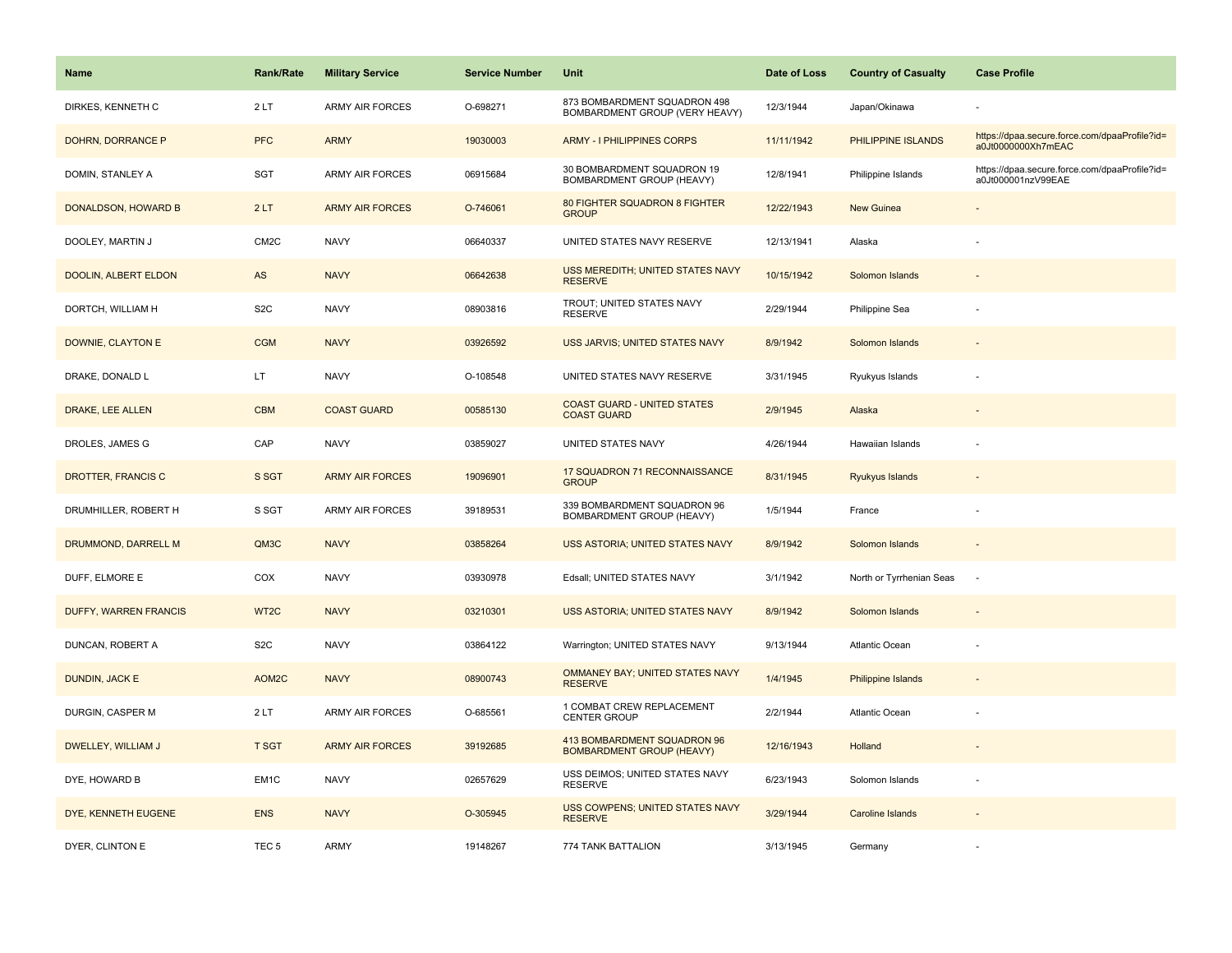| <b>Name</b>                  | <b>Rank/Rate</b>  | <b>Military Service</b> | <b>Service Number</b> | Unit                                                            | Date of Loss | <b>Country of Casualty</b> | <b>Case Profile</b>                                                 |
|------------------------------|-------------------|-------------------------|-----------------------|-----------------------------------------------------------------|--------------|----------------------------|---------------------------------------------------------------------|
| DIRKES, KENNETH C            | 2LT               | <b>ARMY AIR FORCES</b>  | O-698271              | 873 BOMBARDMENT SQUADRON 498<br>BOMBARDMENT GROUP (VERY HEAVY)  | 12/3/1944    | Japan/Okinawa              |                                                                     |
| DOHRN, DORRANCE P            | <b>PFC</b>        | <b>ARMY</b>             | 19030003              | <b>ARMY - I PHILIPPINES CORPS</b>                               | 11/11/1942   | PHILIPPINE ISLANDS         | https://dpaa.secure.force.com/dpaaProfile?id=<br>a0Jt0000000Xh7mEAC |
| DOMIN, STANLEY A             | <b>SGT</b>        | <b>ARMY AIR FORCES</b>  | 06915684              | 30 BOMBARDMENT SQUADRON 19<br>BOMBARDMENT GROUP (HEAVY)         | 12/8/1941    | Philippine Islands         | https://dpaa.secure.force.com/dpaaProfile?id=<br>a0Jt000001nzV99EAE |
| DONALDSON, HOWARD B          | 2LT               | <b>ARMY AIR FORCES</b>  | O-746061              | 80 FIGHTER SQUADRON 8 FIGHTER<br><b>GROUP</b>                   | 12/22/1943   | New Guinea                 |                                                                     |
| DOOLEY, MARTIN J             | CM <sub>2</sub> C | <b>NAVY</b>             | 06640337              | UNITED STATES NAVY RESERVE                                      | 12/13/1941   | Alaska                     |                                                                     |
| DOOLIN, ALBERT ELDON         | AS                | <b>NAVY</b>             | 06642638              | USS MEREDITH; UNITED STATES NAVY<br><b>RESERVE</b>              | 10/15/1942   | Solomon Islands            |                                                                     |
| DORTCH, WILLIAM H            | S <sub>2</sub> C  | <b>NAVY</b>             | 08903816              | TROUT; UNITED STATES NAVY<br><b>RESERVE</b>                     | 2/29/1944    | Philippine Sea             |                                                                     |
| <b>DOWNIE, CLAYTON E</b>     | <b>CGM</b>        | <b>NAVY</b>             | 03926592              | USS JARVIS; UNITED STATES NAVY                                  | 8/9/1942     | Solomon Islands            |                                                                     |
| DRAKE, DONALD L              | LT                | <b>NAVY</b>             | O-108548              | UNITED STATES NAVY RESERVE                                      | 3/31/1945    | Ryukyus Islands            |                                                                     |
| DRAKE, LEE ALLEN             | <b>CBM</b>        | <b>COAST GUARD</b>      | 00585130              | <b>COAST GUARD - UNITED STATES</b><br><b>COAST GUARD</b>        | 2/9/1945     | Alaska                     |                                                                     |
| DROLES, JAMES G              | CAP               | <b>NAVY</b>             | 03859027              | UNITED STATES NAVY                                              | 4/26/1944    | Hawaiian Islands           |                                                                     |
| DROTTER, FRANCIS C           | S SGT             | <b>ARMY AIR FORCES</b>  | 19096901              | 17 SQUADRON 71 RECONNAISSANCE<br><b>GROUP</b>                   | 8/31/1945    | Ryukyus Islands            |                                                                     |
| DRUMHILLER, ROBERT H         | S SGT             | ARMY AIR FORCES         | 39189531              | 339 BOMBARDMENT SQUADRON 96<br>BOMBARDMENT GROUP (HEAVY)        | 1/5/1944     | France                     |                                                                     |
| DRUMMOND, DARRELL M          | QM3C              | <b>NAVY</b>             | 03858264              | <b>USS ASTORIA; UNITED STATES NAVY</b>                          | 8/9/1942     | Solomon Islands            |                                                                     |
| DUFF, ELMORE E               | COX               | <b>NAVY</b>             | 03930978              | Edsall; UNITED STATES NAVY                                      | 3/1/1942     | North or Tyrrhenian Seas   | $\overline{\phantom{a}}$                                            |
| <b>DUFFY, WARREN FRANCIS</b> | WT <sub>2</sub> C | <b>NAVY</b>             | 03210301              | USS ASTORIA; UNITED STATES NAVY                                 | 8/9/1942     | Solomon Islands            |                                                                     |
| DUNCAN, ROBERT A             | S <sub>2</sub> C  | <b>NAVY</b>             | 03864122              | Warrington; UNITED STATES NAVY                                  | 9/13/1944    | Atlantic Ocean             |                                                                     |
| DUNDIN, JACK E               | AOM2C             | <b>NAVY</b>             | 08900743              | OMMANEY BAY; UNITED STATES NAVY<br><b>RESERVE</b>               | 1/4/1945     | Philippine Islands         |                                                                     |
| DURGIN, CASPER M             | 2LT               | <b>ARMY AIR FORCES</b>  | O-685561              | 1 COMBAT CREW REPLACEMENT<br><b>CENTER GROUP</b>                | 2/2/1944     | Atlantic Ocean             |                                                                     |
| DWELLEY, WILLIAM J           | <b>T SGT</b>      | <b>ARMY AIR FORCES</b>  | 39192685              | 413 BOMBARDMENT SQUADRON 96<br><b>BOMBARDMENT GROUP (HEAVY)</b> | 12/16/1943   | Holland                    |                                                                     |
| DYE, HOWARD B                | EM1C              | <b>NAVY</b>             | 02657629              | USS DEIMOS; UNITED STATES NAVY<br><b>RESERVE</b>                | 6/23/1943    | Solomon Islands            |                                                                     |
| DYE, KENNETH EUGENE          | <b>ENS</b>        | <b>NAVY</b>             | O-305945              | <b>USS COWPENS; UNITED STATES NAVY</b><br><b>RESERVE</b>        | 3/29/1944    | Caroline Islands           |                                                                     |
| DYER, CLINTON E              | TEC <sub>5</sub>  | ARMY                    | 19148267              | 774 TANK BATTALION                                              | 3/13/1945    | Germany                    |                                                                     |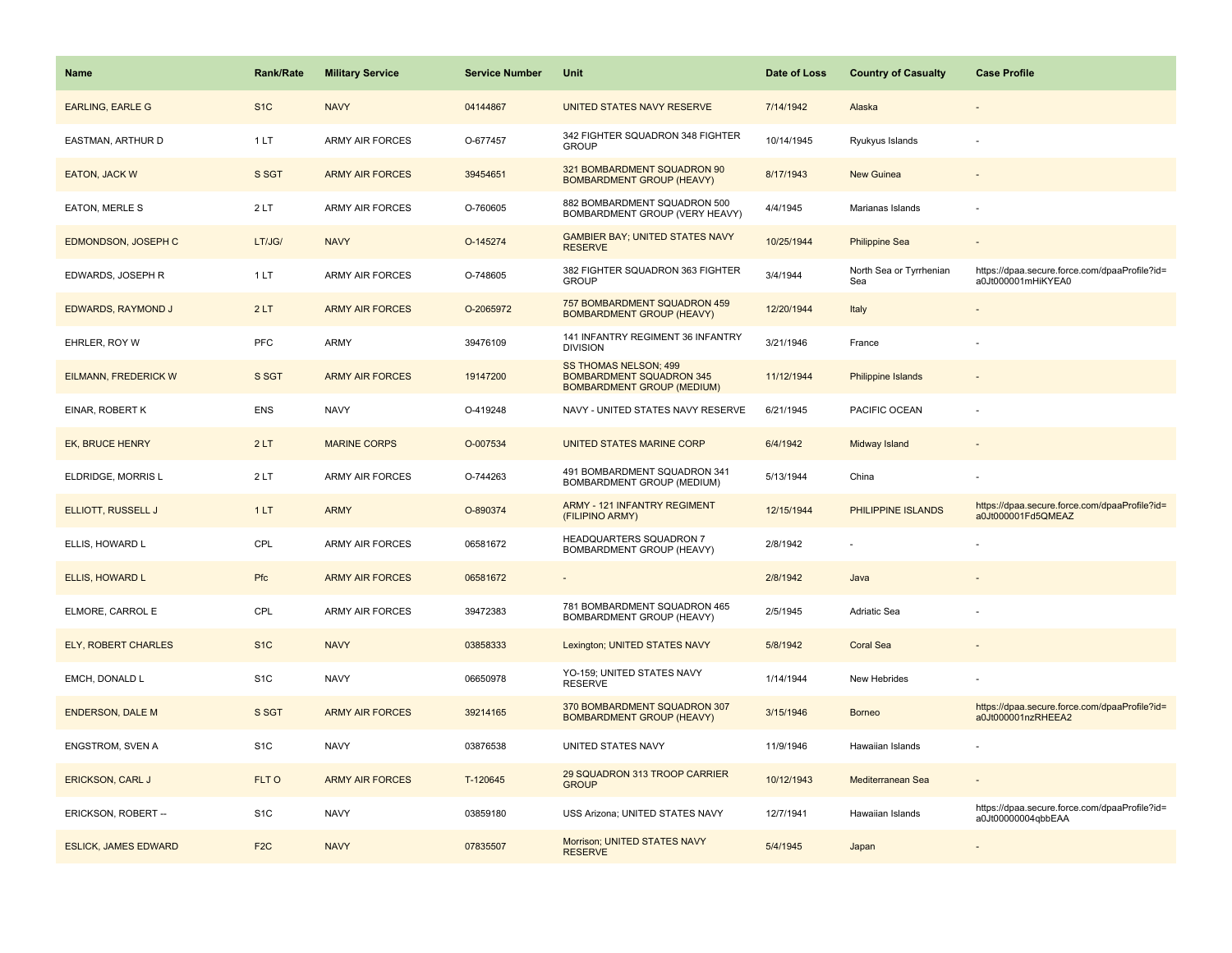| <b>Name</b>                 | <b>Rank/Rate</b> | <b>Military Service</b> | <b>Service Number</b> | Unit                                                                                          | Date of Loss | <b>Country of Casualty</b>     | <b>Case Profile</b>                                                 |
|-----------------------------|------------------|-------------------------|-----------------------|-----------------------------------------------------------------------------------------------|--------------|--------------------------------|---------------------------------------------------------------------|
| <b>EARLING, EARLE G</b>     | S <sub>1</sub> C | <b>NAVY</b>             | 04144867              | UNITED STATES NAVY RESERVE                                                                    | 7/14/1942    | Alaska                         |                                                                     |
| EASTMAN, ARTHUR D           | 1LT              | <b>ARMY AIR FORCES</b>  | O-677457              | 342 FIGHTER SQUADRON 348 FIGHTER<br><b>GROUP</b>                                              | 10/14/1945   | Ryukyus Islands                |                                                                     |
| <b>EATON, JACK W</b>        | S SGT            | <b>ARMY AIR FORCES</b>  | 39454651              | 321 BOMBARDMENT SQUADRON 90<br><b>BOMBARDMENT GROUP (HEAVY)</b>                               | 8/17/1943    | New Guinea                     |                                                                     |
| <b>EATON, MERLE S</b>       | 2LT              | <b>ARMY AIR FORCES</b>  | O-760605              | 882 BOMBARDMENT SQUADRON 500<br>BOMBARDMENT GROUP (VERY HEAVY)                                | 4/4/1945     | Marianas Islands               |                                                                     |
| <b>EDMONDSON, JOSEPH C</b>  | LT/JG/           | <b>NAVY</b>             | O-145274              | <b>GAMBIER BAY; UNITED STATES NAVY</b><br><b>RESERVE</b>                                      | 10/25/1944   | <b>Philippine Sea</b>          |                                                                     |
| EDWARDS, JOSEPH R           | 1LT              | <b>ARMY AIR FORCES</b>  | O-748605              | 382 FIGHTER SQUADRON 363 FIGHTER<br><b>GROUP</b>                                              | 3/4/1944     | North Sea or Tyrrhenian<br>Sea | https://dpaa.secure.force.com/dpaaProfile?id=<br>a0Jt000001mHiKYEA0 |
| EDWARDS, RAYMOND J          | 2LT              | <b>ARMY AIR FORCES</b>  | O-2065972             | 757 BOMBARDMENT SQUADRON 459<br><b>BOMBARDMENT GROUP (HEAVY)</b>                              | 12/20/1944   | Italy                          |                                                                     |
| EHRLER, ROY W               | <b>PFC</b>       | ARMY                    | 39476109              | 141 INFANTRY REGIMENT 36 INFANTRY<br><b>DIVISION</b>                                          | 3/21/1946    | France                         |                                                                     |
| EILMANN, FREDERICK W        | S SGT            | <b>ARMY AIR FORCES</b>  | 19147200              | SS THOMAS NELSON; 499<br><b>BOMBARDMENT SQUADRON 345</b><br><b>BOMBARDMENT GROUP (MEDIUM)</b> | 11/12/1944   | <b>Philippine Islands</b>      |                                                                     |
| EINAR, ROBERT K             | <b>ENS</b>       | <b>NAVY</b>             | O-419248              | NAVY - UNITED STATES NAVY RESERVE                                                             | 6/21/1945    | PACIFIC OCEAN                  |                                                                     |
| <b>EK, BRUCE HENRY</b>      | 2LT              | <b>MARINE CORPS</b>     | O-007534              | UNITED STATES MARINE CORP                                                                     | 6/4/1942     | Midway Island                  |                                                                     |
| ELDRIDGE, MORRIS L          | 2LT              | <b>ARMY AIR FORCES</b>  | O-744263              | 491 BOMBARDMENT SQUADRON 341<br>BOMBARDMENT GROUP (MEDIUM)                                    | 5/13/1944    | China                          |                                                                     |
| ELLIOTT, RUSSELL J          | 1LT              | <b>ARMY</b>             | O-890374              | ARMY - 121 INFANTRY REGIMENT<br>(FILIPINO ARMY)                                               | 12/15/1944   | PHILIPPINE ISLANDS             | https://dpaa.secure.force.com/dpaaProfile?id=<br>a0Jt000001Fd5QMEAZ |
| ELLIS, HOWARD L             | CPL              | <b>ARMY AIR FORCES</b>  | 06581672              | HEADQUARTERS SQUADRON 7<br>BOMBARDMENT GROUP (HEAVY)                                          | 2/8/1942     |                                |                                                                     |
| ELLIS, HOWARD L             | Pfc              | <b>ARMY AIR FORCES</b>  | 06581672              | $\blacksquare$                                                                                | 2/8/1942     | Java                           |                                                                     |
| ELMORE, CARROL E            | CPL              | <b>ARMY AIR FORCES</b>  | 39472383              | 781 BOMBARDMENT SQUADRON 465<br>BOMBARDMENT GROUP (HEAVY)                                     | 2/5/1945     | Adriatic Sea                   |                                                                     |
| ELY, ROBERT CHARLES         | S <sub>1</sub> C | <b>NAVY</b>             | 03858333              | Lexington; UNITED STATES NAVY                                                                 | 5/8/1942     | <b>Coral Sea</b>               |                                                                     |
| EMCH, DONALD L              | S <sub>1</sub> C | <b>NAVY</b>             | 06650978              | YO-159; UNITED STATES NAVY<br><b>RESERVE</b>                                                  | 1/14/1944    | New Hebrides                   |                                                                     |
| <b>ENDERSON, DALE M</b>     | S SGT            | <b>ARMY AIR FORCES</b>  | 39214165              | 370 BOMBARDMENT SQUADRON 307<br><b>BOMBARDMENT GROUP (HEAVY)</b>                              | 3/15/1946    | <b>Borneo</b>                  | https://dpaa.secure.force.com/dpaaProfile?id=<br>a0Jt000001nzRHEEA2 |
| <b>ENGSTROM, SVEN A</b>     | S <sub>1</sub> C | <b>NAVY</b>             | 03876538              | UNITED STATES NAVY                                                                            | 11/9/1946    | Hawaiian Islands               |                                                                     |
| <b>ERICKSON, CARL J</b>     | FLT O            | <b>ARMY AIR FORCES</b>  | T-120645              | 29 SQUADRON 313 TROOP CARRIER<br><b>GROUP</b>                                                 | 10/12/1943   | Mediterranean Sea              |                                                                     |
| ERICKSON, ROBERT --         | S <sub>1</sub> C | <b>NAVY</b>             | 03859180              | USS Arizona; UNITED STATES NAVY                                                               | 12/7/1941    | Hawaiian Islands               | https://dpaa.secure.force.com/dpaaProfile?id=<br>a0Jt00000004qbbEAA |
| <b>ESLICK, JAMES EDWARD</b> | F <sub>2</sub> C | <b>NAVY</b>             | 07835507              | Morrison; UNITED STATES NAVY<br><b>RESERVE</b>                                                | 5/4/1945     | Japan                          |                                                                     |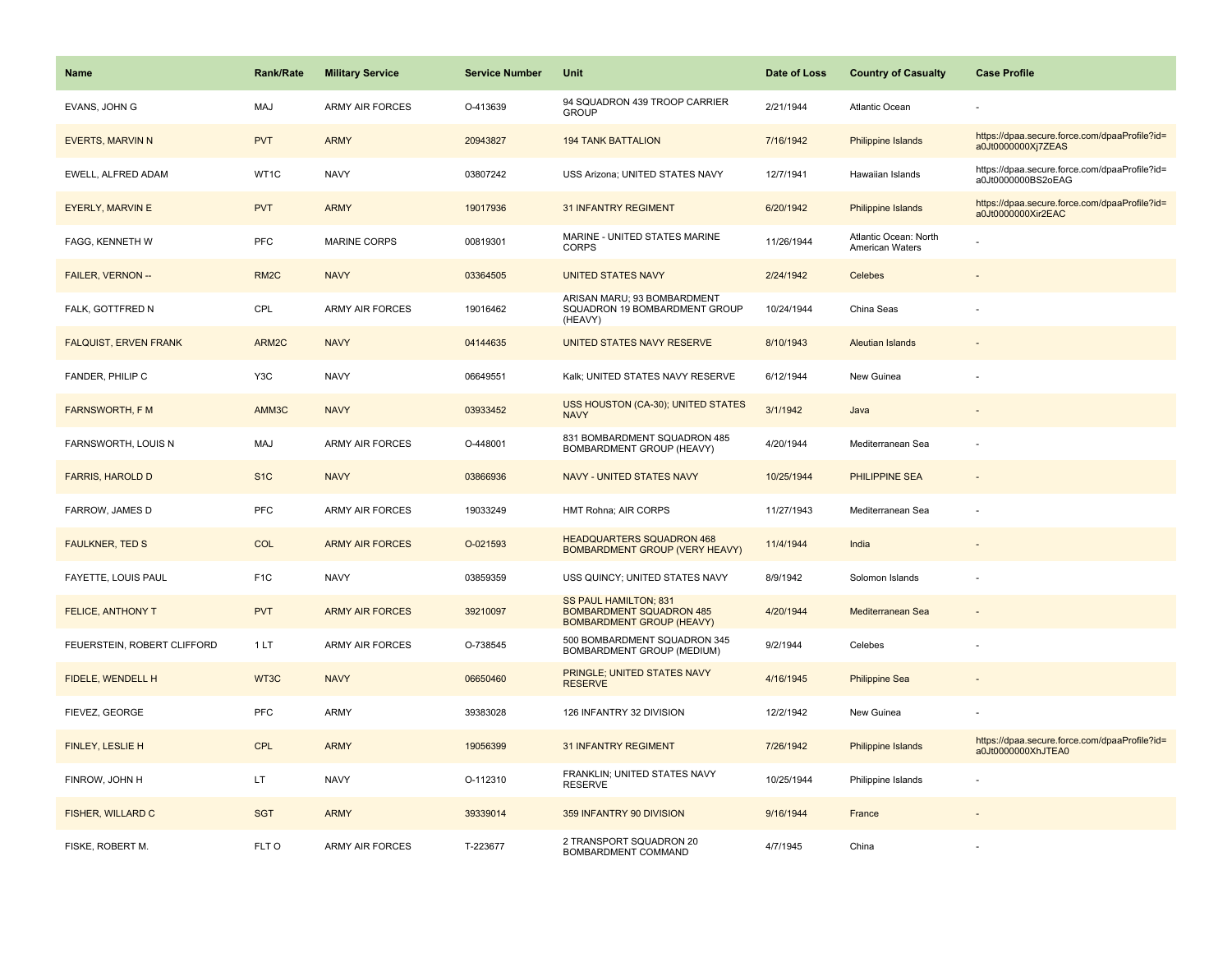| <b>Name</b>                  | <b>Rank/Rate</b>  | <b>Military Service</b> | <b>Service Number</b> | <b>Unit</b>                                                                                  | Date of Loss | <b>Country of Casualty</b>               | <b>Case Profile</b>                                                 |
|------------------------------|-------------------|-------------------------|-----------------------|----------------------------------------------------------------------------------------------|--------------|------------------------------------------|---------------------------------------------------------------------|
| EVANS, JOHN G                | MAJ               | <b>ARMY AIR FORCES</b>  | O-413639              | 94 SQUADRON 439 TROOP CARRIER<br><b>GROUP</b>                                                | 2/21/1944    | Atlantic Ocean                           |                                                                     |
| <b>EVERTS, MARVIN N</b>      | <b>PVT</b>        | <b>ARMY</b>             | 20943827              | <b>194 TANK BATTALION</b>                                                                    | 7/16/1942    | <b>Philippine Islands</b>                | https://dpaa.secure.force.com/dpaaProfile?id=<br>a0Jt0000000Xj7ZEAS |
| EWELL, ALFRED ADAM           | WT1C              | <b>NAVY</b>             | 03807242              | USS Arizona; UNITED STATES NAVY                                                              | 12/7/1941    | Hawaiian Islands                         | https://dpaa.secure.force.com/dpaaProfile?id=<br>a0Jt0000000BS2oEAG |
| EYERLY, MARVIN E             | <b>PVT</b>        | <b>ARMY</b>             | 19017936              | <b>31 INFANTRY REGIMENT</b>                                                                  | 6/20/1942    | Philippine Islands                       | https://dpaa.secure.force.com/dpaaProfile?id=<br>a0Jt0000000Xir2EAC |
| FAGG, KENNETH W              | PFC               | <b>MARINE CORPS</b>     | 00819301              | MARINE - UNITED STATES MARINE<br><b>CORPS</b>                                                | 11/26/1944   | Atlantic Ocean: North<br>American Waters |                                                                     |
| FAILER, VERNON --            | RM <sub>2</sub> C | <b>NAVY</b>             | 03364505              | <b>UNITED STATES NAVY</b>                                                                    | 2/24/1942    | Celebes                                  |                                                                     |
| FALK, GOTTFRED N             | CPL               | <b>ARMY AIR FORCES</b>  | 19016462              | ARISAN MARU; 93 BOMBARDMENT<br>SQUADRON 19 BOMBARDMENT GROUP<br>(HEAVY)                      | 10/24/1944   | China Seas                               |                                                                     |
| <b>FALQUIST, ERVEN FRANK</b> | ARM2C             | <b>NAVY</b>             | 04144635              | UNITED STATES NAVY RESERVE                                                                   | 8/10/1943    | <b>Aleutian Islands</b>                  |                                                                     |
| FANDER, PHILIP C             | Y3C               | <b>NAVY</b>             | 06649551              | Kalk; UNITED STATES NAVY RESERVE                                                             | 6/12/1944    | New Guinea                               |                                                                     |
| <b>FARNSWORTH, F M</b>       | AMM3C             | <b>NAVY</b>             | 03933452              | USS HOUSTON (CA-30); UNITED STATES<br><b>NAVY</b>                                            | 3/1/1942     | Java                                     |                                                                     |
| FARNSWORTH, LOUIS N          | MAJ               | <b>ARMY AIR FORCES</b>  | O-448001              | 831 BOMBARDMENT SQUADRON 485<br>BOMBARDMENT GROUP (HEAVY)                                    | 4/20/1944    | Mediterranean Sea                        |                                                                     |
| <b>FARRIS, HAROLD D</b>      | S <sub>1C</sub>   | <b>NAVY</b>             | 03866936              | NAVY - UNITED STATES NAVY                                                                    | 10/25/1944   | PHILIPPINE SEA                           |                                                                     |
| FARROW, JAMES D              | <b>PFC</b>        | <b>ARMY AIR FORCES</b>  | 19033249              | HMT Rohna; AIR CORPS                                                                         | 11/27/1943   | Mediterranean Sea                        |                                                                     |
| <b>FAULKNER, TED S</b>       | COL               | <b>ARMY AIR FORCES</b>  | O-021593              | <b>HEADQUARTERS SQUADRON 468</b><br><b>BOMBARDMENT GROUP (VERY HEAVY)</b>                    | 11/4/1944    | India                                    |                                                                     |
| FAYETTE, LOUIS PAUL          | F <sub>1</sub> C  | <b>NAVY</b>             | 03859359              | USS QUINCY; UNITED STATES NAVY                                                               | 8/9/1942     | Solomon Islands                          |                                                                     |
| <b>FELICE, ANTHONY T</b>     | <b>PVT</b>        | <b>ARMY AIR FORCES</b>  | 39210097              | SS PAUL HAMILTON; 831<br><b>BOMBARDMENT SQUADRON 485</b><br><b>BOMBARDMENT GROUP (HEAVY)</b> | 4/20/1944    | Mediterranean Sea                        |                                                                     |
| FEUERSTEIN, ROBERT CLIFFORD  | 1 LT              | ARMY AIR FORCES         | O-738545              | 500 BOMBARDMENT SQUADRON 345<br>BOMBARDMENT GROUP (MEDIUM)                                   | 9/2/1944     | Celebes                                  |                                                                     |
| FIDELE, WENDELL H            | WT3C              | <b>NAVY</b>             | 06650460              | PRINGLE; UNITED STATES NAVY<br><b>RESERVE</b>                                                | 4/16/1945    | <b>Philippine Sea</b>                    |                                                                     |
| FIEVEZ, GEORGE               | PFC               | ARMY                    | 39383028              | 126 INFANTRY 32 DIVISION                                                                     | 12/2/1942    | New Guinea                               |                                                                     |
| <b>FINLEY, LESLIE H</b>      | <b>CPL</b>        | <b>ARMY</b>             | 19056399              | <b>31 INFANTRY REGIMENT</b>                                                                  | 7/26/1942    | Philippine Islands                       | https://dpaa.secure.force.com/dpaaProfile?id=<br>a0Jt0000000XhJTEA0 |
| FINROW, JOHN H               | LT.               | <b>NAVY</b>             | O-112310              | FRANKLIN; UNITED STATES NAVY<br><b>RESERVE</b>                                               | 10/25/1944   | Philippine Islands                       |                                                                     |
| <b>FISHER, WILLARD C</b>     | <b>SGT</b>        | <b>ARMY</b>             | 39339014              | 359 INFANTRY 90 DIVISION                                                                     | 9/16/1944    | France                                   |                                                                     |
| FISKE, ROBERT M.             | FLT O             | <b>ARMY AIR FORCES</b>  | T-223677              | 2 TRANSPORT SQUADRON 20<br>BOMBARDMENT COMMAND                                               | 4/7/1945     | China                                    |                                                                     |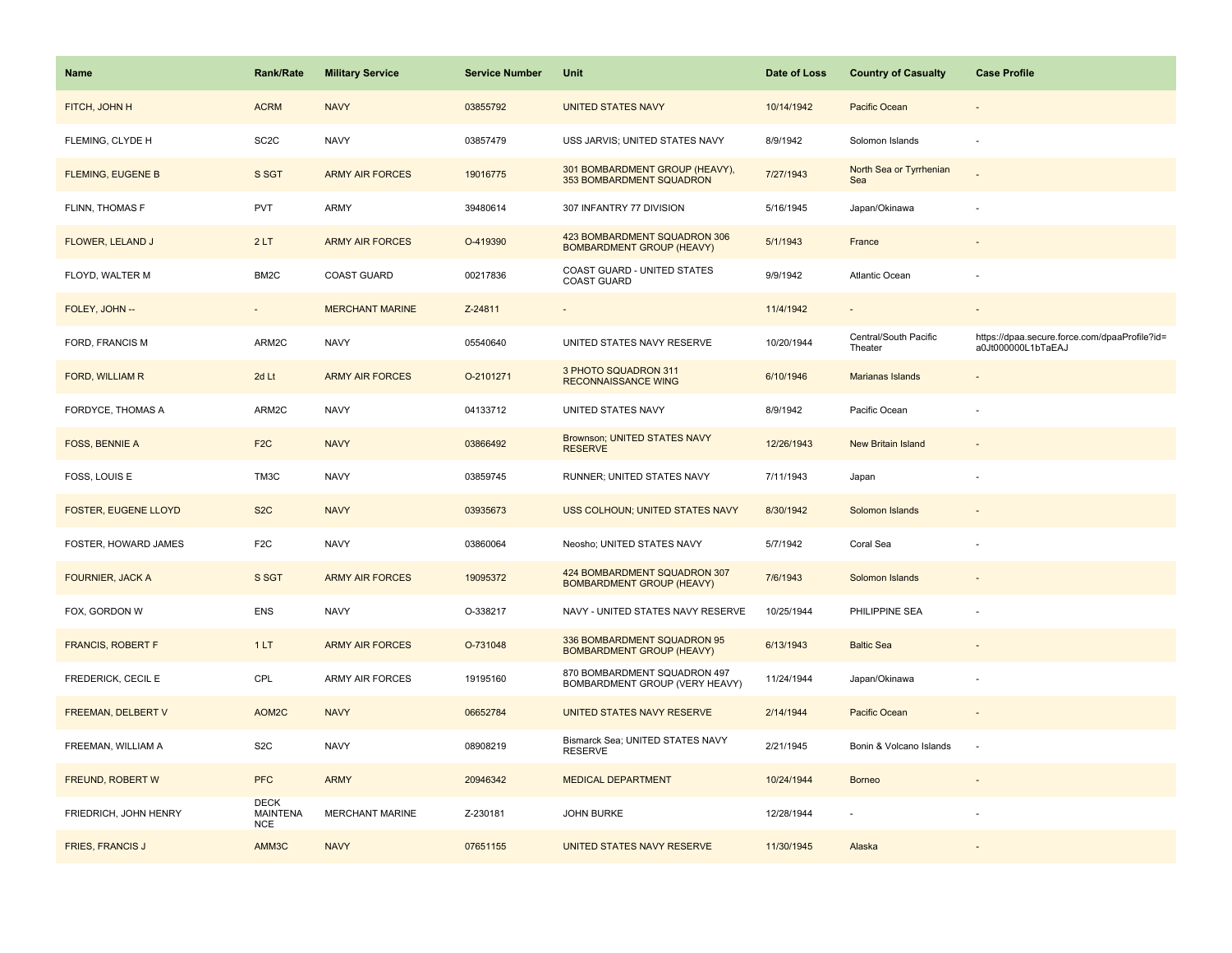| <b>Name</b>                 | <b>Rank/Rate</b>                             | <b>Military Service</b> | <b>Service Number</b> | <b>Unit</b>                                                      | Date of Loss | <b>Country of Casualty</b>       | <b>Case Profile</b>                                                 |
|-----------------------------|----------------------------------------------|-------------------------|-----------------------|------------------------------------------------------------------|--------------|----------------------------------|---------------------------------------------------------------------|
| FITCH, JOHN H               | <b>ACRM</b>                                  | <b>NAVY</b>             | 03855792              | <b>UNITED STATES NAVY</b>                                        | 10/14/1942   | Pacific Ocean                    |                                                                     |
| FLEMING, CLYDE H            | SC <sub>2</sub> C                            | <b>NAVY</b>             | 03857479              | USS JARVIS; UNITED STATES NAVY                                   | 8/9/1942     | Solomon Islands                  |                                                                     |
| <b>FLEMING, EUGENE B</b>    | S SGT                                        | <b>ARMY AIR FORCES</b>  | 19016775              | 301 BOMBARDMENT GROUP (HEAVY),<br>353 BOMBARDMENT SQUADRON       | 7/27/1943    | North Sea or Tyrrhenian<br>Sea   |                                                                     |
| FLINN, THOMAS F             | <b>PVT</b>                                   | ARMY                    | 39480614              | 307 INFANTRY 77 DIVISION                                         | 5/16/1945    | Japan/Okinawa                    |                                                                     |
| FLOWER, LELAND J            | 2LT                                          | <b>ARMY AIR FORCES</b>  | O-419390              | 423 BOMBARDMENT SQUADRON 306<br><b>BOMBARDMENT GROUP (HEAVY)</b> | 5/1/1943     | France                           |                                                                     |
| FLOYD, WALTER M             | BM2C                                         | COAST GUARD             | 00217836              | COAST GUARD - UNITED STATES<br><b>COAST GUARD</b>                | 9/9/1942     | Atlantic Ocean                   |                                                                     |
| FOLEY, JOHN --              | $\sim$                                       | <b>MERCHANT MARINE</b>  | Z-24811               | $\overline{\phantom{a}}$                                         | 11/4/1942    | $\sim$                           | $\sim$                                                              |
| FORD, FRANCIS M             | ARM2C                                        | <b>NAVY</b>             | 05540640              | UNITED STATES NAVY RESERVE                                       | 10/20/1944   | Central/South Pacific<br>Theater | https://dpaa.secure.force.com/dpaaProfile?id=<br>a0Jt000000L1bTaEAJ |
| FORD, WILLIAM R             | 2d Lt                                        | <b>ARMY AIR FORCES</b>  | O-2101271             | 3 PHOTO SQUADRON 311<br><b>RECONNAISSANCE WING</b>               | 6/10/1946    | Marianas Islands                 |                                                                     |
| FORDYCE, THOMAS A           | ARM2C                                        | <b>NAVY</b>             | 04133712              | UNITED STATES NAVY                                               | 8/9/1942     | Pacific Ocean                    |                                                                     |
| <b>FOSS, BENNIE A</b>       | F <sub>2</sub> C                             | <b>NAVY</b>             | 03866492              | <b>Brownson; UNITED STATES NAVY</b><br><b>RESERVE</b>            | 12/26/1943   | <b>New Britain Island</b>        |                                                                     |
| FOSS, LOUIS E               | TM3C                                         | <b>NAVY</b>             | 03859745              | RUNNER; UNITED STATES NAVY                                       | 7/11/1943    | Japan                            |                                                                     |
| <b>FOSTER, EUGENE LLOYD</b> | S <sub>2</sub> C                             | <b>NAVY</b>             | 03935673              | USS COLHOUN; UNITED STATES NAVY                                  | 8/30/1942    | Solomon Islands                  |                                                                     |
| FOSTER, HOWARD JAMES        | F <sub>2</sub> C                             | <b>NAVY</b>             | 03860064              | Neosho; UNITED STATES NAVY                                       | 5/7/1942     | Coral Sea                        |                                                                     |
| <b>FOURNIER, JACK A</b>     | S SGT                                        | <b>ARMY AIR FORCES</b>  | 19095372              | 424 BOMBARDMENT SQUADRON 307<br><b>BOMBARDMENT GROUP (HEAVY)</b> | 7/6/1943     | Solomon Islands                  |                                                                     |
| FOX, GORDON W               | <b>ENS</b>                                   | <b>NAVY</b>             | O-338217              | NAVY - UNITED STATES NAVY RESERVE                                | 10/25/1944   | PHILIPPINE SEA                   |                                                                     |
| <b>FRANCIS, ROBERT F</b>    | 1LT                                          | <b>ARMY AIR FORCES</b>  | O-731048              | 336 BOMBARDMENT SQUADRON 95<br><b>BOMBARDMENT GROUP (HEAVY)</b>  | 6/13/1943    | <b>Baltic Sea</b>                |                                                                     |
| FREDERICK, CECIL E          | CPL                                          | ARMY AIR FORCES         | 19195160              | 870 BOMBARDMENT SQUADRON 497<br>BOMBARDMENT GROUP (VERY HEAVY)   | 11/24/1944   | Japan/Okinawa                    |                                                                     |
| FREEMAN, DELBERT V          | AOM2C                                        | <b>NAVY</b>             | 06652784              | UNITED STATES NAVY RESERVE                                       | 2/14/1944    | Pacific Ocean                    |                                                                     |
| FREEMAN, WILLIAM A          | S <sub>2</sub> C                             | <b>NAVY</b>             | 08908219              | Bismarck Sea; UNITED STATES NAVY<br><b>RESERVE</b>               | 2/21/1945    | Bonin & Volcano Islands          |                                                                     |
| FREUND, ROBERT W            | <b>PFC</b>                                   | <b>ARMY</b>             | 20946342              | <b>MEDICAL DEPARTMENT</b>                                        | 10/24/1944   | <b>Borneo</b>                    |                                                                     |
| FRIEDRICH, JOHN HENRY       | <b>DECK</b><br><b>MAINTENA</b><br><b>NCE</b> | <b>MERCHANT MARINE</b>  | Z-230181              | <b>JOHN BURKE</b>                                                | 12/28/1944   |                                  |                                                                     |
| <b>FRIES, FRANCIS J</b>     | AMM3C                                        | <b>NAVY</b>             | 07651155              | UNITED STATES NAVY RESERVE                                       | 11/30/1945   | Alaska                           |                                                                     |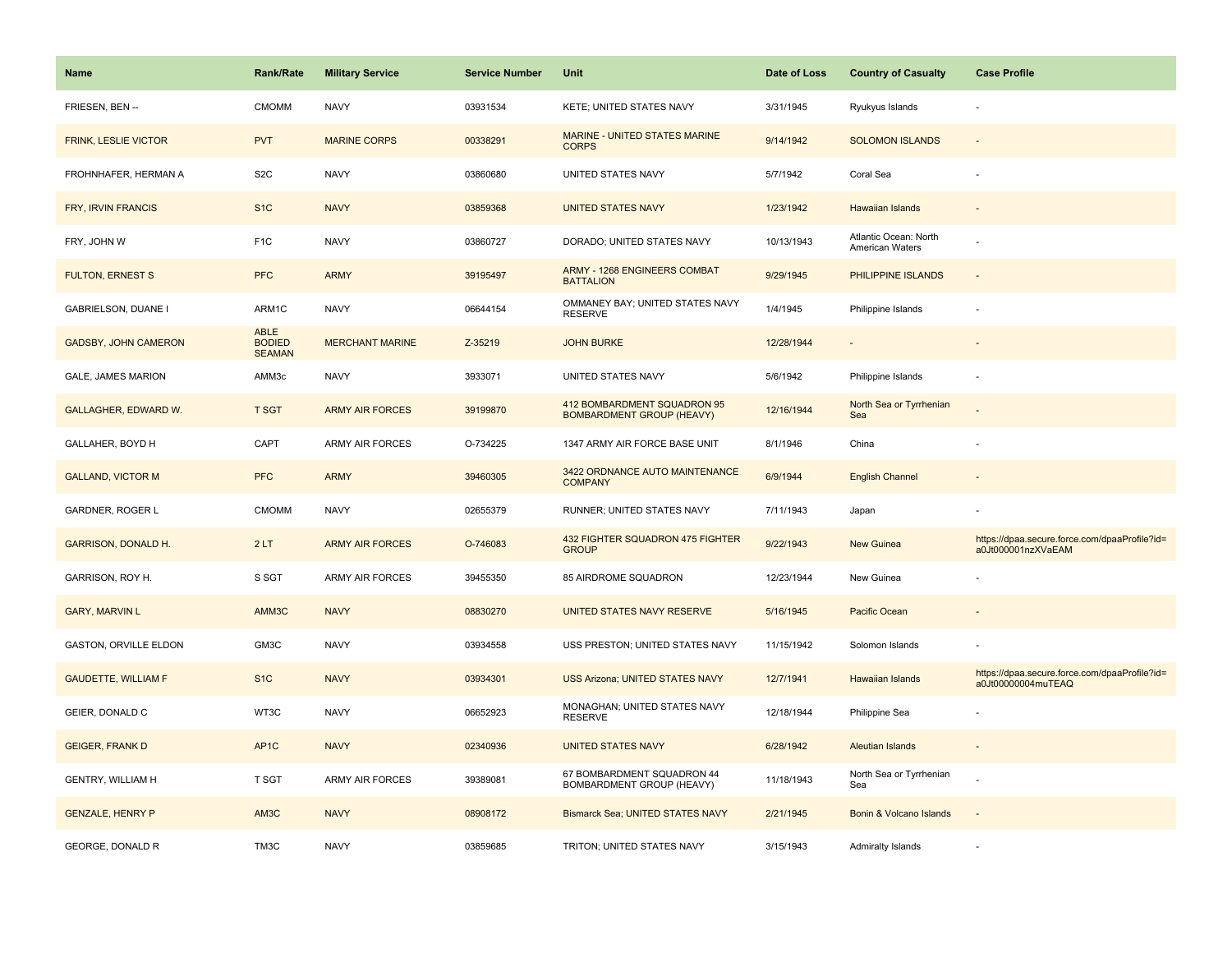| <b>Name</b>                 | <b>Rank/Rate</b>                       | <b>Military Service</b> | <b>Service Number</b> | Unit                                                            | Date of Loss | <b>Country of Casualty</b>               | <b>Case Profile</b>                                                 |
|-----------------------------|----------------------------------------|-------------------------|-----------------------|-----------------------------------------------------------------|--------------|------------------------------------------|---------------------------------------------------------------------|
| FRIESEN, BEN --             | <b>CMOMM</b>                           | <b>NAVY</b>             | 03931534              | KETE; UNITED STATES NAVY                                        | 3/31/1945    | Ryukyus Islands                          |                                                                     |
| FRINK, LESLIE VICTOR        | <b>PVT</b>                             | <b>MARINE CORPS</b>     | 00338291              | MARINE - UNITED STATES MARINE<br><b>CORPS</b>                   | 9/14/1942    | <b>SOLOMON ISLANDS</b>                   |                                                                     |
| FROHNHAFER, HERMAN A        | S <sub>2</sub> C                       | <b>NAVY</b>             | 03860680              | UNITED STATES NAVY                                              | 5/7/1942     | Coral Sea                                |                                                                     |
| FRY, IRVIN FRANCIS          | S <sub>1</sub> C                       | <b>NAVY</b>             | 03859368              | <b>UNITED STATES NAVY</b>                                       | 1/23/1942    | Hawaiian Islands                         |                                                                     |
| FRY, JOHN W                 | F <sub>1</sub> C                       | <b>NAVY</b>             | 03860727              | DORADO; UNITED STATES NAVY                                      | 10/13/1943   | Atlantic Ocean: North<br>American Waters |                                                                     |
| <b>FULTON, ERNEST S</b>     | <b>PFC</b>                             | <b>ARMY</b>             | 39195497              | ARMY - 1268 ENGINEERS COMBAT<br><b>BATTALION</b>                | 9/29/1945    | PHILIPPINE ISLANDS                       | $\sim$                                                              |
| GABRIELSON, DUANE I         | ARM1C                                  | <b>NAVY</b>             | 06644154              | OMMANEY BAY; UNITED STATES NAVY<br><b>RESERVE</b>               | 1/4/1945     | Philippine Islands                       |                                                                     |
| <b>GADSBY, JOHN CAMERON</b> | ABLE<br><b>BODIED</b><br><b>SEAMAN</b> | <b>MERCHANT MARINE</b>  | Z-35219               | <b>JOHN BURKE</b>                                               | 12/28/1944   |                                          |                                                                     |
| GALE, JAMES MARION          | AMM3c                                  | <b>NAVY</b>             | 3933071               | UNITED STATES NAVY                                              | 5/6/1942     | Philippine Islands                       |                                                                     |
| GALLAGHER, EDWARD W.        | <b>T SGT</b>                           | <b>ARMY AIR FORCES</b>  | 39199870              | 412 BOMBARDMENT SQUADRON 95<br><b>BOMBARDMENT GROUP (HEAVY)</b> | 12/16/1944   | North Sea or Tyrrhenian<br>Sea           |                                                                     |
| GALLAHER, BOYD H            | CAPT                                   | <b>ARMY AIR FORCES</b>  | O-734225              | 1347 ARMY AIR FORCE BASE UNIT                                   | 8/1/1946     | China                                    |                                                                     |
| <b>GALLAND, VICTOR M</b>    | <b>PFC</b>                             | <b>ARMY</b>             | 39460305              | 3422 ORDNANCE AUTO MAINTENANCE<br><b>COMPANY</b>                | 6/9/1944     | <b>English Channel</b>                   |                                                                     |
| <b>GARDNER, ROGER L</b>     | <b>CMOMM</b>                           | <b>NAVY</b>             | 02655379              | RUNNER; UNITED STATES NAVY                                      | 7/11/1943    | Japan                                    |                                                                     |
| <b>GARRISON, DONALD H.</b>  | 2LT                                    | <b>ARMY AIR FORCES</b>  | O-746083              | 432 FIGHTER SQUADRON 475 FIGHTER<br><b>GROUP</b>                | 9/22/1943    | <b>New Guinea</b>                        | https://dpaa.secure.force.com/dpaaProfile?id=<br>a0Jt000001nzXVaEAM |
| GARRISON, ROY H.            | S SGT                                  | ARMY AIR FORCES         | 39455350              | 85 AIRDROME SQUADRON                                            | 12/23/1944   | New Guinea                               |                                                                     |
| <b>GARY, MARVIN L</b>       | AMM3C                                  | <b>NAVY</b>             | 08830270              | UNITED STATES NAVY RESERVE                                      | 5/16/1945    | Pacific Ocean                            |                                                                     |
| GASTON, ORVILLE ELDON       | GM3C                                   | <b>NAVY</b>             | 03934558              | USS PRESTON; UNITED STATES NAVY                                 | 11/15/1942   | Solomon Islands                          |                                                                     |
| <b>GAUDETTE, WILLIAM F</b>  | S <sub>1C</sub>                        | <b>NAVY</b>             | 03934301              | <b>USS Arizona; UNITED STATES NAVY</b>                          | 12/7/1941    | <b>Hawaiian Islands</b>                  | https://dpaa.secure.force.com/dpaaProfile?id=<br>a0Jt00000004muTEAQ |
| GEIER, DONALD C             | WT3C                                   | <b>NAVY</b>             | 06652923              | MONAGHAN; UNITED STATES NAVY<br><b>RESERVE</b>                  | 12/18/1944   | Philippine Sea                           |                                                                     |
| <b>GEIGER, FRANK D</b>      | AP <sub>1</sub> C                      | <b>NAVY</b>             | 02340936              | <b>UNITED STATES NAVY</b>                                       | 6/28/1942    | Aleutian Islands                         | $\sim$                                                              |
| <b>GENTRY, WILLIAM H</b>    | <b>T SGT</b>                           | <b>ARMY AIR FORCES</b>  | 39389081              | 67 BOMBARDMENT SQUADRON 44<br>BOMBARDMENT GROUP (HEAVY)         | 11/18/1943   | North Sea or Tyrrhenian<br>Sea           |                                                                     |
| <b>GENZALE, HENRY P</b>     | AM3C                                   | <b>NAVY</b>             | 08908172              | Bismarck Sea; UNITED STATES NAVY                                | 2/21/1945    | Bonin & Volcano Islands                  |                                                                     |
| <b>GEORGE, DONALD R</b>     | TM3C                                   | <b>NAVY</b>             | 03859685              | TRITON; UNITED STATES NAVY                                      | 3/15/1943    | <b>Admiralty Islands</b>                 |                                                                     |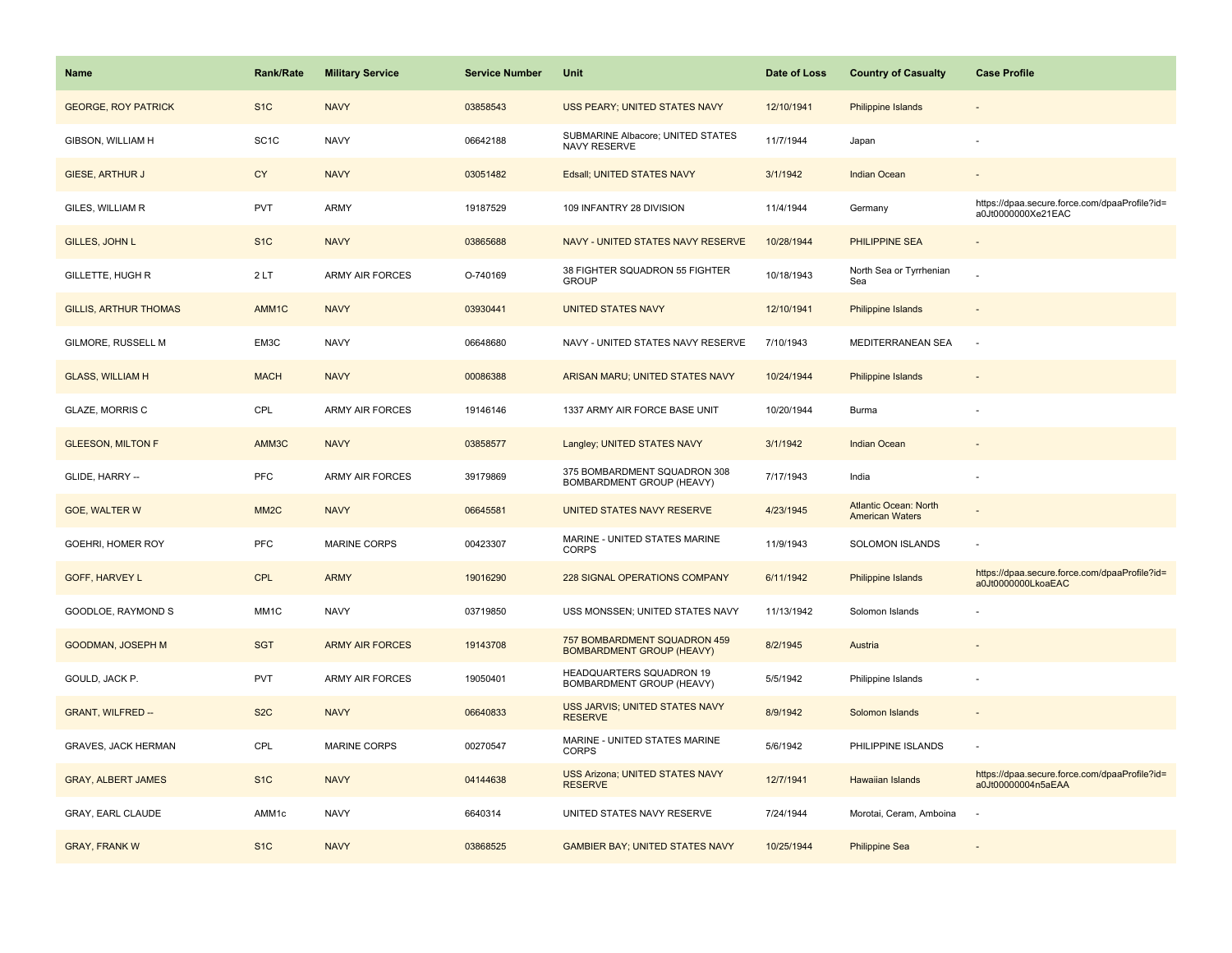| Name                         | <b>Rank/Rate</b>  | <b>Military Service</b> | <b>Service Number</b> | Unit                                                             | Date of Loss | <b>Country of Casualty</b>                             | <b>Case Profile</b>                                                 |
|------------------------------|-------------------|-------------------------|-----------------------|------------------------------------------------------------------|--------------|--------------------------------------------------------|---------------------------------------------------------------------|
| <b>GEORGE, ROY PATRICK</b>   | S <sub>1</sub> C  | <b>NAVY</b>             | 03858543              | <b>USS PEARY; UNITED STATES NAVY</b>                             | 12/10/1941   | Philippine Islands                                     |                                                                     |
| GIBSON, WILLIAM H            | SC <sub>1</sub> C | <b>NAVY</b>             | 06642188              | SUBMARINE Albacore; UNITED STATES<br>NAVY RESERVE                | 11/7/1944    | Japan                                                  |                                                                     |
| <b>GIESE, ARTHUR J</b>       | <b>CY</b>         | <b>NAVY</b>             | 03051482              | Edsall; UNITED STATES NAVY                                       | 3/1/1942     | <b>Indian Ocean</b>                                    |                                                                     |
| GILES, WILLIAM R             | <b>PVT</b>        | ARMY                    | 19187529              | 109 INFANTRY 28 DIVISION                                         | 11/4/1944    | Germany                                                | https://dpaa.secure.force.com/dpaaProfile?id=<br>a0Jt0000000Xe21EAC |
| <b>GILLES, JOHN L</b>        | S <sub>1</sub> C  | <b>NAVY</b>             | 03865688              | NAVY - UNITED STATES NAVY RESERVE                                | 10/28/1944   | <b>PHILIPPINE SEA</b>                                  |                                                                     |
| <b>GILLETTE, HUGH R</b>      | 2LT               | <b>ARMY AIR FORCES</b>  | O-740169              | 38 FIGHTER SQUADRON 55 FIGHTER<br><b>GROUP</b>                   | 10/18/1943   | North Sea or Tyrrhenian<br>Sea                         |                                                                     |
| <b>GILLIS, ARTHUR THOMAS</b> | AMM1C             | <b>NAVY</b>             | 03930441              | <b>UNITED STATES NAVY</b>                                        | 12/10/1941   | Philippine Islands                                     |                                                                     |
| GILMORE, RUSSELL M           | EM3C              | <b>NAVY</b>             | 06648680              | NAVY - UNITED STATES NAVY RESERVE                                | 7/10/1943    | MEDITERRANEAN SEA                                      | $\sim$                                                              |
| <b>GLASS, WILLIAM H</b>      | <b>MACH</b>       | <b>NAVY</b>             | 00086388              | ARISAN MARU; UNITED STATES NAVY                                  | 10/24/1944   | Philippine Islands                                     |                                                                     |
| <b>GLAZE, MORRIS C</b>       | CPL               | <b>ARMY AIR FORCES</b>  | 19146146              | 1337 ARMY AIR FORCE BASE UNIT                                    | 10/20/1944   | Burma                                                  |                                                                     |
| <b>GLEESON, MILTON F</b>     | AMM3C             | <b>NAVY</b>             | 03858577              | Langley; UNITED STATES NAVY                                      | 3/1/1942     | <b>Indian Ocean</b>                                    |                                                                     |
| GLIDE, HARRY --              | <b>PFC</b>        | ARMY AIR FORCES         | 39179869              | 375 BOMBARDMENT SQUADRON 308<br>BOMBARDMENT GROUP (HEAVY)        | 7/17/1943    | India                                                  |                                                                     |
| <b>GOE, WALTER W</b>         | MM <sub>2</sub> C | <b>NAVY</b>             | 06645581              | UNITED STATES NAVY RESERVE                                       | 4/23/1945    | <b>Atlantic Ocean: North</b><br><b>American Waters</b> |                                                                     |
| GOEHRI, HOMER ROY            | <b>PFC</b>        | <b>MARINE CORPS</b>     | 00423307              | MARINE - UNITED STATES MARINE<br><b>CORPS</b>                    | 11/9/1943    | SOLOMON ISLANDS                                        |                                                                     |
| <b>GOFF, HARVEY L</b>        | <b>CPL</b>        | <b>ARMY</b>             | 19016290              | 228 SIGNAL OPERATIONS COMPANY                                    | 6/11/1942    | Philippine Islands                                     | https://dpaa.secure.force.com/dpaaProfile?id=<br>a0Jt0000000LkoaEAC |
| GOODLOE, RAYMOND S           | MM1C              | <b>NAVY</b>             | 03719850              | USS MONSSEN; UNITED STATES NAVY                                  | 11/13/1942   | Solomon Islands                                        |                                                                     |
| GOODMAN, JOSEPH M            | <b>SGT</b>        | <b>ARMY AIR FORCES</b>  | 19143708              | 757 BOMBARDMENT SQUADRON 459<br><b>BOMBARDMENT GROUP (HEAVY)</b> | 8/2/1945     | Austria                                                |                                                                     |
| GOULD, JACK P.               | <b>PVT</b>        | ARMY AIR FORCES         | 19050401              | HEADQUARTERS SQUADRON 19<br>BOMBARDMENT GROUP (HEAVY)            | 5/5/1942     | Philippine Islands                                     |                                                                     |
| <b>GRANT, WILFRED --</b>     | S <sub>2</sub> C  | <b>NAVY</b>             | 06640833              | USS JARVIS; UNITED STATES NAVY<br><b>RESERVE</b>                 | 8/9/1942     | Solomon Islands                                        |                                                                     |
| <b>GRAVES, JACK HERMAN</b>   | CPL               | <b>MARINE CORPS</b>     | 00270547              | MARINE - UNITED STATES MARINE<br><b>CORPS</b>                    | 5/6/1942     | PHILIPPINE ISLANDS                                     |                                                                     |
| <b>GRAY, ALBERT JAMES</b>    | S <sub>1C</sub>   | <b>NAVY</b>             | 04144638              | <b>USS Arizona; UNITED STATES NAVY</b><br><b>RESERVE</b>         | 12/7/1941    | Hawaiian Islands                                       | https://dpaa.secure.force.com/dpaaProfile?id=<br>a0Jt00000004n5aEAA |
| GRAY, EARL CLAUDE            | AMM1c             | <b>NAVY</b>             | 6640314               | UNITED STATES NAVY RESERVE                                       | 7/24/1944    | Morotai, Ceram, Amboina                                |                                                                     |
| <b>GRAY, FRANK W</b>         | S <sub>1C</sub>   | <b>NAVY</b>             | 03868525              | <b>GAMBIER BAY; UNITED STATES NAVY</b>                           | 10/25/1944   | <b>Philippine Sea</b>                                  |                                                                     |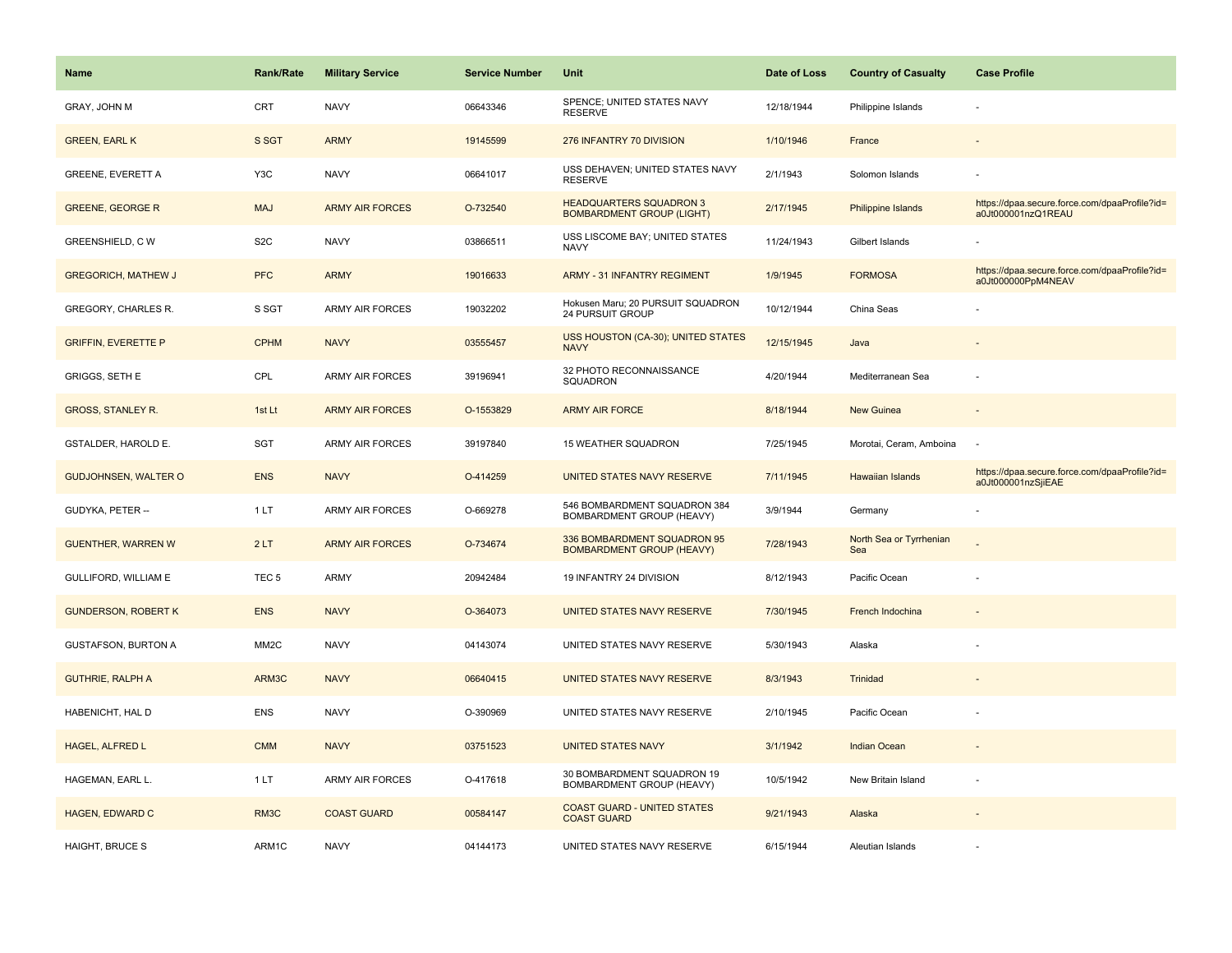| <b>Name</b>                 | <b>Rank/Rate</b>  | <b>Military Service</b> | <b>Service Number</b> | Unit                                                               | Date of Loss | <b>Country of Casualty</b>     | <b>Case Profile</b>                                                 |
|-----------------------------|-------------------|-------------------------|-----------------------|--------------------------------------------------------------------|--------------|--------------------------------|---------------------------------------------------------------------|
| GRAY, JOHN M                | CRT               | <b>NAVY</b>             | 06643346              | SPENCE; UNITED STATES NAVY<br><b>RESERVE</b>                       | 12/18/1944   | Philippine Islands             |                                                                     |
| <b>GREEN, EARL K</b>        | S SGT             | <b>ARMY</b>             | 19145599              | 276 INFANTRY 70 DIVISION                                           | 1/10/1946    | France                         |                                                                     |
| <b>GREENE, EVERETT A</b>    | Y3C               | <b>NAVY</b>             | 06641017              | USS DEHAVEN; UNITED STATES NAVY<br><b>RESERVE</b>                  | 2/1/1943     | Solomon Islands                |                                                                     |
| <b>GREENE, GEORGE R</b>     | <b>MAJ</b>        | <b>ARMY AIR FORCES</b>  | O-732540              | <b>HEADQUARTERS SQUADRON 3</b><br><b>BOMBARDMENT GROUP (LIGHT)</b> | 2/17/1945    | <b>Philippine Islands</b>      | https://dpaa.secure.force.com/dpaaProfile?id=<br>a0Jt000001nzQ1REAU |
| <b>GREENSHIELD, CW</b>      | S <sub>2</sub> C  | <b>NAVY</b>             | 03866511              | USS LISCOME BAY; UNITED STATES<br><b>NAVY</b>                      | 11/24/1943   | Gilbert Islands                |                                                                     |
| <b>GREGORICH, MATHEW J</b>  | <b>PFC</b>        | <b>ARMY</b>             | 19016633              | <b>ARMY - 31 INFANTRY REGIMENT</b>                                 | 1/9/1945     | <b>FORMOSA</b>                 | https://dpaa.secure.force.com/dpaaProfile?id=<br>a0Jt000000PpM4NEAV |
| GREGORY, CHARLES R.         | S SGT             | <b>ARMY AIR FORCES</b>  | 19032202              | Hokusen Maru; 20 PURSUIT SQUADRON<br>24 PURSUIT GROUP              | 10/12/1944   | China Seas                     |                                                                     |
| <b>GRIFFIN, EVERETTE P</b>  | <b>CPHM</b>       | <b>NAVY</b>             | 03555457              | USS HOUSTON (CA-30); UNITED STATES<br><b>NAVY</b>                  | 12/15/1945   | Java                           |                                                                     |
| GRIGGS, SETH E              | CPL               | ARMY AIR FORCES         | 39196941              | 32 PHOTO RECONNAISSANCE<br>SQUADRON                                | 4/20/1944    | Mediterranean Sea              |                                                                     |
| <b>GROSS, STANLEY R.</b>    | 1st Lt            | <b>ARMY AIR FORCES</b>  | O-1553829             | <b>ARMY AIR FORCE</b>                                              | 8/18/1944    | <b>New Guinea</b>              |                                                                     |
| <b>GSTALDER, HAROLD E.</b>  | <b>SGT</b>        | <b>ARMY AIR FORCES</b>  | 39197840              | <b>15 WEATHER SQUADRON</b>                                         | 7/25/1945    | Morotai, Ceram, Amboina        |                                                                     |
| <b>GUDJOHNSEN, WALTER O</b> | <b>ENS</b>        | <b>NAVY</b>             | O-414259              | UNITED STATES NAVY RESERVE                                         | 7/11/1945    | <b>Hawaiian Islands</b>        | https://dpaa.secure.force.com/dpaaProfile?id=<br>a0Jt000001nzSjiEAE |
| GUDYKA, PETER --            | 1LT               | <b>ARMY AIR FORCES</b>  | O-669278              | 546 BOMBARDMENT SQUADRON 384<br>BOMBARDMENT GROUP (HEAVY)          | 3/9/1944     | Germany                        |                                                                     |
| <b>GUENTHER, WARREN W</b>   | 2LT               | <b>ARMY AIR FORCES</b>  | O-734674              | 336 BOMBARDMENT SQUADRON 95<br><b>BOMBARDMENT GROUP (HEAVY)</b>    | 7/28/1943    | North Sea or Tyrrhenian<br>Sea |                                                                     |
| <b>GULLIFORD, WILLIAM E</b> | TEC <sub>5</sub>  | <b>ARMY</b>             | 20942484              | 19 INFANTRY 24 DIVISION                                            | 8/12/1943    | Pacific Ocean                  |                                                                     |
| <b>GUNDERSON, ROBERT K</b>  | <b>ENS</b>        | <b>NAVY</b>             | O-364073              | UNITED STATES NAVY RESERVE                                         | 7/30/1945    | French Indochina               |                                                                     |
| <b>GUSTAFSON, BURTON A</b>  | MM <sub>2</sub> C | <b>NAVY</b>             | 04143074              | UNITED STATES NAVY RESERVE                                         | 5/30/1943    | Alaska                         |                                                                     |
| <b>GUTHRIE, RALPH A</b>     | ARM3C             | <b>NAVY</b>             | 06640415              | UNITED STATES NAVY RESERVE                                         | 8/3/1943     | Trinidad                       |                                                                     |
| HABENICHT, HAL D            | ENS               | <b>NAVY</b>             | O-390969              | UNITED STATES NAVY RESERVE                                         | 2/10/1945    | Pacific Ocean                  |                                                                     |
| HAGEL, ALFRED L             | <b>CMM</b>        | <b>NAVY</b>             | 03751523              | <b>UNITED STATES NAVY</b>                                          | 3/1/1942     | Indian Ocean                   |                                                                     |
| HAGEMAN, EARL L.            | 1LT               | <b>ARMY AIR FORCES</b>  | O-417618              | 30 BOMBARDMENT SQUADRON 19<br>BOMBARDMENT GROUP (HEAVY)            | 10/5/1942    | New Britain Island             |                                                                     |
| <b>HAGEN, EDWARD C</b>      | RM3C              | <b>COAST GUARD</b>      | 00584147              | <b>COAST GUARD - UNITED STATES</b><br><b>COAST GUARD</b>           | 9/21/1943    | Alaska                         |                                                                     |
| <b>HAIGHT, BRUCE S</b>      | ARM1C             | <b>NAVY</b>             | 04144173              | UNITED STATES NAVY RESERVE                                         | 6/15/1944    | Aleutian Islands               |                                                                     |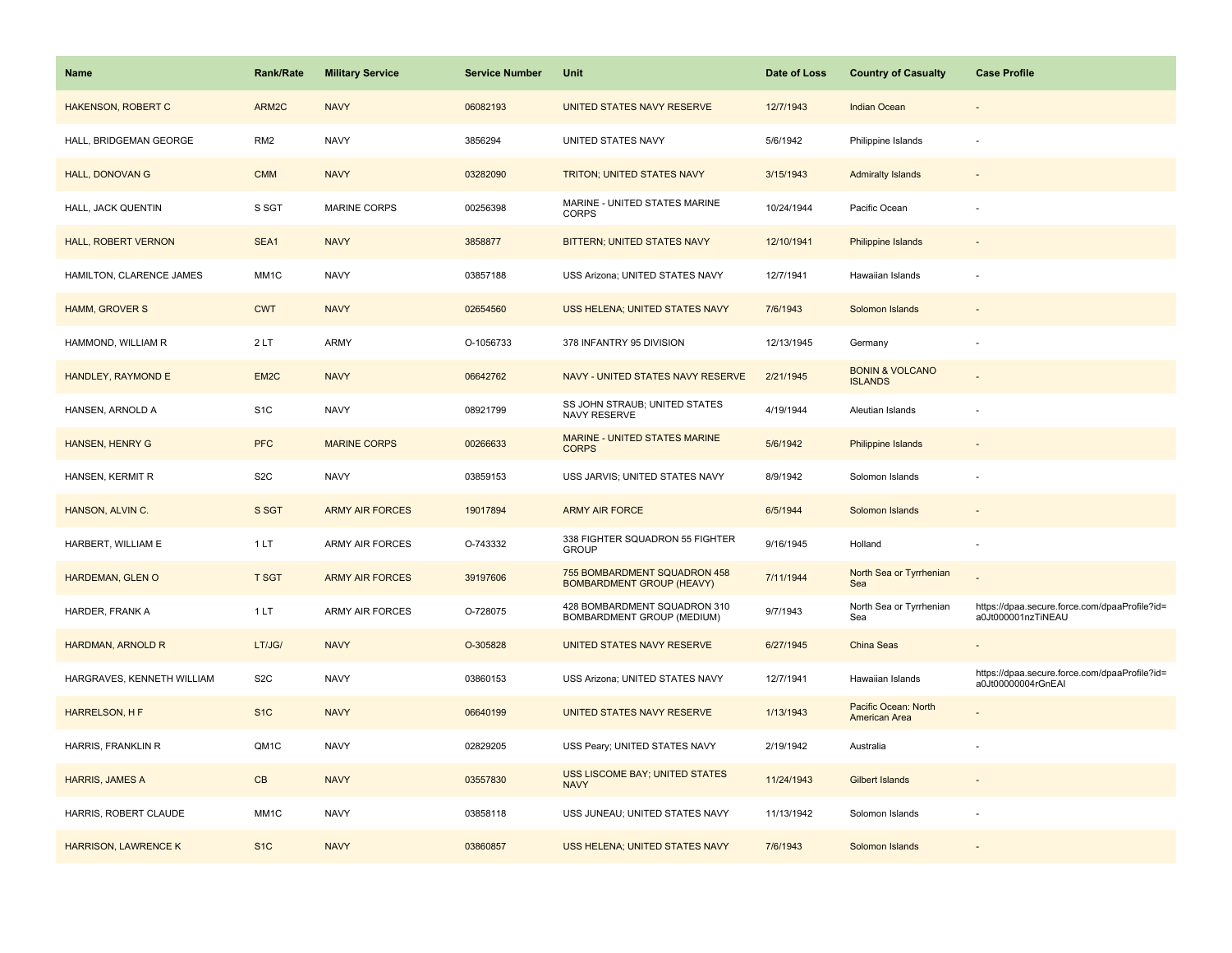| <b>Name</b>                 | <b>Rank/Rate</b>  | <b>Military Service</b> | <b>Service Number</b> | Unit                                                             | Date of Loss | <b>Country of Casualty</b>                   | <b>Case Profile</b>                                                 |
|-----------------------------|-------------------|-------------------------|-----------------------|------------------------------------------------------------------|--------------|----------------------------------------------|---------------------------------------------------------------------|
| <b>HAKENSON, ROBERT C</b>   | ARM2C             | <b>NAVY</b>             | 06082193              | UNITED STATES NAVY RESERVE                                       | 12/7/1943    | <b>Indian Ocean</b>                          |                                                                     |
| HALL, BRIDGEMAN GEORGE      | RM <sub>2</sub>   | <b>NAVY</b>             | 3856294               | UNITED STATES NAVY                                               | 5/6/1942     | Philippine Islands                           |                                                                     |
| <b>HALL, DONOVAN G</b>      | <b>CMM</b>        | <b>NAVY</b>             | 03282090              | <b>TRITON; UNITED STATES NAVY</b>                                | 3/15/1943    | <b>Admiralty Islands</b>                     |                                                                     |
| HALL, JACK QUENTIN          | S SGT             | <b>MARINE CORPS</b>     | 00256398              | MARINE - UNITED STATES MARINE<br><b>CORPS</b>                    | 10/24/1944   | Pacific Ocean                                |                                                                     |
| <b>HALL, ROBERT VERNON</b>  | SEA1              | <b>NAVY</b>             | 3858877               | BITTERN; UNITED STATES NAVY                                      | 12/10/1941   | Philippine Islands                           |                                                                     |
| HAMILTON, CLARENCE JAMES    | MM1C              | <b>NAVY</b>             | 03857188              | USS Arizona; UNITED STATES NAVY                                  | 12/7/1941    | Hawaiian Islands                             |                                                                     |
| <b>HAMM, GROVER S</b>       | <b>CWT</b>        | <b>NAVY</b>             | 02654560              | USS HELENA; UNITED STATES NAVY                                   | 7/6/1943     | Solomon Islands                              | $\overline{\phantom{a}}$                                            |
| HAMMOND, WILLIAM R          | 2LT               | <b>ARMY</b>             | O-1056733             | 378 INFANTRY 95 DIVISION                                         | 12/13/1945   | Germany                                      | ÷.                                                                  |
| HANDLEY, RAYMOND E          | EM <sub>2</sub> C | <b>NAVY</b>             | 06642762              | NAVY - UNITED STATES NAVY RESERVE                                | 2/21/1945    | <b>BONIN &amp; VOLCANO</b><br><b>ISLANDS</b> |                                                                     |
| HANSEN, ARNOLD A            | S <sub>1</sub> C  | <b>NAVY</b>             | 08921799              | SS JOHN STRAUB; UNITED STATES<br>NAVY RESERVE                    | 4/19/1944    | Aleutian Islands                             |                                                                     |
| <b>HANSEN, HENRY G</b>      | <b>PFC</b>        | <b>MARINE CORPS</b>     | 00266633              | MARINE - UNITED STATES MARINE<br><b>CORPS</b>                    | 5/6/1942     | Philippine Islands                           |                                                                     |
| HANSEN, KERMIT R            | S <sub>2</sub> C  | <b>NAVY</b>             | 03859153              | USS JARVIS; UNITED STATES NAVY                                   | 8/9/1942     | Solomon Islands                              |                                                                     |
| HANSON, ALVIN C.            | S SGT             | <b>ARMY AIR FORCES</b>  | 19017894              | <b>ARMY AIR FORCE</b>                                            | 6/5/1944     | Solomon Islands                              |                                                                     |
| HARBERT, WILLIAM E          | 1LT               | ARMY AIR FORCES         | O-743332              | 338 FIGHTER SQUADRON 55 FIGHTER<br><b>GROUP</b>                  | 9/16/1945    | Holland                                      | ÷,                                                                  |
| HARDEMAN, GLEN O            | <b>T SGT</b>      | <b>ARMY AIR FORCES</b>  | 39197606              | 755 BOMBARDMENT SQUADRON 458<br><b>BOMBARDMENT GROUP (HEAVY)</b> | 7/11/1944    | North Sea or Tyrrhenian<br>Sea               |                                                                     |
| HARDER, FRANK A             | 1LT               | ARMY AIR FORCES         | O-728075              | 428 BOMBARDMENT SQUADRON 310<br>BOMBARDMENT GROUP (MEDIUM)       | 9/7/1943     | North Sea or Tyrrhenian<br>Sea               | https://dpaa.secure.force.com/dpaaProfile?id=<br>a0Jt000001nzTiNEAU |
| HARDMAN, ARNOLD R           | LT/JG/            | <b>NAVY</b>             | O-305828              | UNITED STATES NAVY RESERVE                                       | 6/27/1945    | <b>China Seas</b>                            |                                                                     |
| HARGRAVES, KENNETH WILLIAM  | S <sub>2</sub> C  | <b>NAVY</b>             | 03860153              | USS Arizona; UNITED STATES NAVY                                  | 12/7/1941    | Hawaiian Islands                             | https://dpaa.secure.force.com/dpaaProfile?id=<br>a0Jt00000004rGnEAI |
| HARRELSON, H F              | S <sub>1C</sub>   | <b>NAVY</b>             | 06640199              | UNITED STATES NAVY RESERVE                                       | 1/13/1943    | Pacific Ocean: North<br>American Area        |                                                                     |
| HARRIS, FRANKLIN R          | QM1C              | <b>NAVY</b>             | 02829205              | USS Peary; UNITED STATES NAVY                                    | 2/19/1942    | Australia                                    |                                                                     |
| HARRIS, JAMES A             | CB                | <b>NAVY</b>             | 03557830              | <b>USS LISCOME BAY; UNITED STATES</b><br><b>NAVY</b>             | 11/24/1943   | <b>Gilbert Islands</b>                       |                                                                     |
| HARRIS, ROBERT CLAUDE       | MM1C              | <b>NAVY</b>             | 03858118              | USS JUNEAU; UNITED STATES NAVY                                   | 11/13/1942   | Solomon Islands                              |                                                                     |
| <b>HARRISON, LAWRENCE K</b> | S <sub>1C</sub>   | <b>NAVY</b>             | 03860857              | USS HELENA; UNITED STATES NAVY                                   | 7/6/1943     | Solomon Islands                              |                                                                     |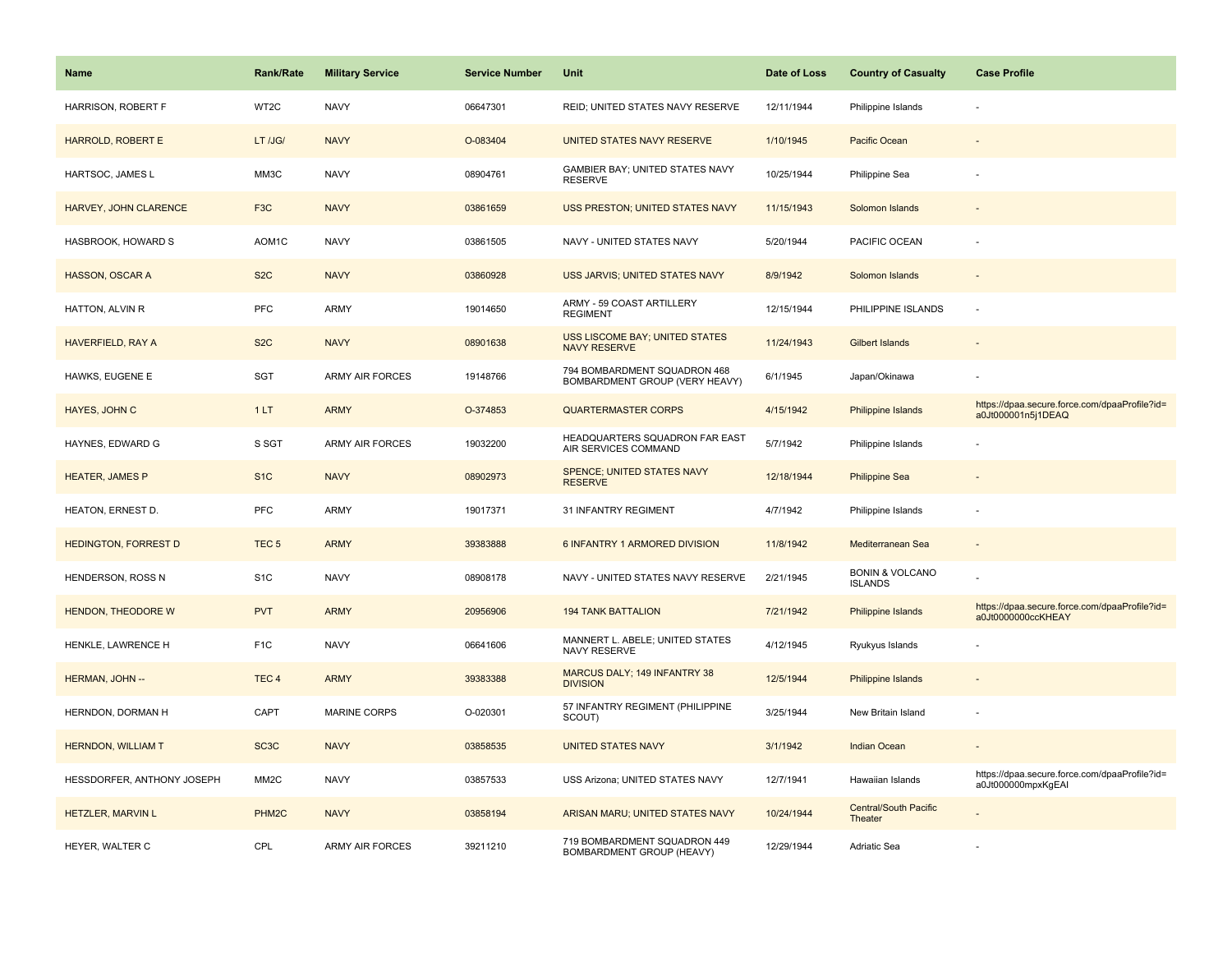| <b>Name</b>                 | <b>Rank/Rate</b>   | <b>Military Service</b> | <b>Service Number</b> | Unit                                                           | Date of Loss | <b>Country of Casualty</b>                   | <b>Case Profile</b>                                                 |
|-----------------------------|--------------------|-------------------------|-----------------------|----------------------------------------------------------------|--------------|----------------------------------------------|---------------------------------------------------------------------|
| <b>HARRISON, ROBERT F</b>   | WT2C               | <b>NAVY</b>             | 06647301              | REID; UNITED STATES NAVY RESERVE                               | 12/11/1944   | Philippine Islands                           |                                                                     |
| HARROLD, ROBERT E           | LT /JG/            | <b>NAVY</b>             | O-083404              | UNITED STATES NAVY RESERVE                                     | 1/10/1945    | Pacific Ocean                                |                                                                     |
| HARTSOC, JAMES L            | MM3C               | <b>NAVY</b>             | 08904761              | GAMBIER BAY; UNITED STATES NAVY<br><b>RESERVE</b>              | 10/25/1944   | Philippine Sea                               |                                                                     |
| HARVEY, JOHN CLARENCE       | F <sub>3</sub> C   | <b>NAVY</b>             | 03861659              | USS PRESTON; UNITED STATES NAVY                                | 11/15/1943   | Solomon Islands                              |                                                                     |
| HASBROOK, HOWARD S          | AOM1C              | <b>NAVY</b>             | 03861505              | NAVY - UNITED STATES NAVY                                      | 5/20/1944    | PACIFIC OCEAN                                |                                                                     |
| HASSON, OSCAR A             | S <sub>2</sub> C   | <b>NAVY</b>             | 03860928              | USS JARVIS; UNITED STATES NAVY                                 | 8/9/1942     | Solomon Islands                              |                                                                     |
| HATTON, ALVIN R             | <b>PFC</b>         | ARMY                    | 19014650              | ARMY - 59 COAST ARTILLERY<br><b>REGIMENT</b>                   | 12/15/1944   | PHILIPPINE ISLANDS                           | ÷.                                                                  |
| HAVERFIELD, RAY A           | S <sub>2</sub> C   | <b>NAVY</b>             | 08901638              | USS LISCOME BAY; UNITED STATES<br><b>NAVY RESERVE</b>          | 11/24/1943   | <b>Gilbert Islands</b>                       |                                                                     |
| HAWKS, EUGENE E             | <b>SGT</b>         | ARMY AIR FORCES         | 19148766              | 794 BOMBARDMENT SQUADRON 468<br>BOMBARDMENT GROUP (VERY HEAVY) | 6/1/1945     | Japan/Okinawa                                |                                                                     |
| HAYES, JOHN C               | 1LT                | <b>ARMY</b>             | O-374853              | <b>QUARTERMASTER CORPS</b>                                     | 4/15/1942    | Philippine Islands                           | https://dpaa.secure.force.com/dpaaProfile?id=<br>a0Jt000001n5j1DEAQ |
| HAYNES, EDWARD G            | S SGT              | <b>ARMY AIR FORCES</b>  | 19032200              | HEADQUARTERS SQUADRON FAR EAST<br>AIR SERVICES COMMAND         | 5/7/1942     | Philippine Islands                           |                                                                     |
| <b>HEATER, JAMES P</b>      | S <sub>1C</sub>    | <b>NAVY</b>             | 08902973              | <b>SPENCE: UNITED STATES NAVY</b><br><b>RESERVE</b>            | 12/18/1944   | <b>Philippine Sea</b>                        |                                                                     |
| HEATON, ERNEST D.           | <b>PFC</b>         | <b>ARMY</b>             | 19017371              | 31 INFANTRY REGIMENT                                           | 4/7/1942     | Philippine Islands                           |                                                                     |
| <b>HEDINGTON, FORREST D</b> | TEC <sub>5</sub>   | <b>ARMY</b>             | 39383888              | 6 INFANTRY 1 ARMORED DIVISION                                  | 11/8/1942    | Mediterranean Sea                            |                                                                     |
| HENDERSON, ROSS N           | S <sub>1</sub> C   | <b>NAVY</b>             | 08908178              | NAVY - UNITED STATES NAVY RESERVE                              | 2/21/1945    | <b>BONIN &amp; VOLCANO</b><br><b>ISLANDS</b> |                                                                     |
| <b>HENDON, THEODORE W</b>   | <b>PVT</b>         | <b>ARMY</b>             | 20956906              | <b>194 TANK BATTALION</b>                                      | 7/21/1942    | Philippine Islands                           | https://dpaa.secure.force.com/dpaaProfile?id=<br>a0Jt0000000ccKHEAY |
| HENKLE, LAWRENCE H          | F <sub>1</sub> C   | <b>NAVY</b>             | 06641606              | MANNERT L. ABELE; UNITED STATES<br>NAVY RESERVE                | 4/12/1945    | Ryukyus Islands                              |                                                                     |
| HERMAN, JOHN --             | TEC <sub>4</sub>   | <b>ARMY</b>             | 39383388              | MARCUS DALY; 149 INFANTRY 38<br><b>DIVISION</b>                | 12/5/1944    | Philippine Islands                           |                                                                     |
| HERNDON, DORMAN H           | CAPT               | <b>MARINE CORPS</b>     | O-020301              | 57 INFANTRY REGIMENT (PHILIPPINE<br>SCOUT)                     | 3/25/1944    | New Britain Island                           |                                                                     |
| <b>HERNDON, WILLIAM T</b>   | SC <sub>3</sub> C  | <b>NAVY</b>             | 03858535              | <b>UNITED STATES NAVY</b>                                      | 3/1/1942     | <b>Indian Ocean</b>                          |                                                                     |
| HESSDORFER, ANTHONY JOSEPH  | MM <sub>2</sub> C  | <b>NAVY</b>             | 03857533              | USS Arizona; UNITED STATES NAVY                                | 12/7/1941    | Hawaiian Islands                             | https://dpaa.secure.force.com/dpaaProfile?id=<br>a0Jt000000mpxKgEAI |
| HETZLER, MARVIN L           | PHM <sub>2</sub> C | <b>NAVY</b>             | 03858194              | ARISAN MARU; UNITED STATES NAVY                                | 10/24/1944   | <b>Central/South Pacific</b><br>Theater      |                                                                     |
| HEYER, WALTER C             | CPL                | <b>ARMY AIR FORCES</b>  | 39211210              | 719 BOMBARDMENT SQUADRON 449<br>BOMBARDMENT GROUP (HEAVY)      | 12/29/1944   | Adriatic Sea                                 |                                                                     |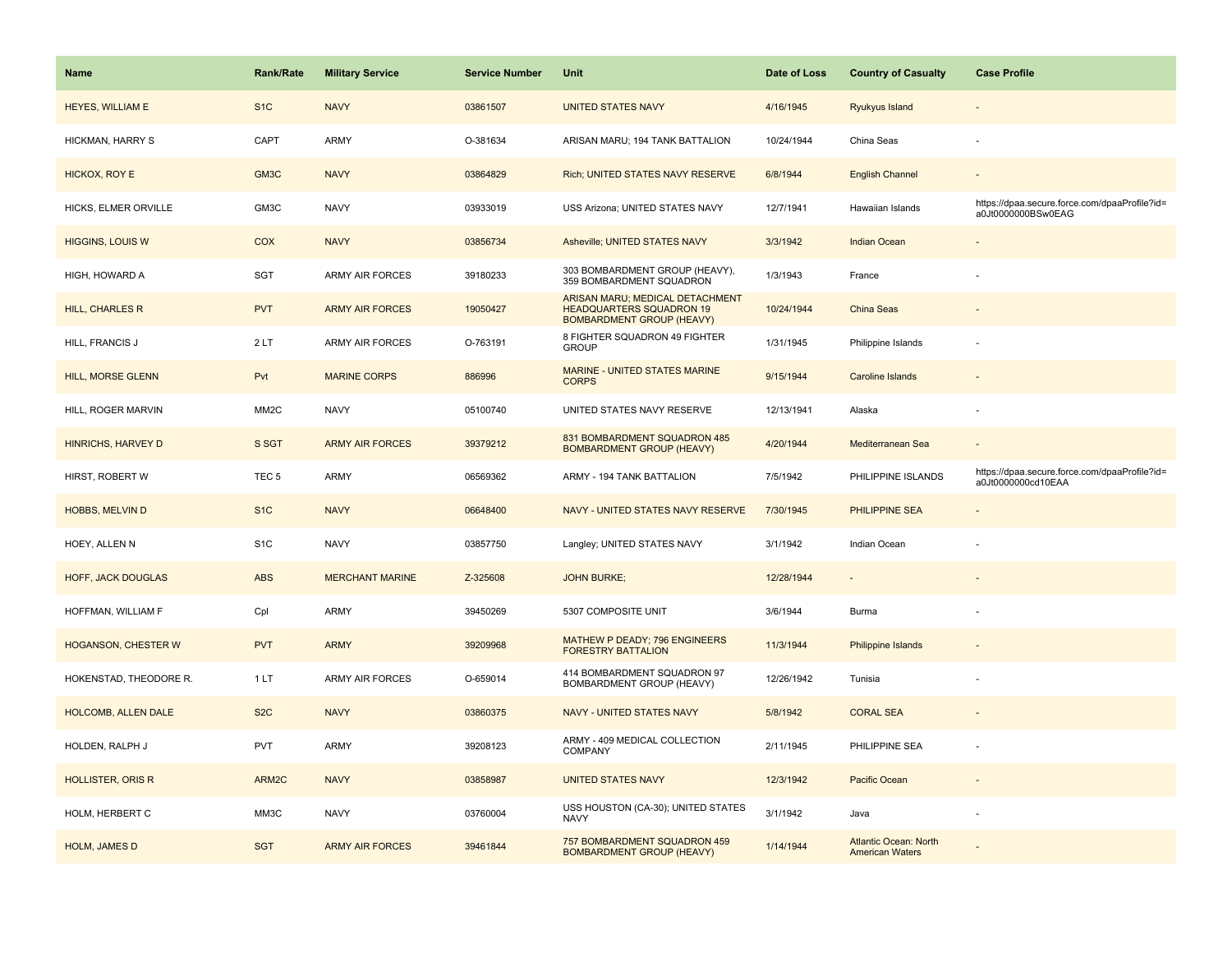| <b>Name</b>               | <b>Rank/Rate</b>  | <b>Military Service</b> | <b>Service Number</b> | Unit                                                                                                   | Date of Loss | <b>Country of Casualty</b> | <b>Case Profile</b>                                                 |
|---------------------------|-------------------|-------------------------|-----------------------|--------------------------------------------------------------------------------------------------------|--------------|----------------------------|---------------------------------------------------------------------|
| <b>HEYES, WILLIAM E</b>   | S <sub>1</sub> C  | <b>NAVY</b>             | 03861507              | <b>UNITED STATES NAVY</b>                                                                              | 4/16/1945    | Ryukyus Island             |                                                                     |
| HICKMAN, HARRY S          | CAPT              | <b>ARMY</b>             | O-381634              | ARISAN MARU; 194 TANK BATTALION                                                                        | 10/24/1944   | China Seas                 | $\sim$                                                              |
| HICKOX, ROY E             | GM3C              | <b>NAVY</b>             | 03864829              | Rich; UNITED STATES NAVY RESERVE                                                                       | 6/8/1944     | <b>English Channel</b>     |                                                                     |
| HICKS, ELMER ORVILLE      | GM3C              | <b>NAVY</b>             | 03933019              | USS Arizona; UNITED STATES NAVY                                                                        | 12/7/1941    | Hawaiian Islands           | https://dpaa.secure.force.com/dpaaProfile?id=<br>a0Jt0000000BSw0EAG |
| <b>HIGGINS, LOUIS W</b>   | <b>COX</b>        | <b>NAVY</b>             | 03856734              | Asheville; UNITED STATES NAVY                                                                          | 3/3/1942     | <b>Indian Ocean</b>        |                                                                     |
| HIGH, HOWARD A            | SGT               | <b>ARMY AIR FORCES</b>  | 39180233              | 303 BOMBARDMENT GROUP (HEAVY),<br>359 BOMBARDMENT SQUADRON                                             | 1/3/1943     | France                     |                                                                     |
| HILL, CHARLES R           | <b>PVT</b>        | <b>ARMY AIR FORCES</b>  | 19050427              | ARISAN MARU; MEDICAL DETACHMENT<br><b>HEADQUARTERS SQUADRON 19</b><br><b>BOMBARDMENT GROUP (HEAVY)</b> | 10/24/1944   | China Seas                 |                                                                     |
| HILL, FRANCIS J           | 2LT               | <b>ARMY AIR FORCES</b>  | O-763191              | 8 FIGHTER SQUADRON 49 FIGHTER<br><b>GROUP</b>                                                          | 1/31/1945    | Philippine Islands         |                                                                     |
| <b>HILL, MORSE GLENN</b>  | Pvt               | <b>MARINE CORPS</b>     | 886996                | MARINE - UNITED STATES MARINE<br><b>CORPS</b>                                                          | 9/15/1944    | <b>Caroline Islands</b>    |                                                                     |
| HILL, ROGER MARVIN        | MM <sub>2</sub> C | <b>NAVY</b>             | 05100740              | UNITED STATES NAVY RESERVE                                                                             | 12/13/1941   | Alaska                     |                                                                     |
| HINRICHS, HARVEY D        | S SGT             | <b>ARMY AIR FORCES</b>  | 39379212              | 831 BOMBARDMENT SQUADRON 485<br><b>BOMBARDMENT GROUP (HEAVY)</b>                                       | 4/20/1944    | Mediterranean Sea          |                                                                     |
| HIRST, ROBERT W           | TEC <sub>5</sub>  | <b>ARMY</b>             | 06569362              | ARMY - 194 TANK BATTALION                                                                              | 7/5/1942     | PHILIPPINE ISLANDS         | https://dpaa.secure.force.com/dpaaProfile?id=<br>a0Jt0000000cd10EAA |
|                           |                   |                         |                       |                                                                                                        |              |                            |                                                                     |
| <b>HOBBS, MELVIN D</b>    | S <sub>1C</sub>   | <b>NAVY</b>             | 06648400              | NAVY - UNITED STATES NAVY RESERVE                                                                      | 7/30/1945    | <b>PHILIPPINE SEA</b>      |                                                                     |
| HOEY, ALLEN N             | S <sub>1</sub> C  | <b>NAVY</b>             | 03857750              | Langley; UNITED STATES NAVY                                                                            | 3/1/1942     | Indian Ocean               |                                                                     |
| <b>HOFF, JACK DOUGLAS</b> | <b>ABS</b>        | <b>MERCHANT MARINE</b>  | Z-325608              | <b>JOHN BURKE:</b>                                                                                     | 12/28/1944   | $\sim$                     |                                                                     |
| HOFFMAN, WILLIAM F        | Cpl               | <b>ARMY</b>             | 39450269              | 5307 COMPOSITE UNIT                                                                                    | 3/6/1944     | Burma                      |                                                                     |
| HOGANSON, CHESTER W       | <b>PVT</b>        | <b>ARMY</b>             | 39209968              | MATHEW P DEADY; 796 ENGINEERS<br><b>FORESTRY BATTALION</b>                                             | 11/3/1944    | <b>Philippine Islands</b>  |                                                                     |
| HOKENSTAD, THEODORE R.    | 1LT               | <b>ARMY AIR FORCES</b>  | O-659014              | 414 BOMBARDMENT SQUADRON 97<br>BOMBARDMENT GROUP (HEAVY)                                               | 12/26/1942   | Tunisia                    |                                                                     |
| HOLCOMB, ALLEN DALE       | S <sub>2</sub> C  | <b>NAVY</b>             | 03860375              | <b>NAVY - UNITED STATES NAVY</b>                                                                       | 5/8/1942     | <b>CORAL SEA</b>           |                                                                     |
| HOLDEN, RALPH J           | <b>PVT</b>        | <b>ARMY</b>             | 39208123              | ARMY - 409 MEDICAL COLLECTION<br><b>COMPANY</b>                                                        | 2/11/1945    | PHILIPPINE SEA             |                                                                     |
| <b>HOLLISTER, ORIS R</b>  | ARM2C             | <b>NAVY</b>             | 03858987              | <b>UNITED STATES NAVY</b>                                                                              | 12/3/1942    | <b>Pacific Ocean</b>       | $\sim$                                                              |
| HOLM, HERBERT C           | MM3C              | <b>NAVY</b>             | 03760004              | USS HOUSTON (CA-30); UNITED STATES<br><b>NAVY</b>                                                      | 3/1/1942     | Java                       |                                                                     |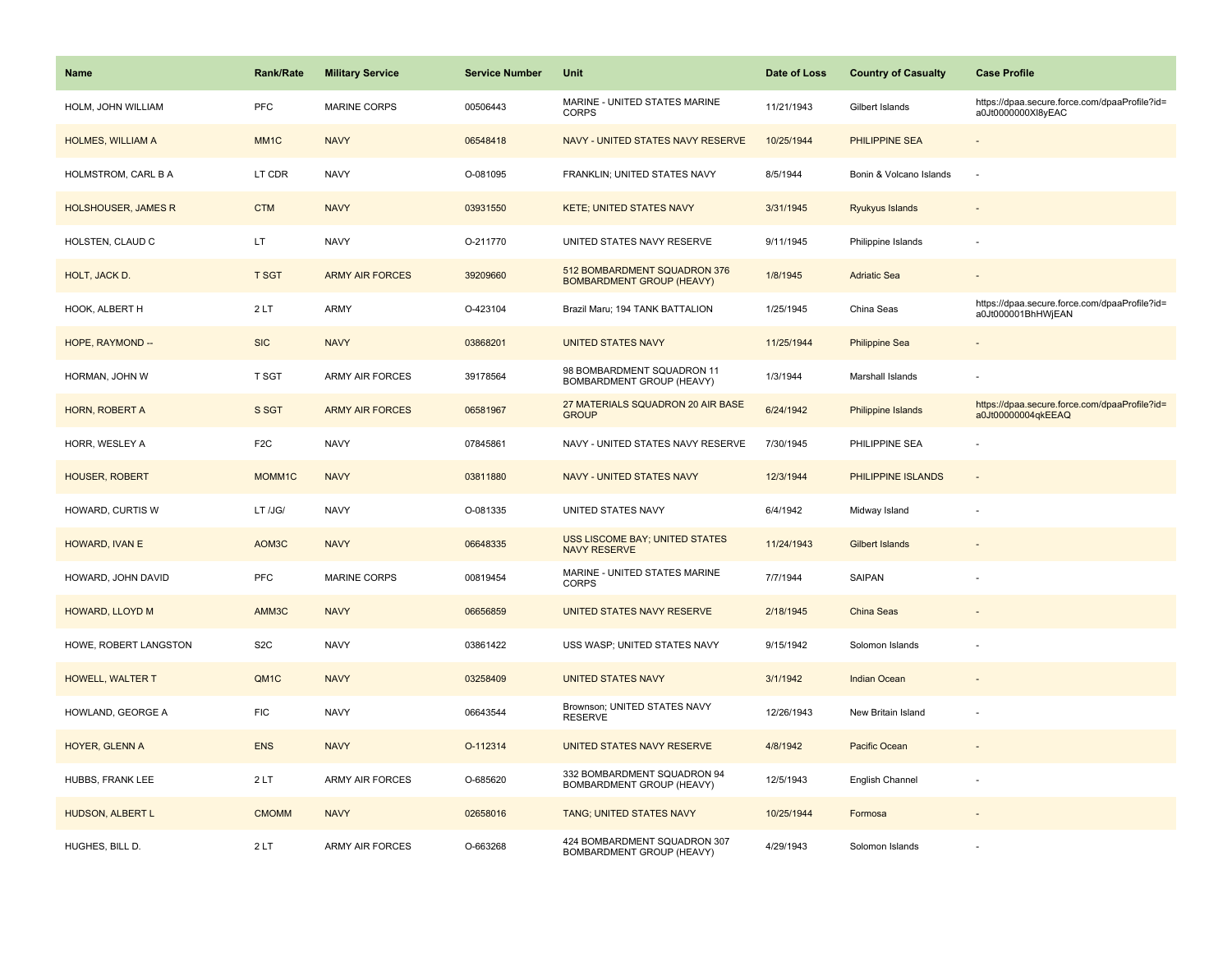| <b>Name</b>                | Rank/Rate         | <b>Military Service</b> | <b>Service Number</b> | Unit                                                             | Date of Loss | <b>Country of Casualty</b> | <b>Case Profile</b>                                                 |
|----------------------------|-------------------|-------------------------|-----------------------|------------------------------------------------------------------|--------------|----------------------------|---------------------------------------------------------------------|
| HOLM, JOHN WILLIAM         | <b>PFC</b>        | <b>MARINE CORPS</b>     | 00506443              | MARINE - UNITED STATES MARINE<br><b>CORPS</b>                    | 11/21/1943   | Gilbert Islands            | https://dpaa.secure.force.com/dpaaProfile?id=<br>a0Jt0000000Xl8yEAC |
| HOLMES, WILLIAM A          | MM <sub>1</sub> C | <b>NAVY</b>             | 06548418              | NAVY - UNITED STATES NAVY RESERVE                                | 10/25/1944   | PHILIPPINE SEA             |                                                                     |
| HOLMSTROM, CARL B A        | LT CDR            | <b>NAVY</b>             | O-081095              | FRANKLIN; UNITED STATES NAVY                                     | 8/5/1944     | Bonin & Volcano Islands    | ÷,                                                                  |
| <b>HOLSHOUSER, JAMES R</b> | <b>CTM</b>        | <b>NAVY</b>             | 03931550              | <b>KETE; UNITED STATES NAVY</b>                                  | 3/31/1945    | Ryukyus Islands            |                                                                     |
| HOLSTEN, CLAUD C           | LT.               | <b>NAVY</b>             | O-211770              | UNITED STATES NAVY RESERVE                                       | 9/11/1945    | Philippine Islands         | ÷,                                                                  |
| HOLT, JACK D.              | <b>T SGT</b>      | <b>ARMY AIR FORCES</b>  | 39209660              | 512 BOMBARDMENT SQUADRON 376<br><b>BOMBARDMENT GROUP (HEAVY)</b> | 1/8/1945     | <b>Adriatic Sea</b>        | $\sim$                                                              |
| HOOK, ALBERT H             | 2LT               | <b>ARMY</b>             | O-423104              | Brazil Maru; 194 TANK BATTALION                                  | 1/25/1945    | China Seas                 | https://dpaa.secure.force.com/dpaaProfile?id=<br>a0Jt000001BhHWjEAN |
| HOPE, RAYMOND --           | <b>SIC</b>        | <b>NAVY</b>             | 03868201              | <b>UNITED STATES NAVY</b>                                        | 11/25/1944   | <b>Philippine Sea</b>      |                                                                     |
| HORMAN, JOHN W             | <b>T SGT</b>      | ARMY AIR FORCES         | 39178564              | 98 BOMBARDMENT SQUADRON 11<br>BOMBARDMENT GROUP (HEAVY)          | 1/3/1944     | Marshall Islands           |                                                                     |
| HORN, ROBERT A             | S SGT             | <b>ARMY AIR FORCES</b>  | 06581967              | 27 MATERIALS SQUADRON 20 AIR BASE<br><b>GROUP</b>                | 6/24/1942    | <b>Philippine Islands</b>  | https://dpaa.secure.force.com/dpaaProfile?id=<br>a0Jt00000004qkEEAQ |
| HORR, WESLEY A             | F <sub>2</sub> C  | <b>NAVY</b>             | 07845861              | NAVY - UNITED STATES NAVY RESERVE                                | 7/30/1945    | PHILIPPINE SEA             |                                                                     |
| <b>HOUSER, ROBERT</b>      | MOMM1C            | <b>NAVY</b>             | 03811880              | <b>NAVY - UNITED STATES NAVY</b>                                 | 12/3/1944    | PHILIPPINE ISLANDS         | $\blacksquare$                                                      |
| HOWARD, CURTIS W           | LT /JG/           | <b>NAVY</b>             | O-081335              | UNITED STATES NAVY                                               | 6/4/1942     | Midway Island              |                                                                     |
| HOWARD, IVAN E             | AOM3C             | <b>NAVY</b>             | 06648335              | USS LISCOME BAY; UNITED STATES<br><b>NAVY RESERVE</b>            | 11/24/1943   | <b>Gilbert Islands</b>     |                                                                     |
| HOWARD, JOHN DAVID         | <b>PFC</b>        | <b>MARINE CORPS</b>     | 00819454              | MARINE - UNITED STATES MARINE<br><b>CORPS</b>                    | 7/7/1944     | SAIPAN                     |                                                                     |
| <b>HOWARD, LLOYD M</b>     | AMM3C             | <b>NAVY</b>             | 06656859              | UNITED STATES NAVY RESERVE                                       | 2/18/1945    | <b>China Seas</b>          |                                                                     |
| HOWE, ROBERT LANGSTON      | S <sub>2</sub> C  | <b>NAVY</b>             | 03861422              | USS WASP; UNITED STATES NAVY                                     | 9/15/1942    | Solomon Islands            |                                                                     |
| HOWELL, WALTER T           | QM <sub>1</sub> C | <b>NAVY</b>             | 03258409              | <b>UNITED STATES NAVY</b>                                        | 3/1/1942     | <b>Indian Ocean</b>        |                                                                     |
| HOWLAND, GEORGE A          | <b>FIC</b>        | <b>NAVY</b>             | 06643544              | Brownson; UNITED STATES NAVY<br><b>RESERVE</b>                   | 12/26/1943   | New Britain Island         | ÷,                                                                  |
| HOYER, GLENN A             | <b>ENS</b>        | <b>NAVY</b>             | O-112314              | UNITED STATES NAVY RESERVE                                       | 4/8/1942     | Pacific Ocean              |                                                                     |
| HUBBS, FRANK LEE           | 2LT               | <b>ARMY AIR FORCES</b>  | O-685620              | 332 BOMBARDMENT SQUADRON 94<br>BOMBARDMENT GROUP (HEAVY)         | 12/5/1943    | English Channel            |                                                                     |
| HUDSON, ALBERT L           | <b>CMOMM</b>      | <b>NAVY</b>             | 02658016              | TANG; UNITED STATES NAVY                                         | 10/25/1944   | Formosa                    |                                                                     |
| HUGHES, BILL D.            | 2LT               | <b>ARMY AIR FORCES</b>  | O-663268              | 424 BOMBARDMENT SQUADRON 307<br>BOMBARDMENT GROUP (HEAVY)        | 4/29/1943    | Solomon Islands            |                                                                     |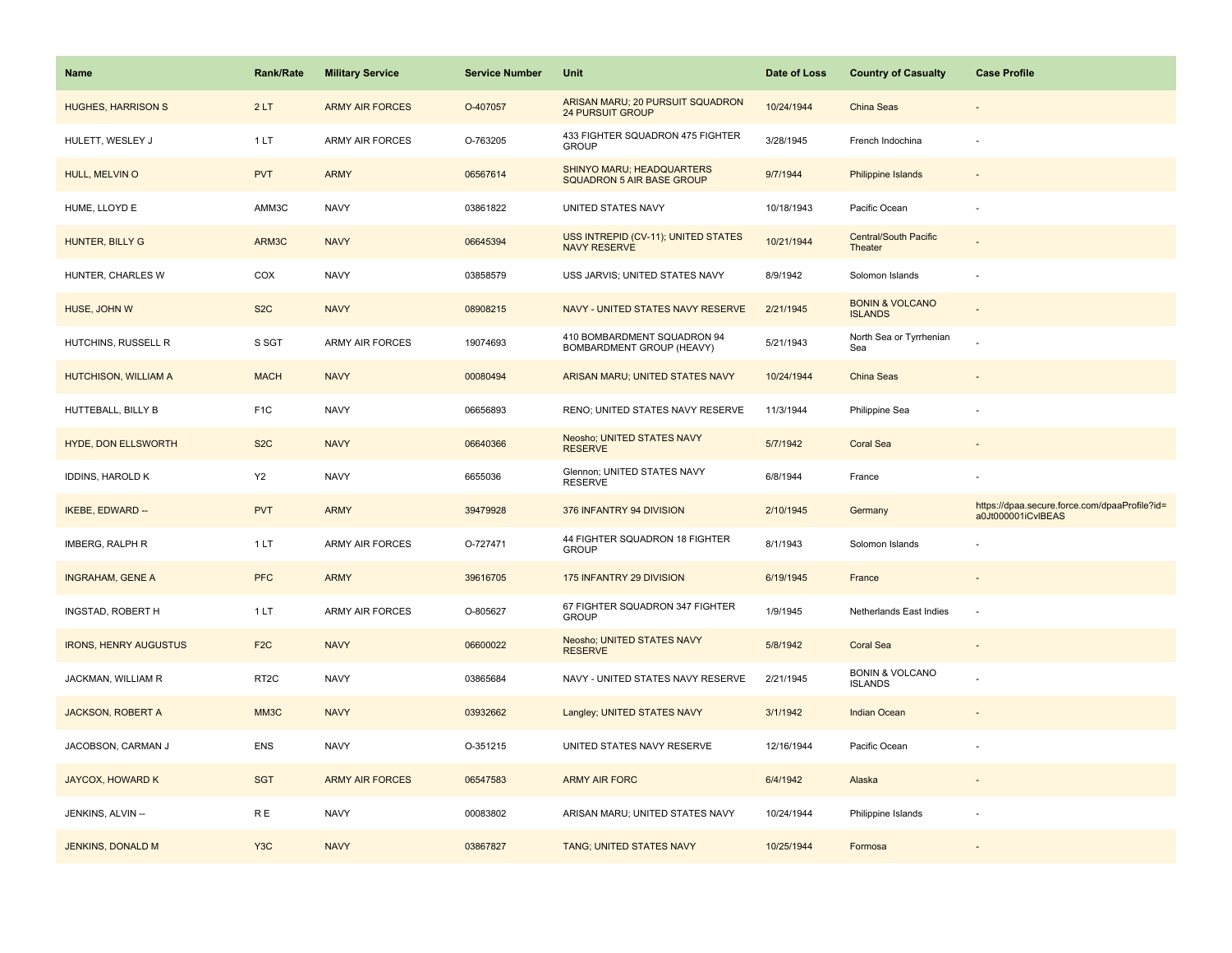| <b>Name</b>                  | <b>Rank/Rate</b>  | <b>Military Service</b> | <b>Service Number</b> | Unit                                                        | Date of Loss | <b>Country of Casualty</b>                   | <b>Case Profile</b>                                                 |
|------------------------------|-------------------|-------------------------|-----------------------|-------------------------------------------------------------|--------------|----------------------------------------------|---------------------------------------------------------------------|
| <b>HUGHES, HARRISON S</b>    | 2LT               | <b>ARMY AIR FORCES</b>  | O-407057              | ARISAN MARU; 20 PURSUIT SQUADRON<br><b>24 PURSUIT GROUP</b> | 10/24/1944   | China Seas                                   |                                                                     |
| HULETT, WESLEY J             | 1 LT              | <b>ARMY AIR FORCES</b>  | O-763205              | 433 FIGHTER SQUADRON 475 FIGHTER<br><b>GROUP</b>            | 3/28/1945    | French Indochina                             |                                                                     |
| HULL, MELVIN O               | <b>PVT</b>        | <b>ARMY</b>             | 06567614              | SHINYO MARU; HEADQUARTERS<br>SQUADRON 5 AIR BASE GROUP      | 9/7/1944     | <b>Philippine Islands</b>                    |                                                                     |
| HUME, LLOYD E                | AMM3C             | <b>NAVY</b>             | 03861822              | UNITED STATES NAVY                                          | 10/18/1943   | Pacific Ocean                                |                                                                     |
| HUNTER, BILLY G              | ARM3C             | <b>NAVY</b>             | 06645394              | USS INTREPID (CV-11); UNITED STATES<br><b>NAVY RESERVE</b>  | 10/21/1944   | <b>Central/South Pacific</b><br>Theater      |                                                                     |
| HUNTER, CHARLES W            | COX               | <b>NAVY</b>             | 03858579              | USS JARVIS; UNITED STATES NAVY                              | 8/9/1942     | Solomon Islands                              |                                                                     |
| HUSE, JOHN W                 | S <sub>2</sub> C  | <b>NAVY</b>             | 08908215              | NAVY - UNITED STATES NAVY RESERVE                           | 2/21/1945    | <b>BONIN &amp; VOLCANO</b><br><b>ISLANDS</b> |                                                                     |
| HUTCHINS, RUSSELL R          | S SGT             | <b>ARMY AIR FORCES</b>  | 19074693              | 410 BOMBARDMENT SQUADRON 94<br>BOMBARDMENT GROUP (HEAVY)    | 5/21/1943    | North Sea or Tyrrhenian<br>Sea               |                                                                     |
| HUTCHISON, WILLIAM A         | <b>MACH</b>       | <b>NAVY</b>             | 00080494              | ARISAN MARU; UNITED STATES NAVY                             | 10/24/1944   | <b>China Seas</b>                            |                                                                     |
| HUTTEBALL, BILLY B           | F <sub>1</sub> C  | <b>NAVY</b>             | 06656893              | RENO; UNITED STATES NAVY RESERVE                            | 11/3/1944    | Philippine Sea                               |                                                                     |
| <b>HYDE, DON ELLSWORTH</b>   | S <sub>2</sub> C  | <b>NAVY</b>             | 06640366              | Neosho; UNITED STATES NAVY<br><b>RESERVE</b>                | 5/7/1942     | <b>Coral Sea</b>                             |                                                                     |
| <b>IDDINS, HAROLD K</b>      | Y <sub>2</sub>    | <b>NAVY</b>             | 6655036               | Glennon; UNITED STATES NAVY<br><b>RESERVE</b>               | 6/8/1944     | France                                       |                                                                     |
| <b>IKEBE, EDWARD --</b>      | <b>PVT</b>        | <b>ARMY</b>             | 39479928              | 376 INFANTRY 94 DIVISION                                    | 2/10/1945    | Germany                                      | https://dpaa.secure.force.com/dpaaProfile?id=<br>a0Jt000001iCvIBEAS |
| IMBERG, RALPH R              | 1LT               | ARMY AIR FORCES         | O-727471              | 44 FIGHTER SQUADRON 18 FIGHTER<br><b>GROUP</b>              | 8/1/1943     | Solomon Islands                              |                                                                     |
| <b>INGRAHAM, GENE A</b>      | <b>PFC</b>        | <b>ARMY</b>             | 39616705              | 175 INFANTRY 29 DIVISION                                    | 6/19/1945    | France                                       |                                                                     |
| INGSTAD, ROBERT H            | 1LT               | ARMY AIR FORCES         | O-805627              | 67 FIGHTER SQUADRON 347 FIGHTER<br><b>GROUP</b>             | 1/9/1945     | Netherlands East Indies                      | ÷.                                                                  |
| <b>IRONS, HENRY AUGUSTUS</b> | F <sub>2C</sub>   | <b>NAVY</b>             | 06600022              | Neosho; UNITED STATES NAVY<br><b>RESERVE</b>                | 5/8/1942     | <b>Coral Sea</b>                             |                                                                     |
| JACKMAN, WILLIAM R           | RT <sub>2</sub> C | <b>NAVY</b>             | 03865684              | NAVY - UNITED STATES NAVY RESERVE                           | 2/21/1945    | <b>BONIN &amp; VOLCANO</b><br><b>ISLANDS</b> |                                                                     |
| <b>JACKSON, ROBERT A</b>     | MM3C              | <b>NAVY</b>             | 03932662              | Langley; UNITED STATES NAVY                                 | 3/1/1942     | <b>Indian Ocean</b>                          |                                                                     |
| JACOBSON, CARMAN J           | ENS               | <b>NAVY</b>             | O-351215              | UNITED STATES NAVY RESERVE                                  | 12/16/1944   | Pacific Ocean                                |                                                                     |
| <b>JAYCOX, HOWARD K</b>      | <b>SGT</b>        | <b>ARMY AIR FORCES</b>  | 06547583              | <b>ARMY AIR FORC</b>                                        | 6/4/1942     | Alaska                                       |                                                                     |
| JENKINS, ALVIN --            | R E               | <b>NAVY</b>             | 00083802              | ARISAN MARU; UNITED STATES NAVY                             | 10/24/1944   | Philippine Islands                           |                                                                     |
| <b>JENKINS, DONALD M</b>     | Y <sub>3</sub> C  | <b>NAVY</b>             | 03867827              | TANG; UNITED STATES NAVY                                    | 10/25/1944   | Formosa                                      |                                                                     |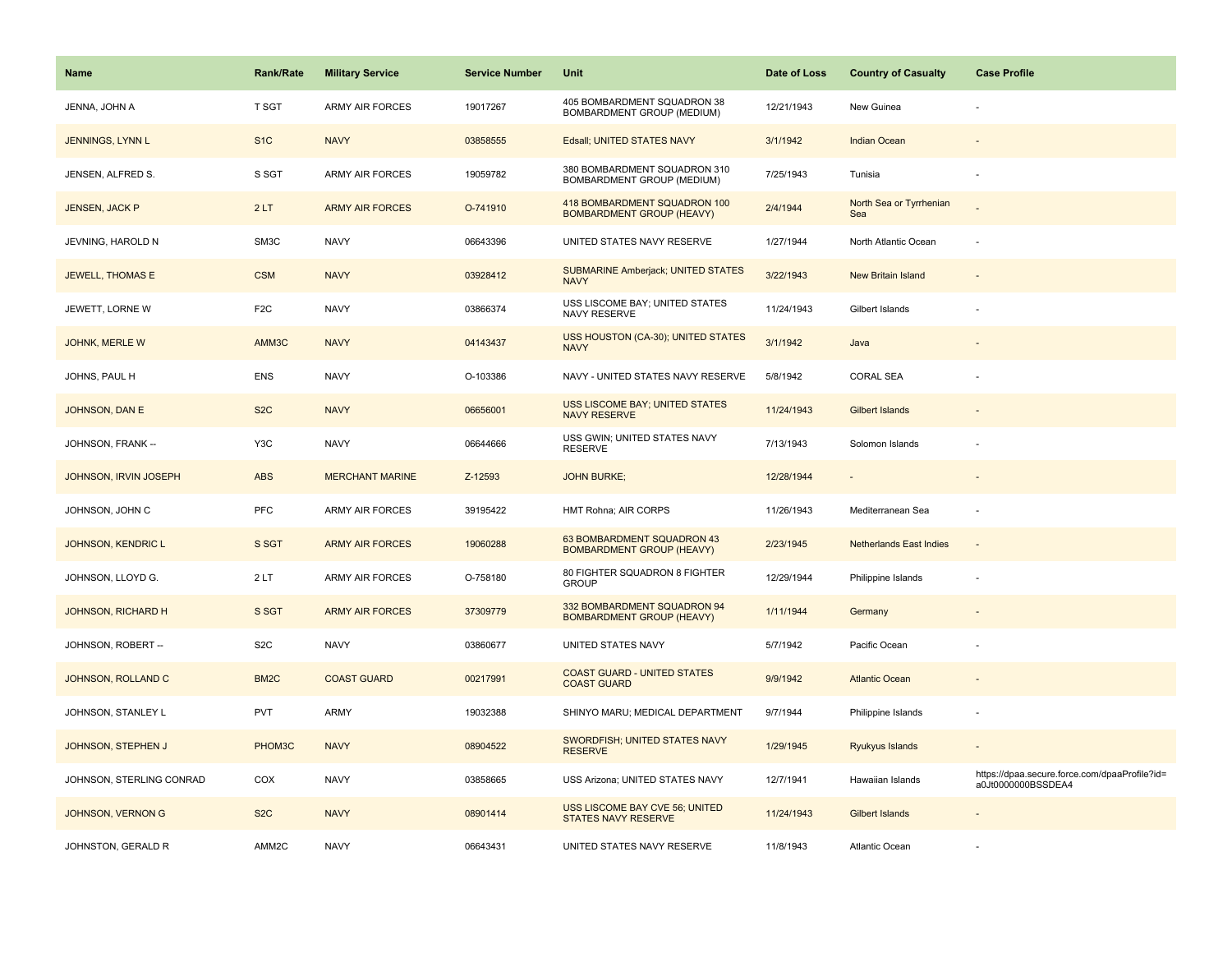| <b>Name</b>               | <b>Rank/Rate</b>  | <b>Military Service</b> | <b>Service Number</b> | Unit                                                             | Date of Loss | <b>Country of Casualty</b>     | <b>Case Profile</b>                                                 |
|---------------------------|-------------------|-------------------------|-----------------------|------------------------------------------------------------------|--------------|--------------------------------|---------------------------------------------------------------------|
| JENNA, JOHN A             | T SGT             | <b>ARMY AIR FORCES</b>  | 19017267              | 405 BOMBARDMENT SQUADRON 38<br>BOMBARDMENT GROUP (MEDIUM)        | 12/21/1943   | New Guinea                     |                                                                     |
| JENNINGS, LYNN L          | S <sub>1</sub> C  | <b>NAVY</b>             | 03858555              | Edsall; UNITED STATES NAVY                                       | 3/1/1942     | <b>Indian Ocean</b>            |                                                                     |
| JENSEN, ALFRED S.         | S SGT             | <b>ARMY AIR FORCES</b>  | 19059782              | 380 BOMBARDMENT SQUADRON 310<br>BOMBARDMENT GROUP (MEDIUM)       | 7/25/1943    | Tunisia                        | ÷,                                                                  |
| <b>JENSEN, JACK P</b>     | 2LT               | <b>ARMY AIR FORCES</b>  | O-741910              | 418 BOMBARDMENT SQUADRON 100<br><b>BOMBARDMENT GROUP (HEAVY)</b> | 2/4/1944     | North Sea or Tyrrhenian<br>Sea |                                                                     |
| JEVNING, HAROLD N         | SM3C              | <b>NAVY</b>             | 06643396              | UNITED STATES NAVY RESERVE                                       | 1/27/1944    | North Atlantic Ocean           |                                                                     |
| <b>JEWELL, THOMAS E</b>   | <b>CSM</b>        | <b>NAVY</b>             | 03928412              | <b>SUBMARINE Amberjack; UNITED STATES</b><br><b>NAVY</b>         | 3/22/1943    | New Britain Island             | ÷                                                                   |
| JEWETT, LORNE W           | F <sub>2</sub> C  | <b>NAVY</b>             | 03866374              | USS LISCOME BAY; UNITED STATES<br>NAVY RESERVE                   | 11/24/1943   | Gilbert Islands                |                                                                     |
| JOHNK, MERLE W            | AMM3C             | <b>NAVY</b>             | 04143437              | USS HOUSTON (CA-30); UNITED STATES<br><b>NAVY</b>                | 3/1/1942     | Java                           |                                                                     |
| JOHNS, PAUL H             | <b>ENS</b>        | <b>NAVY</b>             | O-103386              | NAVY - UNITED STATES NAVY RESERVE                                | 5/8/1942     | <b>CORAL SEA</b>               |                                                                     |
| <b>JOHNSON, DAN E</b>     | S <sub>2</sub> C  | <b>NAVY</b>             | 06656001              | USS LISCOME BAY; UNITED STATES<br><b>NAVY RESERVE</b>            | 11/24/1943   | <b>Gilbert Islands</b>         |                                                                     |
| JOHNSON, FRANK --         | Y3C               | <b>NAVY</b>             | 06644666              | USS GWIN; UNITED STATES NAVY<br><b>RESERVE</b>                   | 7/13/1943    | Solomon Islands                |                                                                     |
| JOHNSON, IRVIN JOSEPH     | <b>ABS</b>        | <b>MERCHANT MARINE</b>  | Z-12593               | <b>JOHN BURKE;</b>                                               | 12/28/1944   |                                | $\sim$                                                              |
| JOHNSON, JOHN C           | <b>PFC</b>        | <b>ARMY AIR FORCES</b>  | 39195422              | HMT Rohna; AIR CORPS                                             | 11/26/1943   | Mediterranean Sea              |                                                                     |
| JOHNSON, KENDRIC L        | S SGT             | <b>ARMY AIR FORCES</b>  | 19060288              | 63 BOMBARDMENT SQUADRON 43<br><b>BOMBARDMENT GROUP (HEAVY)</b>   | 2/23/1945    | <b>Netherlands East Indies</b> | $\sim$                                                              |
| JOHNSON, LLOYD G.         | 2LT               | <b>ARMY AIR FORCES</b>  | O-758180              | 80 FIGHTER SQUADRON 8 FIGHTER<br><b>GROUP</b>                    | 12/29/1944   | Philippine Islands             | ÷,                                                                  |
| <b>JOHNSON, RICHARD H</b> | S SGT             | <b>ARMY AIR FORCES</b>  | 37309779              | 332 BOMBARDMENT SQUADRON 94<br><b>BOMBARDMENT GROUP (HEAVY)</b>  | 1/11/1944    | Germany                        |                                                                     |
| JOHNSON, ROBERT --        | S <sub>2</sub> C  | <b>NAVY</b>             | 03860677              | UNITED STATES NAVY                                               | 5/7/1942     | Pacific Ocean                  |                                                                     |
| JOHNSON, ROLLAND C        | BM <sub>2</sub> C | <b>COAST GUARD</b>      | 00217991              | <b>COAST GUARD - UNITED STATES</b><br><b>COAST GUARD</b>         | 9/9/1942     | <b>Atlantic Ocean</b>          |                                                                     |
| JOHNSON, STANLEY L        | <b>PVT</b>        | <b>ARMY</b>             | 19032388              | SHINYO MARU; MEDICAL DEPARTMENT                                  | 9/7/1944     | Philippine Islands             | ÷,                                                                  |
| JOHNSON, STEPHEN J        | PHOM3C            | <b>NAVY</b>             | 08904522              | SWORDFISH; UNITED STATES NAVY<br><b>RESERVE</b>                  | 1/29/1945    | Ryukyus Islands                | $\sim$                                                              |
| JOHNSON, STERLING CONRAD  | COX               | <b>NAVY</b>             | 03858665              | USS Arizona; UNITED STATES NAVY                                  | 12/7/1941    | Hawaiian Islands               | https://dpaa.secure.force.com/dpaaProfile?id=<br>a0Jt0000000BSSDEA4 |
| JOHNSON, VERNON G         | S <sub>2</sub> C  | <b>NAVY</b>             | 08901414              | USS LISCOME BAY CVE 56; UNITED<br><b>STATES NAVY RESERVE</b>     | 11/24/1943   | <b>Gilbert Islands</b>         |                                                                     |
| JOHNSTON, GERALD R        | AMM2C             | <b>NAVY</b>             | 06643431              | UNITED STATES NAVY RESERVE                                       | 11/8/1943    | <b>Atlantic Ocean</b>          |                                                                     |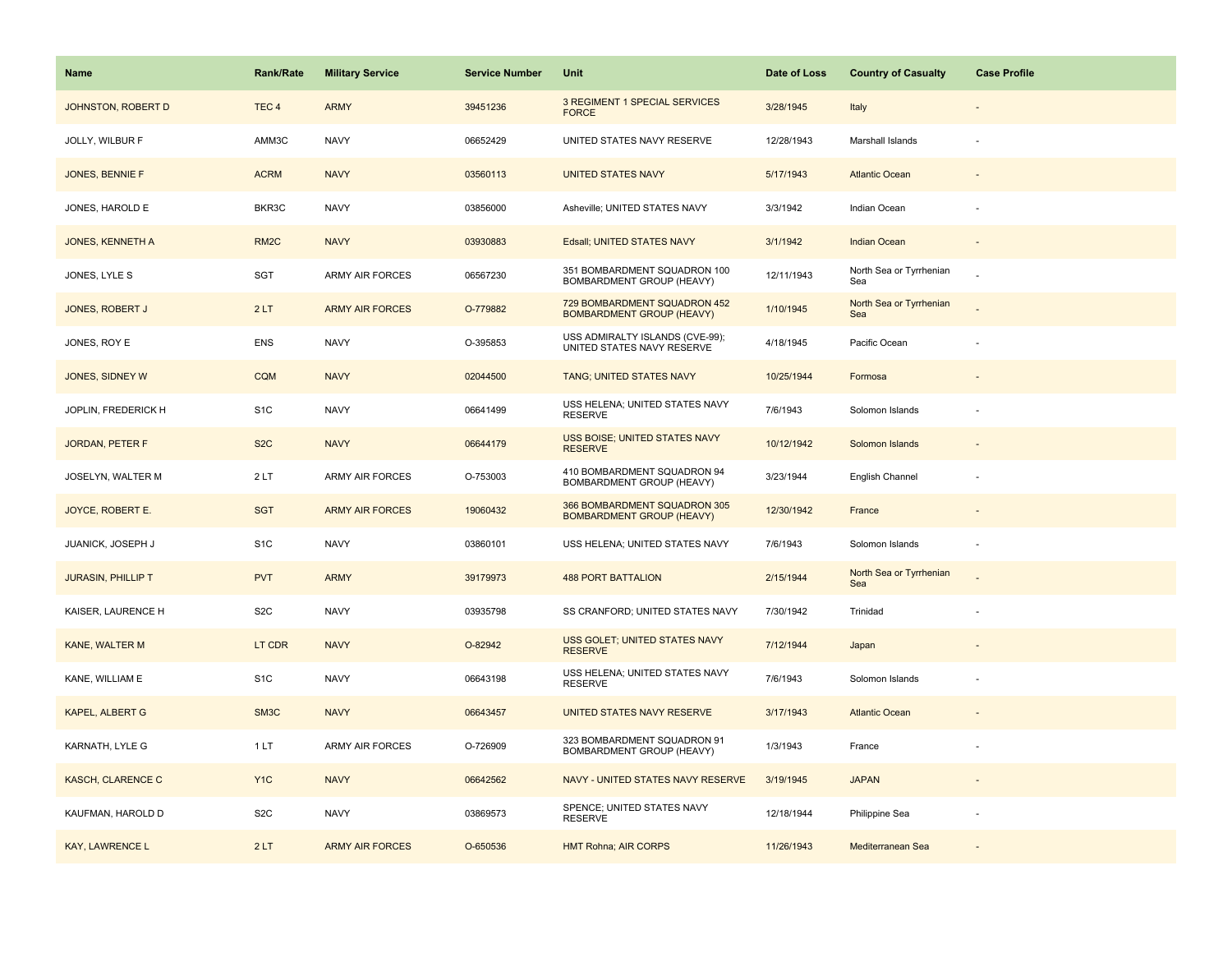| <b>Name</b>               | Rank/Rate         | <b>Military Service</b> | <b>Service Number</b> | Unit                                                             | Date of Loss | <b>Country of Casualty</b>     | <b>Case Profile</b>      |
|---------------------------|-------------------|-------------------------|-----------------------|------------------------------------------------------------------|--------------|--------------------------------|--------------------------|
| JOHNSTON, ROBERT D        | TEC <sub>4</sub>  | <b>ARMY</b>             | 39451236              | 3 REGIMENT 1 SPECIAL SERVICES<br><b>FORCE</b>                    | 3/28/1945    | Italy                          |                          |
| JOLLY, WILBUR F           | AMM3C             | <b>NAVY</b>             | 06652429              | UNITED STATES NAVY RESERVE                                       | 12/28/1943   | Marshall Islands               |                          |
| JONES, BENNIE F           | <b>ACRM</b>       | <b>NAVY</b>             | 03560113              | <b>UNITED STATES NAVY</b>                                        | 5/17/1943    | <b>Atlantic Ocean</b>          |                          |
| JONES, HAROLD E           | BKR3C             | <b>NAVY</b>             | 03856000              | Asheville; UNITED STATES NAVY                                    | 3/3/1942     | Indian Ocean                   |                          |
| <b>JONES, KENNETH A</b>   | RM <sub>2</sub> C | <b>NAVY</b>             | 03930883              | Edsall; UNITED STATES NAVY                                       | 3/1/1942     | <b>Indian Ocean</b>            |                          |
| JONES, LYLE S             | SGT               | <b>ARMY AIR FORCES</b>  | 06567230              | 351 BOMBARDMENT SQUADRON 100<br>BOMBARDMENT GROUP (HEAVY)        | 12/11/1943   | North Sea or Tyrrhenian<br>Sea |                          |
| JONES, ROBERT J           | 2LT               | <b>ARMY AIR FORCES</b>  | O-779882              | 729 BOMBARDMENT SQUADRON 452<br><b>BOMBARDMENT GROUP (HEAVY)</b> | 1/10/1945    | North Sea or Tyrrhenian<br>Sea |                          |
| JONES, ROY E              | <b>ENS</b>        | <b>NAVY</b>             | O-395853              | USS ADMIRALTY ISLANDS (CVE-99);<br>UNITED STATES NAVY RESERVE    | 4/18/1945    | Pacific Ocean                  |                          |
| JONES, SIDNEY W           | <b>CQM</b>        | <b>NAVY</b>             | 02044500              | TANG; UNITED STATES NAVY                                         | 10/25/1944   | Formosa                        |                          |
| JOPLIN, FREDERICK H       | S <sub>1</sub> C  | <b>NAVY</b>             | 06641499              | USS HELENA; UNITED STATES NAVY<br><b>RESERVE</b>                 | 7/6/1943     | Solomon Islands                |                          |
| <b>JORDAN, PETER F</b>    | S <sub>2</sub> C  | <b>NAVY</b>             | 06644179              | USS BOISE; UNITED STATES NAVY<br><b>RESERVE</b>                  | 10/12/1942   | Solomon Islands                |                          |
| JOSELYN, WALTER M         | 2LT               | <b>ARMY AIR FORCES</b>  | O-753003              | 410 BOMBARDMENT SQUADRON 94<br>BOMBARDMENT GROUP (HEAVY)         | 3/23/1944    | English Channel                |                          |
| JOYCE, ROBERT E.          | <b>SGT</b>        | <b>ARMY AIR FORCES</b>  | 19060432              | 366 BOMBARDMENT SQUADRON 305<br><b>BOMBARDMENT GROUP (HEAVY)</b> | 12/30/1942   | France                         |                          |
| JUANICK, JOSEPH J         | S <sub>1</sub> C  | <b>NAVY</b>             | 03860101              | USS HELENA; UNITED STATES NAVY                                   | 7/6/1943     | Solomon Islands                | $\overline{\phantom{a}}$ |
| <b>JURASIN, PHILLIP T</b> | <b>PVT</b>        | <b>ARMY</b>             | 39179973              | <b>488 PORT BATTALION</b>                                        | 2/15/1944    | North Sea or Tyrrhenian<br>Sea |                          |
| KAISER, LAURENCE H        | S <sub>2</sub> C  | <b>NAVY</b>             | 03935798              | SS CRANFORD; UNITED STATES NAVY                                  | 7/30/1942    | Trinidad                       |                          |
| KANE, WALTER M            | LT CDR            | <b>NAVY</b>             | O-82942               | USS GOLET; UNITED STATES NAVY<br><b>RESERVE</b>                  | 7/12/1944    | Japan                          |                          |
| KANE, WILLIAM E           | S <sub>1</sub> C  | <b>NAVY</b>             | 06643198              | USS HELENA; UNITED STATES NAVY<br><b>RESERVE</b>                 | 7/6/1943     | Solomon Islands                |                          |
| <b>KAPEL, ALBERT G</b>    | SM3C              | <b>NAVY</b>             | 06643457              | UNITED STATES NAVY RESERVE                                       | 3/17/1943    | <b>Atlantic Ocean</b>          |                          |
| KARNATH, LYLE G           | 1LT               | <b>ARMY AIR FORCES</b>  | O-726909              | 323 BOMBARDMENT SQUADRON 91<br>BOMBARDMENT GROUP (HEAVY)         | 1/3/1943     | France                         |                          |
| <b>KASCH, CLARENCE C</b>  | Y <sub>1</sub> C  | <b>NAVY</b>             | 06642562              | NAVY - UNITED STATES NAVY RESERVE                                | 3/19/1945    | <b>JAPAN</b>                   |                          |
| KAUFMAN, HAROLD D         | S <sub>2</sub> C  | <b>NAVY</b>             | 03869573              | SPENCE; UNITED STATES NAVY<br><b>RESERVE</b>                     | 12/18/1944   | Philippine Sea                 |                          |
| <b>KAY, LAWRENCE L</b>    | 2LT               | <b>ARMY AIR FORCES</b>  | O-650536              | <b>HMT Rohna; AIR CORPS</b>                                      | 11/26/1943   | Mediterranean Sea              |                          |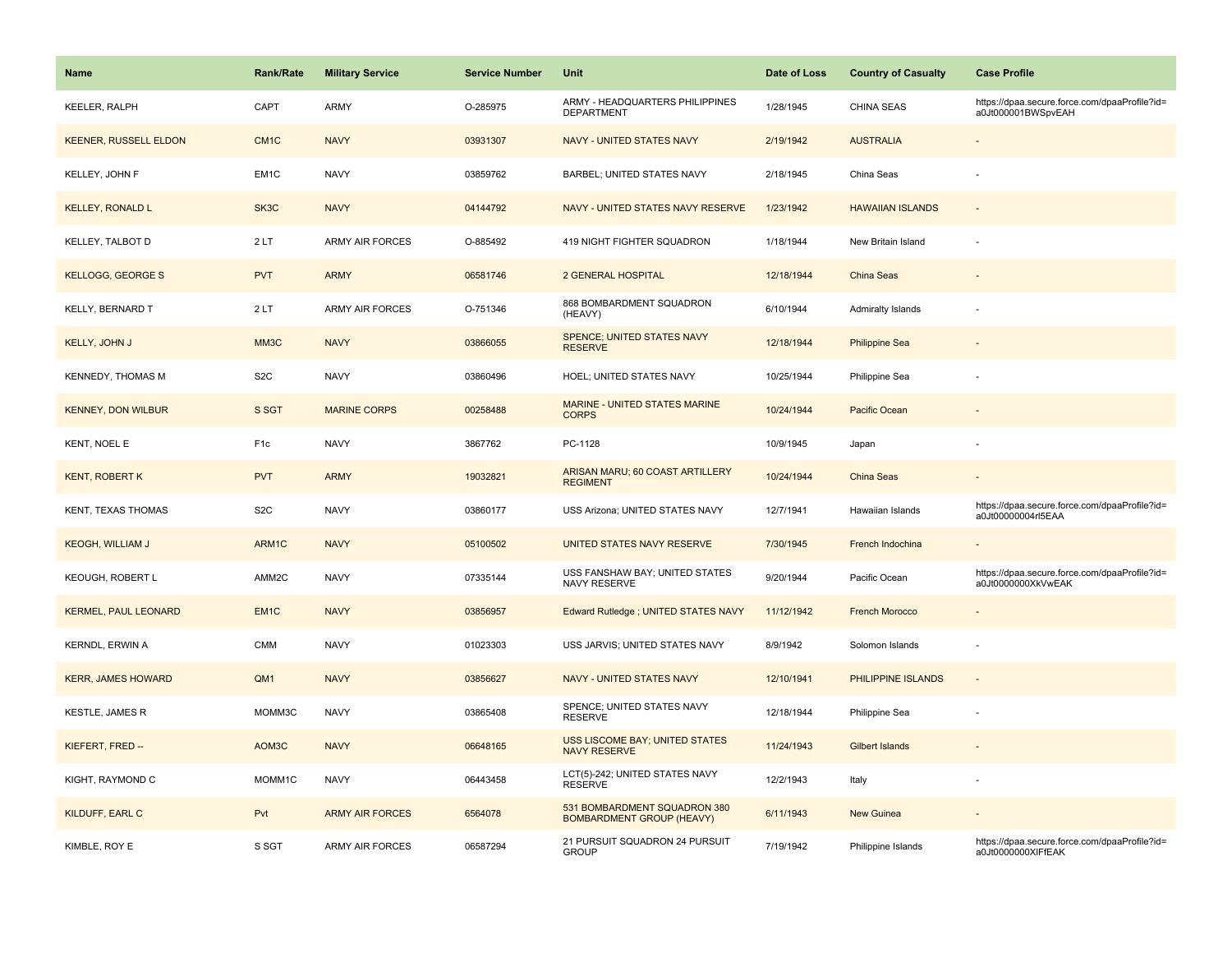| Name                         | <b>Rank/Rate</b>  | <b>Military Service</b> | <b>Service Number</b> | Unit                                                             | Date of Loss | <b>Country of Casualty</b> | <b>Case Profile</b>                                                 |
|------------------------------|-------------------|-------------------------|-----------------------|------------------------------------------------------------------|--------------|----------------------------|---------------------------------------------------------------------|
| <b>KEELER, RALPH</b>         | CAPT              | <b>ARMY</b>             | O-285975              | ARMY - HEADQUARTERS PHILIPPINES<br>DEPARTMENT                    | 1/28/1945    | CHINA SEAS                 | https://dpaa.secure.force.com/dpaaProfile?id=<br>a0Jt000001BWSpvEAH |
| <b>KEENER, RUSSELL ELDON</b> | CM <sub>1C</sub>  | <b>NAVY</b>             | 03931307              | <b>NAVY - UNITED STATES NAVY</b>                                 | 2/19/1942    | <b>AUSTRALIA</b>           |                                                                     |
| KELLEY, JOHN F               | EM <sub>1</sub> C | <b>NAVY</b>             | 03859762              | <b>BARBEL; UNITED STATES NAVY</b>                                | 2/18/1945    | China Seas                 |                                                                     |
| <b>KELLEY, RONALD L</b>      | SK3C              | <b>NAVY</b>             | 04144792              | NAVY - UNITED STATES NAVY RESERVE                                | 1/23/1942    | <b>HAWAIIAN ISLANDS</b>    |                                                                     |
| KELLEY, TALBOT D             | 2LT               | ARMY AIR FORCES         | O-885492              | 419 NIGHT FIGHTER SQUADRON                                       | 1/18/1944    | New Britain Island         |                                                                     |
| <b>KELLOGG, GEORGE S</b>     | <b>PVT</b>        | <b>ARMY</b>             | 06581746              | <b>2 GENERAL HOSPITAL</b>                                        | 12/18/1944   | <b>China Seas</b>          | $\sim$                                                              |
| KELLY, BERNARD T             | 2LT               | <b>ARMY AIR FORCES</b>  | O-751346              | 868 BOMBARDMENT SQUADRON<br>(HEAVY)                              | 6/10/1944    | <b>Admiralty Islands</b>   |                                                                     |
| KELLY, JOHN J                | MM3C              | <b>NAVY</b>             | 03866055              | SPENCE; UNITED STATES NAVY<br><b>RESERVE</b>                     | 12/18/1944   | <b>Philippine Sea</b>      |                                                                     |
| <b>KENNEDY, THOMAS M</b>     | S <sub>2</sub> C  | <b>NAVY</b>             | 03860496              | HOEL; UNITED STATES NAVY                                         | 10/25/1944   | Philippine Sea             |                                                                     |
| <b>KENNEY, DON WILBUR</b>    | S SGT             | <b>MARINE CORPS</b>     | 00258488              | <b>MARINE - UNITED STATES MARINE</b><br><b>CORPS</b>             | 10/24/1944   | Pacific Ocean              |                                                                     |
| KENT, NOEL E                 | F <sub>1c</sub>   | <b>NAVY</b>             | 3867762               | PC-1128                                                          | 10/9/1945    | Japan                      |                                                                     |
| <b>KENT, ROBERT K</b>        | <b>PVT</b>        | <b>ARMY</b>             | 19032821              | ARISAN MARU; 60 COAST ARTILLERY<br><b>REGIMENT</b>               | 10/24/1944   | China Seas                 |                                                                     |
| <b>KENT, TEXAS THOMAS</b>    | S <sub>2</sub> C  | <b>NAVY</b>             | 03860177              | USS Arizona; UNITED STATES NAVY                                  | 12/7/1941    | Hawaiian Islands           | https://dpaa.secure.force.com/dpaaProfile?id=<br>a0Jt00000004rl5EAA |
| <b>KEOGH, WILLIAM J</b>      | ARM1C             | <b>NAVY</b>             | 05100502              | UNITED STATES NAVY RESERVE                                       | 7/30/1945    | French Indochina           |                                                                     |
| KEOUGH, ROBERT L             | AMM2C             | <b>NAVY</b>             | 07335144              | USS FANSHAW BAY; UNITED STATES<br>NAVY RESERVE                   | 9/20/1944    | Pacific Ocean              | https://dpaa.secure.force.com/dpaaProfile?id=<br>a0Jt0000000XkVwEAK |
| <b>KERMEL, PAUL LEONARD</b>  | EM <sub>1C</sub>  | <b>NAVY</b>             | 03856957              | Edward Rutledge ; UNITED STATES NAVY                             | 11/12/1942   | <b>French Morocco</b>      |                                                                     |
| KERNDL, ERWIN A              | <b>CMM</b>        | <b>NAVY</b>             | 01023303              | USS JARVIS; UNITED STATES NAVY                                   | 8/9/1942     | Solomon Islands            | $\overline{\phantom{a}}$                                            |
| <b>KERR, JAMES HOWARD</b>    | QM1               | <b>NAVY</b>             | 03856627              | <b>NAVY - UNITED STATES NAVY</b>                                 | 12/10/1941   | PHILIPPINE ISLANDS         |                                                                     |
| <b>KESTLE, JAMES R</b>       | MOMM3C            | <b>NAVY</b>             | 03865408              | SPENCE; UNITED STATES NAVY<br><b>RESERVE</b>                     | 12/18/1944   | Philippine Sea             |                                                                     |
| KIEFERT, FRED --             | AOM3C             | <b>NAVY</b>             | 06648165              | <b>USS LISCOME BAY; UNITED STATES</b><br><b>NAVY RESERVE</b>     | 11/24/1943   | <b>Gilbert Islands</b>     |                                                                     |
| KIGHT, RAYMOND C             | MOMM1C            | <b>NAVY</b>             | 06443458              | LCT(5)-242; UNITED STATES NAVY<br><b>RESERVE</b>                 | 12/2/1943    | Italy                      |                                                                     |
| KILDUFF, EARL C              | Pvt               | <b>ARMY AIR FORCES</b>  | 6564078               | 531 BOMBARDMENT SQUADRON 380<br><b>BOMBARDMENT GROUP (HEAVY)</b> | 6/11/1943    | New Guinea                 |                                                                     |
| KIMBLE, ROY E                | S SGT             | <b>ARMY AIR FORCES</b>  | 06587294              | 21 PURSUIT SQUADRON 24 PURSUIT<br><b>GROUP</b>                   | 7/19/1942    | Philippine Islands         | https://dpaa.secure.force.com/dpaaProfile?id=<br>a0Jt0000000XIFfEAK |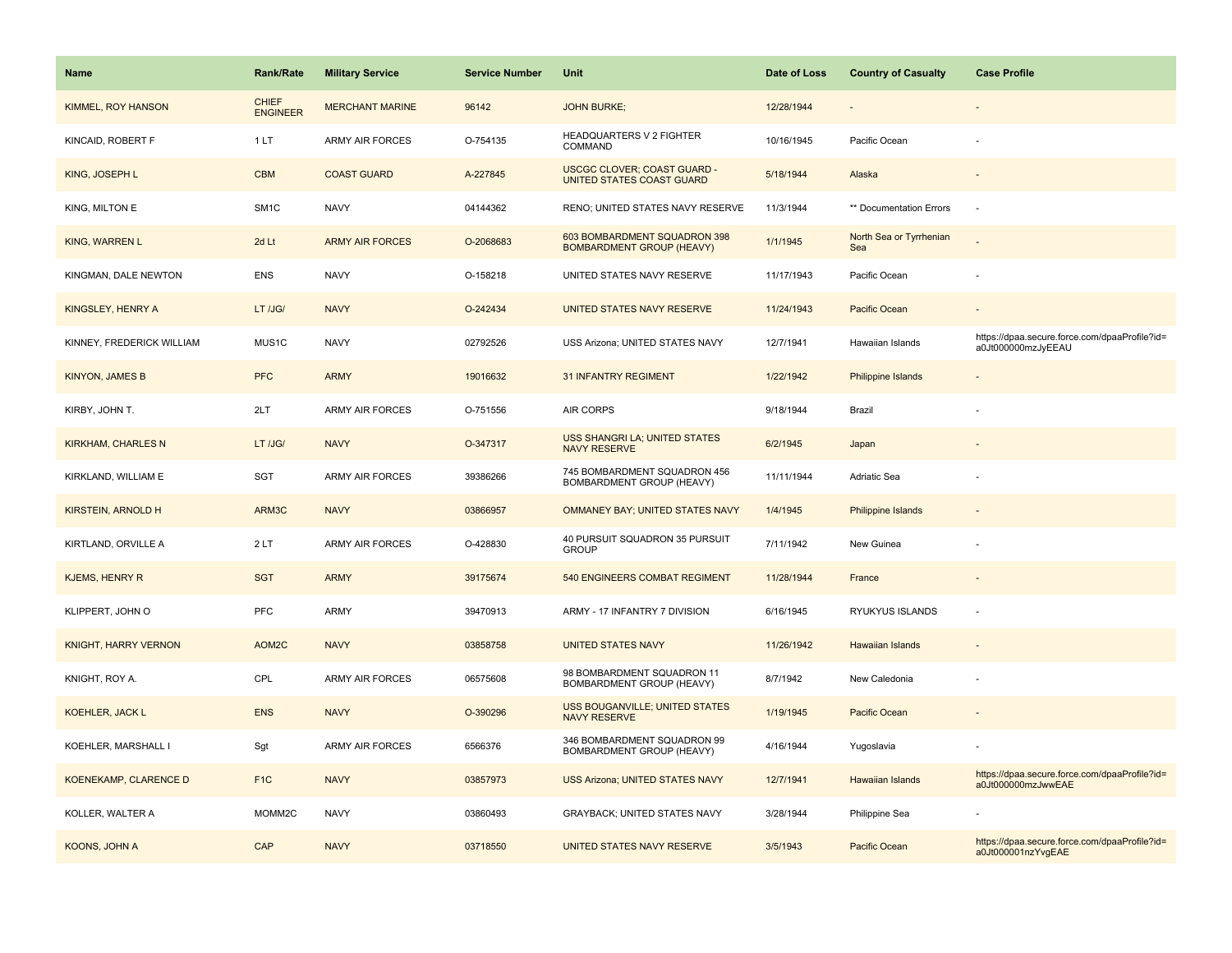| <b>Name</b>               | Rank/Rate                       | <b>Military Service</b> | <b>Service Number</b> | Unit                                                             | Date of Loss | <b>Country of Casualty</b>     | <b>Case Profile</b>                                                 |
|---------------------------|---------------------------------|-------------------------|-----------------------|------------------------------------------------------------------|--------------|--------------------------------|---------------------------------------------------------------------|
| <b>KIMMEL, ROY HANSON</b> | <b>CHIEF</b><br><b>ENGINEER</b> | <b>MERCHANT MARINE</b>  | 96142                 | <b>JOHN BURKE;</b>                                               | 12/28/1944   |                                |                                                                     |
| KINCAID, ROBERT F         | 1LT                             | <b>ARMY AIR FORCES</b>  | O-754135              | <b>HEADQUARTERS V 2 FIGHTER</b><br>COMMAND                       | 10/16/1945   | Pacific Ocean                  |                                                                     |
| KING, JOSEPH L            | <b>CBM</b>                      | <b>COAST GUARD</b>      | A-227845              | <b>USCGC CLOVER; COAST GUARD -</b><br>UNITED STATES COAST GUARD  | 5/18/1944    | Alaska                         |                                                                     |
| KING, MILTON E            | SM <sub>1C</sub>                | <b>NAVY</b>             | 04144362              | RENO; UNITED STATES NAVY RESERVE                                 | 11/3/1944    | ** Documentation Errors        |                                                                     |
| <b>KING, WARREN L</b>     | 2d Lt                           | <b>ARMY AIR FORCES</b>  | O-2068683             | 603 BOMBARDMENT SQUADRON 398<br><b>BOMBARDMENT GROUP (HEAVY)</b> | 1/1/1945     | North Sea or Tyrrhenian<br>Sea |                                                                     |
| KINGMAN, DALE NEWTON      | <b>ENS</b>                      | <b>NAVY</b>             | O-158218              | UNITED STATES NAVY RESERVE                                       | 11/17/1943   | Pacific Ocean                  |                                                                     |
| KINGSLEY, HENRY A         | LT /JG/                         | <b>NAVY</b>             | O-242434              | UNITED STATES NAVY RESERVE                                       | 11/24/1943   | Pacific Ocean                  |                                                                     |
| KINNEY, FREDERICK WILLIAM | MUS1C                           | <b>NAVY</b>             | 02792526              | USS Arizona; UNITED STATES NAVY                                  | 12/7/1941    | Hawaiian Islands               | https://dpaa.secure.force.com/dpaaProfile?id=<br>a0Jt000000mzJyEEAU |
| <b>KINYON, JAMES B</b>    | <b>PFC</b>                      | <b>ARMY</b>             | 19016632              | <b>31 INFANTRY REGIMENT</b>                                      | 1/22/1942    | Philippine Islands             |                                                                     |
| KIRBY, JOHN T.            | 2LT                             | <b>ARMY AIR FORCES</b>  | O-751556              | <b>AIR CORPS</b>                                                 | 9/18/1944    | Brazil                         |                                                                     |
| <b>KIRKHAM, CHARLES N</b> | LT /JG/                         | <b>NAVY</b>             | O-347317              | <b>USS SHANGRI LA; UNITED STATES</b><br><b>NAVY RESERVE</b>      | 6/2/1945     | Japan                          |                                                                     |
| KIRKLAND, WILLIAM E       | SGT                             | ARMY AIR FORCES         | 39386266              | 745 BOMBARDMENT SQUADRON 456<br>BOMBARDMENT GROUP (HEAVY)        | 11/11/1944   | Adriatic Sea                   |                                                                     |
| <b>KIRSTEIN, ARNOLD H</b> | ARM3C                           | <b>NAVY</b>             | 03866957              | OMMANEY BAY; UNITED STATES NAVY                                  | 1/4/1945     | <b>Philippine Islands</b>      |                                                                     |
| KIRTLAND, ORVILLE A       | 2LT                             | ARMY AIR FORCES         | O-428830              | 40 PURSUIT SQUADRON 35 PURSUIT<br><b>GROUP</b>                   | 7/11/1942    | New Guinea                     |                                                                     |
| <b>KJEMS, HENRY R</b>     | <b>SGT</b>                      | <b>ARMY</b>             | 39175674              | 540 ENGINEERS COMBAT REGIMENT                                    | 11/28/1944   | France                         |                                                                     |
| KLIPPERT, JOHN O          | <b>PFC</b>                      | <b>ARMY</b>             | 39470913              | ARMY - 17 INFANTRY 7 DIVISION                                    | 6/16/1945    | RYUKYUS ISLANDS                |                                                                     |
| KNIGHT, HARRY VERNON      | AOM2C                           | <b>NAVY</b>             | 03858758              | <b>UNITED STATES NAVY</b>                                        | 11/26/1942   | <b>Hawaiian Islands</b>        |                                                                     |
| KNIGHT, ROY A.            | CPL                             | <b>ARMY AIR FORCES</b>  | 06575608              | 98 BOMBARDMENT SQUADRON 11<br>BOMBARDMENT GROUP (HEAVY)          | 8/7/1942     | New Caledonia                  |                                                                     |
| <b>KOEHLER, JACK L</b>    | <b>ENS</b>                      | <b>NAVY</b>             | O-390296              | USS BOUGANVILLE; UNITED STATES<br><b>NAVY RESERVE</b>            | 1/19/1945    | Pacific Ocean                  |                                                                     |
| KOEHLER, MARSHALL I       | Sgt                             | <b>ARMY AIR FORCES</b>  | 6566376               | 346 BOMBARDMENT SQUADRON 99<br>BOMBARDMENT GROUP (HEAVY)         | 4/16/1944    | Yugoslavia                     |                                                                     |
| KOENEKAMP, CLARENCE D     | F <sub>1</sub> C                | <b>NAVY</b>             | 03857973              | <b>USS Arizona; UNITED STATES NAVY</b>                           | 12/7/1941    | <b>Hawaiian Islands</b>        | https://dpaa.secure.force.com/dpaaProfile?id=<br>a0Jt000000mzJwwEAE |
| KOLLER, WALTER A          | MOMM2C                          | <b>NAVY</b>             | 03860493              | <b>GRAYBACK: UNITED STATES NAVY</b>                              | 3/28/1944    | Philippine Sea                 |                                                                     |
| KOONS, JOHN A             | CAP                             | <b>NAVY</b>             | 03718550              | UNITED STATES NAVY RESERVE                                       | 3/5/1943     | Pacific Ocean                  | https://dpaa.secure.force.com/dpaaProfile?id=<br>a0Jt000001nzYvgEAE |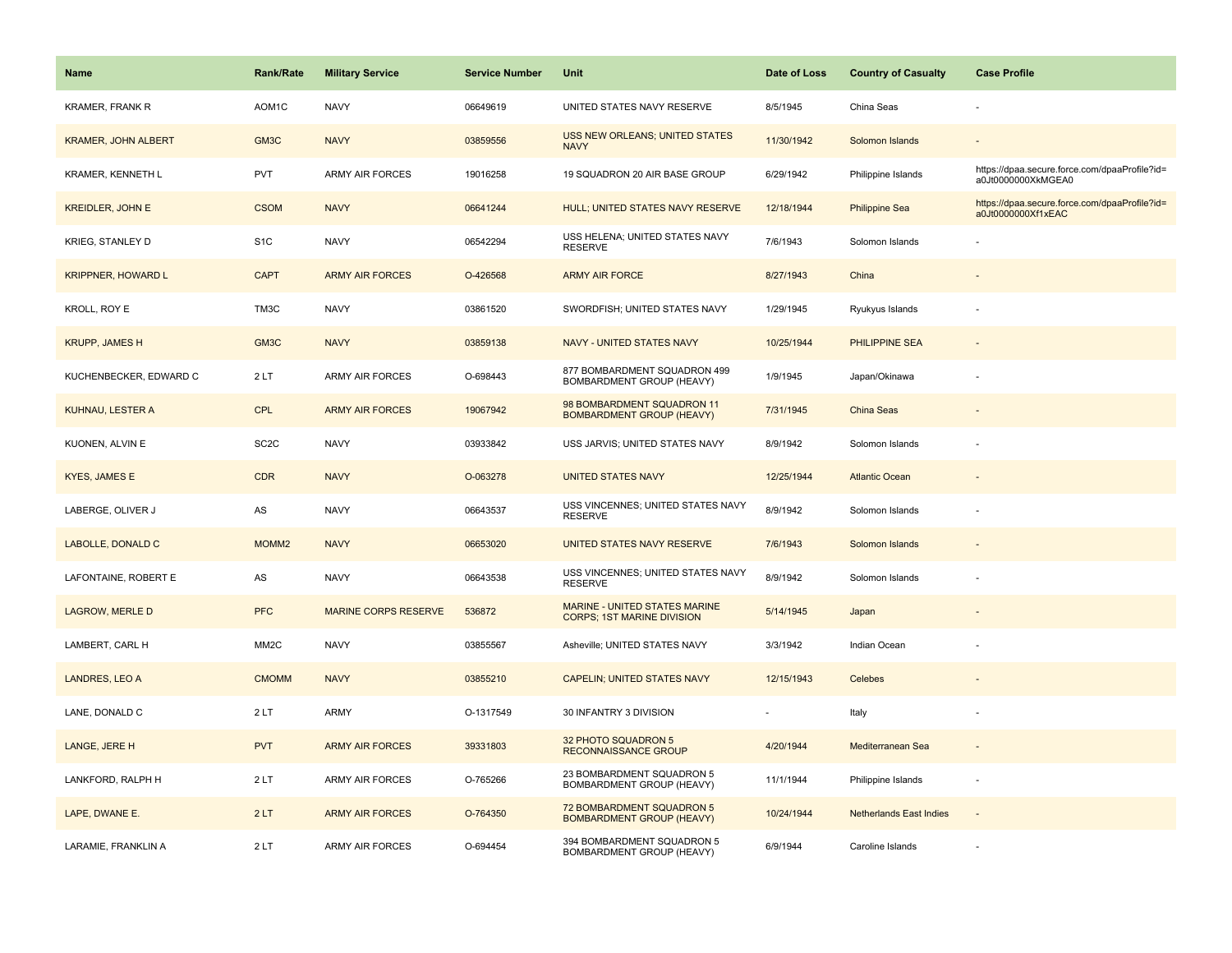| <b>Name</b>                | <b>Rank/Rate</b>  | <b>Military Service</b>     | <b>Service Number</b> | Unit                                                               | Date of Loss | <b>Country of Casualty</b>     | <b>Case Profile</b>                                                 |
|----------------------------|-------------------|-----------------------------|-----------------------|--------------------------------------------------------------------|--------------|--------------------------------|---------------------------------------------------------------------|
| <b>KRAMER, FRANK R</b>     | AOM1C             | <b>NAVY</b>                 | 06649619              | UNITED STATES NAVY RESERVE                                         | 8/5/1945     | China Seas                     |                                                                     |
| <b>KRAMER, JOHN ALBERT</b> | GM3C              | <b>NAVY</b>                 | 03859556              | <b>USS NEW ORLEANS; UNITED STATES</b><br><b>NAVY</b>               | 11/30/1942   | Solomon Islands                |                                                                     |
| KRAMER, KENNETH L          | <b>PVT</b>        | ARMY AIR FORCES             | 19016258              | 19 SQUADRON 20 AIR BASE GROUP                                      | 6/29/1942    | Philippine Islands             | https://dpaa.secure.force.com/dpaaProfile?id=<br>a0Jt0000000XkMGEA0 |
| <b>KREIDLER, JOHN E</b>    | <b>CSOM</b>       | <b>NAVY</b>                 | 06641244              | HULL; UNITED STATES NAVY RESERVE                                   | 12/18/1944   | <b>Philippine Sea</b>          | https://dpaa.secure.force.com/dpaaProfile?id=<br>a0Jt0000000Xf1xEAC |
| <b>KRIEG, STANLEY D</b>    | S <sub>1</sub> C  | <b>NAVY</b>                 | 06542294              | USS HELENA; UNITED STATES NAVY<br><b>RESERVE</b>                   | 7/6/1943     | Solomon Islands                |                                                                     |
| <b>KRIPPNER, HOWARD L</b>  | <b>CAPT</b>       | <b>ARMY AIR FORCES</b>      | O-426568              | <b>ARMY AIR FORCE</b>                                              | 8/27/1943    | China                          |                                                                     |
| KROLL, ROY E               | TM3C              | <b>NAVY</b>                 | 03861520              | SWORDFISH; UNITED STATES NAVY                                      | 1/29/1945    | Ryukyus Islands                |                                                                     |
| <b>KRUPP, JAMES H</b>      | GM3C              | <b>NAVY</b>                 | 03859138              | <b>NAVY - UNITED STATES NAVY</b>                                   | 10/25/1944   | PHILIPPINE SEA                 |                                                                     |
| KUCHENBECKER, EDWARD C     | 2LT               | ARMY AIR FORCES             | O-698443              | 877 BOMBARDMENT SQUADRON 499<br>BOMBARDMENT GROUP (HEAVY)          | 1/9/1945     | Japan/Okinawa                  |                                                                     |
| KUHNAU, LESTER A           | <b>CPL</b>        | <b>ARMY AIR FORCES</b>      | 19067942              | 98 BOMBARDMENT SQUADRON 11<br><b>BOMBARDMENT GROUP (HEAVY)</b>     | 7/31/1945    | China Seas                     |                                                                     |
| KUONEN, ALVIN E            | SC <sub>2</sub> C | <b>NAVY</b>                 | 03933842              | USS JARVIS; UNITED STATES NAVY                                     | 8/9/1942     | Solomon Islands                |                                                                     |
| <b>KYES, JAMES E</b>       | <b>CDR</b>        | <b>NAVY</b>                 | O-063278              | <b>UNITED STATES NAVY</b>                                          | 12/25/1944   | <b>Atlantic Ocean</b>          |                                                                     |
| LABERGE, OLIVER J          | AS                | <b>NAVY</b>                 | 06643537              | USS VINCENNES; UNITED STATES NAVY<br><b>RESERVE</b>                | 8/9/1942     | Solomon Islands                |                                                                     |
| LABOLLE, DONALD C          | MOMM <sub>2</sub> | <b>NAVY</b>                 | 06653020              | UNITED STATES NAVY RESERVE                                         | 7/6/1943     | Solomon Islands                |                                                                     |
| LAFONTAINE, ROBERT E       | AS                | <b>NAVY</b>                 | 06643538              | USS VINCENNES; UNITED STATES NAVY<br><b>RESERVE</b>                | 8/9/1942     | Solomon Islands                |                                                                     |
| <b>LAGROW, MERLE D</b>     | <b>PFC</b>        | <b>MARINE CORPS RESERVE</b> | 536872                | MARINE - UNITED STATES MARINE<br><b>CORPS; 1ST MARINE DIVISION</b> | 5/14/1945    | Japan                          |                                                                     |
| LAMBERT, CARL H            | MM <sub>2</sub> C | <b>NAVY</b>                 | 03855567              | Asheville; UNITED STATES NAVY                                      | 3/3/1942     | Indian Ocean                   |                                                                     |
| <b>LANDRES, LEO A</b>      | <b>CMOMM</b>      | <b>NAVY</b>                 | 03855210              | <b>CAPELIN; UNITED STATES NAVY</b>                                 | 12/15/1943   | Celebes                        |                                                                     |
| LANE, DONALD C             | 2LT               | ARMY                        | O-1317549             | 30 INFANTRY 3 DIVISION                                             |              | Italy                          |                                                                     |
| LANGE, JERE H              | <b>PVT</b>        | <b>ARMY AIR FORCES</b>      | 39331803              | 32 PHOTO SQUADRON 5<br>RECONNAISSANCE GROUP                        | 4/20/1944    | Mediterranean Sea              |                                                                     |
| LANKFORD, RALPH H          | 2LT               | ARMY AIR FORCES             | O-765266              | 23 BOMBARDMENT SQUADRON 5<br>BOMBARDMENT GROUP (HEAVY)             | 11/1/1944    | Philippine Islands             | $\sim$                                                              |
| LAPE, DWANE E.             | 2LT               | <b>ARMY AIR FORCES</b>      | O-764350              | 72 BOMBARDMENT SQUADRON 5<br><b>BOMBARDMENT GROUP (HEAVY)</b>      | 10/24/1944   | <b>Netherlands East Indies</b> | $\sim$                                                              |
| LARAMIE, FRANKLIN A        | 2LT               | ARMY AIR FORCES             | O-694454              | 394 BOMBARDMENT SQUADRON 5<br>BOMBARDMENT GROUP (HEAVY)            | 6/9/1944     | Caroline Islands               |                                                                     |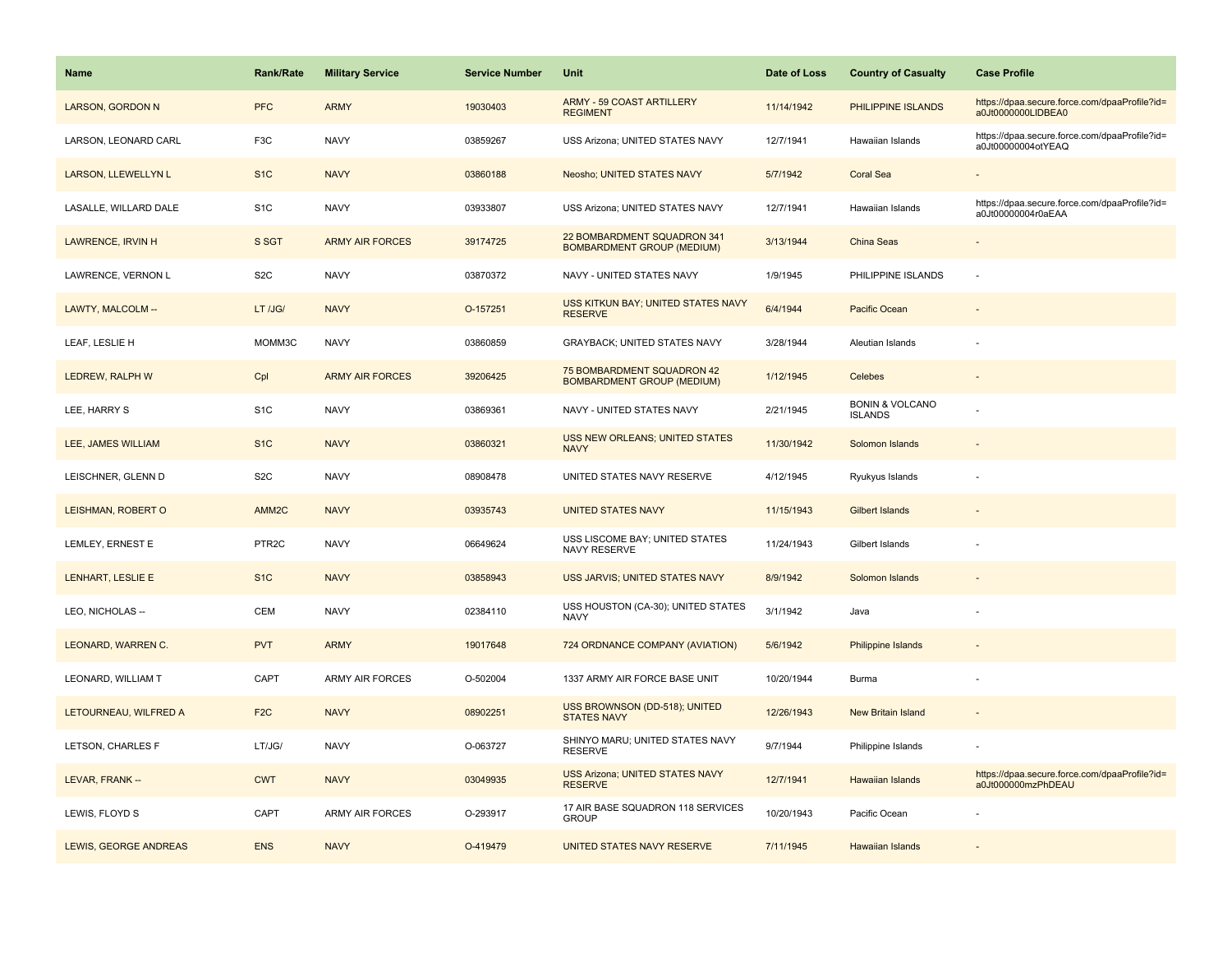| <b>Name</b>              | <b>Rank/Rate</b>  | <b>Military Service</b> | <b>Service Number</b> | Unit                                                             | Date of Loss | <b>Country of Casualty</b>                   | <b>Case Profile</b>                                                 |
|--------------------------|-------------------|-------------------------|-----------------------|------------------------------------------------------------------|--------------|----------------------------------------------|---------------------------------------------------------------------|
| <b>LARSON, GORDON N</b>  | <b>PFC</b>        | <b>ARMY</b>             | 19030403              | ARMY - 59 COAST ARTILLERY<br><b>REGIMENT</b>                     | 11/14/1942   | PHILIPPINE ISLANDS                           | https://dpaa.secure.force.com/dpaaProfile?id=<br>a0Jt0000000LIDBEA0 |
| LARSON, LEONARD CARL     | F <sub>3</sub> C  | <b>NAVY</b>             | 03859267              | USS Arizona; UNITED STATES NAVY                                  | 12/7/1941    | Hawaiian Islands                             | https://dpaa.secure.force.com/dpaaProfile?id=<br>a0Jt00000004otYEAQ |
| LARSON, LLEWELLYN L      | S <sub>1</sub> C  | <b>NAVY</b>             | 03860188              | Neosho; UNITED STATES NAVY                                       | 5/7/1942     | <b>Coral Sea</b>                             |                                                                     |
| LASALLE, WILLARD DALE    | S <sub>1</sub> C  | <b>NAVY</b>             | 03933807              | USS Arizona; UNITED STATES NAVY                                  | 12/7/1941    | Hawaiian Islands                             | https://dpaa.secure.force.com/dpaaProfile?id=<br>a0Jt00000004r0aEAA |
| <b>LAWRENCE, IRVIN H</b> | S SGT             | <b>ARMY AIR FORCES</b>  | 39174725              | 22 BOMBARDMENT SQUADRON 341<br><b>BOMBARDMENT GROUP (MEDIUM)</b> | 3/13/1944    | China Seas                                   |                                                                     |
| LAWRENCE, VERNON L       | S <sub>2</sub> C  | <b>NAVY</b>             | 03870372              | NAVY - UNITED STATES NAVY                                        | 1/9/1945     | PHILIPPINE ISLANDS                           |                                                                     |
| LAWTY, MALCOLM --        | LT /JG/           | <b>NAVY</b>             | O-157251              | USS KITKUN BAY; UNITED STATES NAVY<br><b>RESERVE</b>             | 6/4/1944     | <b>Pacific Ocean</b>                         |                                                                     |
| LEAF, LESLIE H           | MOMM3C            | <b>NAVY</b>             | 03860859              | GRAYBACK; UNITED STATES NAVY                                     | 3/28/1944    | Aleutian Islands                             |                                                                     |
| <b>LEDREW, RALPH W</b>   | Cpl               | <b>ARMY AIR FORCES</b>  | 39206425              | 75 BOMBARDMENT SQUADRON 42<br><b>BOMBARDMENT GROUP (MEDIUM)</b>  | 1/12/1945    | <b>Celebes</b>                               |                                                                     |
| LEE, HARRY S             | S <sub>1</sub> C  | <b>NAVY</b>             | 03869361              | NAVY - UNITED STATES NAVY                                        | 2/21/1945    | <b>BONIN &amp; VOLCANO</b><br><b>ISLANDS</b> |                                                                     |
| LEE, JAMES WILLIAM       | S <sub>1</sub> C  | <b>NAVY</b>             | 03860321              | <b>USS NEW ORLEANS; UNITED STATES</b><br><b>NAVY</b>             | 11/30/1942   | Solomon Islands                              |                                                                     |
| LEISCHNER, GLENN D       | S <sub>2</sub> C  | <b>NAVY</b>             | 08908478              | UNITED STATES NAVY RESERVE                                       | 4/12/1945    | Ryukyus Islands                              |                                                                     |
| LEISHMAN, ROBERT O       | AMM <sub>2C</sub> | <b>NAVY</b>             | 03935743              | <b>UNITED STATES NAVY</b>                                        | 11/15/1943   | Gilbert Islands                              |                                                                     |
| LEMLEY, ERNEST E         | PTR <sub>2C</sub> | <b>NAVY</b>             | 06649624              | USS LISCOME BAY; UNITED STATES<br>NAVY RESERVE                   | 11/24/1943   | Gilbert Islands                              |                                                                     |
| LENHART, LESLIE E        | S <sub>1</sub> C  | <b>NAVY</b>             | 03858943              | USS JARVIS; UNITED STATES NAVY                                   | 8/9/1942     | Solomon Islands                              |                                                                     |
| LEO, NICHOLAS --         | CEM               | <b>NAVY</b>             | 02384110              | USS HOUSTON (CA-30); UNITED STATES<br><b>NAVY</b>                | 3/1/1942     | Java                                         |                                                                     |
| LEONARD, WARREN C.       | <b>PVT</b>        | <b>ARMY</b>             | 19017648              | 724 ORDNANCE COMPANY (AVIATION)                                  | 5/6/1942     | Philippine Islands                           |                                                                     |
| LEONARD, WILLIAM T       | CAPT              | <b>ARMY AIR FORCES</b>  | O-502004              | 1337 ARMY AIR FORCE BASE UNIT                                    | 10/20/1944   | Burma                                        |                                                                     |
| LETOURNEAU, WILFRED A    | F <sub>2</sub> C  | <b>NAVY</b>             | 08902251              | USS BROWNSON (DD-518); UNITED<br><b>STATES NAVY</b>              | 12/26/1943   | New Britain Island                           |                                                                     |
| LETSON, CHARLES F        | LT/JG/            | <b>NAVY</b>             | O-063727              | SHINYO MARU; UNITED STATES NAVY<br><b>RESERVE</b>                | 9/7/1944     | Philippine Islands                           |                                                                     |
| LEVAR, FRANK --          | <b>CWT</b>        | <b>NAVY</b>             | 03049935              | <b>USS Arizona: UNITED STATES NAVY</b><br><b>RESERVE</b>         | 12/7/1941    | <b>Hawaiian Islands</b>                      | https://dpaa.secure.force.com/dpaaProfile?id=<br>a0Jt000000mzPhDEAU |
| LEWIS, FLOYD S           | CAPT              | <b>ARMY AIR FORCES</b>  | O-293917              | 17 AIR BASE SQUADRON 118 SERVICES<br><b>GROUP</b>                | 10/20/1943   | Pacific Ocean                                |                                                                     |
| LEWIS, GEORGE ANDREAS    | <b>ENS</b>        | <b>NAVY</b>             | O-419479              | UNITED STATES NAVY RESERVE                                       | 7/11/1945    | <b>Hawaiian Islands</b>                      |                                                                     |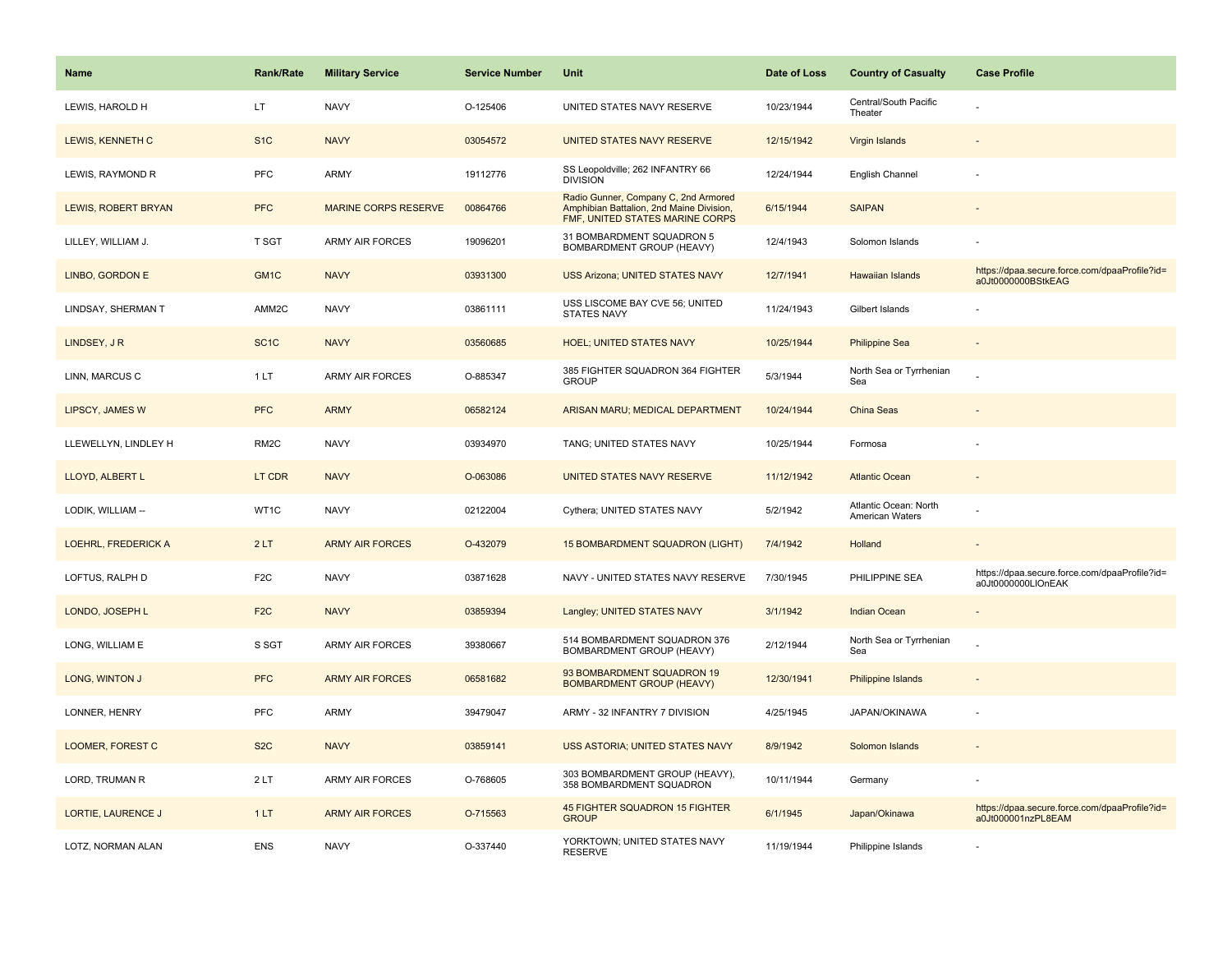| <b>Name</b>                | <b>Rank/Rate</b>  | <b>Military Service</b>     | <b>Service Number</b> | Unit                                                                                                                | Date of Loss | <b>Country of Casualty</b>               | <b>Case Profile</b>                                                 |
|----------------------------|-------------------|-----------------------------|-----------------------|---------------------------------------------------------------------------------------------------------------------|--------------|------------------------------------------|---------------------------------------------------------------------|
| LEWIS, HAROLD H            | LT                | <b>NAVY</b>                 | O-125406              | UNITED STATES NAVY RESERVE                                                                                          | 10/23/1944   | Central/South Pacific<br>Theater         |                                                                     |
| LEWIS, KENNETH C           | S <sub>1C</sub>   | <b>NAVY</b>                 | 03054572              | UNITED STATES NAVY RESERVE                                                                                          | 12/15/1942   | Virgin Islands                           |                                                                     |
| LEWIS, RAYMOND R           | PFC               | <b>ARMY</b>                 | 19112776              | SS Leopoldville; 262 INFANTRY 66<br><b>DIVISION</b>                                                                 | 12/24/1944   | English Channel                          |                                                                     |
| LEWIS, ROBERT BRYAN        | <b>PFC</b>        | <b>MARINE CORPS RESERVE</b> | 00864766              | Radio Gunner, Company C, 2nd Armored<br>Amphibian Battalion, 2nd Maine Division,<br>FMF, UNITED STATES MARINE CORPS | 6/15/1944    | <b>SAIPAN</b>                            |                                                                     |
| LILLEY, WILLIAM J.         | T SGT             | <b>ARMY AIR FORCES</b>      | 19096201              | 31 BOMBARDMENT SQUADRON 5<br>BOMBARDMENT GROUP (HEAVY)                                                              | 12/4/1943    | Solomon Islands                          |                                                                     |
| LINBO, GORDON E            | GM <sub>1C</sub>  | <b>NAVY</b>                 | 03931300              | <b>USS Arizona; UNITED STATES NAVY</b>                                                                              | 12/7/1941    | <b>Hawaiian Islands</b>                  | https://dpaa.secure.force.com/dpaaProfile?id=<br>a0Jt0000000BStkEAG |
| LINDSAY, SHERMAN T         | AMM2C             | <b>NAVY</b>                 | 03861111              | USS LISCOME BAY CVE 56: UNITED<br><b>STATES NAVY</b>                                                                | 11/24/1943   | Gilbert Islands                          |                                                                     |
| LINDSEY, JR                | SC <sub>1</sub> C | <b>NAVY</b>                 | 03560685              | <b>HOEL; UNITED STATES NAVY</b>                                                                                     | 10/25/1944   | <b>Philippine Sea</b>                    |                                                                     |
| LINN, MARCUS C             | 1 LT              | <b>ARMY AIR FORCES</b>      | O-885347              | 385 FIGHTER SQUADRON 364 FIGHTER<br><b>GROUP</b>                                                                    | 5/3/1944     | North Sea or Tyrrhenian<br>Sea           |                                                                     |
| <b>LIPSCY, JAMES W</b>     | <b>PFC</b>        | <b>ARMY</b>                 | 06582124              | ARISAN MARU; MEDICAL DEPARTMENT                                                                                     | 10/24/1944   | China Seas                               |                                                                     |
| LLEWELLYN, LINDLEY H       | RM <sub>2</sub> C | <b>NAVY</b>                 | 03934970              | TANG; UNITED STATES NAVY                                                                                            | 10/25/1944   | Formosa                                  |                                                                     |
| LLOYD, ALBERT L            | LT CDR            | <b>NAVY</b>                 | O-063086              | UNITED STATES NAVY RESERVE                                                                                          | 11/12/1942   | <b>Atlantic Ocean</b>                    |                                                                     |
| LODIK, WILLIAM --          | WT1C              | <b>NAVY</b>                 | 02122004              | Cythera; UNITED STATES NAVY                                                                                         | 5/2/1942     | Atlantic Ocean: North<br>American Waters |                                                                     |
| <b>LOEHRL, FREDERICK A</b> | 2LT               | <b>ARMY AIR FORCES</b>      | O-432079              | 15 BOMBARDMENT SQUADRON (LIGHT)                                                                                     | 7/4/1942     | Holland                                  | $\sim$                                                              |
| LOFTUS, RALPH D            | F <sub>2</sub> C  | <b>NAVY</b>                 | 03871628              | NAVY - UNITED STATES NAVY RESERVE                                                                                   | 7/30/1945    | PHILIPPINE SEA                           | https://dpaa.secure.force.com/dpaaProfile?id=<br>a0Jt0000000LIOnEAK |
| LONDO, JOSEPH L            | F <sub>2C</sub>   | <b>NAVY</b>                 | 03859394              | Langley; UNITED STATES NAVY                                                                                         | 3/1/1942     | <b>Indian Ocean</b>                      |                                                                     |
| LONG, WILLIAM E            | S SGT             | <b>ARMY AIR FORCES</b>      | 39380667              | 514 BOMBARDMENT SQUADRON 376<br>BOMBARDMENT GROUP (HEAVY)                                                           | 2/12/1944    | North Sea or Tyrrhenian<br>Sea           |                                                                     |
| LONG, WINTON J             | <b>PFC</b>        | <b>ARMY AIR FORCES</b>      | 06581682              | 93 BOMBARDMENT SQUADRON 19<br><b>BOMBARDMENT GROUP (HEAVY)</b>                                                      | 12/30/1941   | Philippine Islands                       |                                                                     |
| LONNER, HENRY              | PFC               | <b>ARMY</b>                 | 39479047              | ARMY - 32 INFANTRY 7 DIVISION                                                                                       | 4/25/1945    | JAPAN/OKINAWA                            |                                                                     |
| LOOMER, FOREST C           | S <sub>2</sub> C  | <b>NAVY</b>                 | 03859141              | USS ASTORIA; UNITED STATES NAVY                                                                                     | 8/9/1942     | Solomon Islands                          |                                                                     |
| LORD, TRUMAN R             | 2LT               | ARMY AIR FORCES             | O-768605              | 303 BOMBARDMENT GROUP (HEAVY),<br>358 BOMBARDMENT SQUADRON                                                          | 10/11/1944   | Germany                                  |                                                                     |
| LORTIE, LAURENCE J         | 1LT               | <b>ARMY AIR FORCES</b>      | O-715563              | 45 FIGHTER SQUADRON 15 FIGHTER<br><b>GROUP</b>                                                                      | 6/1/1945     | Japan/Okinawa                            | https://dpaa.secure.force.com/dpaaProfile?id=<br>a0Jt000001nzPL8EAM |
| LOTZ. NORMAN ALAN          | <b>ENS</b>        | <b>NAVY</b>                 | O-337440              | YORKTOWN; UNITED STATES NAVY<br><b>RESERVE</b>                                                                      | 11/19/1944   | Philippine Islands                       |                                                                     |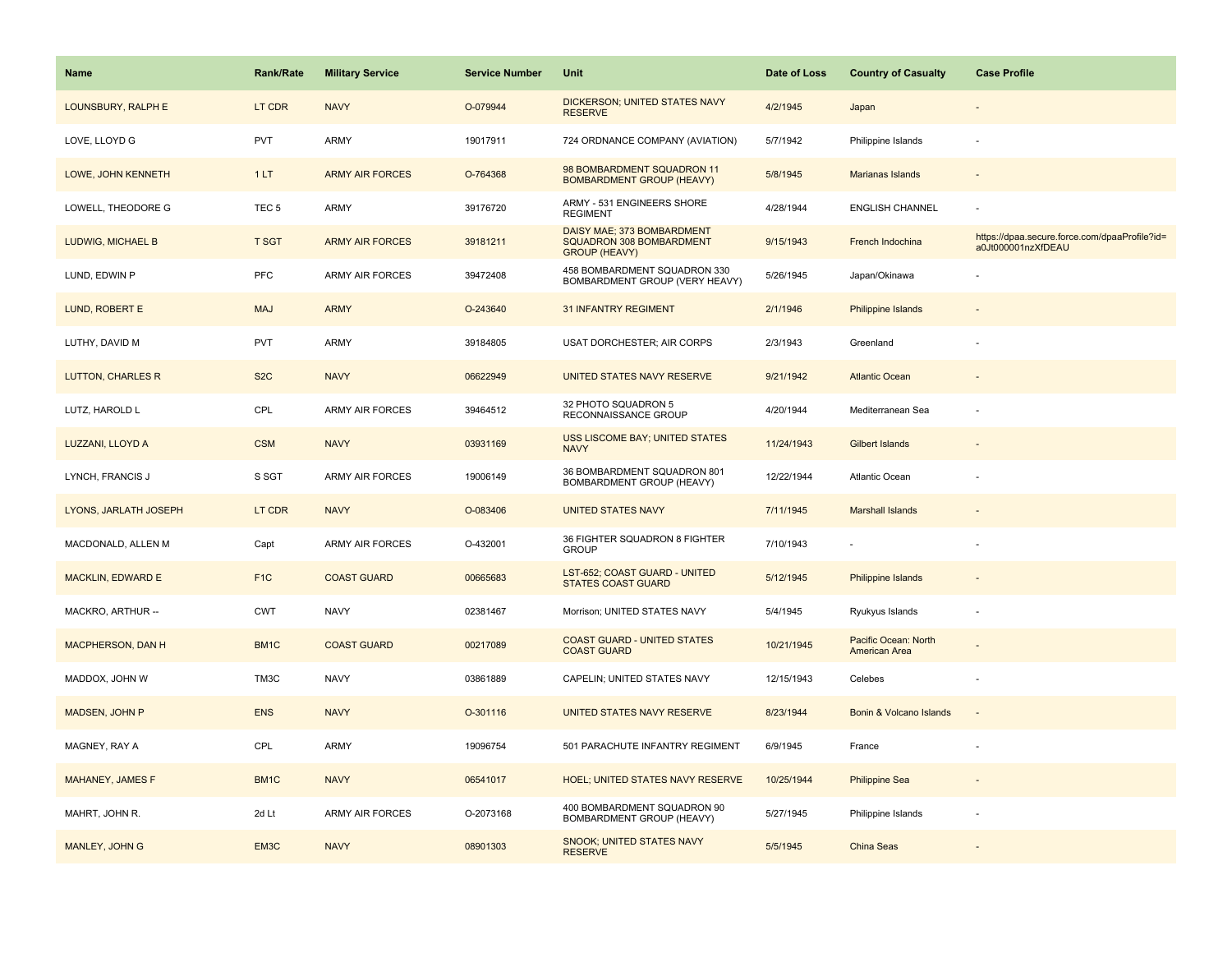| <b>Name</b>              | Rank/Rate         | <b>Military Service</b> | <b>Service Number</b> | Unit                                                                           | Date of Loss | <b>Country of Casualty</b>            | <b>Case Profile</b>                                                 |
|--------------------------|-------------------|-------------------------|-----------------------|--------------------------------------------------------------------------------|--------------|---------------------------------------|---------------------------------------------------------------------|
| LOUNSBURY, RALPH E       | LT CDR            | <b>NAVY</b>             | O-079944              | <b>DICKERSON; UNITED STATES NAVY</b><br><b>RESERVE</b>                         | 4/2/1945     | Japan                                 |                                                                     |
| LOVE, LLOYD G            | PVT               | ARMY                    | 19017911              | 724 ORDNANCE COMPANY (AVIATION)                                                | 5/7/1942     | Philippine Islands                    | ÷,                                                                  |
| LOWE, JOHN KENNETH       | 1LT               | <b>ARMY AIR FORCES</b>  | O-764368              | 98 BOMBARDMENT SQUADRON 11<br><b>BOMBARDMENT GROUP (HEAVY)</b>                 | 5/8/1945     | Marianas Islands                      |                                                                     |
| LOWELL, THEODORE G       | TEC <sub>5</sub>  | ARMY                    | 39176720              | ARMY - 531 ENGINEERS SHORE<br><b>REGIMENT</b>                                  | 4/28/1944    | <b>ENGLISH CHANNEL</b>                |                                                                     |
| LUDWIG, MICHAEL B        | <b>T SGT</b>      | <b>ARMY AIR FORCES</b>  | 39181211              | DAISY MAE; 373 BOMBARDMENT<br>SQUADRON 308 BOMBARDMENT<br><b>GROUP (HEAVY)</b> | 9/15/1943    | French Indochina                      | https://dpaa.secure.force.com/dpaaProfile?id=<br>a0Jt000001nzXfDEAU |
| LUND, EDWIN P            | <b>PFC</b>        | <b>ARMY AIR FORCES</b>  | 39472408              | 458 BOMBARDMENT SQUADRON 330<br>BOMBARDMENT GROUP (VERY HEAVY)                 | 5/26/1945    | Japan/Okinawa                         |                                                                     |
| LUND, ROBERT E           | <b>MAJ</b>        | <b>ARMY</b>             | O-243640              | <b>31 INFANTRY REGIMENT</b>                                                    | 2/1/1946     | Philippine Islands                    |                                                                     |
| LUTHY, DAVID M           | PVT               | <b>ARMY</b>             | 39184805              | USAT DORCHESTER; AIR CORPS                                                     | 2/3/1943     | Greenland                             |                                                                     |
| <b>LUTTON, CHARLES R</b> | S <sub>2</sub> C  | <b>NAVY</b>             | 06622949              | UNITED STATES NAVY RESERVE                                                     | 9/21/1942    | <b>Atlantic Ocean</b>                 |                                                                     |
| LUTZ, HAROLD L           | CPL               | ARMY AIR FORCES         | 39464512              | 32 PHOTO SQUADRON 5<br>RECONNAISSANCE GROUP                                    | 4/20/1944    | Mediterranean Sea                     | ÷,                                                                  |
| LUZZANI, LLOYD A         | <b>CSM</b>        | <b>NAVY</b>             | 03931169              | <b>USS LISCOME BAY; UNITED STATES</b><br><b>NAVY</b>                           | 11/24/1943   | <b>Gilbert Islands</b>                |                                                                     |
| LYNCH, FRANCIS J         | S SGT             | ARMY AIR FORCES         | 19006149              | 36 BOMBARDMENT SQUADRON 801<br>BOMBARDMENT GROUP (HEAVY)                       | 12/22/1944   | Atlantic Ocean                        |                                                                     |
| LYONS, JARLATH JOSEPH    | LT CDR            | <b>NAVY</b>             | O-083406              | <b>UNITED STATES NAVY</b>                                                      | 7/11/1945    | <b>Marshall Islands</b>               |                                                                     |
| MACDONALD, ALLEN M       | Capt              | <b>ARMY AIR FORCES</b>  | O-432001              | 36 FIGHTER SQUADRON 8 FIGHTER<br><b>GROUP</b>                                  | 7/10/1943    |                                       |                                                                     |
| <b>MACKLIN, EDWARD E</b> | F <sub>1</sub> C  | <b>COAST GUARD</b>      | 00665683              | LST-652; COAST GUARD - UNITED<br><b>STATES COAST GUARD</b>                     | 5/12/1945    | <b>Philippine Islands</b>             |                                                                     |
| MACKRO, ARTHUR --        | <b>CWT</b>        | <b>NAVY</b>             | 02381467              | Morrison; UNITED STATES NAVY                                                   | 5/4/1945     | Ryukyus Islands                       | ÷,                                                                  |
| <b>MACPHERSON, DAN H</b> | BM1C              | <b>COAST GUARD</b>      | 00217089              | <b>COAST GUARD - UNITED STATES</b><br><b>COAST GUARD</b>                       | 10/21/1945   | Pacific Ocean: North<br>American Area |                                                                     |
| MADDOX, JOHN W           | TM3C              | <b>NAVY</b>             | 03861889              | CAPELIN; UNITED STATES NAVY                                                    | 12/15/1943   | Celebes                               | ÷,                                                                  |
| MADSEN, JOHN P           | <b>ENS</b>        | <b>NAVY</b>             | O-301116              | UNITED STATES NAVY RESERVE                                                     | 8/23/1944    | Bonin & Volcano Islands               |                                                                     |
| MAGNEY, RAY A            | CPL               | ARMY                    | 19096754              | 501 PARACHUTE INFANTRY REGIMENT                                                | 6/9/1945     | France                                |                                                                     |
| MAHANEY, JAMES F         | BM <sub>1</sub> C | <b>NAVY</b>             | 06541017              | <b>HOEL; UNITED STATES NAVY RESERVE</b>                                        | 10/25/1944   | <b>Philippine Sea</b>                 |                                                                     |
| MAHRT, JOHN R.           | 2d Lt             | <b>ARMY AIR FORCES</b>  | O-2073168             | 400 BOMBARDMENT SQUADRON 90<br>BOMBARDMENT GROUP (HEAVY)                       | 5/27/1945    | Philippine Islands                    |                                                                     |
| MANLEY, JOHN G           | EM3C              | <b>NAVY</b>             | 08901303              | <b>SNOOK; UNITED STATES NAVY</b><br><b>RESERVE</b>                             | 5/5/1945     | <b>China Seas</b>                     |                                                                     |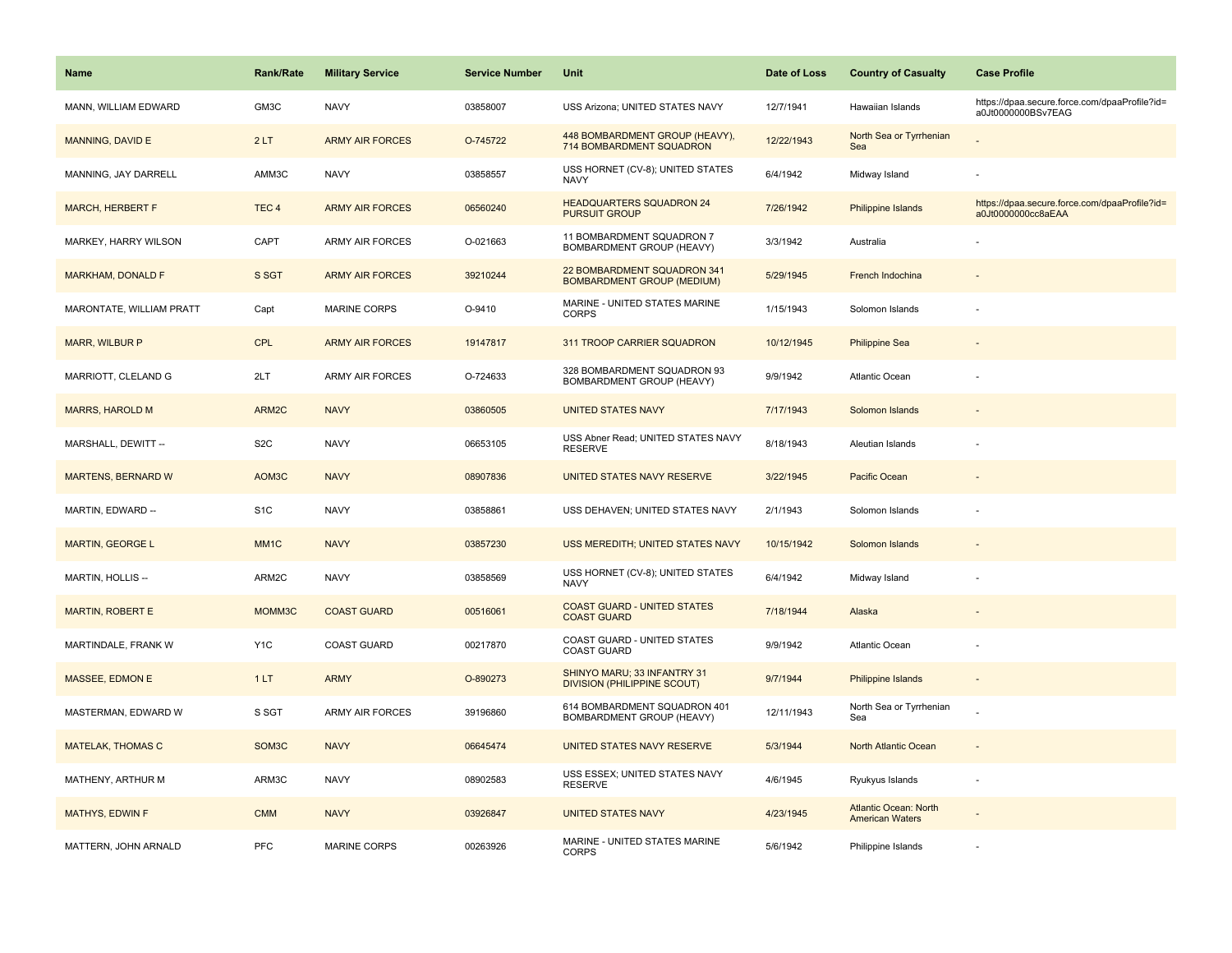| <b>Name</b>              | <b>Rank/Rate</b>   | <b>Military Service</b> | <b>Service Number</b> | Unit                                                              | Date of Loss | <b>Country of Casualty</b>                             | <b>Case Profile</b>                                                 |
|--------------------------|--------------------|-------------------------|-----------------------|-------------------------------------------------------------------|--------------|--------------------------------------------------------|---------------------------------------------------------------------|
| MANN, WILLIAM EDWARD     | GM3C               | <b>NAVY</b>             | 03858007              | USS Arizona; UNITED STATES NAVY                                   | 12/7/1941    | Hawaiian Islands                                       | https://dpaa.secure.force.com/dpaaProfile?id=<br>a0Jt0000000BSv7EAG |
| MANNING, DAVID E         | 2LT                | <b>ARMY AIR FORCES</b>  | O-745722              | 448 BOMBARDMENT GROUP (HEAVY),<br>714 BOMBARDMENT SQUADRON        | 12/22/1943   | North Sea or Tyrrhenian<br>Sea                         |                                                                     |
| MANNING, JAY DARRELL     | AMM3C              | <b>NAVY</b>             | 03858557              | USS HORNET (CV-8); UNITED STATES<br><b>NAVY</b>                   | 6/4/1942     | Midway Island                                          |                                                                     |
| <b>MARCH, HERBERT F</b>  | TEC <sub>4</sub>   | <b>ARMY AIR FORCES</b>  | 06560240              | <b>HEADQUARTERS SQUADRON 24</b><br><b>PURSUIT GROUP</b>           | 7/26/1942    | <b>Philippine Islands</b>                              | https://dpaa.secure.force.com/dpaaProfile?id=<br>a0Jt0000000cc8aEAA |
| MARKEY, HARRY WILSON     | CAPT               | <b>ARMY AIR FORCES</b>  | O-021663              | 11 BOMBARDMENT SQUADRON 7<br><b>BOMBARDMENT GROUP (HEAVY)</b>     | 3/3/1942     | Australia                                              |                                                                     |
| <b>MARKHAM, DONALD F</b> | S SGT              | <b>ARMY AIR FORCES</b>  | 39210244              | 22 BOMBARDMENT SQUADRON 341<br><b>BOMBARDMENT GROUP (MEDIUM)</b>  | 5/29/1945    | French Indochina                                       |                                                                     |
| MARONTATE, WILLIAM PRATT | Capt               | <b>MARINE CORPS</b>     | O-9410                | MARINE - UNITED STATES MARINE<br><b>CORPS</b>                     | 1/15/1943    | Solomon Islands                                        |                                                                     |
| <b>MARR, WILBUR P</b>    | <b>CPL</b>         | <b>ARMY AIR FORCES</b>  | 19147817              | 311 TROOP CARRIER SQUADRON                                        | 10/12/1945   | <b>Philippine Sea</b>                                  |                                                                     |
| MARRIOTT, CLELAND G      | 2LT                | ARMY AIR FORCES         | O-724633              | 328 BOMBARDMENT SQUADRON 93<br>BOMBARDMENT GROUP (HEAVY)          | 9/9/1942     | Atlantic Ocean                                         |                                                                     |
| <b>MARRS, HAROLD M</b>   | ARM2C              | <b>NAVY</b>             | 03860505              | <b>UNITED STATES NAVY</b>                                         | 7/17/1943    | Solomon Islands                                        |                                                                     |
| MARSHALL, DEWITT --      | S <sub>2</sub> C   | <b>NAVY</b>             | 06653105              | USS Abner Read; UNITED STATES NAVY<br><b>RESERVE</b>              | 8/18/1943    | Aleutian Islands                                       |                                                                     |
| MARTENS, BERNARD W       | AOM3C              | <b>NAVY</b>             | 08907836              | UNITED STATES NAVY RESERVE                                        | 3/22/1945    | Pacific Ocean                                          |                                                                     |
| MARTIN, EDWARD --        | S <sub>1</sub> C   | <b>NAVY</b>             | 03858861              | USS DEHAVEN; UNITED STATES NAVY                                   | 2/1/1943     | Solomon Islands                                        |                                                                     |
| <b>MARTIN, GEORGE L</b>  | MM <sub>1C</sub>   | <b>NAVY</b>             | 03857230              | USS MEREDITH; UNITED STATES NAVY                                  | 10/15/1942   | Solomon Islands                                        |                                                                     |
| MARTIN, HOLLIS --        | ARM2C              | <b>NAVY</b>             | 03858569              | USS HORNET (CV-8); UNITED STATES<br><b>NAVY</b>                   | 6/4/1942     | Midway Island                                          |                                                                     |
| <b>MARTIN, ROBERT E</b>  | MOMM3C             | <b>COAST GUARD</b>      | 00516061              | <b>COAST GUARD - UNITED STATES</b><br><b>COAST GUARD</b>          | 7/18/1944    | Alaska                                                 |                                                                     |
| MARTINDALE, FRANK W      | Y <sub>1</sub> C   | <b>COAST GUARD</b>      | 00217870              | COAST GUARD - UNITED STATES<br><b>COAST GUARD</b>                 | 9/9/1942     | Atlantic Ocean                                         |                                                                     |
| MASSEE, EDMON E          | 1LT                | <b>ARMY</b>             | O-890273              | SHINYO MARU; 33 INFANTRY 31<br><b>DIVISION (PHILIPPINE SCOUT)</b> | 9/7/1944     | <b>Philippine Islands</b>                              |                                                                     |
| MASTERMAN, EDWARD W      | S SGT              | <b>ARMY AIR FORCES</b>  | 39196860              | 614 BOMBARDMENT SQUADRON 401<br>BOMBARDMENT GROUP (HEAVY)         | 12/11/1943   | North Sea or Tyrrhenian<br>Sea                         |                                                                     |
| <b>MATELAK, THOMAS C</b> | SOM <sub>3</sub> C | <b>NAVY</b>             | 06645474              | UNITED STATES NAVY RESERVE                                        | 5/3/1944     | North Atlantic Ocean                                   | $\overline{\phantom{a}}$                                            |
| MATHENY, ARTHUR M        | ARM3C              | <b>NAVY</b>             | 08902583              | USS ESSEX; UNITED STATES NAVY<br><b>RESERVE</b>                   | 4/6/1945     | Ryukyus Islands                                        | ÷,                                                                  |
| <b>MATHYS, EDWIN F</b>   | <b>CMM</b>         | <b>NAVY</b>             | 03926847              | <b>UNITED STATES NAVY</b>                                         | 4/23/1945    | <b>Atlantic Ocean: North</b><br><b>American Waters</b> |                                                                     |
| MATTERN, JOHN ARNALD     | PFC                | MARINE CORPS            | 00263926              | MARINE - UNITED STATES MARINE<br><b>CORPS</b>                     | 5/6/1942     | Philippine Islands                                     |                                                                     |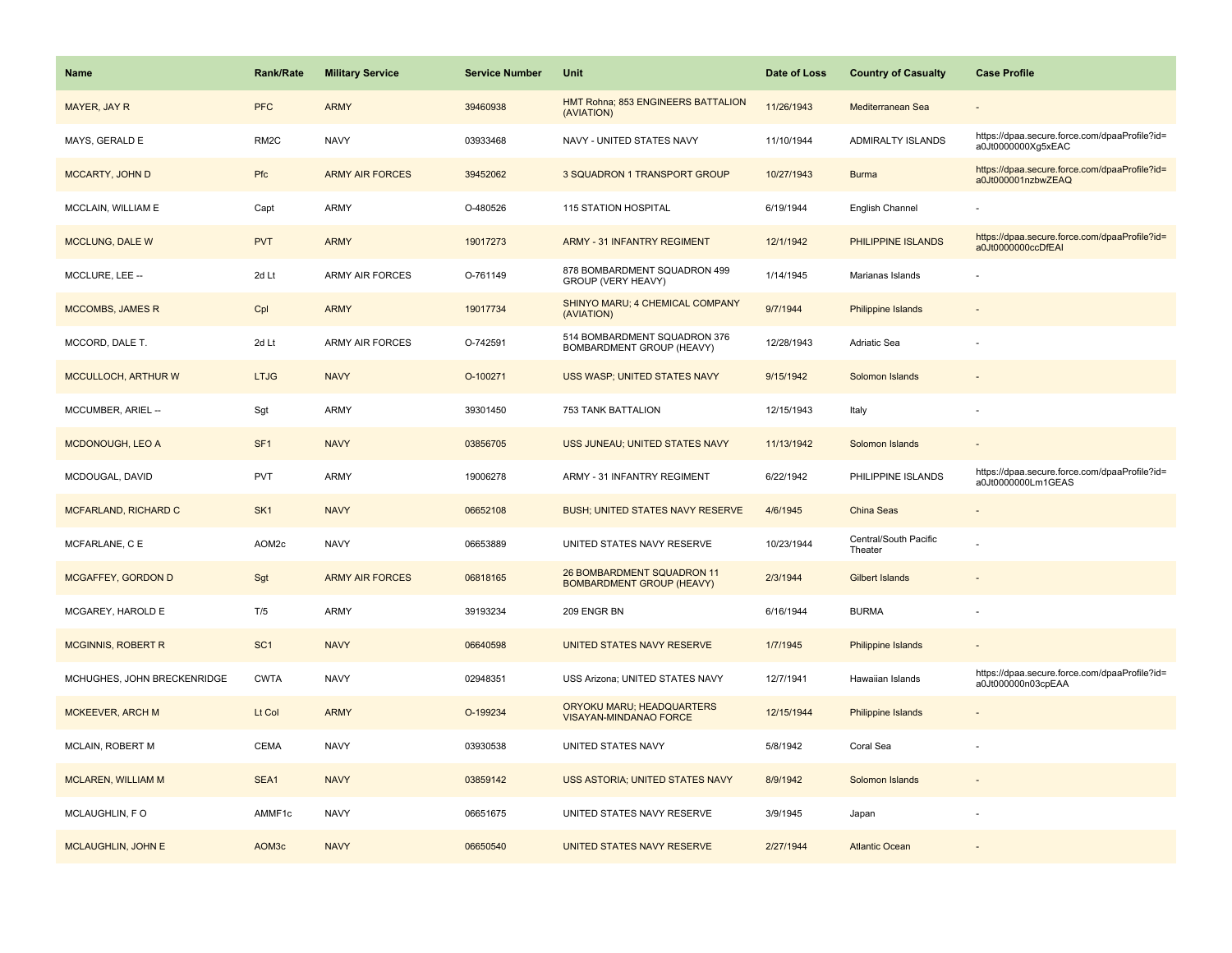| <b>Name</b>                 | Rank/Rate         | <b>Military Service</b> | <b>Service Number</b> | Unit                                                           | Date of Loss | <b>Country of Casualty</b>       | <b>Case Profile</b>                                                 |
|-----------------------------|-------------------|-------------------------|-----------------------|----------------------------------------------------------------|--------------|----------------------------------|---------------------------------------------------------------------|
| MAYER, JAY R                | <b>PFC</b>        | <b>ARMY</b>             | 39460938              | HMT Rohna; 853 ENGINEERS BATTALION<br>(AVIATION)               | 11/26/1943   | Mediterranean Sea                |                                                                     |
| MAYS, GERALD E              | RM <sub>2</sub> C | <b>NAVY</b>             | 03933468              | NAVY - UNITED STATES NAVY                                      | 11/10/1944   | ADMIRALTY ISLANDS                | https://dpaa.secure.force.com/dpaaProfile?id=<br>a0Jt0000000Xg5xEAC |
| <b>MCCARTY, JOHN D</b>      | Pfc               | <b>ARMY AIR FORCES</b>  | 39452062              | 3 SQUADRON 1 TRANSPORT GROUP                                   | 10/27/1943   | <b>Burma</b>                     | https://dpaa.secure.force.com/dpaaProfile?id=<br>a0Jt000001nzbwZEAQ |
| MCCLAIN, WILLIAM E          | Capt              | ARMY                    | O-480526              | 115 STATION HOSPITAL                                           | 6/19/1944    | English Channel                  |                                                                     |
| <b>MCCLUNG, DALE W</b>      | <b>PVT</b>        | <b>ARMY</b>             | 19017273              | <b>ARMY - 31 INFANTRY REGIMENT</b>                             | 12/1/1942    | PHILIPPINE ISLANDS               | https://dpaa.secure.force.com/dpaaProfile?id=<br>a0Jt0000000ccDfEAI |
| MCCLURE, LEE --             | 2d Lt             | <b>ARMY AIR FORCES</b>  | O-761149              | 878 BOMBARDMENT SQUADRON 499<br>GROUP (VERY HEAVY)             | 1/14/1945    | Marianas Islands                 |                                                                     |
| <b>MCCOMBS, JAMES R</b>     | Cpl               | <b>ARMY</b>             | 19017734              | SHINYO MARU; 4 CHEMICAL COMPANY<br>(AVIATION)                  | 9/7/1944     | Philippine Islands               |                                                                     |
| MCCORD, DALE T.             | 2d Lt             | <b>ARMY AIR FORCES</b>  | O-742591              | 514 BOMBARDMENT SQUADRON 376<br>BOMBARDMENT GROUP (HEAVY)      | 12/28/1943   | Adriatic Sea                     |                                                                     |
| MCCULLOCH, ARTHUR W         | <b>LTJG</b>       | <b>NAVY</b>             | O-100271              | USS WASP; UNITED STATES NAVY                                   | 9/15/1942    | Solomon Islands                  |                                                                     |
| MCCUMBER, ARIEL --          | Sgt               | ARMY                    | 39301450              | 753 TANK BATTALION                                             | 12/15/1943   | Italy                            |                                                                     |
| MCDONOUGH, LEO A            | SF <sub>1</sub>   | <b>NAVY</b>             | 03856705              | USS JUNEAU; UNITED STATES NAVY                                 | 11/13/1942   | Solomon Islands                  |                                                                     |
| MCDOUGAL, DAVID             | <b>PVT</b>        | <b>ARMY</b>             | 19006278              | ARMY - 31 INFANTRY REGIMENT                                    | 6/22/1942    | PHILIPPINE ISLANDS               | https://dpaa.secure.force.com/dpaaProfile?id=<br>a0Jt0000000Lm1GEAS |
| MCFARLAND, RICHARD C        | SK <sub>1</sub>   | <b>NAVY</b>             | 06652108              | <b>BUSH; UNITED STATES NAVY RESERVE</b>                        | 4/6/1945     | <b>China Seas</b>                |                                                                     |
| MCFARLANE, C E              | AOM2c             | <b>NAVY</b>             | 06653889              | UNITED STATES NAVY RESERVE                                     | 10/23/1944   | Central/South Pacific<br>Theater |                                                                     |
| MCGAFFEY, GORDON D          | Sgt               | <b>ARMY AIR FORCES</b>  | 06818165              | 26 BOMBARDMENT SQUADRON 11<br><b>BOMBARDMENT GROUP (HEAVY)</b> | 2/3/1944     | <b>Gilbert Islands</b>           |                                                                     |
| MCGAREY, HAROLD E           | T/5               | <b>ARMY</b>             | 39193234              | 209 ENGR BN                                                    | 6/16/1944    | <b>BURMA</b>                     |                                                                     |
| <b>MCGINNIS, ROBERT R</b>   | SC <sub>1</sub>   | <b>NAVY</b>             | 06640598              | UNITED STATES NAVY RESERVE                                     | 1/7/1945     | <b>Philippine Islands</b>        |                                                                     |
| MCHUGHES, JOHN BRECKENRIDGE | <b>CWTA</b>       | <b>NAVY</b>             | 02948351              | USS Arizona; UNITED STATES NAVY                                | 12/7/1941    | Hawaiian Islands                 | https://dpaa.secure.force.com/dpaaProfile?id=<br>a0Jt000000n03cpEAA |
| MCKEEVER, ARCH M            | Lt Col            | <b>ARMY</b>             | O-199234              | ORYOKU MARU; HEADQUARTERS<br><b>VISAYAN-MINDANAO FORCE</b>     | 12/15/1944   | Philippine Islands               |                                                                     |
| <b>MCLAIN, ROBERT M</b>     | <b>CEMA</b>       | <b>NAVY</b>             | 03930538              | UNITED STATES NAVY                                             | 5/8/1942     | Coral Sea                        |                                                                     |
| <b>MCLAREN, WILLIAM M</b>   | SEA1              | <b>NAVY</b>             | 03859142              | USS ASTORIA; UNITED STATES NAVY                                | 8/9/1942     | Solomon Islands                  |                                                                     |
| MCLAUGHLIN, FO              | AMMF1c            | <b>NAVY</b>             | 06651675              | UNITED STATES NAVY RESERVE                                     | 3/9/1945     | Japan                            |                                                                     |
| MCLAUGHLIN, JOHN E          | AOM3c             | <b>NAVY</b>             | 06650540              | UNITED STATES NAVY RESERVE                                     | 2/27/1944    | <b>Atlantic Ocean</b>            |                                                                     |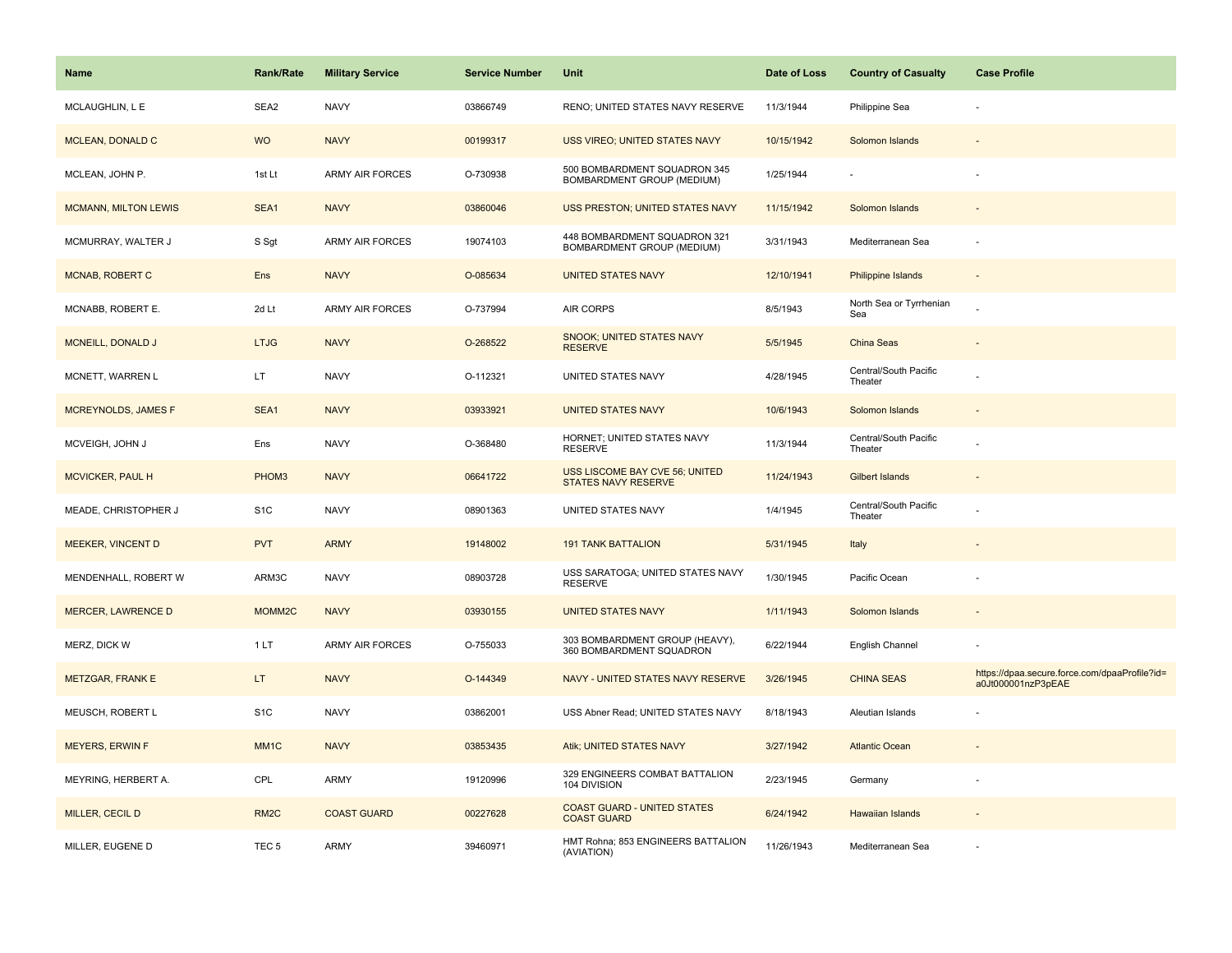| <b>Name</b>                 | <b>Rank/Rate</b>  | <b>Military Service</b> | <b>Service Number</b> | Unit                                                         | Date of Loss | <b>Country of Casualty</b>       | <b>Case Profile</b>                                                 |
|-----------------------------|-------------------|-------------------------|-----------------------|--------------------------------------------------------------|--------------|----------------------------------|---------------------------------------------------------------------|
| MCLAUGHLIN, L E             | SEA2              | <b>NAVY</b>             | 03866749              | RENO; UNITED STATES NAVY RESERVE                             | 11/3/1944    | Philippine Sea                   |                                                                     |
| <b>MCLEAN, DONALD C</b>     | <b>WO</b>         | <b>NAVY</b>             | 00199317              | USS VIREO; UNITED STATES NAVY                                | 10/15/1942   | Solomon Islands                  |                                                                     |
| MCLEAN, JOHN P.             | 1st Lt            | ARMY AIR FORCES         | O-730938              | 500 BOMBARDMENT SQUADRON 345<br>BOMBARDMENT GROUP (MEDIUM)   | 1/25/1944    |                                  |                                                                     |
| <b>MCMANN, MILTON LEWIS</b> | SEA1              | <b>NAVY</b>             | 03860046              | USS PRESTON; UNITED STATES NAVY                              | 11/15/1942   | Solomon Islands                  |                                                                     |
| MCMURRAY, WALTER J          | S Sgt             | ARMY AIR FORCES         | 19074103              | 448 BOMBARDMENT SQUADRON 321<br>BOMBARDMENT GROUP (MEDIUM)   | 3/31/1943    | Mediterranean Sea                |                                                                     |
| MCNAB, ROBERT C             | Ens               | <b>NAVY</b>             | O-085634              | <b>UNITED STATES NAVY</b>                                    | 12/10/1941   | Philippine Islands               | $\sim$                                                              |
| MCNABB, ROBERT E.           | 2d Lt             | <b>ARMY AIR FORCES</b>  | O-737994              | <b>AIR CORPS</b>                                             | 8/5/1943     | North Sea or Tyrrhenian<br>Sea   |                                                                     |
| <b>MCNEILL, DONALD J</b>    | <b>LTJG</b>       | <b>NAVY</b>             | O-268522              | <b>SNOOK; UNITED STATES NAVY</b><br><b>RESERVE</b>           | 5/5/1945     | China Seas                       |                                                                     |
| MCNETT, WARREN L            | LT.               | <b>NAVY</b>             | O-112321              | UNITED STATES NAVY                                           | 4/28/1945    | Central/South Pacific<br>Theater |                                                                     |
| <b>MCREYNOLDS, JAMES F</b>  | SEA1              | <b>NAVY</b>             | 03933921              | <b>UNITED STATES NAVY</b>                                    | 10/6/1943    | Solomon Islands                  |                                                                     |
| MCVEIGH, JOHN J             | Ens               | <b>NAVY</b>             | O-368480              | HORNET; UNITED STATES NAVY<br><b>RESERVE</b>                 | 11/3/1944    | Central/South Pacific<br>Theater |                                                                     |
| <b>MCVICKER, PAUL H</b>     | PHOM3             | <b>NAVY</b>             | 06641722              | USS LISCOME BAY CVE 56; UNITED<br><b>STATES NAVY RESERVE</b> | 11/24/1943   | <b>Gilbert Islands</b>           |                                                                     |
| MEADE, CHRISTOPHER J        | S <sub>1</sub> C  | <b>NAVY</b>             | 08901363              | UNITED STATES NAVY                                           | 1/4/1945     | Central/South Pacific<br>Theater |                                                                     |
| MEEKER, VINCENT D           | <b>PVT</b>        | <b>ARMY</b>             | 19148002              | <b>191 TANK BATTALION</b>                                    | 5/31/1945    | Italy                            |                                                                     |
| MENDENHALL, ROBERT W        | ARM3C             | <b>NAVY</b>             | 08903728              | USS SARATOGA; UNITED STATES NAVY<br><b>RESERVE</b>           | 1/30/1945    | Pacific Ocean                    |                                                                     |
| <b>MERCER, LAWRENCE D</b>   | MOMM2C            | <b>NAVY</b>             | 03930155              | <b>UNITED STATES NAVY</b>                                    | 1/11/1943    | Solomon Islands                  |                                                                     |
| MERZ, DICK W                | 1LT               | ARMY AIR FORCES         | O-755033              | 303 BOMBARDMENT GROUP (HEAVY),<br>360 BOMBARDMENT SQUADRON   | 6/22/1944    | English Channel                  |                                                                     |
| <b>METZGAR, FRANK E</b>     | LT.               | <b>NAVY</b>             | O-144349              | NAVY - UNITED STATES NAVY RESERVE                            | 3/26/1945    | <b>CHINA SEAS</b>                | https://dpaa.secure.force.com/dpaaProfile?id=<br>a0Jt000001nzP3pEAE |
| MEUSCH, ROBERT L            | S <sub>1</sub> C  | <b>NAVY</b>             | 03862001              | USS Abner Read; UNITED STATES NAVY                           | 8/18/1943    | Aleutian Islands                 |                                                                     |
| <b>MEYERS, ERWIN F</b>      | MM <sub>1</sub> C | <b>NAVY</b>             | 03853435              | Atik; UNITED STATES NAVY                                     | 3/27/1942    | <b>Atlantic Ocean</b>            |                                                                     |
| MEYRING, HERBERT A.         | CPL               | ARMY                    | 19120996              | 329 ENGINEERS COMBAT BATTALION<br>104 DIVISION               | 2/23/1945    | Germany                          |                                                                     |
| MILLER, CECIL D             | RM <sub>2</sub> C | <b>COAST GUARD</b>      | 00227628              | <b>COAST GUARD - UNITED STATES</b><br><b>COAST GUARD</b>     | 6/24/1942    | Hawaiian Islands                 |                                                                     |
| MILLER, EUGENE D            | TEC <sub>5</sub>  | <b>ARMY</b>             | 39460971              | HMT Rohna; 853 ENGINEERS BATTALION<br>(AVIATION)             | 11/26/1943   | Mediterranean Sea                |                                                                     |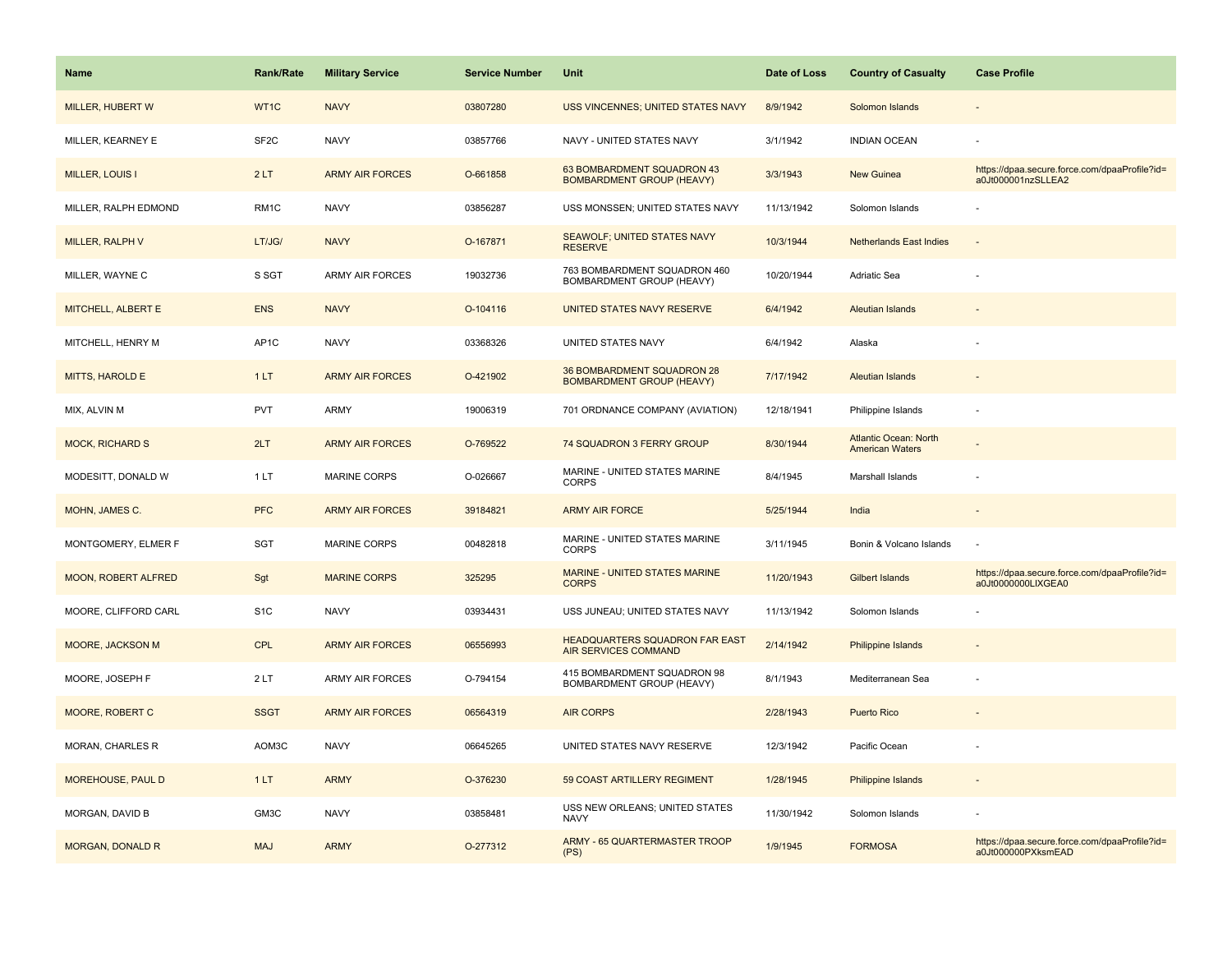| <b>Name</b>             | <b>Rank/Rate</b>  | <b>Military Service</b> | <b>Service Number</b> | <b>Unit</b>                                                    | Date of Loss | <b>Country of Casualty</b>                      | <b>Case Profile</b>                                                 |
|-------------------------|-------------------|-------------------------|-----------------------|----------------------------------------------------------------|--------------|-------------------------------------------------|---------------------------------------------------------------------|
| MILLER, HUBERT W        | WT1C              | <b>NAVY</b>             | 03807280              | USS VINCENNES; UNITED STATES NAVY                              | 8/9/1942     | Solomon Islands                                 |                                                                     |
| MILLER, KEARNEY E       | SF <sub>2</sub> C | <b>NAVY</b>             | 03857766              | NAVY - UNITED STATES NAVY                                      | 3/1/1942     | <b>INDIAN OCEAN</b>                             |                                                                     |
| <b>MILLER, LOUIS I</b>  | 2LT               | <b>ARMY AIR FORCES</b>  | O-661858              | 63 BOMBARDMENT SQUADRON 43<br><b>BOMBARDMENT GROUP (HEAVY)</b> | 3/3/1943     | New Guinea                                      | https://dpaa.secure.force.com/dpaaProfile?id=<br>a0Jt000001nzSLLEA2 |
| MILLER, RALPH EDMOND    | RM <sub>1C</sub>  | <b>NAVY</b>             | 03856287              | USS MONSSEN; UNITED STATES NAVY                                | 11/13/1942   | Solomon Islands                                 |                                                                     |
| MILLER, RALPH V         | LT/JG/            | <b>NAVY</b>             | O-167871              | <b>SEAWOLF; UNITED STATES NAVY</b><br><b>RESERVE</b>           | 10/3/1944    | <b>Netherlands East Indies</b>                  |                                                                     |
| MILLER, WAYNE C         | S SGT             | <b>ARMY AIR FORCES</b>  | 19032736              | 763 BOMBARDMENT SQUADRON 460<br>BOMBARDMENT GROUP (HEAVY)      | 10/20/1944   | Adriatic Sea                                    |                                                                     |
| MITCHELL, ALBERT E      | <b>ENS</b>        | <b>NAVY</b>             | O-104116              | UNITED STATES NAVY RESERVE                                     | 6/4/1942     | Aleutian Islands                                |                                                                     |
| MITCHELL, HENRY M       | AP <sub>1</sub> C | <b>NAVY</b>             | 03368326              | UNITED STATES NAVY                                             | 6/4/1942     | Alaska                                          |                                                                     |
| MITTS, HAROLD E         | 1LT               | <b>ARMY AIR FORCES</b>  | O-421902              | 36 BOMBARDMENT SQUADRON 28<br><b>BOMBARDMENT GROUP (HEAVY)</b> | 7/17/1942    | <b>Aleutian Islands</b>                         |                                                                     |
| MIX, ALVIN M            | <b>PVT</b>        | <b>ARMY</b>             | 19006319              | 701 ORDNANCE COMPANY (AVIATION)                                | 12/18/1941   | Philippine Islands                              |                                                                     |
| <b>MOCK, RICHARD S</b>  | 2LT               | <b>ARMY AIR FORCES</b>  | O-769522              | 74 SQUADRON 3 FERRY GROUP                                      | 8/30/1944    | Atlantic Ocean: North<br><b>American Waters</b> |                                                                     |
| MODESITT, DONALD W      | 1LT               | <b>MARINE CORPS</b>     | O-026667              | MARINE - UNITED STATES MARINE<br><b>CORPS</b>                  | 8/4/1945     | Marshall Islands                                |                                                                     |
| MOHN, JAMES C.          | <b>PFC</b>        | <b>ARMY AIR FORCES</b>  | 39184821              | <b>ARMY AIR FORCE</b>                                          | 5/25/1944    | India                                           |                                                                     |
| MONTGOMERY, ELMER F     | <b>SGT</b>        | <b>MARINE CORPS</b>     | 00482818              | MARINE - UNITED STATES MARINE<br><b>CORPS</b>                  | 3/11/1945    | Bonin & Volcano Islands                         |                                                                     |
| MOON, ROBERT ALFRED     | Sgt               | <b>MARINE CORPS</b>     | 325295                | MARINE - UNITED STATES MARINE<br><b>CORPS</b>                  | 11/20/1943   | <b>Gilbert Islands</b>                          | https://dpaa.secure.force.com/dpaaProfile?id=<br>a0Jt0000000LIXGEA0 |
| MOORE, CLIFFORD CARL    | S <sub>1</sub> C  | <b>NAVY</b>             | 03934431              | USS JUNEAU; UNITED STATES NAVY                                 | 11/13/1942   | Solomon Islands                                 |                                                                     |
| MOORE, JACKSON M        | <b>CPL</b>        | <b>ARMY AIR FORCES</b>  | 06556993              | HEADQUARTERS SQUADRON FAR EAST<br>AIR SERVICES COMMAND         | 2/14/1942    | <b>Philippine Islands</b>                       |                                                                     |
| MOORE, JOSEPH F         | 2LT               | <b>ARMY AIR FORCES</b>  | O-794154              | 415 BOMBARDMENT SQUADRON 98<br>BOMBARDMENT GROUP (HEAVY)       | 8/1/1943     | Mediterranean Sea                               |                                                                     |
| MOORE, ROBERT C         | <b>SSGT</b>       | <b>ARMY AIR FORCES</b>  | 06564319              | <b>AIR CORPS</b>                                               | 2/28/1943    | <b>Puerto Rico</b>                              |                                                                     |
| <b>MORAN, CHARLES R</b> | AOM3C             | <b>NAVY</b>             | 06645265              | UNITED STATES NAVY RESERVE                                     | 12/3/1942    | Pacific Ocean                                   |                                                                     |
| MOREHOUSE, PAUL D       | 1LT               | <b>ARMY</b>             | O-376230              | 59 COAST ARTILLERY REGIMENT                                    | 1/28/1945    | Philippine Islands                              |                                                                     |
| MORGAN, DAVID B         | GM3C              | <b>NAVY</b>             | 03858481              | USS NEW ORLEANS; UNITED STATES<br><b>NAVY</b>                  | 11/30/1942   | Solomon Islands                                 |                                                                     |
| <b>MORGAN, DONALD R</b> | <b>MAJ</b>        | <b>ARMY</b>             | O-277312              | <b>ARMY - 65 QUARTERMASTER TROOP</b><br>(PS)                   | 1/9/1945     | <b>FORMOSA</b>                                  | https://dpaa.secure.force.com/dpaaProfile?id=<br>a0Jt000000PXksmEAD |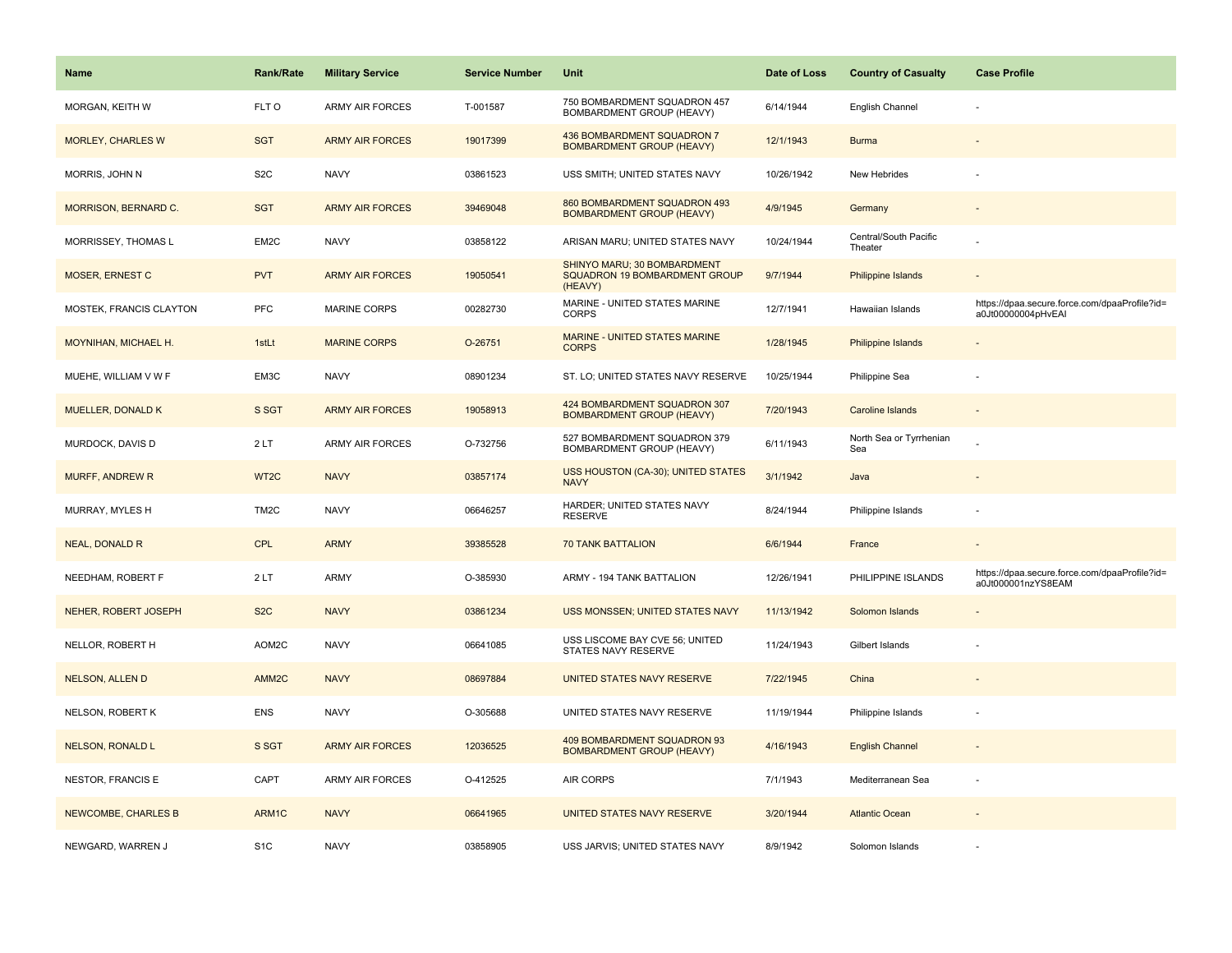| <b>Name</b>                | <b>Rank/Rate</b>  | <b>Military Service</b> | <b>Service Number</b> | Unit                                                                    | Date of Loss | <b>Country of Casualty</b>       | <b>Case Profile</b>                                                 |
|----------------------------|-------------------|-------------------------|-----------------------|-------------------------------------------------------------------------|--------------|----------------------------------|---------------------------------------------------------------------|
| MORGAN, KEITH W            | FLT O             | <b>ARMY AIR FORCES</b>  | T-001587              | 750 BOMBARDMENT SQUADRON 457<br>BOMBARDMENT GROUP (HEAVY)               | 6/14/1944    | English Channel                  |                                                                     |
| <b>MORLEY, CHARLES W</b>   | <b>SGT</b>        | <b>ARMY AIR FORCES</b>  | 19017399              | 436 BOMBARDMENT SQUADRON 7<br><b>BOMBARDMENT GROUP (HEAVY)</b>          | 12/1/1943    | <b>Burma</b>                     |                                                                     |
| MORRIS, JOHN N             | S <sub>2</sub> C  | <b>NAVY</b>             | 03861523              | USS SMITH; UNITED STATES NAVY                                           | 10/26/1942   | New Hebrides                     |                                                                     |
| MORRISON, BERNARD C.       | <b>SGT</b>        | <b>ARMY AIR FORCES</b>  | 39469048              | 860 BOMBARDMENT SQUADRON 493<br><b>BOMBARDMENT GROUP (HEAVY)</b>        | 4/9/1945     | Germany                          |                                                                     |
| MORRISSEY, THOMAS L        | EM2C              | <b>NAVY</b>             | 03858122              | ARISAN MARU; UNITED STATES NAVY                                         | 10/24/1944   | Central/South Pacific<br>Theater |                                                                     |
| MOSER, ERNEST C            | <b>PVT</b>        | <b>ARMY AIR FORCES</b>  | 19050541              | SHINYO MARU; 30 BOMBARDMENT<br>SQUADRON 19 BOMBARDMENT GROUP<br>(HEAVY) | 9/7/1944     | Philippine Islands               | $\overline{\phantom{a}}$                                            |
| MOSTEK, FRANCIS CLAYTON    | PFC               | MARINE CORPS            | 00282730              | MARINE - UNITED STATES MARINE<br><b>CORPS</b>                           | 12/7/1941    | Hawaiian Islands                 | https://dpaa.secure.force.com/dpaaProfile?id=<br>a0Jt00000004pHvEAI |
| MOYNIHAN, MICHAEL H.       | 1stLt             | <b>MARINE CORPS</b>     | O-26751               | MARINE - UNITED STATES MARINE<br><b>CORPS</b>                           | 1/28/1945    | Philippine Islands               |                                                                     |
| MUEHE, WILLIAM V W F       | EM3C              | <b>NAVY</b>             | 08901234              | ST. LO; UNITED STATES NAVY RESERVE                                      | 10/25/1944   | Philippine Sea                   |                                                                     |
| <b>MUELLER, DONALD K</b>   | S SGT             | <b>ARMY AIR FORCES</b>  | 19058913              | 424 BOMBARDMENT SQUADRON 307<br><b>BOMBARDMENT GROUP (HEAVY)</b>        | 7/20/1943    | Caroline Islands                 |                                                                     |
| MURDOCK, DAVIS D           | 2LT               | <b>ARMY AIR FORCES</b>  | O-732756              | 527 BOMBARDMENT SQUADRON 379<br>BOMBARDMENT GROUP (HEAVY)               | 6/11/1943    | North Sea or Tyrrhenian<br>Sea   |                                                                     |
| MURFF, ANDREW R            | WT2C              | <b>NAVY</b>             | 03857174              | <b>USS HOUSTON (CA-30); UNITED STATES</b><br><b>NAVY</b>                | 3/1/1942     | Java                             |                                                                     |
| MURRAY, MYLES H            | TM <sub>2</sub> C | <b>NAVY</b>             | 06646257              | HARDER; UNITED STATES NAVY<br><b>RESERVE</b>                            | 8/24/1944    | Philippine Islands               |                                                                     |
| <b>NEAL, DONALD R</b>      | <b>CPL</b>        | <b>ARMY</b>             | 39385528              | <b>70 TANK BATTALION</b>                                                | 6/6/1944     | France                           |                                                                     |
| NEEDHAM, ROBERT F          | 2LT               | ARMY                    | O-385930              | ARMY - 194 TANK BATTALION                                               | 12/26/1941   | PHILIPPINE ISLANDS               | https://dpaa.secure.force.com/dpaaProfile?id=<br>a0Jt000001nzYS8EAM |
| NEHER, ROBERT JOSEPH       | S <sub>2</sub> C  | <b>NAVY</b>             | 03861234              | USS MONSSEN; UNITED STATES NAVY                                         | 11/13/1942   | Solomon Islands                  |                                                                     |
| NELLOR, ROBERT H           | AOM2C             | <b>NAVY</b>             | 06641085              | USS LISCOME BAY CVE 56; UNITED<br>STATES NAVY RESERVE                   | 11/24/1943   | Gilbert Islands                  |                                                                     |
| <b>NELSON, ALLEN D</b>     | AMM <sub>2C</sub> | <b>NAVY</b>             | 08697884              | UNITED STATES NAVY RESERVE                                              | 7/22/1945    | China                            |                                                                     |
| NELSON, ROBERT K           | <b>ENS</b>        | <b>NAVY</b>             | O-305688              | UNITED STATES NAVY RESERVE                                              | 11/19/1944   | Philippine Islands               | $\sim$                                                              |
| <b>NELSON, RONALD L</b>    | S SGT             | <b>ARMY AIR FORCES</b>  | 12036525              | 409 BOMBARDMENT SQUADRON 93<br><b>BOMBARDMENT GROUP (HEAVY)</b>         | 4/16/1943    | <b>English Channel</b>           |                                                                     |
| <b>NESTOR, FRANCIS E</b>   | CAPT              | <b>ARMY AIR FORCES</b>  | O-412525              | AIR CORPS                                                               | 7/1/1943     | Mediterranean Sea                |                                                                     |
| <b>NEWCOMBE, CHARLES B</b> | ARM1C             | <b>NAVY</b>             | 06641965              | UNITED STATES NAVY RESERVE                                              | 3/20/1944    | <b>Atlantic Ocean</b>            |                                                                     |
| NEWGARD, WARREN J          | S <sub>1</sub> C  | <b>NAVY</b>             | 03858905              | USS JARVIS; UNITED STATES NAVY                                          | 8/9/1942     | Solomon Islands                  |                                                                     |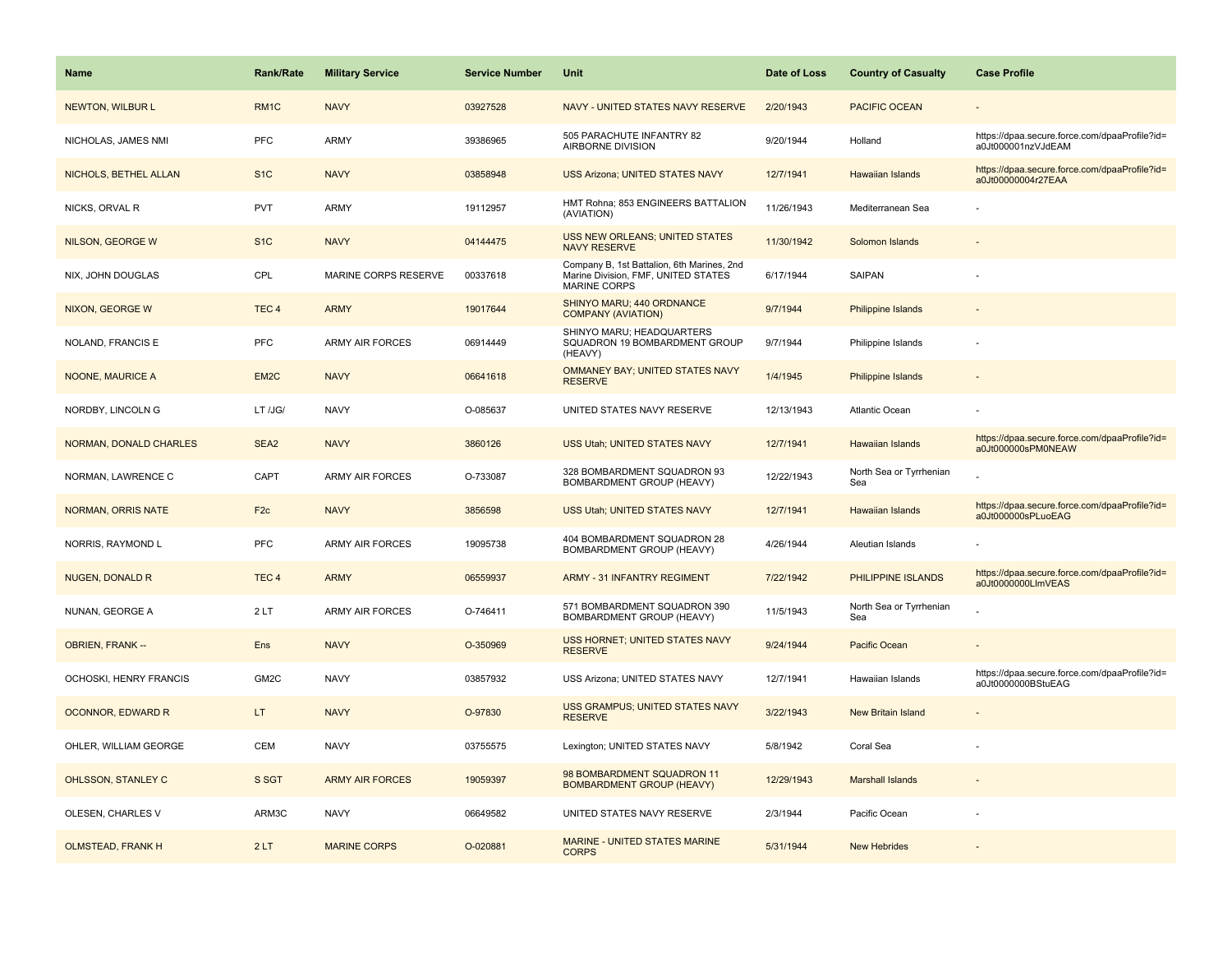| <b>Name</b>               | <b>Rank/Rate</b>  | <b>Military Service</b> | <b>Service Number</b> | Unit                                                                                                     | Date of Loss | <b>Country of Casualty</b>     | <b>Case Profile</b>                                                 |
|---------------------------|-------------------|-------------------------|-----------------------|----------------------------------------------------------------------------------------------------------|--------------|--------------------------------|---------------------------------------------------------------------|
| <b>NEWTON, WILBUR L</b>   | RM <sub>1</sub> C | <b>NAVY</b>             | 03927528              | NAVY - UNITED STATES NAVY RESERVE                                                                        | 2/20/1943    | <b>PACIFIC OCEAN</b>           |                                                                     |
| NICHOLAS, JAMES NMI       | <b>PFC</b>        | ARMY                    | 39386965              | 505 PARACHUTE INFANTRY 82<br>AIRBORNE DIVISION                                                           | 9/20/1944    | Holland                        | https://dpaa.secure.force.com/dpaaProfile?id=<br>a0Jt000001nzVJdEAM |
| NICHOLS, BETHEL ALLAN     | S <sub>1</sub> C  | <b>NAVY</b>             | 03858948              | <b>USS Arizona; UNITED STATES NAVY</b>                                                                   | 12/7/1941    | <b>Hawaiian Islands</b>        | https://dpaa.secure.force.com/dpaaProfile?id=<br>a0Jt00000004r27EAA |
| NICKS, ORVAL R            | <b>PVT</b>        | ARMY                    | 19112957              | HMT Rohna; 853 ENGINEERS BATTALION<br>(AVIATION)                                                         | 11/26/1943   | Mediterranean Sea              |                                                                     |
| NILSON, GEORGE W          | S <sub>1</sub> C  | <b>NAVY</b>             | 04144475              | <b>USS NEW ORLEANS; UNITED STATES</b><br><b>NAVY RESERVE</b>                                             | 11/30/1942   | Solomon Islands                |                                                                     |
| NIX, JOHN DOUGLAS         | CPL               | MARINE CORPS RESERVE    | 00337618              | Company B, 1st Battalion, 6th Marines, 2nd<br>Marine Division, FMF, UNITED STATES<br><b>MARINE CORPS</b> | 6/17/1944    | SAIPAN                         |                                                                     |
| NIXON, GEORGE W           | TEC <sub>4</sub>  | <b>ARMY</b>             | 19017644              | SHINYO MARU; 440 ORDNANCE<br><b>COMPANY (AVIATION)</b>                                                   | 9/7/1944     | Philippine Islands             |                                                                     |
| NOLAND, FRANCIS E         | <b>PFC</b>        | <b>ARMY AIR FORCES</b>  | 06914449              | SHINYO MARU; HEADQUARTERS<br>SQUADRON 19 BOMBARDMENT GROUP<br>(HEAVY)                                    | 9/7/1944     | Philippine Islands             |                                                                     |
| <b>NOONE, MAURICE A</b>   | EM <sub>2</sub> C | <b>NAVY</b>             | 06641618              | OMMANEY BAY; UNITED STATES NAVY<br><b>RESERVE</b>                                                        | 1/4/1945     | Philippine Islands             |                                                                     |
| NORDBY, LINCOLN G         | LT /JG/           | <b>NAVY</b>             | O-085637              | UNITED STATES NAVY RESERVE                                                                               | 12/13/1943   | Atlantic Ocean                 |                                                                     |
| NORMAN, DONALD CHARLES    | SEA <sub>2</sub>  | <b>NAVY</b>             | 3860126               | USS Utah; UNITED STATES NAVY                                                                             | 12/7/1941    | <b>Hawaiian Islands</b>        | https://dpaa.secure.force.com/dpaaProfile?id=<br>a0Jt000000sPM0NEAW |
| NORMAN, LAWRENCE C        | CAPT              | ARMY AIR FORCES         | O-733087              | 328 BOMBARDMENT SQUADRON 93<br>BOMBARDMENT GROUP (HEAVY)                                                 | 12/22/1943   | North Sea or Tyrrhenian<br>Sea |                                                                     |
| <b>NORMAN, ORRIS NATE</b> | F <sub>2c</sub>   | <b>NAVY</b>             | 3856598               | <b>USS Utah: UNITED STATES NAVY</b>                                                                      | 12/7/1941    | <b>Hawaiian Islands</b>        | https://dpaa.secure.force.com/dpaaProfile?id=<br>a0Jt000000sPLuoEAG |
| NORRIS, RAYMOND L         | <b>PFC</b>        | ARMY AIR FORCES         | 19095738              | 404 BOMBARDMENT SQUADRON 28<br>BOMBARDMENT GROUP (HEAVY)                                                 | 4/26/1944    | Aleutian Islands               |                                                                     |
| <b>NUGEN, DONALD R</b>    | TEC <sub>4</sub>  | <b>ARMY</b>             | 06559937              | <b>ARMY - 31 INFANTRY REGIMENT</b>                                                                       | 7/22/1942    | PHILIPPINE ISLANDS             | https://dpaa.secure.force.com/dpaaProfile?id=<br>a0Jt0000000LlmVEAS |
| NUNAN, GEORGE A           | 2LT               | ARMY AIR FORCES         | O-746411              | 571 BOMBARDMENT SQUADRON 390<br>BOMBARDMENT GROUP (HEAVY)                                                | 11/5/1943    | North Sea or Tyrrhenian<br>Sea |                                                                     |
| <b>OBRIEN, FRANK --</b>   | Ens               | <b>NAVY</b>             | O-350969              | USS HORNET; UNITED STATES NAVY<br><b>RESERVE</b>                                                         | 9/24/1944    | Pacific Ocean                  |                                                                     |
| OCHOSKI, HENRY FRANCIS    | GM2C              | <b>NAVY</b>             | 03857932              | USS Arizona; UNITED STATES NAVY                                                                          | 12/7/1941    | Hawaiian Islands               | https://dpaa.secure.force.com/dpaaProfile?id=<br>a0Jt0000000BStuEAG |
| <b>OCONNOR, EDWARD R</b>  | LT.               | <b>NAVY</b>             | O-97830               | <b>USS GRAMPUS; UNITED STATES NAVY</b><br><b>RESERVE</b>                                                 | 3/22/1943    | New Britain Island             |                                                                     |
| OHLER, WILLIAM GEORGE     | CEM               | <b>NAVY</b>             | 03755575              | Lexington; UNITED STATES NAVY                                                                            | 5/8/1942     | Coral Sea                      |                                                                     |
| OHLSSON, STANLEY C        | S SGT             | <b>ARMY AIR FORCES</b>  | 19059397              | 98 BOMBARDMENT SQUADRON 11<br><b>BOMBARDMENT GROUP (HEAVY)</b>                                           | 12/29/1943   | <b>Marshall Islands</b>        |                                                                     |
| OLESEN, CHARLES V         | ARM3C             | <b>NAVY</b>             | 06649582              | UNITED STATES NAVY RESERVE                                                                               | 2/3/1944     | Pacific Ocean                  |                                                                     |
| <b>OLMSTEAD, FRANK H</b>  | 2LT               | <b>MARINE CORPS</b>     | O-020881              | <b>MARINE - UNITED STATES MARINE</b><br><b>CORPS</b>                                                     | 5/31/1944    | <b>New Hebrides</b>            |                                                                     |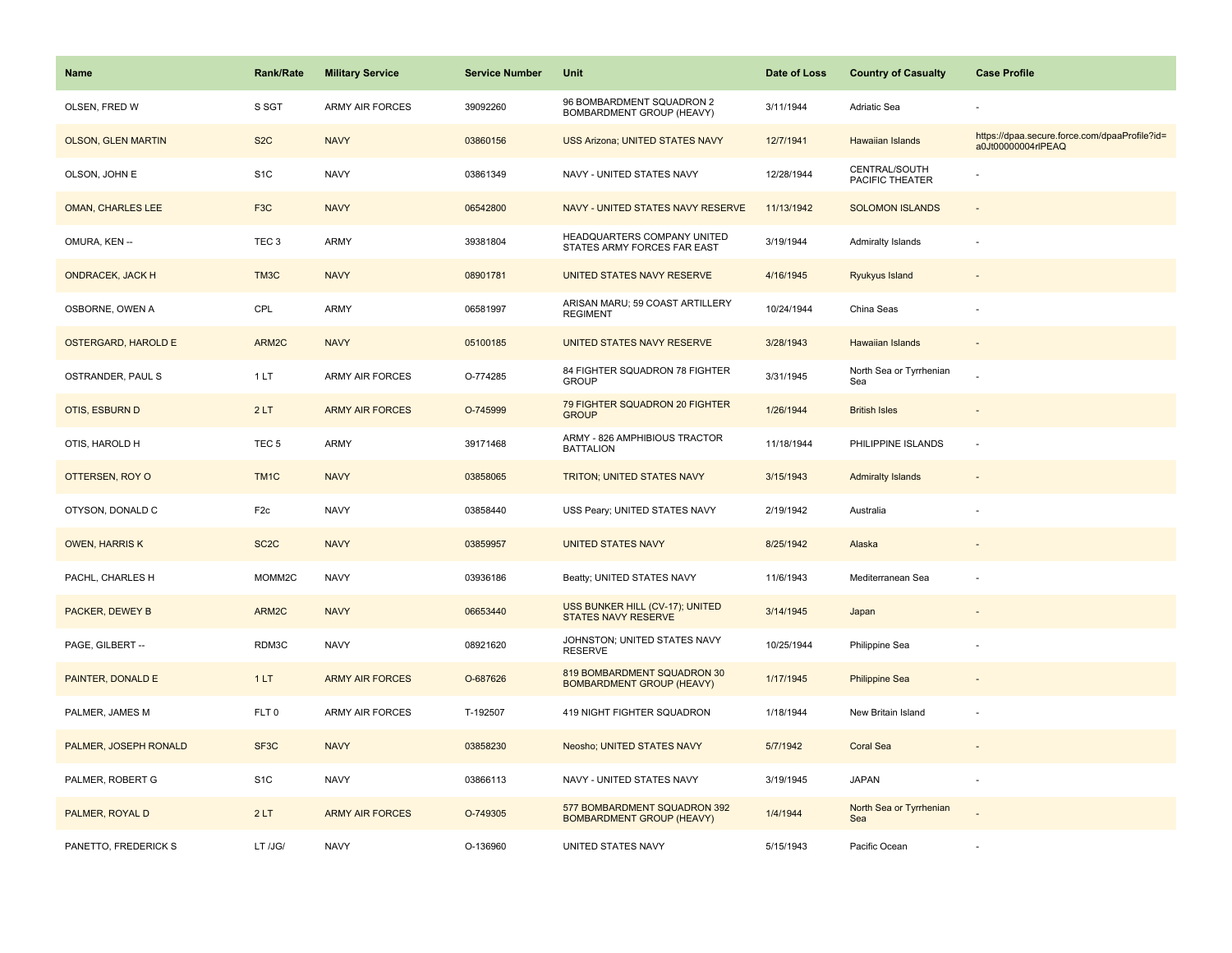| <b>Name</b>                | Rank/Rate         | <b>Military Service</b> | <b>Service Number</b> | Unit                                                             | Date of Loss | <b>Country of Casualty</b>       | <b>Case Profile</b>                                                 |
|----------------------------|-------------------|-------------------------|-----------------------|------------------------------------------------------------------|--------------|----------------------------------|---------------------------------------------------------------------|
| OLSEN, FRED W              | S SGT             | <b>ARMY AIR FORCES</b>  | 39092260              | 96 BOMBARDMENT SQUADRON 2<br>BOMBARDMENT GROUP (HEAVY)           | 3/11/1944    | Adriatic Sea                     |                                                                     |
| <b>OLSON, GLEN MARTIN</b>  | S <sub>2</sub> C  | <b>NAVY</b>             | 03860156              | <b>USS Arizona; UNITED STATES NAVY</b>                           | 12/7/1941    | Hawaiian Islands                 | https://dpaa.secure.force.com/dpaaProfile?id=<br>a0Jt00000004rlPEAQ |
| OLSON, JOHN E              | S <sub>1</sub> C  | <b>NAVY</b>             | 03861349              | NAVY - UNITED STATES NAVY                                        | 12/28/1944   | CENTRAL/SOUTH<br>PACIFIC THEATER |                                                                     |
| <b>OMAN, CHARLES LEE</b>   | F <sub>3</sub> C  | <b>NAVY</b>             | 06542800              | NAVY - UNITED STATES NAVY RESERVE                                | 11/13/1942   | <b>SOLOMON ISLANDS</b>           |                                                                     |
| OMURA, KEN --              | TEC <sub>3</sub>  | ARMY                    | 39381804              | HEADQUARTERS COMPANY UNITED<br>STATES ARMY FORCES FAR EAST       | 3/19/1944    | <b>Admiralty Islands</b>         | ÷,                                                                  |
| <b>ONDRACEK, JACK H</b>    | TM3C              | <b>NAVY</b>             | 08901781              | UNITED STATES NAVY RESERVE                                       | 4/16/1945    | Ryukyus Island                   |                                                                     |
| OSBORNE, OWEN A            | CPL               | <b>ARMY</b>             | 06581997              | ARISAN MARU; 59 COAST ARTILLERY<br><b>REGIMENT</b>               | 10/24/1944   | China Seas                       |                                                                     |
| <b>OSTERGARD, HAROLD E</b> | ARM2C             | <b>NAVY</b>             | 05100185              | UNITED STATES NAVY RESERVE                                       | 3/28/1943    | <b>Hawaiian Islands</b>          |                                                                     |
| OSTRANDER, PAUL S          | 1LT               | ARMY AIR FORCES         | O-774285              | 84 FIGHTER SQUADRON 78 FIGHTER<br><b>GROUP</b>                   | 3/31/1945    | North Sea or Tyrrhenian<br>Sea   |                                                                     |
| OTIS, ESBURN D             | 2LT               | <b>ARMY AIR FORCES</b>  | O-745999              | 79 FIGHTER SQUADRON 20 FIGHTER<br><b>GROUP</b>                   | 1/26/1944    | <b>British Isles</b>             |                                                                     |
| OTIS, HAROLD H             | TEC <sub>5</sub>  | ARMY                    | 39171468              | ARMY - 826 AMPHIBIOUS TRACTOR<br><b>BATTALION</b>                | 11/18/1944   | PHILIPPINE ISLANDS               |                                                                     |
| OTTERSEN, ROY O            | TM <sub>1</sub> C | <b>NAVY</b>             | 03858065              | TRITON; UNITED STATES NAVY                                       | 3/15/1943    | <b>Admiralty Islands</b>         | $\blacksquare$                                                      |
| OTYSON, DONALD C           | F <sub>2c</sub>   | <b>NAVY</b>             | 03858440              | USS Peary; UNITED STATES NAVY                                    | 2/19/1942    | Australia                        | ÷                                                                   |
| <b>OWEN, HARRIS K</b>      | SC <sub>2</sub> C | <b>NAVY</b>             | 03859957              | <b>UNITED STATES NAVY</b>                                        | 8/25/1942    | Alaska                           |                                                                     |
| PACHL, CHARLES H           | MOMM2C            | <b>NAVY</b>             | 03936186              | Beatty; UNITED STATES NAVY                                       | 11/6/1943    | Mediterranean Sea                | ÷,                                                                  |
| PACKER, DEWEY B            | ARM2C             | <b>NAVY</b>             | 06653440              | USS BUNKER HILL (CV-17); UNITED<br><b>STATES NAVY RESERVE</b>    | 3/14/1945    | Japan                            |                                                                     |
| PAGE, GILBERT --           | RDM3C             | <b>NAVY</b>             | 08921620              | JOHNSTON; UNITED STATES NAVY<br><b>RESERVE</b>                   | 10/25/1944   | Philippine Sea                   |                                                                     |
| PAINTER, DONALD E          | 1LT               | <b>ARMY AIR FORCES</b>  | O-687626              | 819 BOMBARDMENT SQUADRON 30<br><b>BOMBARDMENT GROUP (HEAVY)</b>  | 1/17/1945    | <b>Philippine Sea</b>            | $\overline{\phantom{a}}$                                            |
| PALMER, JAMES M            | FLT <sub>0</sub>  | <b>ARMY AIR FORCES</b>  | T-192507              | 419 NIGHT FIGHTER SQUADRON                                       | 1/18/1944    | New Britain Island               | ÷,                                                                  |
| PALMER, JOSEPH RONALD      | SF <sub>3</sub> C | <b>NAVY</b>             | 03858230              | Neosho; UNITED STATES NAVY                                       | 5/7/1942     | <b>Coral Sea</b>                 |                                                                     |
| PALMER, ROBERT G           | S <sub>1</sub> C  | <b>NAVY</b>             | 03866113              | NAVY - UNITED STATES NAVY                                        | 3/19/1945    | <b>JAPAN</b>                     | $\overline{\phantom{a}}$                                            |
| PALMER, ROYAL D            | 2LT               | <b>ARMY AIR FORCES</b>  | O-749305              | 577 BOMBARDMENT SQUADRON 392<br><b>BOMBARDMENT GROUP (HEAVY)</b> | 1/4/1944     | North Sea or Tyrrhenian<br>Sea   |                                                                     |
| PANETTO, FREDERICK S       | LT /JG/           | <b>NAVY</b>             | O-136960              | UNITED STATES NAVY                                               | 5/15/1943    | Pacific Ocean                    |                                                                     |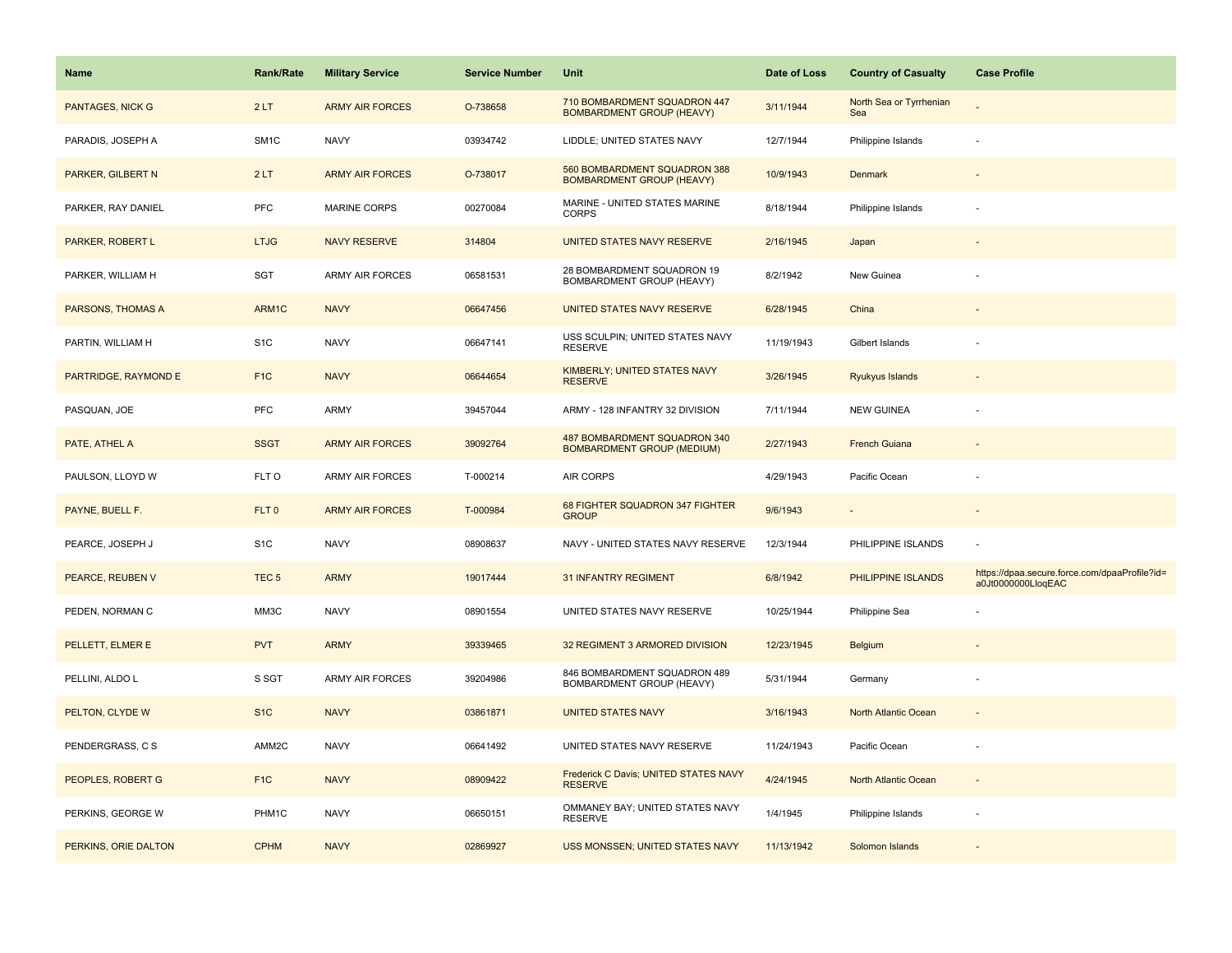| <b>Name</b>             | <b>Rank/Rate</b> | <b>Military Service</b> | <b>Service Number</b> | Unit                                                              | Date of Loss | <b>Country of Casualty</b>     | <b>Case Profile</b>                                                 |
|-------------------------|------------------|-------------------------|-----------------------|-------------------------------------------------------------------|--------------|--------------------------------|---------------------------------------------------------------------|
| <b>PANTAGES, NICK G</b> | 2LT              | <b>ARMY AIR FORCES</b>  | O-738658              | 710 BOMBARDMENT SQUADRON 447<br><b>BOMBARDMENT GROUP (HEAVY)</b>  | 3/11/1944    | North Sea or Tyrrhenian<br>Sea |                                                                     |
| PARADIS, JOSEPH A       | SM <sub>1C</sub> | <b>NAVY</b>             | 03934742              | LIDDLE; UNITED STATES NAVY                                        | 12/7/1944    | Philippine Islands             |                                                                     |
| PARKER, GILBERT N       | 2LT              | <b>ARMY AIR FORCES</b>  | O-738017              | 560 BOMBARDMENT SQUADRON 388<br><b>BOMBARDMENT GROUP (HEAVY)</b>  | 10/9/1943    | <b>Denmark</b>                 |                                                                     |
| PARKER, RAY DANIEL      | PFC              | MARINE CORPS            | 00270084              | MARINE - UNITED STATES MARINE<br><b>CORPS</b>                     | 8/18/1944    | Philippine Islands             |                                                                     |
| PARKER, ROBERT L        | <b>LTJG</b>      | <b>NAVY RESERVE</b>     | 314804                | UNITED STATES NAVY RESERVE                                        | 2/16/1945    | Japan                          |                                                                     |
| PARKER, WILLIAM H       | SGT              | <b>ARMY AIR FORCES</b>  | 06581531              | 28 BOMBARDMENT SQUADRON 19<br>BOMBARDMENT GROUP (HEAVY)           | 8/2/1942     | New Guinea                     |                                                                     |
| PARSONS, THOMAS A       | ARM1C            | <b>NAVY</b>             | 06647456              | UNITED STATES NAVY RESERVE                                        | 6/28/1945    | China                          |                                                                     |
| PARTIN, WILLIAM H       | S <sub>1</sub> C | <b>NAVY</b>             | 06647141              | USS SCULPIN; UNITED STATES NAVY<br><b>RESERVE</b>                 | 11/19/1943   | Gilbert Islands                |                                                                     |
| PARTRIDGE, RAYMOND E    | F <sub>1</sub> C | <b>NAVY</b>             | 06644654              | KIMBERLY; UNITED STATES NAVY<br><b>RESERVE</b>                    | 3/26/1945    | Ryukyus Islands                |                                                                     |
| PASQUAN, JOE            | PFC              | ARMY                    | 39457044              | ARMY - 128 INFANTRY 32 DIVISION                                   | 7/11/1944    | <b>NEW GUINEA</b>              |                                                                     |
| PATE, ATHEL A           | <b>SSGT</b>      | <b>ARMY AIR FORCES</b>  | 39092764              | 487 BOMBARDMENT SQUADRON 340<br><b>BOMBARDMENT GROUP (MEDIUM)</b> | 2/27/1943    | <b>French Guiana</b>           |                                                                     |
| PAULSON, LLOYD W        | FLT O            | ARMY AIR FORCES         | T-000214              | <b>AIR CORPS</b>                                                  | 4/29/1943    | Pacific Ocean                  |                                                                     |
| PAYNE, BUELL F.         | FLT <sub>0</sub> | <b>ARMY AIR FORCES</b>  | T-000984              | 68 FIGHTER SQUADRON 347 FIGHTER<br><b>GROUP</b>                   | 9/6/1943     |                                |                                                                     |
| PEARCE, JOSEPH J        | S <sub>1</sub> C | <b>NAVY</b>             | 08908637              | NAVY - UNITED STATES NAVY RESERVE                                 | 12/3/1944    | PHILIPPINE ISLANDS             |                                                                     |
| PEARCE, REUBEN V        | TEC <sub>5</sub> | <b>ARMY</b>             | 19017444              | <b>31 INFANTRY REGIMENT</b>                                       | 6/8/1942     | PHILIPPINE ISLANDS             | https://dpaa.secure.force.com/dpaaProfile?id=<br>a0Jt0000000LloqEAC |
| PEDEN, NORMAN C         | MM3C             | <b>NAVY</b>             | 08901554              | UNITED STATES NAVY RESERVE                                        | 10/25/1944   | Philippine Sea                 |                                                                     |
| PELLETT, ELMER E        | <b>PVT</b>       | <b>ARMY</b>             | 39339465              | 32 REGIMENT 3 ARMORED DIVISION                                    | 12/23/1945   | <b>Belgium</b>                 |                                                                     |
| PELLINI, ALDO L         | S SGT            | ARMY AIR FORCES         | 39204986              | 846 BOMBARDMENT SQUADRON 489<br>BOMBARDMENT GROUP (HEAVY)         | 5/31/1944    | Germany                        |                                                                     |
| PELTON, CLYDE W         | S <sub>1C</sub>  | <b>NAVY</b>             | 03861871              | <b>UNITED STATES NAVY</b>                                         | 3/16/1943    | North Atlantic Ocean           |                                                                     |
| PENDERGRASS, C S        | AMM2C            | <b>NAVY</b>             | 06641492              | UNITED STATES NAVY RESERVE                                        | 11/24/1943   | Pacific Ocean                  |                                                                     |
| PEOPLES, ROBERT G       | F <sub>1C</sub>  | <b>NAVY</b>             | 08909422              | Frederick C Davis; UNITED STATES NAVY<br><b>RESERVE</b>           | 4/24/1945    | North Atlantic Ocean           |                                                                     |
| PERKINS, GEORGE W       | PHM1C            | <b>NAVY</b>             | 06650151              | OMMANEY BAY; UNITED STATES NAVY<br><b>RESERVE</b>                 | 1/4/1945     | Philippine Islands             |                                                                     |
| PERKINS, ORIE DALTON    | <b>CPHM</b>      | <b>NAVY</b>             | 02869927              | USS MONSSEN; UNITED STATES NAVY                                   | 11/13/1942   | Solomon Islands                |                                                                     |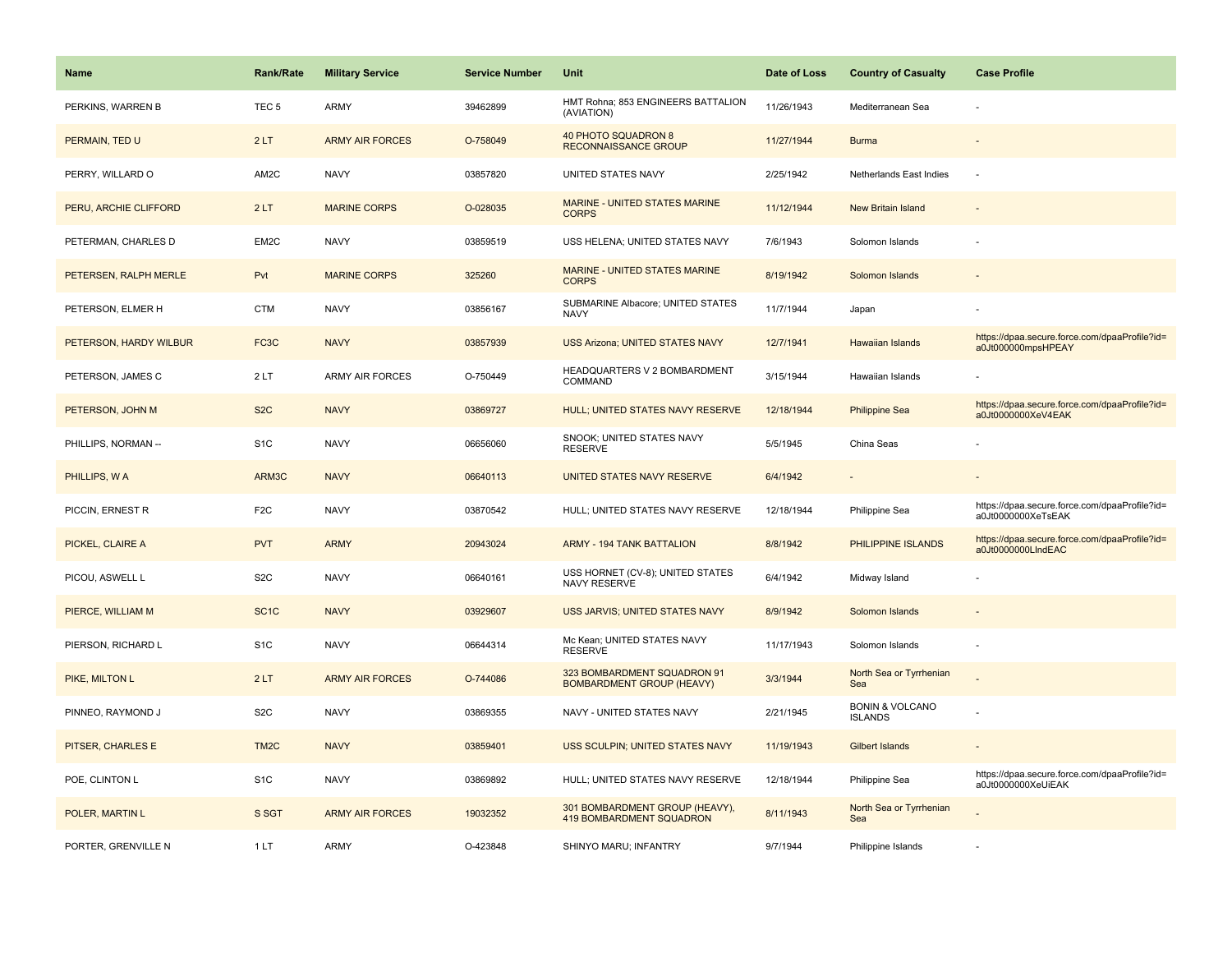| <b>Name</b>            | <b>Rank/Rate</b>  | <b>Military Service</b> | <b>Service Number</b> | Unit                                                              | Date of Loss | <b>Country of Casualty</b>                   | <b>Case Profile</b>                                                 |
|------------------------|-------------------|-------------------------|-----------------------|-------------------------------------------------------------------|--------------|----------------------------------------------|---------------------------------------------------------------------|
| PERKINS, WARREN B      | TEC <sub>5</sub>  | ARMY                    | 39462899              | HMT Rohna; 853 ENGINEERS BATTALION<br>(AVIATION)                  | 11/26/1943   | Mediterranean Sea                            |                                                                     |
| PERMAIN, TED U         | 2LT               | <b>ARMY AIR FORCES</b>  | O-758049              | 40 PHOTO SQUADRON 8<br><b>RECONNAISSANCE GROUP</b>                | 11/27/1944   | <b>Burma</b>                                 |                                                                     |
| PERRY, WILLARD O       | AM2C              | <b>NAVY</b>             | 03857820              | UNITED STATES NAVY                                                | 2/25/1942    | Netherlands East Indies                      |                                                                     |
| PERU, ARCHIE CLIFFORD  | 2LT               | <b>MARINE CORPS</b>     | O-028035              | MARINE - UNITED STATES MARINE<br><b>CORPS</b>                     | 11/12/1944   | New Britain Island                           |                                                                     |
| PETERMAN, CHARLES D    | EM2C              | <b>NAVY</b>             | 03859519              | USS HELENA; UNITED STATES NAVY                                    | 7/6/1943     | Solomon Islands                              |                                                                     |
| PETERSEN, RALPH MERLE  | Pvt               | <b>MARINE CORPS</b>     | 325260                | <b>MARINE - UNITED STATES MARINE</b><br><b>CORPS</b>              | 8/19/1942    | Solomon Islands                              |                                                                     |
| PETERSON, ELMER H      | <b>CTM</b>        | <b>NAVY</b>             | 03856167              | SUBMARINE Albacore; UNITED STATES<br><b>NAVY</b>                  | 11/7/1944    | Japan                                        |                                                                     |
| PETERSON, HARDY WILBUR | FC <sub>3</sub> C | <b>NAVY</b>             | 03857939              | <b>USS Arizona; UNITED STATES NAVY</b>                            | 12/7/1941    | <b>Hawaiian Islands</b>                      | https://dpaa.secure.force.com/dpaaProfile?id=<br>a0Jt000000mpsHPEAY |
| PETERSON, JAMES C      | 2LT               | <b>ARMY AIR FORCES</b>  | O-750449              | HEADQUARTERS V 2 BOMBARDMENT<br>COMMAND                           | 3/15/1944    | Hawaiian Islands                             |                                                                     |
| PETERSON, JOHN M       | S <sub>2</sub> C  | <b>NAVY</b>             | 03869727              | HULL; UNITED STATES NAVY RESERVE                                  | 12/18/1944   | <b>Philippine Sea</b>                        | https://dpaa.secure.force.com/dpaaProfile?id=<br>a0Jt0000000XeV4EAK |
| PHILLIPS, NORMAN --    | S <sub>1</sub> C  | <b>NAVY</b>             | 06656060              | SNOOK; UNITED STATES NAVY<br><b>RESERVE</b>                       | 5/5/1945     | China Seas                                   |                                                                     |
| PHILLIPS, WA           | ARM3C             | <b>NAVY</b>             | 06640113              | UNITED STATES NAVY RESERVE                                        | 6/4/1942     |                                              |                                                                     |
| PICCIN, ERNEST R       | F <sub>2</sub> C  | <b>NAVY</b>             | 03870542              | HULL; UNITED STATES NAVY RESERVE                                  | 12/18/1944   | Philippine Sea                               | https://dpaa.secure.force.com/dpaaProfile?id=<br>a0Jt0000000XeTsEAK |
| PICKEL, CLAIRE A       | <b>PVT</b>        | <b>ARMY</b>             | 20943024              | <b>ARMY - 194 TANK BATTALION</b>                                  | 8/8/1942     | PHILIPPINE ISLANDS                           | https://dpaa.secure.force.com/dpaaProfile?id=<br>a0Jt0000000LIndEAC |
| PICOU, ASWELL L        | S <sub>2</sub> C  | <b>NAVY</b>             | 06640161              | USS HORNET (CV-8); UNITED STATES<br>NAVY RESERVE                  | 6/4/1942     | Midway Island                                |                                                                     |
| PIERCE, WILLIAM M      | SC <sub>1</sub> C | <b>NAVY</b>             | 03929607              | USS JARVIS; UNITED STATES NAVY                                    | 8/9/1942     | Solomon Islands                              |                                                                     |
| PIERSON, RICHARD L     | S <sub>1</sub> C  | <b>NAVY</b>             | 06644314              | Mc Kean; UNITED STATES NAVY<br><b>RESERVE</b>                     | 11/17/1943   | Solomon Islands                              |                                                                     |
| PIKE, MILTON L         | 2LT               | <b>ARMY AIR FORCES</b>  | O-744086              | 323 BOMBARDMENT SQUADRON 91<br><b>BOMBARDMENT GROUP (HEAVY)</b>   | 3/3/1944     | North Sea or Tyrrhenian<br>Sea               |                                                                     |
| PINNEO, RAYMOND J      | S <sub>2</sub> C  | <b>NAVY</b>             | 03869355              | NAVY - UNITED STATES NAVY                                         | 2/21/1945    | <b>BONIN &amp; VOLCANO</b><br><b>ISLANDS</b> |                                                                     |
| PITSER, CHARLES E      | TM <sub>2</sub> C | <b>NAVY</b>             | 03859401              | USS SCULPIN; UNITED STATES NAVY                                   | 11/19/1943   | <b>Gilbert Islands</b>                       |                                                                     |
| POE, CLINTON L         | S <sub>1C</sub>   | <b>NAVY</b>             | 03869892              | HULL; UNITED STATES NAVY RESERVE                                  | 12/18/1944   | Philippine Sea                               | https://dpaa.secure.force.com/dpaaProfile?id=<br>a0Jt0000000XeUiEAK |
| POLER, MARTIN L        | S SGT             | <b>ARMY AIR FORCES</b>  | 19032352              | 301 BOMBARDMENT GROUP (HEAVY),<br><b>419 BOMBARDMENT SQUADRON</b> | 8/11/1943    | North Sea or Tyrrhenian<br>Sea               |                                                                     |
| PORTER, GRENVILLE N    | 1LT               | <b>ARMY</b>             | O-423848              | SHINYO MARU; INFANTRY                                             | 9/7/1944     | Philippine Islands                           |                                                                     |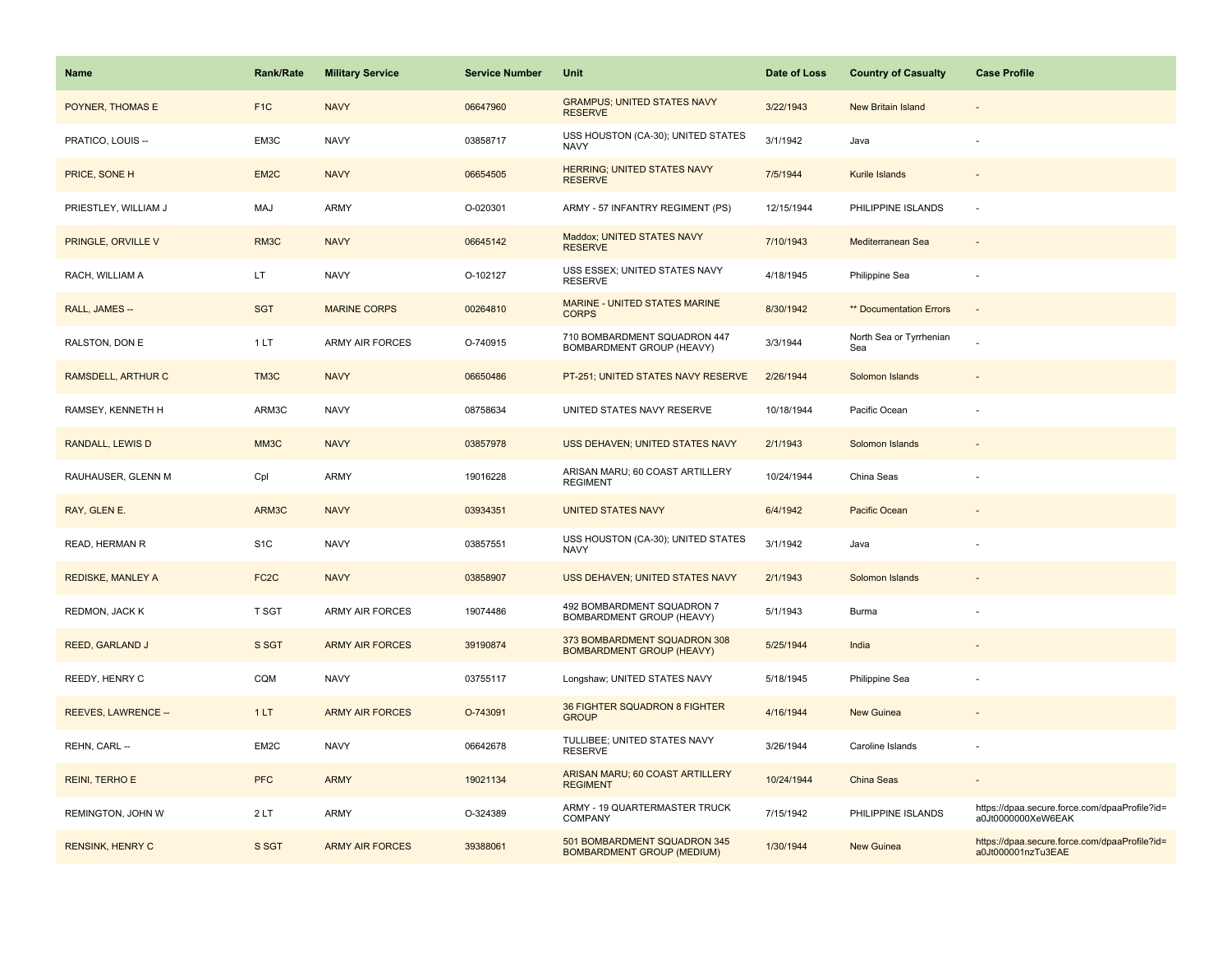| Name                      | <b>Rank/Rate</b>  | <b>Military Service</b> | <b>Service Number</b> | Unit                                                              | Date of Loss | <b>Country of Casualty</b>     | <b>Case Profile</b>                                                 |
|---------------------------|-------------------|-------------------------|-----------------------|-------------------------------------------------------------------|--------------|--------------------------------|---------------------------------------------------------------------|
| POYNER, THOMAS E          | F <sub>1</sub> C  | <b>NAVY</b>             | 06647960              | <b>GRAMPUS; UNITED STATES NAVY</b><br><b>RESERVE</b>              | 3/22/1943    | <b>New Britain Island</b>      |                                                                     |
| PRATICO, LOUIS --         | EM3C              | <b>NAVY</b>             | 03858717              | USS HOUSTON (CA-30); UNITED STATES<br><b>NAVY</b>                 | 3/1/1942     | Java                           |                                                                     |
| PRICE, SONE H             | EM2C              | <b>NAVY</b>             | 06654505              | HERRING; UNITED STATES NAVY<br><b>RESERVE</b>                     | 7/5/1944     | Kurile Islands                 |                                                                     |
| PRIESTLEY, WILLIAM J      | MAJ               | ARMY                    | O-020301              | ARMY - 57 INFANTRY REGIMENT (PS)                                  | 12/15/1944   | PHILIPPINE ISLANDS             | $\sim$                                                              |
| PRINGLE, ORVILLE V        | RM3C              | <b>NAVY</b>             | 06645142              | Maddox; UNITED STATES NAVY<br><b>RESERVE</b>                      | 7/10/1943    | Mediterranean Sea              |                                                                     |
| RACH, WILLIAM A           | LT.               | <b>NAVY</b>             | O-102127              | USS ESSEX; UNITED STATES NAVY<br><b>RESERVE</b>                   | 4/18/1945    | Philippine Sea                 |                                                                     |
| RALL, JAMES --            | <b>SGT</b>        | <b>MARINE CORPS</b>     | 00264810              | MARINE - UNITED STATES MARINE<br><b>CORPS</b>                     | 8/30/1942    | ** Documentation Errors        | $\sim$                                                              |
| RALSTON, DON E            | 1LT               | ARMY AIR FORCES         | O-740915              | 710 BOMBARDMENT SQUADRON 447<br>BOMBARDMENT GROUP (HEAVY)         | 3/3/1944     | North Sea or Tyrrhenian<br>Sea |                                                                     |
| <b>RAMSDELL, ARTHUR C</b> | TM3C              | <b>NAVY</b>             | 06650486              | PT-251; UNITED STATES NAVY RESERVE                                | 2/26/1944    | Solomon Islands                |                                                                     |
| RAMSEY, KENNETH H         | ARM3C             | <b>NAVY</b>             | 08758634              | UNITED STATES NAVY RESERVE                                        | 10/18/1944   | Pacific Ocean                  |                                                                     |
| <b>RANDALL, LEWIS D</b>   | MM3C              | <b>NAVY</b>             | 03857978              | USS DEHAVEN; UNITED STATES NAVY                                   | 2/1/1943     | Solomon Islands                |                                                                     |
| RAUHAUSER, GLENN M        | Cpl               | ARMY                    | 19016228              | ARISAN MARU; 60 COAST ARTILLERY<br><b>REGIMENT</b>                | 10/24/1944   | China Seas                     |                                                                     |
| RAY, GLEN E.              | ARM3C             | <b>NAVY</b>             | 03934351              | UNITED STATES NAVY                                                | 6/4/1942     | Pacific Ocean                  |                                                                     |
| READ, HERMAN R            | S <sub>1</sub> C  | <b>NAVY</b>             | 03857551              | USS HOUSTON (CA-30); UNITED STATES<br><b>NAVY</b>                 | 3/1/1942     | Java                           |                                                                     |
| <b>REDISKE, MANLEY A</b>  | FC <sub>2</sub> C | <b>NAVY</b>             | 03858907              | USS DEHAVEN; UNITED STATES NAVY                                   | 2/1/1943     | Solomon Islands                |                                                                     |
| REDMON, JACK K            | T SGT             | ARMY AIR FORCES         | 19074486              | 492 BOMBARDMENT SQUADRON 7<br>BOMBARDMENT GROUP (HEAVY)           | 5/1/1943     | Burma                          |                                                                     |
| <b>REED, GARLAND J</b>    | S SGT             | <b>ARMY AIR FORCES</b>  | 39190874              | 373 BOMBARDMENT SQUADRON 308<br><b>BOMBARDMENT GROUP (HEAVY)</b>  | 5/25/1944    | India                          |                                                                     |
| REEDY, HENRY C            | CQM               | <b>NAVY</b>             | 03755117              | Longshaw; UNITED STATES NAVY                                      | 5/18/1945    | Philippine Sea                 |                                                                     |
| REEVES, LAWRENCE --       | 1LT               | <b>ARMY AIR FORCES</b>  | O-743091              | 36 FIGHTER SQUADRON 8 FIGHTER<br><b>GROUP</b>                     | 4/16/1944    | New Guinea                     |                                                                     |
| REHN, CARL --             | EM2C              | <b>NAVY</b>             | 06642678              | TULLIBEE; UNITED STATES NAVY<br><b>RESERVE</b>                    | 3/26/1944    | Caroline Islands               |                                                                     |
| <b>REINI, TERHO E</b>     | <b>PFC</b>        | <b>ARMY</b>             | 19021134              | ARISAN MARU; 60 COAST ARTILLERY<br><b>REGIMENT</b>                | 10/24/1944   | China Seas                     |                                                                     |
| REMINGTON, JOHN W         | 2LT               | ARMY                    | O-324389              | ARMY - 19 QUARTERMASTER TRUCK<br>COMPANY                          | 7/15/1942    | PHILIPPINE ISLANDS             | https://dpaa.secure.force.com/dpaaProfile?id=<br>a0Jt0000000XeW6EAK |
| <b>RENSINK, HENRY C</b>   | S SGT             | <b>ARMY AIR FORCES</b>  | 39388061              | 501 BOMBARDMENT SQUADRON 345<br><b>BOMBARDMENT GROUP (MEDIUM)</b> | 1/30/1944    | <b>New Guinea</b>              | https://dpaa.secure.force.com/dpaaProfile?id=<br>a0Jt000001nzTu3EAE |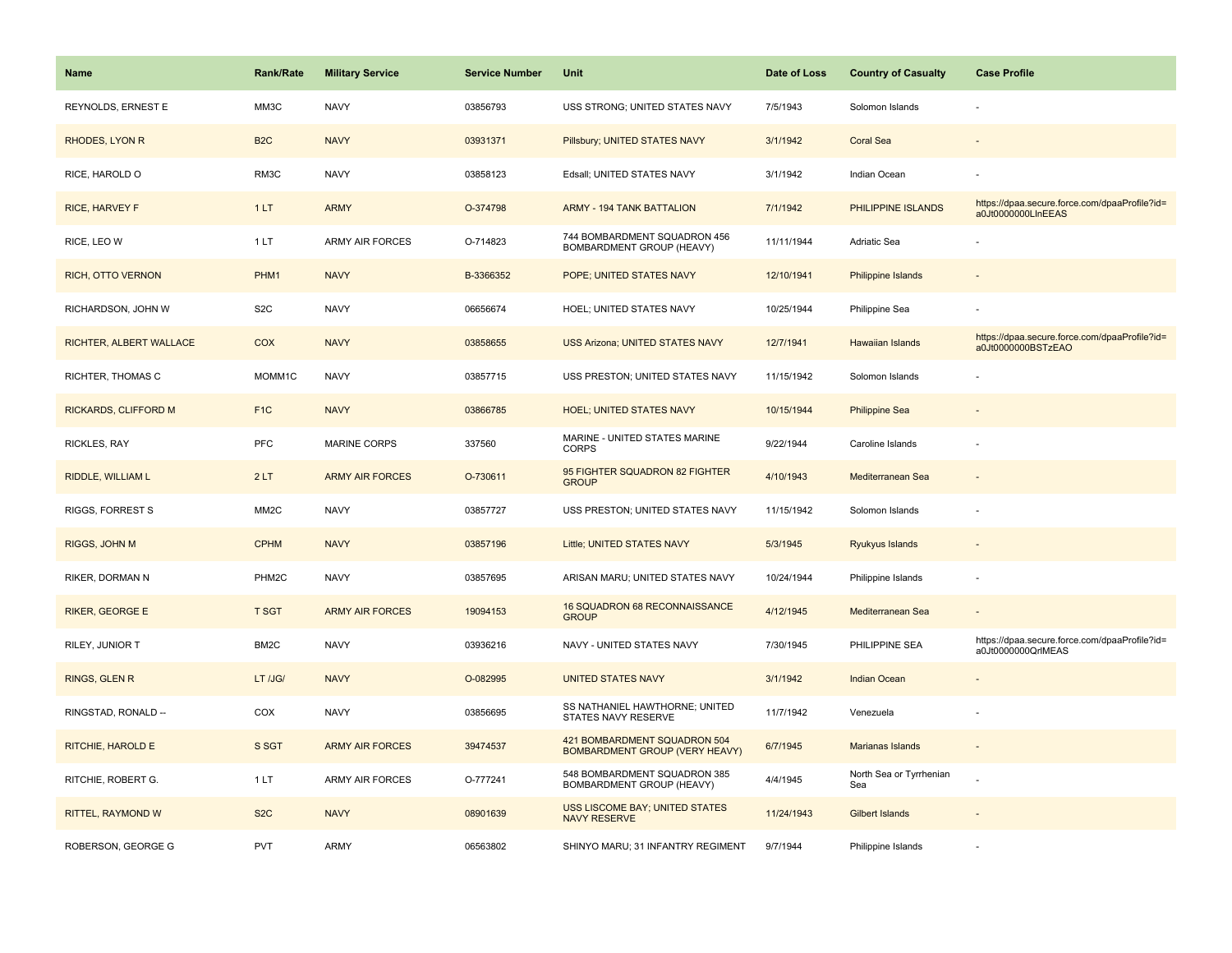| <b>Name</b>                 | <b>Rank/Rate</b>  | <b>Military Service</b> | <b>Service Number</b> | Unit                                                                  | Date of Loss | <b>Country of Casualty</b>     | <b>Case Profile</b>                                                 |
|-----------------------------|-------------------|-------------------------|-----------------------|-----------------------------------------------------------------------|--------------|--------------------------------|---------------------------------------------------------------------|
| REYNOLDS, ERNEST E          | MM3C              | <b>NAVY</b>             | 03856793              | USS STRONG; UNITED STATES NAVY                                        | 7/5/1943     | Solomon Islands                |                                                                     |
| RHODES, LYON R              | B <sub>2</sub> C  | <b>NAVY</b>             | 03931371              | Pillsbury; UNITED STATES NAVY                                         | 3/1/1942     | <b>Coral Sea</b>               |                                                                     |
| RICE, HAROLD O              | RM3C              | <b>NAVY</b>             | 03858123              | Edsall; UNITED STATES NAVY                                            | 3/1/1942     | Indian Ocean                   |                                                                     |
| <b>RICE, HARVEY F</b>       | 1LT               | <b>ARMY</b>             | O-374798              | <b>ARMY - 194 TANK BATTALION</b>                                      | 7/1/1942     | PHILIPPINE ISLANDS             | https://dpaa.secure.force.com/dpaaProfile?id=<br>a0Jt0000000LInEEAS |
| RICE, LEO W                 | 1LT               | <b>ARMY AIR FORCES</b>  | O-714823              | 744 BOMBARDMENT SQUADRON 456<br>BOMBARDMENT GROUP (HEAVY)             | 11/11/1944   | Adriatic Sea                   |                                                                     |
| RICH, OTTO VERNON           | PHM1              | <b>NAVY</b>             | B-3366352             | POPE; UNITED STATES NAVY                                              | 12/10/1941   | Philippine Islands             |                                                                     |
| RICHARDSON, JOHN W          | S <sub>2</sub> C  | <b>NAVY</b>             | 06656674              | HOEL; UNITED STATES NAVY                                              | 10/25/1944   | Philippine Sea                 |                                                                     |
| RICHTER, ALBERT WALLACE     | <b>COX</b>        | <b>NAVY</b>             | 03858655              | <b>USS Arizona; UNITED STATES NAVY</b>                                | 12/7/1941    | <b>Hawaiian Islands</b>        | https://dpaa.secure.force.com/dpaaProfile?id=<br>a0Jt0000000BSTzEAO |
| RICHTER, THOMAS C           | MOMM1C            | <b>NAVY</b>             | 03857715              | USS PRESTON; UNITED STATES NAVY                                       | 11/15/1942   | Solomon Islands                |                                                                     |
| <b>RICKARDS, CLIFFORD M</b> | F <sub>1C</sub>   | <b>NAVY</b>             | 03866785              | <b>HOEL; UNITED STATES NAVY</b>                                       | 10/15/1944   | <b>Philippine Sea</b>          |                                                                     |
| RICKLES, RAY                | <b>PFC</b>        | <b>MARINE CORPS</b>     | 337560                | MARINE - UNITED STATES MARINE<br><b>CORPS</b>                         | 9/22/1944    | Caroline Islands               |                                                                     |
| RIDDLE, WILLIAM L           | 2LT               | <b>ARMY AIR FORCES</b>  | O-730611              | 95 FIGHTER SQUADRON 82 FIGHTER<br><b>GROUP</b>                        | 4/10/1943    | Mediterranean Sea              |                                                                     |
| <b>RIGGS, FORREST S</b>     | MM <sub>2</sub> C | <b>NAVY</b>             | 03857727              | USS PRESTON; UNITED STATES NAVY                                       | 11/15/1942   | Solomon Islands                |                                                                     |
| RIGGS, JOHN M               | <b>CPHM</b>       | <b>NAVY</b>             | 03857196              | Little; UNITED STATES NAVY                                            | 5/3/1945     | Ryukyus Islands                |                                                                     |
| RIKER, DORMAN N             | PHM2C             | <b>NAVY</b>             | 03857695              | ARISAN MARU; UNITED STATES NAVY                                       | 10/24/1944   | Philippine Islands             |                                                                     |
| <b>RIKER, GEORGE E</b>      | <b>T SGT</b>      | <b>ARMY AIR FORCES</b>  | 19094153              | 16 SQUADRON 68 RECONNAISSANCE<br><b>GROUP</b>                         | 4/12/1945    | Mediterranean Sea              |                                                                     |
| RILEY, JUNIOR T             | BM <sub>2</sub> C | <b>NAVY</b>             | 03936216              | NAVY - UNITED STATES NAVY                                             | 7/30/1945    | PHILIPPINE SEA                 | https://dpaa.secure.force.com/dpaaProfile?id=<br>a0Jt0000000QrlMEAS |
| <b>RINGS, GLEN R</b>        | LT /JG/           | <b>NAVY</b>             | O-082995              | <b>UNITED STATES NAVY</b>                                             | 3/1/1942     | <b>Indian Ocean</b>            |                                                                     |
| RINGSTAD, RONALD --         | COX               | <b>NAVY</b>             | 03856695              | SS NATHANIEL HAWTHORNE; UNITED<br>STATES NAVY RESERVE                 | 11/7/1942    | Venezuela                      |                                                                     |
| RITCHIE, HAROLD E           | S SGT             | <b>ARMY AIR FORCES</b>  | 39474537              | 421 BOMBARDMENT SQUADRON 504<br><b>BOMBARDMENT GROUP (VERY HEAVY)</b> | 6/7/1945     | Marianas Islands               |                                                                     |
| RITCHIE, ROBERT G.          | 1LT               | <b>ARMY AIR FORCES</b>  | O-777241              | 548 BOMBARDMENT SQUADRON 385<br>BOMBARDMENT GROUP (HEAVY)             | 4/4/1945     | North Sea or Tyrrhenian<br>Sea |                                                                     |
| RITTEL, RAYMOND W           | S <sub>2</sub> C  | <b>NAVY</b>             | 08901639              | <b>USS LISCOME BAY; UNITED STATES</b><br><b>NAVY RESERVE</b>          | 11/24/1943   | <b>Gilbert Islands</b>         |                                                                     |
| ROBERSON, GEORGE G          | <b>PVT</b>        | <b>ARMY</b>             | 06563802              | SHINYO MARU; 31 INFANTRY REGIMENT                                     | 9/7/1944     | Philippine Islands             |                                                                     |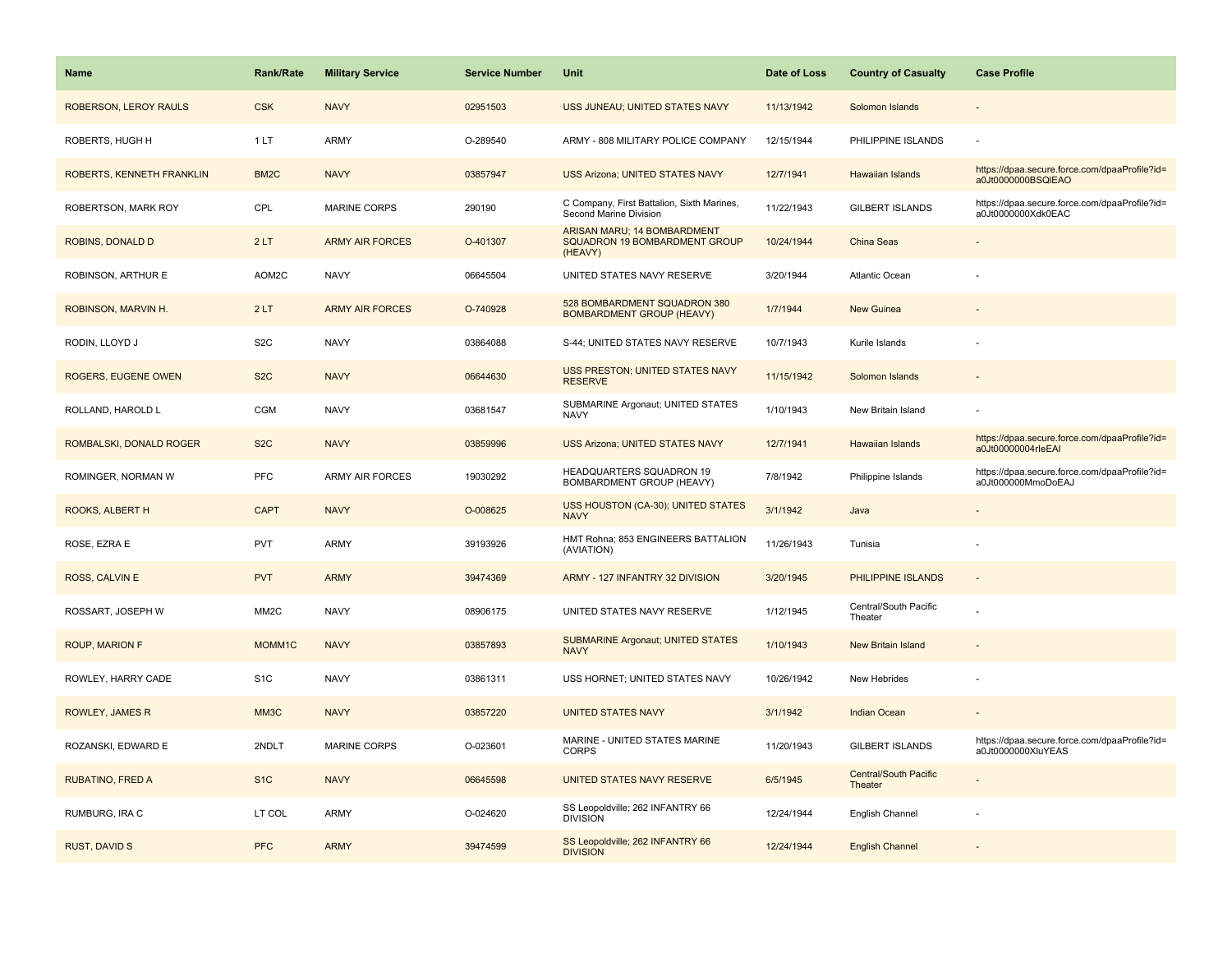| Name                       | <b>Rank/Rate</b>  | <b>Military Service</b> | <b>Service Number</b> | <b>Unit</b>                                                             | Date of Loss | <b>Country of Casualty</b>              | <b>Case Profile</b>                                                 |
|----------------------------|-------------------|-------------------------|-----------------------|-------------------------------------------------------------------------|--------------|-----------------------------------------|---------------------------------------------------------------------|
| ROBERSON, LEROY RAULS      | <b>CSK</b>        | <b>NAVY</b>             | 02951503              | USS JUNEAU; UNITED STATES NAVY                                          | 11/13/1942   | Solomon Islands                         |                                                                     |
| ROBERTS, HUGH H            | 1LT               | ARMY                    | O-289540              | ARMY - 808 MILITARY POLICE COMPANY                                      | 12/15/1944   | PHILIPPINE ISLANDS                      |                                                                     |
| ROBERTS, KENNETH FRANKLIN  | BM <sub>2</sub> C | <b>NAVY</b>             | 03857947              | <b>USS Arizona; UNITED STATES NAVY</b>                                  | 12/7/1941    | Hawaiian Islands                        | https://dpaa.secure.force.com/dpaaProfile?id=<br>a0Jt0000000BSQIEAO |
| ROBERTSON, MARK ROY        | CPL               | <b>MARINE CORPS</b>     | 290190                | C Company, First Battalion, Sixth Marines,<br>Second Marine Division    | 11/22/1943   | <b>GILBERT ISLANDS</b>                  | https://dpaa.secure.force.com/dpaaProfile?id=<br>a0Jt0000000Xdk0EAC |
| ROBINS, DONALD D           | 2LT               | <b>ARMY AIR FORCES</b>  | O-401307              | ARISAN MARU; 14 BOMBARDMENT<br>SQUADRON 19 BOMBARDMENT GROUP<br>(HEAVY) | 10/24/1944   | China Seas                              |                                                                     |
| ROBINSON, ARTHUR E         | AOM2C             | <b>NAVY</b>             | 06645504              | UNITED STATES NAVY RESERVE                                              | 3/20/1944    | <b>Atlantic Ocean</b>                   |                                                                     |
| ROBINSON, MARVIN H.        | 2LT               | <b>ARMY AIR FORCES</b>  | O-740928              | 528 BOMBARDMENT SQUADRON 380<br><b>BOMBARDMENT GROUP (HEAVY)</b>        | 1/7/1944     | <b>New Guinea</b>                       |                                                                     |
| RODIN, LLOYD J             | S <sub>2</sub> C  | <b>NAVY</b>             | 03864088              | S-44; UNITED STATES NAVY RESERVE                                        | 10/7/1943    | Kurile Islands                          |                                                                     |
| <b>ROGERS, EUGENE OWEN</b> | S <sub>2</sub> C  | <b>NAVY</b>             | 06644630              | USS PRESTON; UNITED STATES NAVY<br><b>RESERVE</b>                       | 11/15/1942   | Solomon Islands                         |                                                                     |
| ROLLAND, HAROLD L          | CGM               | <b>NAVY</b>             | 03681547              | SUBMARINE Argonaut; UNITED STATES<br><b>NAVY</b>                        | 1/10/1943    | New Britain Island                      |                                                                     |
| ROMBALSKI, DONALD ROGER    | S <sub>2</sub> C  | <b>NAVY</b>             | 03859996              | <b>USS Arizona; UNITED STATES NAVY</b>                                  | 12/7/1941    | <b>Hawaiian Islands</b>                 | https://dpaa.secure.force.com/dpaaProfile?id=<br>a0Jt00000004rleEAI |
| ROMINGER, NORMAN W         | <b>PFC</b>        | ARMY AIR FORCES         | 19030292              | HEADQUARTERS SQUADRON 19<br>BOMBARDMENT GROUP (HEAVY)                   | 7/8/1942     | Philippine Islands                      | https://dpaa.secure.force.com/dpaaProfile?id=<br>a0Jt000000MmoDoEAJ |
| ROOKS, ALBERT H            | <b>CAPT</b>       | <b>NAVY</b>             | O-008625              | USS HOUSTON (CA-30); UNITED STATES<br><b>NAVY</b>                       | 3/1/1942     | Java                                    |                                                                     |
| ROSE, EZRA E               | <b>PVT</b>        | ARMY                    | 39193926              | HMT Rohna; 853 ENGINEERS BATTALION<br>(AVIATION)                        | 11/26/1943   | Tunisia                                 |                                                                     |
| ROSS, CALVIN E             | <b>PVT</b>        | <b>ARMY</b>             | 39474369              | ARMY - 127 INFANTRY 32 DIVISION                                         | 3/20/1945    | PHILIPPINE ISLANDS                      | $\sim$                                                              |
| ROSSART, JOSEPH W          | MM <sub>2</sub> C | <b>NAVY</b>             | 08906175              | UNITED STATES NAVY RESERVE                                              | 1/12/1945    | Central/South Pacific<br>Theater        |                                                                     |
| <b>ROUP, MARION F</b>      | MOMM1C            | <b>NAVY</b>             | 03857893              | <b>SUBMARINE Argonaut; UNITED STATES</b><br><b>NAVY</b>                 | 1/10/1943    | New Britain Island                      |                                                                     |
| ROWLEY, HARRY CADE         | S <sub>1</sub> C  | <b>NAVY</b>             | 03861311              | USS HORNET; UNITED STATES NAVY                                          | 10/26/1942   | New Hebrides                            |                                                                     |
| <b>ROWLEY, JAMES R</b>     | MM3C              | <b>NAVY</b>             | 03857220              | <b>UNITED STATES NAVY</b>                                               | 3/1/1942     | <b>Indian Ocean</b>                     |                                                                     |
| ROZANSKI, EDWARD E         | 2NDLT             | <b>MARINE CORPS</b>     | O-023601              | MARINE - UNITED STATES MARINE<br><b>CORPS</b>                           | 11/20/1943   | <b>GILBERT ISLANDS</b>                  | https://dpaa.secure.force.com/dpaaProfile?id=<br>a0Jt0000000XluYEAS |
| RUBATINO, FRED A           | S <sub>1</sub> C  | <b>NAVY</b>             | 06645598              | UNITED STATES NAVY RESERVE                                              | 6/5/1945     | <b>Central/South Pacific</b><br>Theater |                                                                     |
| RUMBURG, IRA C             | LT COL            | ARMY                    | O-024620              | SS Leopoldville; 262 INFANTRY 66<br><b>DIVISION</b>                     | 12/24/1944   | English Channel                         |                                                                     |
| <b>RUST, DAVID S</b>       | <b>PFC</b>        | <b>ARMY</b>             | 39474599              | SS Leopoldville; 262 INFANTRY 66<br><b>DIVISION</b>                     | 12/24/1944   | <b>English Channel</b>                  |                                                                     |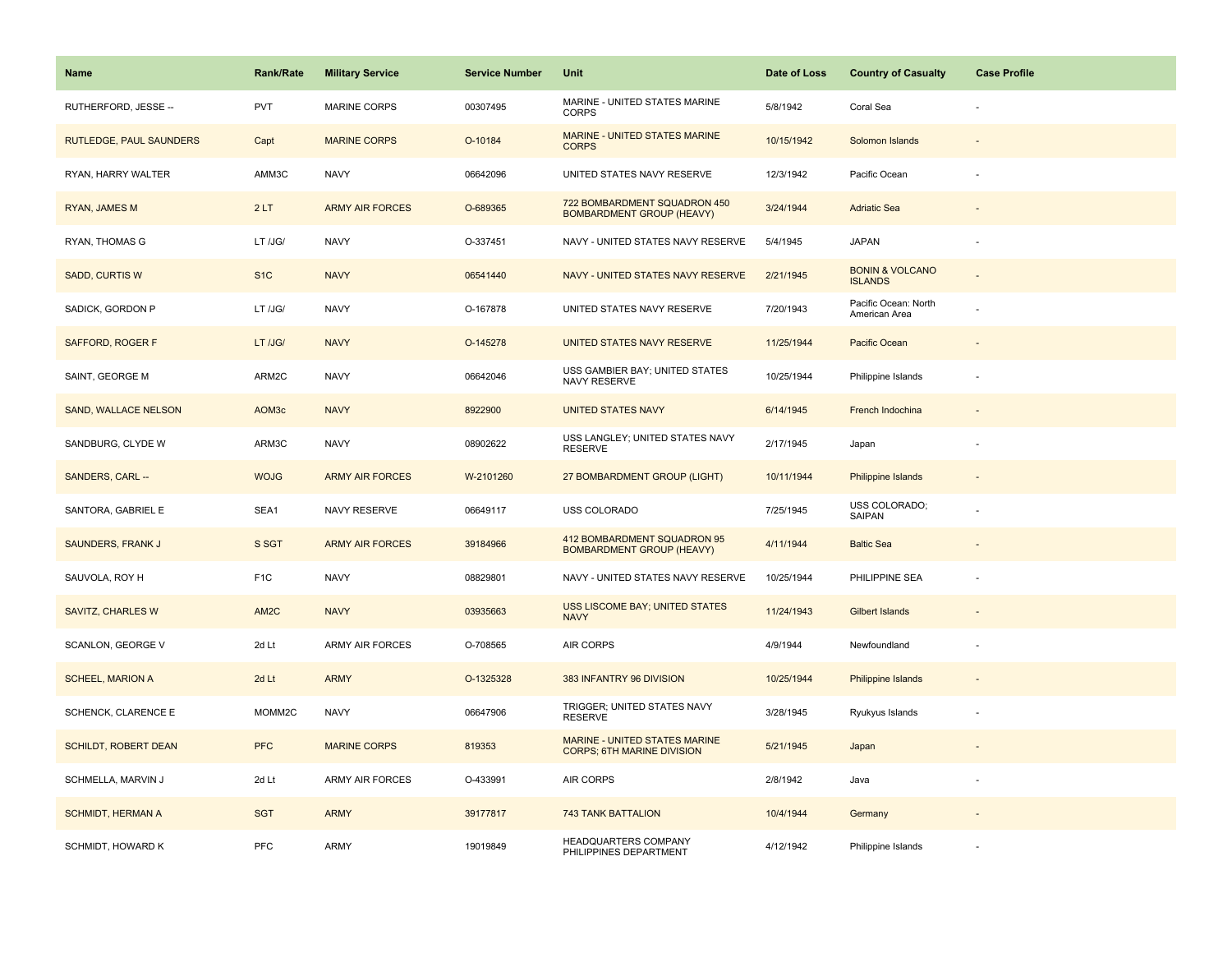| <b>Name</b>                    | Rank/Rate          | <b>Military Service</b> | <b>Service Number</b> | Unit                                                               | Date of Loss | <b>Country of Casualty</b>                   | <b>Case Profile</b> |
|--------------------------------|--------------------|-------------------------|-----------------------|--------------------------------------------------------------------|--------------|----------------------------------------------|---------------------|
| RUTHERFORD, JESSE --           | <b>PVT</b>         | <b>MARINE CORPS</b>     | 00307495              | MARINE - UNITED STATES MARINE<br><b>CORPS</b>                      | 5/8/1942     | Coral Sea                                    |                     |
| <b>RUTLEDGE, PAUL SAUNDERS</b> | Capt               | <b>MARINE CORPS</b>     | O-10184               | MARINE - UNITED STATES MARINE<br><b>CORPS</b>                      | 10/15/1942   | Solomon Islands                              |                     |
| RYAN, HARRY WALTER             | AMM3C              | <b>NAVY</b>             | 06642096              | UNITED STATES NAVY RESERVE                                         | 12/3/1942    | Pacific Ocean                                |                     |
| <b>RYAN, JAMES M</b>           | 2LT                | <b>ARMY AIR FORCES</b>  | O-689365              | 722 BOMBARDMENT SQUADRON 450<br><b>BOMBARDMENT GROUP (HEAVY)</b>   | 3/24/1944    | <b>Adriatic Sea</b>                          |                     |
| RYAN, THOMAS G                 | LT /JG/            | <b>NAVY</b>             | O-337451              | NAVY - UNITED STATES NAVY RESERVE                                  | 5/4/1945     | <b>JAPAN</b>                                 |                     |
| <b>SADD, CURTIS W</b>          | S <sub>1</sub> C   | <b>NAVY</b>             | 06541440              | NAVY - UNITED STATES NAVY RESERVE                                  | 2/21/1945    | <b>BONIN &amp; VOLCANO</b><br><b>ISLANDS</b> |                     |
| SADICK, GORDON P               | LT /JG/            | <b>NAVY</b>             | O-167878              | UNITED STATES NAVY RESERVE                                         | 7/20/1943    | Pacific Ocean: North<br>American Area        |                     |
| SAFFORD, ROGER F               | LT /JG/            | <b>NAVY</b>             | O-145278              | UNITED STATES NAVY RESERVE                                         | 11/25/1944   | Pacific Ocean                                |                     |
| SAINT, GEORGE M                | ARM2C              | <b>NAVY</b>             | 06642046              | USS GAMBIER BAY; UNITED STATES<br>NAVY RESERVE                     | 10/25/1944   | Philippine Islands                           |                     |
| <b>SAND, WALLACE NELSON</b>    | AOM3c              | <b>NAVY</b>             | 8922900               | <b>UNITED STATES NAVY</b>                                          | 6/14/1945    | French Indochina                             |                     |
| SANDBURG, CLYDE W              | ARM3C              | <b>NAVY</b>             | 08902622              | USS LANGLEY; UNITED STATES NAVY<br><b>RESERVE</b>                  | 2/17/1945    | Japan                                        |                     |
| SANDERS, CARL --               | <b>WOJG</b>        | <b>ARMY AIR FORCES</b>  | W-2101260             | 27 BOMBARDMENT GROUP (LIGHT)                                       | 10/11/1944   | <b>Philippine Islands</b>                    | $\sim$              |
| SANTORA, GABRIEL E             | SEA1               | NAVY RESERVE            | 06649117              | USS COLORADO                                                       | 7/25/1945    | USS COLORADO;<br>SAIPAN                      |                     |
| <b>SAUNDERS, FRANK J</b>       | S SGT              | <b>ARMY AIR FORCES</b>  | 39184966              | 412 BOMBARDMENT SQUADRON 95<br><b>BOMBARDMENT GROUP (HEAVY)</b>    | 4/11/1944    | <b>Baltic Sea</b>                            |                     |
| SAUVOLA, ROY H                 | F <sub>1</sub> C   | <b>NAVY</b>             | 08829801              | NAVY - UNITED STATES NAVY RESERVE                                  | 10/25/1944   | PHILIPPINE SEA                               |                     |
| SAVITZ, CHARLES W              | AM <sub>2</sub> C  | <b>NAVY</b>             | 03935663              | <b>USS LISCOME BAY; UNITED STATES</b><br><b>NAVY</b>               | 11/24/1943   | <b>Gilbert Islands</b>                       |                     |
| SCANLON, GEORGE V              | 2d Lt              | ARMY AIR FORCES         | O-708565              | AIR CORPS                                                          | 4/9/1944     | Newfoundland                                 |                     |
| <b>SCHEEL, MARION A</b>        | 2d Lt              | <b>ARMY</b>             | O-1325328             | 383 INFANTRY 96 DIVISION                                           | 10/25/1944   | <b>Philippine Islands</b>                    |                     |
| SCHENCK, CLARENCE E            | MOMM <sub>2C</sub> | <b>NAVY</b>             | 06647906              | TRIGGER; UNITED STATES NAVY<br><b>RESERVE</b>                      | 3/28/1945    | Ryukyus Islands                              | ÷,                  |
| <b>SCHILDT, ROBERT DEAN</b>    | <b>PFC</b>         | <b>MARINE CORPS</b>     | 819353                | MARINE - UNITED STATES MARINE<br><b>CORPS; 6TH MARINE DIVISION</b> | 5/21/1945    | Japan                                        |                     |
| SCHMELLA, MARVIN J             | 2d Lt              | ARMY AIR FORCES         | O-433991              | AIR CORPS                                                          | 2/8/1942     | Java                                         |                     |
| <b>SCHMIDT, HERMAN A</b>       | <b>SGT</b>         | <b>ARMY</b>             | 39177817              | <b>743 TANK BATTALION</b>                                          | 10/4/1944    | Germany                                      |                     |
| SCHMIDT, HOWARD K              | PFC                | <b>ARMY</b>             | 19019849              | HEADQUARTERS COMPANY<br>PHILIPPINES DEPARTMENT                     | 4/12/1942    | Philippine Islands                           |                     |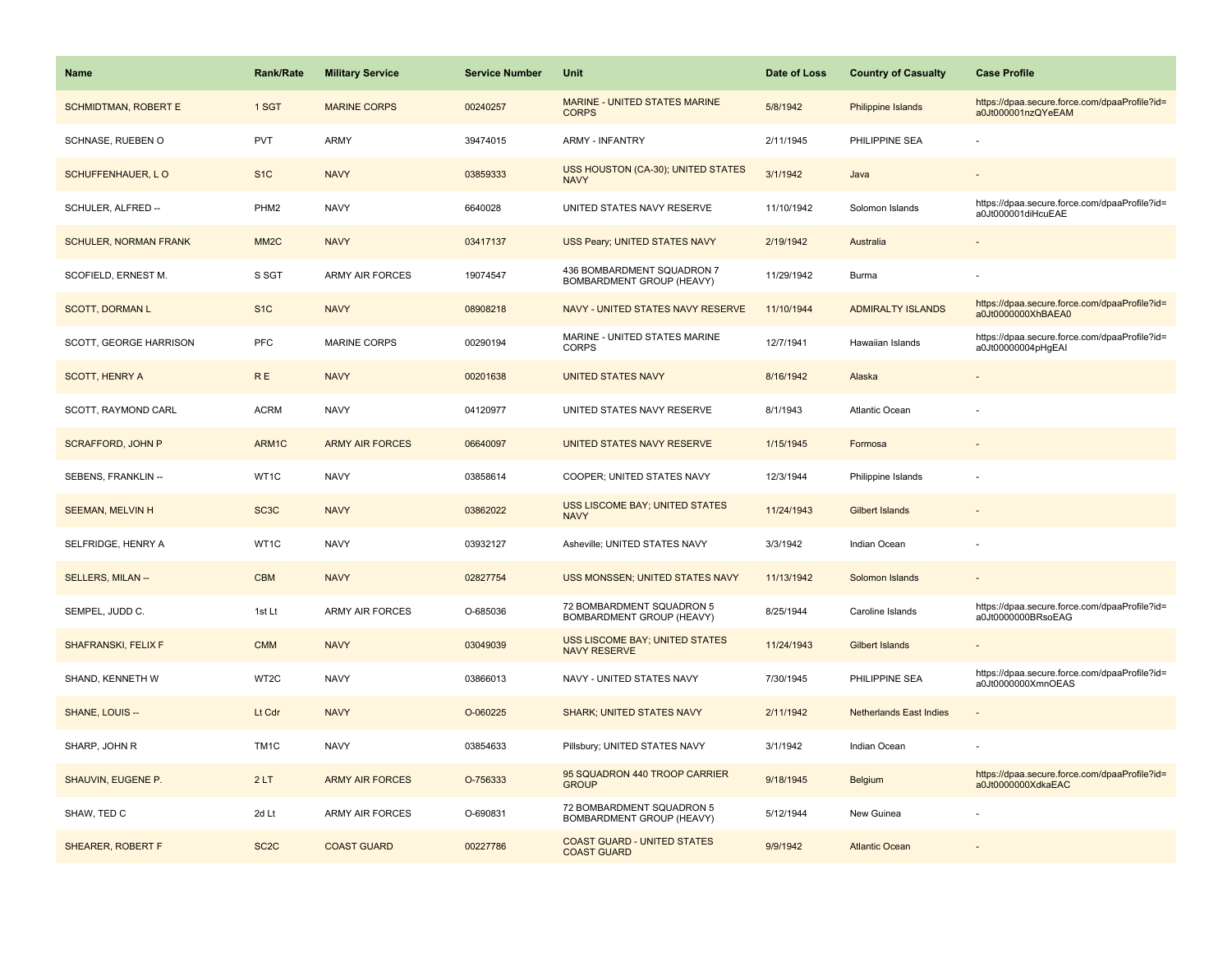| Name                         | <b>Rank/Rate</b>  | <b>Military Service</b> | <b>Service Number</b> | Unit                                                         | Date of Loss | <b>Country of Casualty</b>     | <b>Case Profile</b>                                                 |
|------------------------------|-------------------|-------------------------|-----------------------|--------------------------------------------------------------|--------------|--------------------------------|---------------------------------------------------------------------|
| <b>SCHMIDTMAN, ROBERT E</b>  | 1 SGT             | <b>MARINE CORPS</b>     | 00240257              | <b>MARINE - UNITED STATES MARINE</b><br><b>CORPS</b>         | 5/8/1942     | Philippine Islands             | https://dpaa.secure.force.com/dpaaProfile?id=<br>a0Jt000001nzQYeEAM |
| SCHNASE, RUEBEN O            | PVT               | <b>ARMY</b>             | 39474015              | <b>ARMY - INFANTRY</b>                                       | 2/11/1945    | PHILIPPINE SEA                 |                                                                     |
| SCHUFFENHAUER, LO            | S <sub>1</sub> C  | <b>NAVY</b>             | 03859333              | USS HOUSTON (CA-30); UNITED STATES<br><b>NAVY</b>            | 3/1/1942     | Java                           |                                                                     |
| SCHULER, ALFRED --           | PHM <sub>2</sub>  | <b>NAVY</b>             | 6640028               | UNITED STATES NAVY RESERVE                                   | 11/10/1942   | Solomon Islands                | https://dpaa.secure.force.com/dpaaProfile?id=<br>a0Jt000001diHcuEAE |
| <b>SCHULER, NORMAN FRANK</b> | MM <sub>2</sub> C | <b>NAVY</b>             | 03417137              | USS Peary; UNITED STATES NAVY                                | 2/19/1942    | Australia                      |                                                                     |
| SCOFIELD, ERNEST M.          | S SGT             | <b>ARMY AIR FORCES</b>  | 19074547              | 436 BOMBARDMENT SQUADRON 7<br>BOMBARDMENT GROUP (HEAVY)      | 11/29/1942   | Burma                          |                                                                     |
| <b>SCOTT, DORMAN L</b>       | S <sub>1C</sub>   | <b>NAVY</b>             | 08908218              | NAVY - UNITED STATES NAVY RESERVE                            | 11/10/1944   | <b>ADMIRALTY ISLANDS</b>       | https://dpaa.secure.force.com/dpaaProfile?id=<br>a0Jt0000000XhBAEA0 |
| SCOTT, GEORGE HARRISON       | PFC               | <b>MARINE CORPS</b>     | 00290194              | MARINE - UNITED STATES MARINE<br><b>CORPS</b>                | 12/7/1941    | Hawaiian Islands               | https://dpaa.secure.force.com/dpaaProfile?id=<br>a0Jt00000004pHgEAI |
| <b>SCOTT, HENRY A</b>        | <b>RE</b>         | <b>NAVY</b>             | 00201638              | <b>UNITED STATES NAVY</b>                                    | 8/16/1942    | Alaska                         |                                                                     |
| SCOTT, RAYMOND CARL          | <b>ACRM</b>       | <b>NAVY</b>             | 04120977              | UNITED STATES NAVY RESERVE                                   | 8/1/1943     | Atlantic Ocean                 |                                                                     |
| <b>SCRAFFORD, JOHN P</b>     | ARM1C             | <b>ARMY AIR FORCES</b>  | 06640097              | UNITED STATES NAVY RESERVE                                   | 1/15/1945    | Formosa                        |                                                                     |
| SEBENS, FRANKLIN --          | WT1C              | <b>NAVY</b>             | 03858614              | COOPER; UNITED STATES NAVY                                   | 12/3/1944    | Philippine Islands             |                                                                     |
| <b>SEEMAN, MELVIN H</b>      | SC <sub>3</sub> C | <b>NAVY</b>             | 03862022              | <b>USS LISCOME BAY; UNITED STATES</b><br><b>NAVY</b>         | 11/24/1943   | <b>Gilbert Islands</b>         |                                                                     |
| SELFRIDGE, HENRY A           | WT1C              | <b>NAVY</b>             | 03932127              | Asheville; UNITED STATES NAVY                                | 3/3/1942     | Indian Ocean                   |                                                                     |
| SELLERS, MILAN --            | <b>CBM</b>        | <b>NAVY</b>             | 02827754              | USS MONSSEN; UNITED STATES NAVY                              | 11/13/1942   | Solomon Islands                |                                                                     |
| SEMPEL, JUDD C.              | 1st Lt            | <b>ARMY AIR FORCES</b>  | O-685036              | 72 BOMBARDMENT SQUADRON 5<br>BOMBARDMENT GROUP (HEAVY)       | 8/25/1944    | Caroline Islands               | https://dpaa.secure.force.com/dpaaProfile?id=<br>a0Jt0000000BRsoEAG |
| <b>SHAFRANSKI, FELIX F</b>   | <b>CMM</b>        | <b>NAVY</b>             | 03049039              | <b>USS LISCOME BAY; UNITED STATES</b><br><b>NAVY RESERVE</b> | 11/24/1943   | <b>Gilbert Islands</b>         |                                                                     |
| SHAND, KENNETH W             | WT2C              | <b>NAVY</b>             | 03866013              | NAVY - UNITED STATES NAVY                                    | 7/30/1945    | PHILIPPINE SEA                 | https://dpaa.secure.force.com/dpaaProfile?id=<br>a0Jt0000000XmnOEAS |
| SHANE, LOUIS --              | Lt Cdr            | <b>NAVY</b>             | O-060225              | <b>SHARK; UNITED STATES NAVY</b>                             | 2/11/1942    | <b>Netherlands East Indies</b> |                                                                     |
| SHARP, JOHN R                | TM <sub>1</sub> C | <b>NAVY</b>             | 03854633              | Pillsbury; UNITED STATES NAVY                                | 3/1/1942     | Indian Ocean                   |                                                                     |
| SHAUVIN, EUGENE P.           | 2LT               | <b>ARMY AIR FORCES</b>  | O-756333              | 95 SQUADRON 440 TROOP CARRIER<br><b>GROUP</b>                | 9/18/1945    | Belgium                        | https://dpaa.secure.force.com/dpaaProfile?id=<br>a0Jt0000000XdkaEAC |
| SHAW, TED C                  | 2d Lt             | <b>ARMY AIR FORCES</b>  | O-690831              | 72 BOMBARDMENT SQUADRON 5<br>BOMBARDMENT GROUP (HEAVY)       | 5/12/1944    | New Guinea                     |                                                                     |
| <b>SHEARER, ROBERT F</b>     | SC <sub>2</sub> C | <b>COAST GUARD</b>      | 00227786              | <b>COAST GUARD - UNITED STATES</b><br><b>COAST GUARD</b>     | 9/9/1942     | <b>Atlantic Ocean</b>          |                                                                     |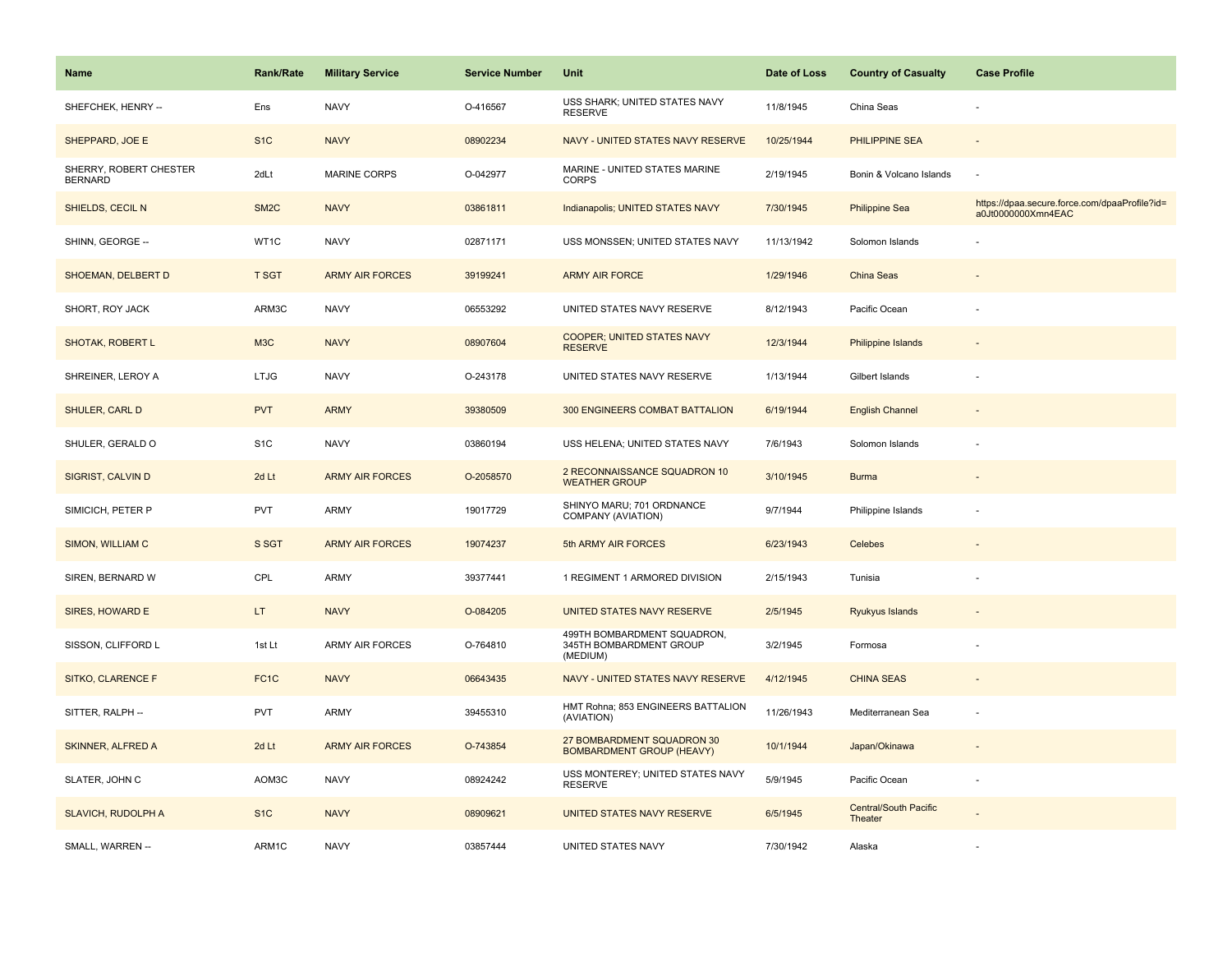| Name                                     | <b>Rank/Rate</b>  | <b>Military Service</b> | <b>Service Number</b> | Unit                                                               | Date of Loss | <b>Country of Casualty</b>              | <b>Case Profile</b>                                                 |
|------------------------------------------|-------------------|-------------------------|-----------------------|--------------------------------------------------------------------|--------------|-----------------------------------------|---------------------------------------------------------------------|
| SHEFCHEK, HENRY --                       | Ens               | <b>NAVY</b>             | O-416567              | USS SHARK; UNITED STATES NAVY<br><b>RESERVE</b>                    | 11/8/1945    | China Seas                              |                                                                     |
| SHEPPARD, JOE E                          | S <sub>1</sub> C  | <b>NAVY</b>             | 08902234              | NAVY - UNITED STATES NAVY RESERVE                                  | 10/25/1944   | <b>PHILIPPINE SEA</b>                   |                                                                     |
| SHERRY, ROBERT CHESTER<br><b>BERNARD</b> | 2dLt              | MARINE CORPS            | O-042977              | MARINE - UNITED STATES MARINE<br><b>CORPS</b>                      | 2/19/1945    | Bonin & Volcano Islands                 | ÷,                                                                  |
| SHIELDS, CECIL N                         | SM <sub>2</sub> C | <b>NAVY</b>             | 03861811              | Indianapolis; UNITED STATES NAVY                                   | 7/30/1945    | <b>Philippine Sea</b>                   | https://dpaa.secure.force.com/dpaaProfile?id=<br>a0Jt0000000Xmn4EAC |
| SHINN, GEORGE --                         | WT1C              | <b>NAVY</b>             | 02871171              | USS MONSSEN; UNITED STATES NAVY                                    | 11/13/1942   | Solomon Islands                         |                                                                     |
| SHOEMAN, DELBERT D                       | <b>T SGT</b>      | <b>ARMY AIR FORCES</b>  | 39199241              | <b>ARMY AIR FORCE</b>                                              | 1/29/1946    | China Seas                              |                                                                     |
| SHORT, ROY JACK                          | ARM3C             | <b>NAVY</b>             | 06553292              | UNITED STATES NAVY RESERVE                                         | 8/12/1943    | Pacific Ocean                           |                                                                     |
| <b>SHOTAK, ROBERT L</b>                  | M3C               | <b>NAVY</b>             | 08907604              | <b>COOPER; UNITED STATES NAVY</b><br><b>RESERVE</b>                | 12/3/1944    | <b>Philippine Islands</b>               |                                                                     |
| SHREINER, LEROY A                        | <b>LTJG</b>       | <b>NAVY</b>             | O-243178              | UNITED STATES NAVY RESERVE                                         | 1/13/1944    | Gilbert Islands                         |                                                                     |
| <b>SHULER, CARL D</b>                    | <b>PVT</b>        | <b>ARMY</b>             | 39380509              | 300 ENGINEERS COMBAT BATTALION                                     | 6/19/1944    | <b>English Channel</b>                  |                                                                     |
| SHULER, GERALD O                         | S <sub>1</sub> C  | <b>NAVY</b>             | 03860194              | USS HELENA; UNITED STATES NAVY                                     | 7/6/1943     | Solomon Islands                         |                                                                     |
| <b>SIGRIST, CALVIN D</b>                 | 2d Lt             | <b>ARMY AIR FORCES</b>  | O-2058570             | 2 RECONNAISSANCE SQUADRON 10<br><b>WEATHER GROUP</b>               | 3/10/1945    | <b>Burma</b>                            | $\sim$                                                              |
| SIMICICH, PETER P                        | <b>PVT</b>        | <b>ARMY</b>             | 19017729              | SHINYO MARU; 701 ORDNANCE<br>COMPANY (AVIATION)                    | 9/7/1944     | Philippine Islands                      |                                                                     |
| SIMON, WILLIAM C                         | S SGT             | <b>ARMY AIR FORCES</b>  | 19074237              | 5th ARMY AIR FORCES                                                | 6/23/1943    | Celebes                                 |                                                                     |
| SIREN, BERNARD W                         | CPL               | <b>ARMY</b>             | 39377441              | 1 REGIMENT 1 ARMORED DIVISION                                      | 2/15/1943    | Tunisia                                 |                                                                     |
| SIRES, HOWARD E                          | LT.               | <b>NAVY</b>             | O-084205              | UNITED STATES NAVY RESERVE                                         | 2/5/1945     | Ryukyus Islands                         |                                                                     |
| SISSON, CLIFFORD L                       | 1st Lt            | ARMY AIR FORCES         | O-764810              | 499TH BOMBARDMENT SQUADRON,<br>345TH BOMBARDMENT GROUP<br>(MEDIUM) | 3/2/1945     | Formosa                                 |                                                                     |
| SITKO, CLARENCE F                        | FC <sub>1</sub> C | <b>NAVY</b>             | 06643435              | NAVY - UNITED STATES NAVY RESERVE                                  | 4/12/1945    | <b>CHINA SEAS</b>                       |                                                                     |
| SITTER, RALPH --                         | <b>PVT</b>        | <b>ARMY</b>             | 39455310              | HMT Rohna; 853 ENGINEERS BATTALION<br>(AVIATION)                   | 11/26/1943   | Mediterranean Sea                       | ÷,                                                                  |
| <b>SKINNER, ALFRED A</b>                 | 2d Lt             | <b>ARMY AIR FORCES</b>  | O-743854              | 27 BOMBARDMENT SQUADRON 30<br><b>BOMBARDMENT GROUP (HEAVY)</b>     | 10/1/1944    | Japan/Okinawa                           |                                                                     |
| SLATER, JOHN C                           | AOM3C             | <b>NAVY</b>             | 08924242              | USS MONTEREY; UNITED STATES NAVY<br><b>RESERVE</b>                 | 5/9/1945     | Pacific Ocean                           |                                                                     |
| <b>SLAVICH, RUDOLPH A</b>                | S <sub>1</sub> C  | <b>NAVY</b>             | 08909621              | UNITED STATES NAVY RESERVE                                         | 6/5/1945     | <b>Central/South Pacific</b><br>Theater |                                                                     |
| SMALL, WARREN --                         | ARM1C             | <b>NAVY</b>             | 03857444              | UNITED STATES NAVY                                                 | 7/30/1942    | Alaska                                  |                                                                     |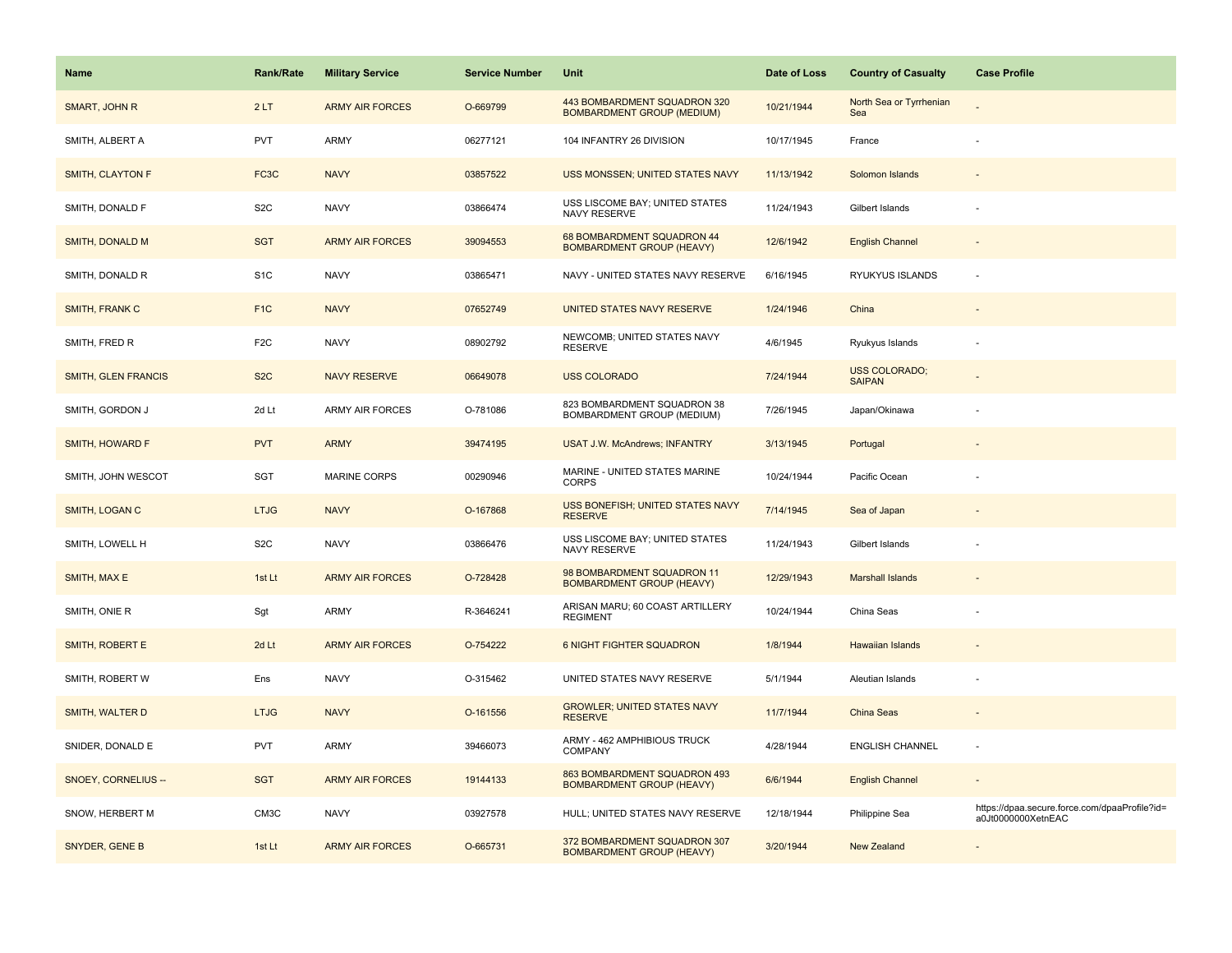| <b>Name</b>             | <b>Rank/Rate</b>  | <b>Military Service</b> | <b>Service Number</b> | Unit                                                              | Date of Loss | <b>Country of Casualty</b>            | <b>Case Profile</b>                                                 |
|-------------------------|-------------------|-------------------------|-----------------------|-------------------------------------------------------------------|--------------|---------------------------------------|---------------------------------------------------------------------|
| SMART, JOHN R           | 2LT               | <b>ARMY AIR FORCES</b>  | O-669799              | 443 BOMBARDMENT SQUADRON 320<br><b>BOMBARDMENT GROUP (MEDIUM)</b> | 10/21/1944   | North Sea or Tyrrhenian<br>Sea        |                                                                     |
| SMITH, ALBERT A         | <b>PVT</b>        | ARMY                    | 06277121              | 104 INFANTRY 26 DIVISION                                          | 10/17/1945   | France                                |                                                                     |
| <b>SMITH, CLAYTON F</b> | FC <sub>3</sub> C | <b>NAVY</b>             | 03857522              | USS MONSSEN; UNITED STATES NAVY                                   | 11/13/1942   | Solomon Islands                       |                                                                     |
| SMITH, DONALD F         | S <sub>2</sub> C  | <b>NAVY</b>             | 03866474              | USS LISCOME BAY; UNITED STATES<br>NAVY RESERVE                    | 11/24/1943   | Gilbert Islands                       |                                                                     |
| <b>SMITH, DONALD M</b>  | <b>SGT</b>        | <b>ARMY AIR FORCES</b>  | 39094553              | 68 BOMBARDMENT SQUADRON 44<br><b>BOMBARDMENT GROUP (HEAVY)</b>    | 12/6/1942    | <b>English Channel</b>                |                                                                     |
| SMITH, DONALD R         | S <sub>1</sub> C  | <b>NAVY</b>             | 03865471              | NAVY - UNITED STATES NAVY RESERVE                                 | 6/16/1945    | RYUKYUS ISLANDS                       |                                                                     |
| SMITH, FRANK C          | F <sub>1</sub> C  | <b>NAVY</b>             | 07652749              | UNITED STATES NAVY RESERVE                                        | 1/24/1946    | China                                 | $\overline{\phantom{a}}$                                            |
| SMITH, FRED R           | F <sub>2</sub> C  | <b>NAVY</b>             | 08902792              | NEWCOMB; UNITED STATES NAVY<br><b>RESERVE</b>                     | 4/6/1945     | Ryukyus Islands                       | ٠                                                                   |
| SMITH, GLEN FRANCIS     | S <sub>2</sub> C  | <b>NAVY RESERVE</b>     | 06649078              | <b>USS COLORADO</b>                                               | 7/24/1944    | <b>USS COLORADO:</b><br><b>SAIPAN</b> |                                                                     |
| SMITH, GORDON J         | 2d Lt             | ARMY AIR FORCES         | O-781086              | 823 BOMBARDMENT SQUADRON 38<br>BOMBARDMENT GROUP (MEDIUM)         | 7/26/1945    | Japan/Okinawa                         |                                                                     |
| SMITH, HOWARD F         | <b>PVT</b>        | <b>ARMY</b>             | 39474195              | <b>USAT J.W. McAndrews; INFANTRY</b>                              | 3/13/1945    | Portugal                              |                                                                     |
| SMITH, JOHN WESCOT      | SGT               | MARINE CORPS            | 00290946              | MARINE - UNITED STATES MARINE<br><b>CORPS</b>                     | 10/24/1944   | Pacific Ocean                         |                                                                     |
| SMITH, LOGAN C          | <b>LTJG</b>       | <b>NAVY</b>             | O-167868              | USS BONEFISH; UNITED STATES NAVY<br><b>RESERVE</b>                | 7/14/1945    | Sea of Japan                          |                                                                     |
| SMITH, LOWELL H         | S <sub>2</sub> C  | <b>NAVY</b>             | 03866476              | USS LISCOME BAY; UNITED STATES<br>NAVY RESERVE                    | 11/24/1943   | Gilbert Islands                       | ÷,                                                                  |
| SMITH, MAX E            | 1st Lt            | <b>ARMY AIR FORCES</b>  | O-728428              | 98 BOMBARDMENT SQUADRON 11<br><b>BOMBARDMENT GROUP (HEAVY)</b>    | 12/29/1943   | <b>Marshall Islands</b>               |                                                                     |
| SMITH, ONIE R           | Sgt               | ARMY                    | R-3646241             | ARISAN MARU; 60 COAST ARTILLERY<br><b>REGIMENT</b>                | 10/24/1944   | China Seas                            |                                                                     |
| SMITH, ROBERT E         | 2d Lt             | <b>ARMY AIR FORCES</b>  | O-754222              | <b>6 NIGHT FIGHTER SQUADRON</b>                                   | 1/8/1944     | <b>Hawaiian Islands</b>               |                                                                     |
| SMITH, ROBERT W         | Ens               | <b>NAVY</b>             | O-315462              | UNITED STATES NAVY RESERVE                                        | 5/1/1944     | Aleutian Islands                      |                                                                     |
| SMITH, WALTER D         | <b>LTJG</b>       | <b>NAVY</b>             | O-161556              | <b>GROWLER; UNITED STATES NAVY</b><br><b>RESERVE</b>              | 11/7/1944    | <b>China Seas</b>                     |                                                                     |
| SNIDER, DONALD E        | <b>PVT</b>        | ARMY                    | 39466073              | ARMY - 462 AMPHIBIOUS TRUCK<br>COMPANY                            | 4/28/1944    | <b>ENGLISH CHANNEL</b>                |                                                                     |
| SNOEY, CORNELIUS --     | <b>SGT</b>        | <b>ARMY AIR FORCES</b>  | 19144133              | 863 BOMBARDMENT SQUADRON 493<br><b>BOMBARDMENT GROUP (HEAVY)</b>  | 6/6/1944     | <b>English Channel</b>                |                                                                     |
| SNOW, HERBERT M         | CM3C              | <b>NAVY</b>             | 03927578              | HULL; UNITED STATES NAVY RESERVE                                  | 12/18/1944   | Philippine Sea                        | https://dpaa.secure.force.com/dpaaProfile?id=<br>a0Jt0000000XetnEAC |
| SNYDER, GENE B          | 1st Lt            | <b>ARMY AIR FORCES</b>  | O-665731              | 372 BOMBARDMENT SQUADRON 307<br><b>BOMBARDMENT GROUP (HEAVY)</b>  | 3/20/1944    | <b>New Zealand</b>                    |                                                                     |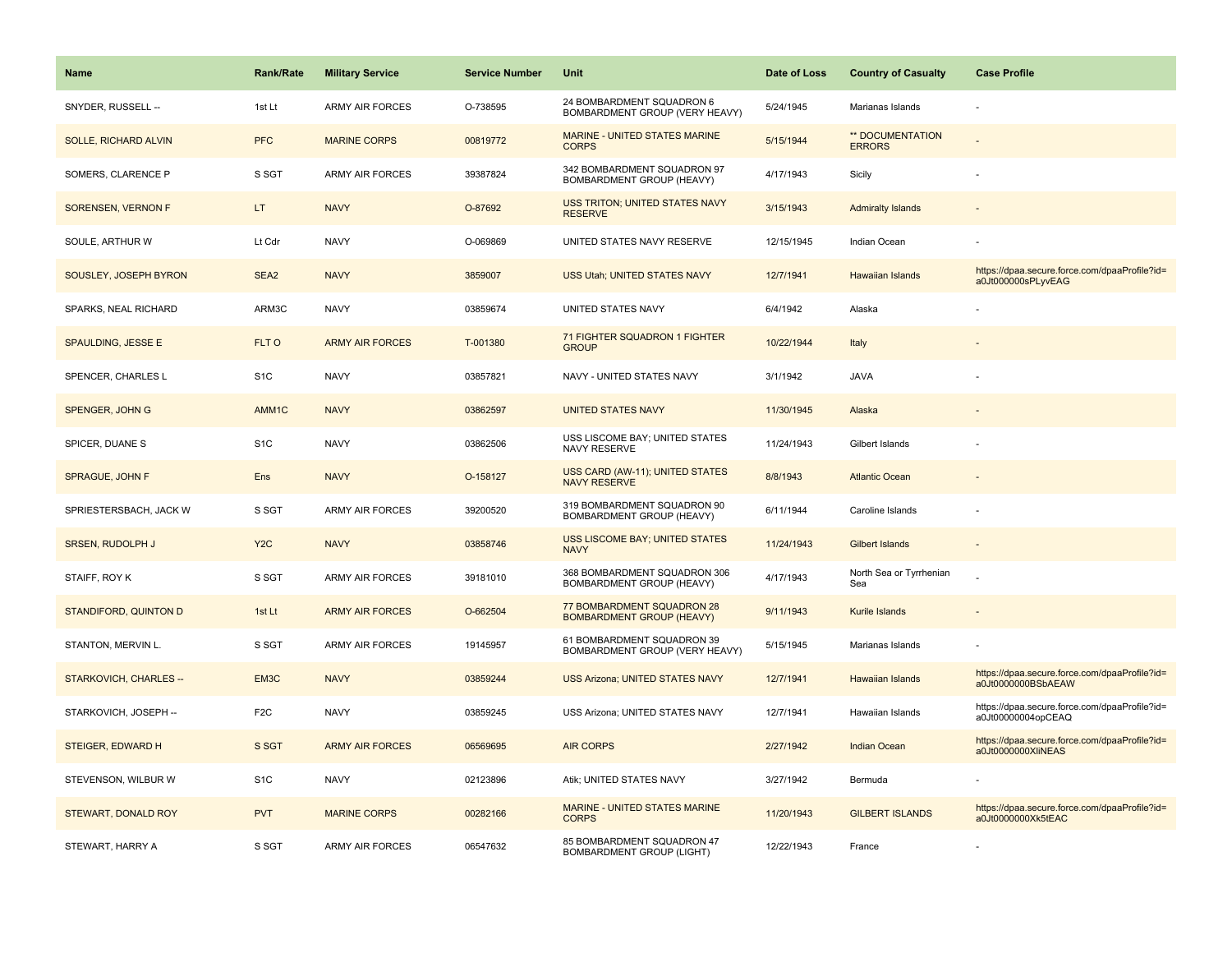| <b>Name</b>                 | <b>Rank/Rate</b> | <b>Military Service</b> | <b>Service Number</b> | Unit                                                           | Date of Loss | <b>Country of Casualty</b>        | <b>Case Profile</b>                                                 |
|-----------------------------|------------------|-------------------------|-----------------------|----------------------------------------------------------------|--------------|-----------------------------------|---------------------------------------------------------------------|
| SNYDER, RUSSELL --          | 1st Lt           | <b>ARMY AIR FORCES</b>  | O-738595              | 24 BOMBARDMENT SQUADRON 6<br>BOMBARDMENT GROUP (VERY HEAVY)    | 5/24/1945    | Marianas Islands                  |                                                                     |
| <b>SOLLE, RICHARD ALVIN</b> | <b>PFC</b>       | <b>MARINE CORPS</b>     | 00819772              | MARINE - UNITED STATES MARINE<br><b>CORPS</b>                  | 5/15/1944    | ** DOCUMENTATION<br><b>ERRORS</b> |                                                                     |
| SOMERS, CLARENCE P          | S SGT            | <b>ARMY AIR FORCES</b>  | 39387824              | 342 BOMBARDMENT SQUADRON 97<br>BOMBARDMENT GROUP (HEAVY)       | 4/17/1943    | Sicily                            |                                                                     |
| SORENSEN, VERNON F          | LT.              | <b>NAVY</b>             | O-87692               | USS TRITON; UNITED STATES NAVY<br><b>RESERVE</b>               | 3/15/1943    | <b>Admiralty Islands</b>          |                                                                     |
| SOULE, ARTHUR W             | Lt Cdr           | <b>NAVY</b>             | O-069869              | UNITED STATES NAVY RESERVE                                     | 12/15/1945   | Indian Ocean                      |                                                                     |
| SOUSLEY, JOSEPH BYRON       | SEA <sub>2</sub> | <b>NAVY</b>             | 3859007               | USS Utah; UNITED STATES NAVY                                   | 12/7/1941    | Hawaiian Islands                  | https://dpaa.secure.force.com/dpaaProfile?id=<br>a0Jt000000sPLyvEAG |
| SPARKS, NEAL RICHARD        | ARM3C            | <b>NAVY</b>             | 03859674              | UNITED STATES NAVY                                             | 6/4/1942     | Alaska                            |                                                                     |
| SPAULDING, JESSE E          | FLT O            | <b>ARMY AIR FORCES</b>  | T-001380              | 71 FIGHTER SQUADRON 1 FIGHTER<br><b>GROUP</b>                  | 10/22/1944   | Italy                             |                                                                     |
| SPENCER, CHARLES L          | S <sub>1</sub> C | <b>NAVY</b>             | 03857821              | NAVY - UNITED STATES NAVY                                      | 3/1/1942     | <b>JAVA</b>                       |                                                                     |
| SPENGER, JOHN G             | AMM1C            | <b>NAVY</b>             | 03862597              | <b>UNITED STATES NAVY</b>                                      | 11/30/1945   | Alaska                            |                                                                     |
| SPICER, DUANE S             | S <sub>1</sub> C | <b>NAVY</b>             | 03862506              | USS LISCOME BAY; UNITED STATES<br>NAVY RESERVE                 | 11/24/1943   | Gilbert Islands                   |                                                                     |
| SPRAGUE, JOHN F             | Ens              | <b>NAVY</b>             | O-158127              | USS CARD (AW-11); UNITED STATES<br><b>NAVY RESERVE</b>         | 8/8/1943     | <b>Atlantic Ocean</b>             |                                                                     |
| SPRIESTERSBACH, JACK W      | S SGT            | ARMY AIR FORCES         | 39200520              | 319 BOMBARDMENT SQUADRON 90<br>BOMBARDMENT GROUP (HEAVY)       | 6/11/1944    | Caroline Islands                  |                                                                     |
| <b>SRSEN, RUDOLPH J</b>     | Y <sub>2</sub> C | <b>NAVY</b>             | 03858746              | <b>USS LISCOME BAY; UNITED STATES</b><br><b>NAVY</b>           | 11/24/1943   | <b>Gilbert Islands</b>            |                                                                     |
| STAIFF, ROY K               | S SGT            | <b>ARMY AIR FORCES</b>  | 39181010              | 368 BOMBARDMENT SQUADRON 306<br>BOMBARDMENT GROUP (HEAVY)      | 4/17/1943    | North Sea or Tyrrhenian<br>Sea    |                                                                     |
| STANDIFORD, QUINTON D       | 1st Lt           | <b>ARMY AIR FORCES</b>  | O-662504              | 77 BOMBARDMENT SQUADRON 28<br><b>BOMBARDMENT GROUP (HEAVY)</b> | 9/11/1943    | Kurile Islands                    |                                                                     |
| STANTON, MERVIN L.          | S SGT            | <b>ARMY AIR FORCES</b>  | 19145957              | 61 BOMBARDMENT SQUADRON 39<br>BOMBARDMENT GROUP (VERY HEAVY)   | 5/15/1945    | Marianas Islands                  |                                                                     |
| STARKOVICH, CHARLES --      | EM3C             | <b>NAVY</b>             | 03859244              | <b>USS Arizona; UNITED STATES NAVY</b>                         | 12/7/1941    | <b>Hawaiian Islands</b>           | https://dpaa.secure.force.com/dpaaProfile?id=<br>a0Jt0000000BSbAEAW |
| STARKOVICH, JOSEPH --       | F <sub>2</sub> C | <b>NAVY</b>             | 03859245              | USS Arizona; UNITED STATES NAVY                                | 12/7/1941    | Hawaiian Islands                  | https://dpaa.secure.force.com/dpaaProfile?id=<br>a0Jt00000004opCEAQ |
| STEIGER, EDWARD H           | S SGT            | <b>ARMY AIR FORCES</b>  | 06569695              | <b>AIR CORPS</b>                                               | 2/27/1942    | <b>Indian Ocean</b>               | https://dpaa.secure.force.com/dpaaProfile?id=<br>a0Jt0000000XliNEAS |
| STEVENSON, WILBUR W         | S <sub>1</sub> C | <b>NAVY</b>             | 02123896              | Atik; UNITED STATES NAVY                                       | 3/27/1942    | Bermuda                           |                                                                     |
| STEWART, DONALD ROY         | <b>PVT</b>       | <b>MARINE CORPS</b>     | 00282166              | MARINE - UNITED STATES MARINE<br><b>CORPS</b>                  | 11/20/1943   | <b>GILBERT ISLANDS</b>            | https://dpaa.secure.force.com/dpaaProfile?id=<br>a0Jt0000000Xk5tEAC |
| STEWART, HARRY A            | S SGT            | <b>ARMY AIR FORCES</b>  | 06547632              | 85 BOMBARDMENT SQUADRON 47<br>BOMBARDMENT GROUP (LIGHT)        | 12/22/1943   | France                            |                                                                     |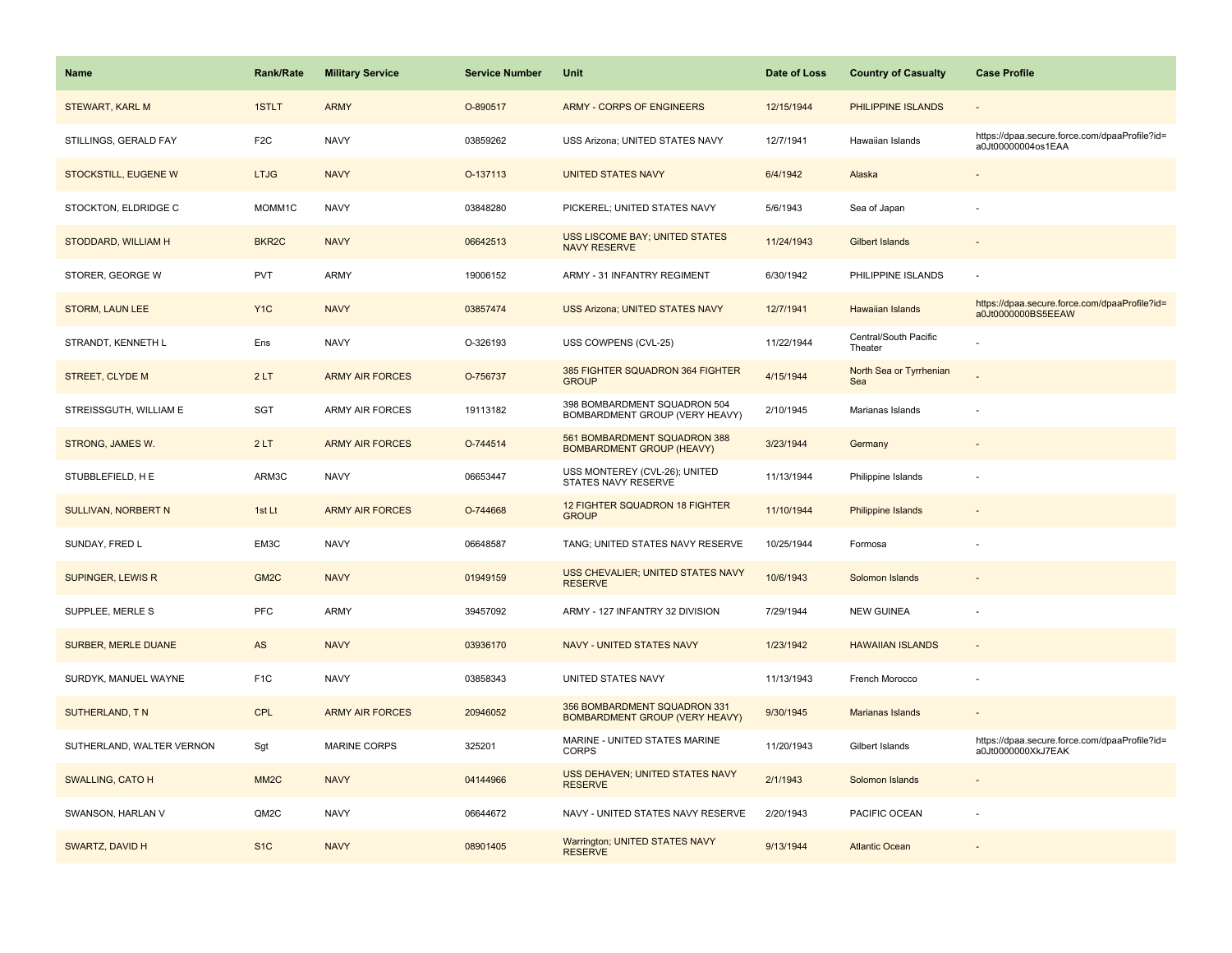| Name                      | <b>Rank/Rate</b>  | <b>Military Service</b> | <b>Service Number</b> | Unit                                                             | Date of Loss | <b>Country of Casualty</b>       | <b>Case Profile</b>                                                 |
|---------------------------|-------------------|-------------------------|-----------------------|------------------------------------------------------------------|--------------|----------------------------------|---------------------------------------------------------------------|
| STEWART, KARL M           | 1STLT             | <b>ARMY</b>             | O-890517              | ARMY - CORPS OF ENGINEERS                                        | 12/15/1944   | PHILIPPINE ISLANDS               |                                                                     |
| STILLINGS, GERALD FAY     | F <sub>2</sub> C  | <b>NAVY</b>             | 03859262              | USS Arizona; UNITED STATES NAVY                                  | 12/7/1941    | Hawaiian Islands                 | https://dpaa.secure.force.com/dpaaProfile?id=<br>a0Jt00000004os1EAA |
| STOCKSTILL, EUGENE W      | <b>LTJG</b>       | <b>NAVY</b>             | O-137113              | <b>UNITED STATES NAVY</b>                                        | 6/4/1942     | Alaska                           |                                                                     |
| STOCKTON, ELDRIDGE C      | MOMM1C            | <b>NAVY</b>             | 03848280              | PICKEREL; UNITED STATES NAVY                                     | 5/6/1943     | Sea of Japan                     |                                                                     |
| STODDARD, WILLIAM H       | BKR <sub>2C</sub> | <b>NAVY</b>             | 06642513              | USS LISCOME BAY; UNITED STATES<br><b>NAVY RESERVE</b>            | 11/24/1943   | <b>Gilbert Islands</b>           |                                                                     |
| STORER, GEORGE W          | <b>PVT</b>        | <b>ARMY</b>             | 19006152              | ARMY - 31 INFANTRY REGIMENT                                      | 6/30/1942    | PHILIPPINE ISLANDS               |                                                                     |
| <b>STORM, LAUN LEE</b>    | Y <sub>1</sub> C  | <b>NAVY</b>             | 03857474              | <b>USS Arizona; UNITED STATES NAVY</b>                           | 12/7/1941    | Hawaiian Islands                 | https://dpaa.secure.force.com/dpaaProfile?id=<br>a0Jt0000000BS5EEAW |
| STRANDT, KENNETH L        | Ens               | <b>NAVY</b>             | O-326193              | USS COWPENS (CVL-25)                                             | 11/22/1944   | Central/South Pacific<br>Theater |                                                                     |
| <b>STREET, CLYDE M</b>    | 2LT               | <b>ARMY AIR FORCES</b>  | O-756737              | 385 FIGHTER SQUADRON 364 FIGHTER<br><b>GROUP</b>                 | 4/15/1944    | North Sea or Tyrrhenian<br>Sea   |                                                                     |
| STREISSGUTH, WILLIAM E    | SGT               | <b>ARMY AIR FORCES</b>  | 19113182              | 398 BOMBARDMENT SQUADRON 504<br>BOMBARDMENT GROUP (VERY HEAVY)   | 2/10/1945    | Marianas Islands                 |                                                                     |
| STRONG, JAMES W.          | 2LT               | <b>ARMY AIR FORCES</b>  | O-744514              | 561 BOMBARDMENT SQUADRON 388<br><b>BOMBARDMENT GROUP (HEAVY)</b> | 3/23/1944    | Germany                          |                                                                     |
| STUBBLEFIELD, H E         | ARM3C             | <b>NAVY</b>             | 06653447              | USS MONTEREY (CVL-26); UNITED<br>STATES NAVY RESERVE             | 11/13/1944   | Philippine Islands               |                                                                     |
| SULLIVAN, NORBERT N       | 1st Lt            | <b>ARMY AIR FORCES</b>  | O-744668              | <b>12 FIGHTER SQUADRON 18 FIGHTER</b><br><b>GROUP</b>            | 11/10/1944   | <b>Philippine Islands</b>        |                                                                     |
| SUNDAY, FRED L            | EM3C              | <b>NAVY</b>             | 06648587              | TANG; UNITED STATES NAVY RESERVE                                 | 10/25/1944   | Formosa                          |                                                                     |
| SUPINGER, LEWIS R         | GM <sub>2</sub> C | <b>NAVY</b>             | 01949159              | USS CHEVALIER; UNITED STATES NAVY<br><b>RESERVE</b>              | 10/6/1943    | Solomon Islands                  |                                                                     |
| SUPPLEE, MERLE S          | PFC               | <b>ARMY</b>             | 39457092              | ARMY - 127 INFANTRY 32 DIVISION                                  | 7/29/1944    | <b>NEW GUINEA</b>                |                                                                     |
| SURBER, MERLE DUANE       | AS                | <b>NAVY</b>             | 03936170              | NAVY - UNITED STATES NAVY                                        | 1/23/1942    | <b>HAWAIIAN ISLANDS</b>          | $\sim$                                                              |
| SURDYK, MANUEL WAYNE      | F <sub>1</sub> C  | <b>NAVY</b>             | 03858343              | UNITED STATES NAVY                                               | 11/13/1943   | French Morocco                   |                                                                     |
| SUTHERLAND, TN            | <b>CPL</b>        | <b>ARMY AIR FORCES</b>  | 20946052              | 356 BOMBARDMENT SQUADRON 331<br>BOMBARDMENT GROUP (VERY HEAVY)   | 9/30/1945    | <b>Marianas Islands</b>          |                                                                     |
| SUTHERLAND, WALTER VERNON | Sgt               | <b>MARINE CORPS</b>     | 325201                | MARINE - UNITED STATES MARINE<br><b>CORPS</b>                    | 11/20/1943   | Gilbert Islands                  | https://dpaa.secure.force.com/dpaaProfile?id=<br>a0Jt0000000XkJ7EAK |
| SWALLING, CATO H          | MM <sub>2</sub> C | <b>NAVY</b>             | 04144966              | USS DEHAVEN; UNITED STATES NAVY<br><b>RESERVE</b>                | 2/1/1943     | Solomon Islands                  |                                                                     |
| SWANSON, HARLAN V         | QM2C              | <b>NAVY</b>             | 06644672              | NAVY - UNITED STATES NAVY RESERVE                                | 2/20/1943    | PACIFIC OCEAN                    |                                                                     |
| SWARTZ, DAVID H           | S <sub>1</sub> C  | <b>NAVY</b>             | 08901405              | Warrington; UNITED STATES NAVY<br><b>RESERVE</b>                 | 9/13/1944    | <b>Atlantic Ocean</b>            |                                                                     |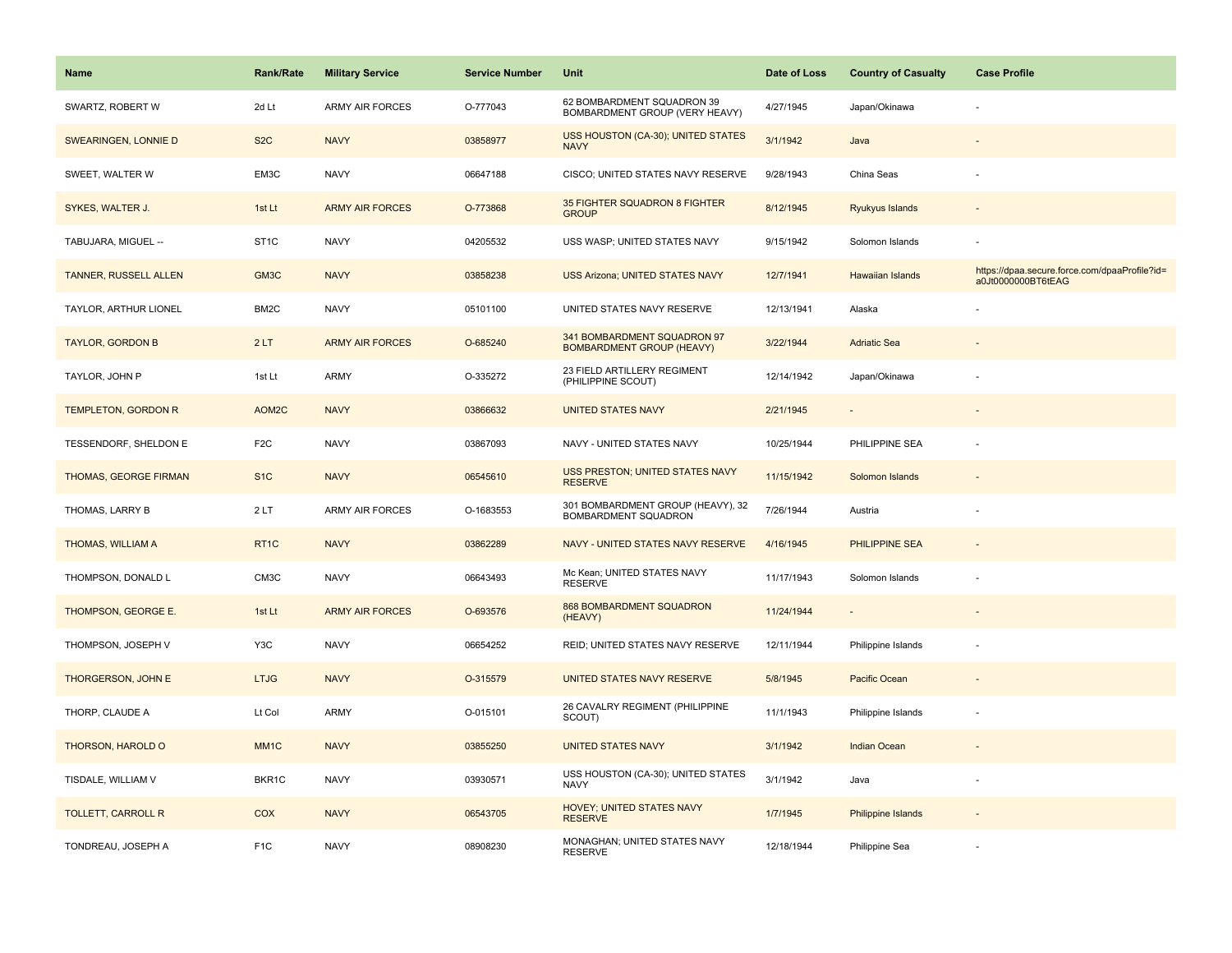| <b>Name</b>                  | <b>Rank/Rate</b>  | <b>Military Service</b> | <b>Service Number</b> | Unit                                                            | Date of Loss | <b>Country of Casualty</b> | <b>Case Profile</b>                                                 |
|------------------------------|-------------------|-------------------------|-----------------------|-----------------------------------------------------------------|--------------|----------------------------|---------------------------------------------------------------------|
| SWARTZ, ROBERT W             | 2d Lt             | <b>ARMY AIR FORCES</b>  | O-777043              | 62 BOMBARDMENT SQUADRON 39<br>BOMBARDMENT GROUP (VERY HEAVY)    | 4/27/1945    | Japan/Okinawa              |                                                                     |
| SWEARINGEN, LONNIE D         | S <sub>2</sub> C  | <b>NAVY</b>             | 03858977              | USS HOUSTON (CA-30); UNITED STATES<br><b>NAVY</b>               | 3/1/1942     | Java                       |                                                                     |
| SWEET, WALTER W              | EM3C              | <b>NAVY</b>             | 06647188              | CISCO; UNITED STATES NAVY RESERVE                               | 9/28/1943    | China Seas                 |                                                                     |
| SYKES, WALTER J.             | 1st Lt            | <b>ARMY AIR FORCES</b>  | O-773868              | 35 FIGHTER SQUADRON 8 FIGHTER<br><b>GROUP</b>                   | 8/12/1945    | Ryukyus Islands            |                                                                     |
| TABUJARA, MIGUEL --          | ST <sub>1</sub> C | <b>NAVY</b>             | 04205532              | USS WASP; UNITED STATES NAVY                                    | 9/15/1942    | Solomon Islands            |                                                                     |
| <b>TANNER, RUSSELL ALLEN</b> | GM3C              | <b>NAVY</b>             | 03858238              | USS Arizona; UNITED STATES NAVY                                 | 12/7/1941    | Hawaiian Islands           | https://dpaa.secure.force.com/dpaaProfile?id=<br>a0Jt0000000BT6tEAG |
| TAYLOR, ARTHUR LIONEL        | BM <sub>2</sub> C | <b>NAVY</b>             | 05101100              | UNITED STATES NAVY RESERVE                                      | 12/13/1941   | Alaska                     |                                                                     |
| <b>TAYLOR, GORDON B</b>      | 2LT               | <b>ARMY AIR FORCES</b>  | O-685240              | 341 BOMBARDMENT SQUADRON 97<br><b>BOMBARDMENT GROUP (HEAVY)</b> | 3/22/1944    | <b>Adriatic Sea</b>        |                                                                     |
| TAYLOR, JOHN P               | 1st Lt            | <b>ARMY</b>             | O-335272              | 23 FIELD ARTILLERY REGIMENT<br>(PHILIPPINE SCOUT)               | 12/14/1942   | Japan/Okinawa              |                                                                     |
| <b>TEMPLETON, GORDON R</b>   | AOM2C             | <b>NAVY</b>             | 03866632              | <b>UNITED STATES NAVY</b>                                       | 2/21/1945    |                            |                                                                     |
| TESSENDORF, SHELDON E        | F <sub>2</sub> C  | <b>NAVY</b>             | 03867093              | NAVY - UNITED STATES NAVY                                       | 10/25/1944   | PHILIPPINE SEA             |                                                                     |
| THOMAS, GEORGE FIRMAN        | S <sub>1C</sub>   | <b>NAVY</b>             | 06545610              | USS PRESTON; UNITED STATES NAVY<br><b>RESERVE</b>               | 11/15/1942   | Solomon Islands            |                                                                     |
| THOMAS, LARRY B              | 2LT               | <b>ARMY AIR FORCES</b>  | O-1683553             | 301 BOMBARDMENT GROUP (HEAVY), 32<br>BOMBARDMENT SQUADRON       | 7/26/1944    | Austria                    |                                                                     |
| THOMAS, WILLIAM A            | RT <sub>1C</sub>  | <b>NAVY</b>             | 03862289              | NAVY - UNITED STATES NAVY RESERVE                               | 4/16/1945    | PHILIPPINE SEA             | $\overline{a}$                                                      |
| THOMPSON, DONALD L           | CM3C              | <b>NAVY</b>             | 06643493              | Mc Kean; UNITED STATES NAVY<br><b>RESERVE</b>                   | 11/17/1943   | Solomon Islands            |                                                                     |
| THOMPSON, GEORGE E.          | 1st Lt            | <b>ARMY AIR FORCES</b>  | O-693576              | 868 BOMBARDMENT SQUADRON<br>(HEAVY)                             | 11/24/1944   |                            |                                                                     |
| THOMPSON, JOSEPH V           | Y3C               | <b>NAVY</b>             | 06654252              | REID; UNITED STATES NAVY RESERVE                                | 12/11/1944   | Philippine Islands         |                                                                     |
| THORGERSON, JOHN E           | <b>LTJG</b>       | <b>NAVY</b>             | O-315579              | UNITED STATES NAVY RESERVE                                      | 5/8/1945     | Pacific Ocean              |                                                                     |
| THORP, CLAUDE A              | Lt Col            | <b>ARMY</b>             | O-015101              | 26 CAVALRY REGIMENT (PHILIPPINE<br>SCOUT)                       | 11/1/1943    | Philippine Islands         |                                                                     |
| THORSON, HAROLD O            | MM <sub>1C</sub>  | <b>NAVY</b>             | 03855250              | <b>UNITED STATES NAVY</b>                                       | 3/1/1942     | <b>Indian Ocean</b>        |                                                                     |
| TISDALE, WILLIAM V           | BKR1C             | <b>NAVY</b>             | 03930571              | USS HOUSTON (CA-30); UNITED STATES<br><b>NAVY</b>               | 3/1/1942     | Java                       |                                                                     |
| <b>TOLLETT, CARROLL R</b>    | <b>COX</b>        | <b>NAVY</b>             | 06543705              | HOVEY; UNITED STATES NAVY<br><b>RESERVE</b>                     | 1/7/1945     | <b>Philippine Islands</b>  |                                                                     |
| TONDREAU, JOSEPH A           | F <sub>1</sub> C  | <b>NAVY</b>             | 08908230              | MONAGHAN; UNITED STATES NAVY<br><b>RESERVE</b>                  | 12/18/1944   | Philippine Sea             |                                                                     |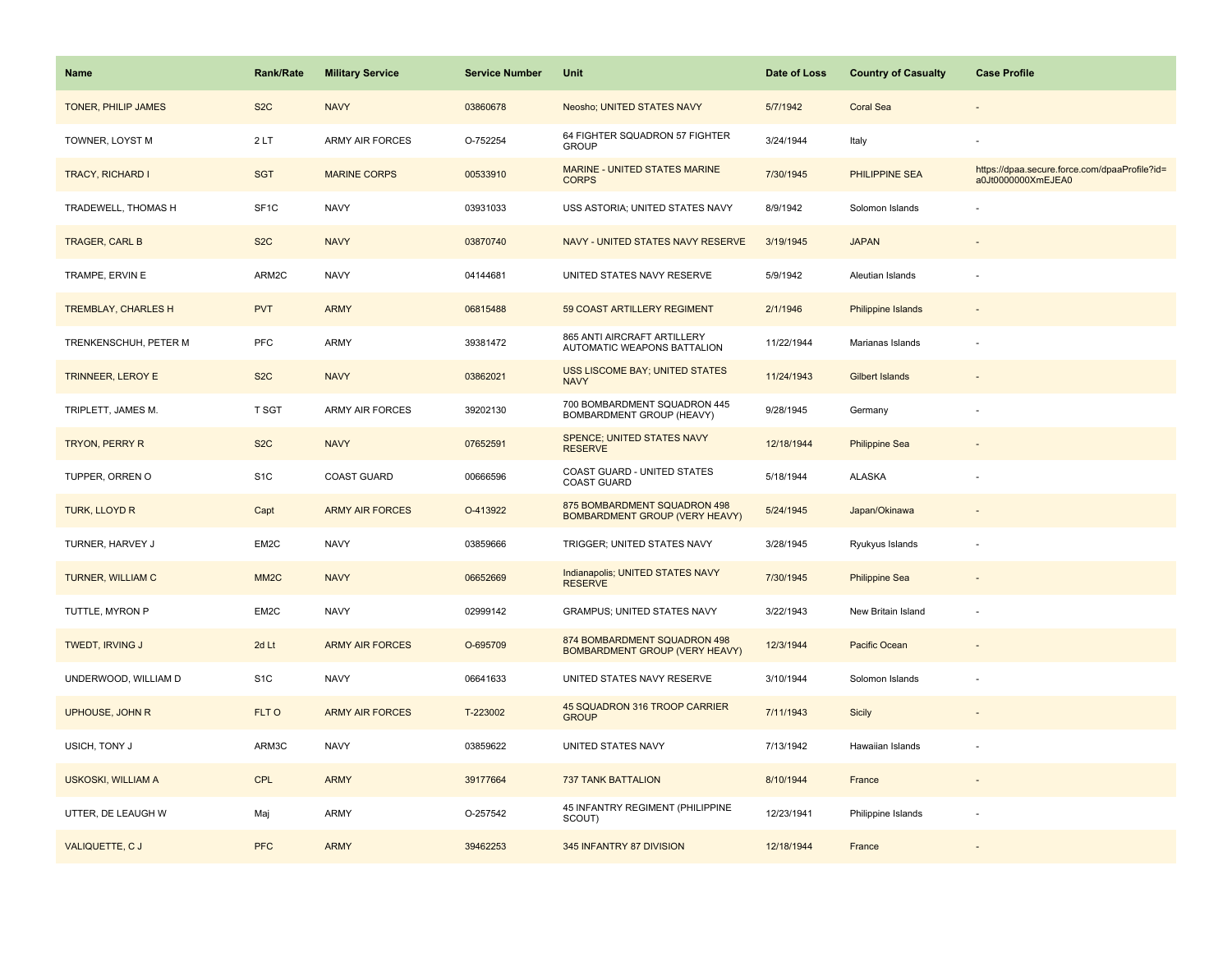| <b>Name</b>                | <b>Rank/Rate</b>  | <b>Military Service</b> | <b>Service Number</b> | Unit                                                                  | Date of Loss | <b>Country of Casualty</b> | <b>Case Profile</b>                                                 |
|----------------------------|-------------------|-------------------------|-----------------------|-----------------------------------------------------------------------|--------------|----------------------------|---------------------------------------------------------------------|
| <b>TONER, PHILIP JAMES</b> | S <sub>2</sub> C  | <b>NAVY</b>             | 03860678              | Neosho; UNITED STATES NAVY                                            | 5/7/1942     | <b>Coral Sea</b>           |                                                                     |
| TOWNER, LOYST M            | 2LT               | <b>ARMY AIR FORCES</b>  | O-752254              | 64 FIGHTER SQUADRON 57 FIGHTER<br><b>GROUP</b>                        | 3/24/1944    | Italy                      |                                                                     |
| <b>TRACY, RICHARD I</b>    | <b>SGT</b>        | <b>MARINE CORPS</b>     | 00533910              | MARINE - UNITED STATES MARINE<br><b>CORPS</b>                         | 7/30/1945    | PHILIPPINE SEA             | https://dpaa.secure.force.com/dpaaProfile?id=<br>a0Jt0000000XmEJEA0 |
| TRADEWELL, THOMAS H        | SF <sub>1C</sub>  | <b>NAVY</b>             | 03931033              | USS ASTORIA; UNITED STATES NAVY                                       | 8/9/1942     | Solomon Islands            |                                                                     |
| TRAGER, CARL B             | S <sub>2</sub> C  | <b>NAVY</b>             | 03870740              | NAVY - UNITED STATES NAVY RESERVE                                     | 3/19/1945    | <b>JAPAN</b>               |                                                                     |
| TRAMPE, ERVIN E            | ARM2C             | <b>NAVY</b>             | 04144681              | UNITED STATES NAVY RESERVE                                            | 5/9/1942     | Aleutian Islands           |                                                                     |
| <b>TREMBLAY, CHARLES H</b> | <b>PVT</b>        | <b>ARMY</b>             | 06815488              | 59 COAST ARTILLERY REGIMENT                                           | 2/1/1946     | <b>Philippine Islands</b>  |                                                                     |
| TRENKENSCHUH, PETER M      | PFC               | <b>ARMY</b>             | 39381472              | 865 ANTI AIRCRAFT ARTILLERY<br>AUTOMATIC WEAPONS BATTALION            | 11/22/1944   | Marianas Islands           |                                                                     |
| TRINNEER, LEROY E          | S <sub>2</sub> C  | <b>NAVY</b>             | 03862021              | USS LISCOME BAY; UNITED STATES<br><b>NAVY</b>                         | 11/24/1943   | <b>Gilbert Islands</b>     |                                                                     |
| TRIPLETT, JAMES M.         | T SGT             | <b>ARMY AIR FORCES</b>  | 39202130              | 700 BOMBARDMENT SQUADRON 445<br>BOMBARDMENT GROUP (HEAVY)             | 9/28/1945    | Germany                    |                                                                     |
| TRYON, PERRY R             | S <sub>2</sub> C  | <b>NAVY</b>             | 07652591              | <b>SPENCE; UNITED STATES NAVY</b><br><b>RESERVE</b>                   | 12/18/1944   | <b>Philippine Sea</b>      |                                                                     |
| TUPPER, ORREN O            | S <sub>1</sub> C  | COAST GUARD             | 00666596              | COAST GUARD - UNITED STATES<br><b>COAST GUARD</b>                     | 5/18/1944    | <b>ALASKA</b>              |                                                                     |
| TURK, LLOYD R              | Capt              | <b>ARMY AIR FORCES</b>  | O-413922              | 875 BOMBARDMENT SQUADRON 498<br><b>BOMBARDMENT GROUP (VERY HEAVY)</b> | 5/24/1945    | Japan/Okinawa              |                                                                     |
| TURNER, HARVEY J           | EM2C              | <b>NAVY</b>             | 03859666              | TRIGGER; UNITED STATES NAVY                                           | 3/28/1945    | Ryukyus Islands            |                                                                     |
| TURNER, WILLIAM C          | MM <sub>2</sub> C | <b>NAVY</b>             | 06652669              | Indianapolis; UNITED STATES NAVY<br><b>RESERVE</b>                    | 7/30/1945    | <b>Philippine Sea</b>      |                                                                     |
| TUTTLE, MYRON P            | EM2C              | <b>NAVY</b>             | 02999142              | <b>GRAMPUS; UNITED STATES NAVY</b>                                    | 3/22/1943    | New Britain Island         | ÷,                                                                  |
| TWEDT, IRVING J            | 2d Lt             | <b>ARMY AIR FORCES</b>  | O-695709              | 874 BOMBARDMENT SQUADRON 498<br><b>BOMBARDMENT GROUP (VERY HEAVY)</b> | 12/3/1944    | Pacific Ocean              |                                                                     |
| UNDERWOOD, WILLIAM D       | S <sub>1</sub> C  | <b>NAVY</b>             | 06641633              | UNITED STATES NAVY RESERVE                                            | 3/10/1944    | Solomon Islands            |                                                                     |
| UPHOUSE, JOHN R            | FLT O             | <b>ARMY AIR FORCES</b>  | T-223002              | 45 SQUADRON 316 TROOP CARRIER<br><b>GROUP</b>                         | 7/11/1943    | Sicily                     |                                                                     |
| USICH, TONY J              | ARM3C             | <b>NAVY</b>             | 03859622              | UNITED STATES NAVY                                                    | 7/13/1942    | Hawaiian Islands           |                                                                     |
| <b>USKOSKI, WILLIAM A</b>  | <b>CPL</b>        | <b>ARMY</b>             | 39177664              | <b>737 TANK BATTALION</b>                                             | 8/10/1944    | France                     | $\overline{\phantom{a}}$                                            |
| UTTER, DE LEAUGH W         | Maj               | <b>ARMY</b>             | O-257542              | 45 INFANTRY REGIMENT (PHILIPPINE<br>SCOUT)                            | 12/23/1941   | Philippine Islands         |                                                                     |
| VALIQUETTE, C J            | <b>PFC</b>        | <b>ARMY</b>             | 39462253              | 345 INFANTRY 87 DIVISION                                              | 12/18/1944   | France                     |                                                                     |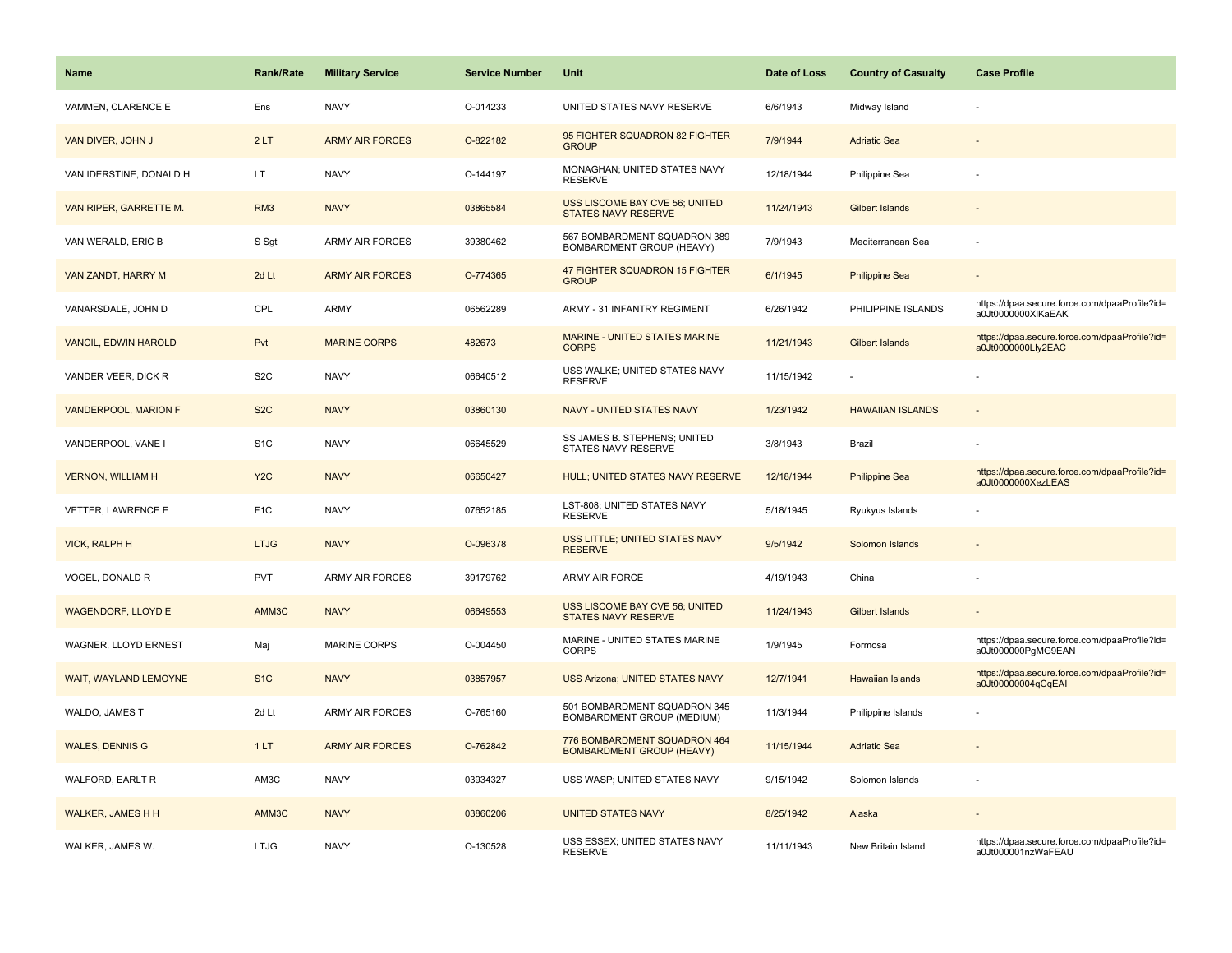| Name                        | Rank/Rate        | <b>Military Service</b> | <b>Service Number</b> | Unit                                                             | Date of Loss | <b>Country of Casualty</b> | <b>Case Profile</b>                                                 |
|-----------------------------|------------------|-------------------------|-----------------------|------------------------------------------------------------------|--------------|----------------------------|---------------------------------------------------------------------|
| VAMMEN, CLARENCE E          | Ens              | <b>NAVY</b>             | O-014233              | UNITED STATES NAVY RESERVE                                       | 6/6/1943     | Midway Island              |                                                                     |
| VAN DIVER, JOHN J           | 2LT              | <b>ARMY AIR FORCES</b>  | O-822182              | 95 FIGHTER SQUADRON 82 FIGHTER<br><b>GROUP</b>                   | 7/9/1944     | <b>Adriatic Sea</b>        |                                                                     |
| VAN IDERSTINE, DONALD H     | LT               | <b>NAVY</b>             | O-144197              | MONAGHAN; UNITED STATES NAVY<br><b>RESERVE</b>                   | 12/18/1944   | Philippine Sea             |                                                                     |
| VAN RIPER, GARRETTE M.      | RM <sub>3</sub>  | <b>NAVY</b>             | 03865584              | USS LISCOME BAY CVE 56; UNITED<br><b>STATES NAVY RESERVE</b>     | 11/24/1943   | <b>Gilbert Islands</b>     |                                                                     |
| VAN WERALD, ERIC B          | S Sgt            | <b>ARMY AIR FORCES</b>  | 39380462              | 567 BOMBARDMENT SQUADRON 389<br>BOMBARDMENT GROUP (HEAVY)        | 7/9/1943     | Mediterranean Sea          |                                                                     |
| VAN ZANDT, HARRY M          | 2d Lt            | <b>ARMY AIR FORCES</b>  | O-774365              | 47 FIGHTER SQUADRON 15 FIGHTER<br><b>GROUP</b>                   | 6/1/1945     | <b>Philippine Sea</b>      |                                                                     |
| VANARSDALE, JOHN D          | CPL              | <b>ARMY</b>             | 06562289              | ARMY - 31 INFANTRY REGIMENT                                      | 6/26/1942    | PHILIPPINE ISLANDS         | https://dpaa.secure.force.com/dpaaProfile?id=<br>a0Jt0000000XlKaEAK |
| <b>VANCIL, EDWIN HAROLD</b> | Pvt              | <b>MARINE CORPS</b>     | 482673                | MARINE - UNITED STATES MARINE<br><b>CORPS</b>                    | 11/21/1943   | Gilbert Islands            | https://dpaa.secure.force.com/dpaaProfile?id=<br>a0Jt0000000Lly2EAC |
| VANDER VEER, DICK R         | S <sub>2</sub> C | <b>NAVY</b>             | 06640512              | USS WALKE; UNITED STATES NAVY<br><b>RESERVE</b>                  | 11/15/1942   |                            |                                                                     |
| VANDERPOOL, MARION F        | S <sub>2</sub> C | <b>NAVY</b>             | 03860130              | NAVY - UNITED STATES NAVY                                        | 1/23/1942    | <b>HAWAIIAN ISLANDS</b>    |                                                                     |
| VANDERPOOL, VANE I          | S <sub>1</sub> C | <b>NAVY</b>             | 06645529              | SS JAMES B. STEPHENS; UNITED<br>STATES NAVY RESERVE              | 3/8/1943     | Brazil                     |                                                                     |
| <b>VERNON, WILLIAM H</b>    | Y <sub>2</sub> C | <b>NAVY</b>             | 06650427              | HULL; UNITED STATES NAVY RESERVE                                 | 12/18/1944   | <b>Philippine Sea</b>      | https://dpaa.secure.force.com/dpaaProfile?id=<br>a0Jt0000000XezLEAS |
| <b>VETTER, LAWRENCE E</b>   | F <sub>1</sub> C | <b>NAVY</b>             | 07652185              | LST-808; UNITED STATES NAVY<br><b>RESERVE</b>                    | 5/18/1945    | Ryukyus Islands            |                                                                     |
| <b>VICK, RALPH H</b>        | <b>LTJG</b>      | <b>NAVY</b>             | O-096378              | USS LITTLE; UNITED STATES NAVY<br><b>RESERVE</b>                 | 9/5/1942     | Solomon Islands            |                                                                     |
| VOGEL, DONALD R             | <b>PVT</b>       | ARMY AIR FORCES         | 39179762              | ARMY AIR FORCE                                                   | 4/19/1943    | China                      |                                                                     |
| <b>WAGENDORF, LLOYD E</b>   | AMM3C            | <b>NAVY</b>             | 06649553              | USS LISCOME BAY CVE 56; UNITED<br><b>STATES NAVY RESERVE</b>     | 11/24/1943   | <b>Gilbert Islands</b>     |                                                                     |
| WAGNER, LLOYD ERNEST        | Maj              | <b>MARINE CORPS</b>     | O-004450              | MARINE - UNITED STATES MARINE<br><b>CORPS</b>                    | 1/9/1945     | Formosa                    | https://dpaa.secure.force.com/dpaaProfile?id=<br>a0Jt000000PqMG9EAN |
| WAIT, WAYLAND LEMOYNE       | S <sub>1</sub> C | <b>NAVY</b>             | 03857957              | <b>USS Arizona; UNITED STATES NAVY</b>                           | 12/7/1941    | <b>Hawaiian Islands</b>    | https://dpaa.secure.force.com/dpaaProfile?id=<br>a0Jt00000004qCqEAI |
| WALDO, JAMES T              | 2d Lt            | <b>ARMY AIR FORCES</b>  | O-765160              | 501 BOMBARDMENT SQUADRON 345<br>BOMBARDMENT GROUP (MEDIUM)       | 11/3/1944    | Philippine Islands         |                                                                     |
| <b>WALES, DENNIS G</b>      | 1LT              | <b>ARMY AIR FORCES</b>  | O-762842              | 776 BOMBARDMENT SQUADRON 464<br><b>BOMBARDMENT GROUP (HEAVY)</b> | 11/15/1944   | <b>Adriatic Sea</b>        |                                                                     |
| WALFORD, EARLT R            | AM3C             | <b>NAVY</b>             | 03934327              | USS WASP; UNITED STATES NAVY                                     | 9/15/1942    | Solomon Islands            |                                                                     |
| <b>WALKER, JAMES H H</b>    | AMM3C            | <b>NAVY</b>             | 03860206              | <b>UNITED STATES NAVY</b>                                        | 8/25/1942    | Alaska                     |                                                                     |
| WALKER, JAMES W.            | <b>LTJG</b>      | <b>NAVY</b>             | O-130528              | USS ESSEX; UNITED STATES NAVY<br><b>RESERVE</b>                  | 11/11/1943   | New Britain Island         | https://dpaa.secure.force.com/dpaaProfile?id=<br>a0Jt000001nzWaFEAU |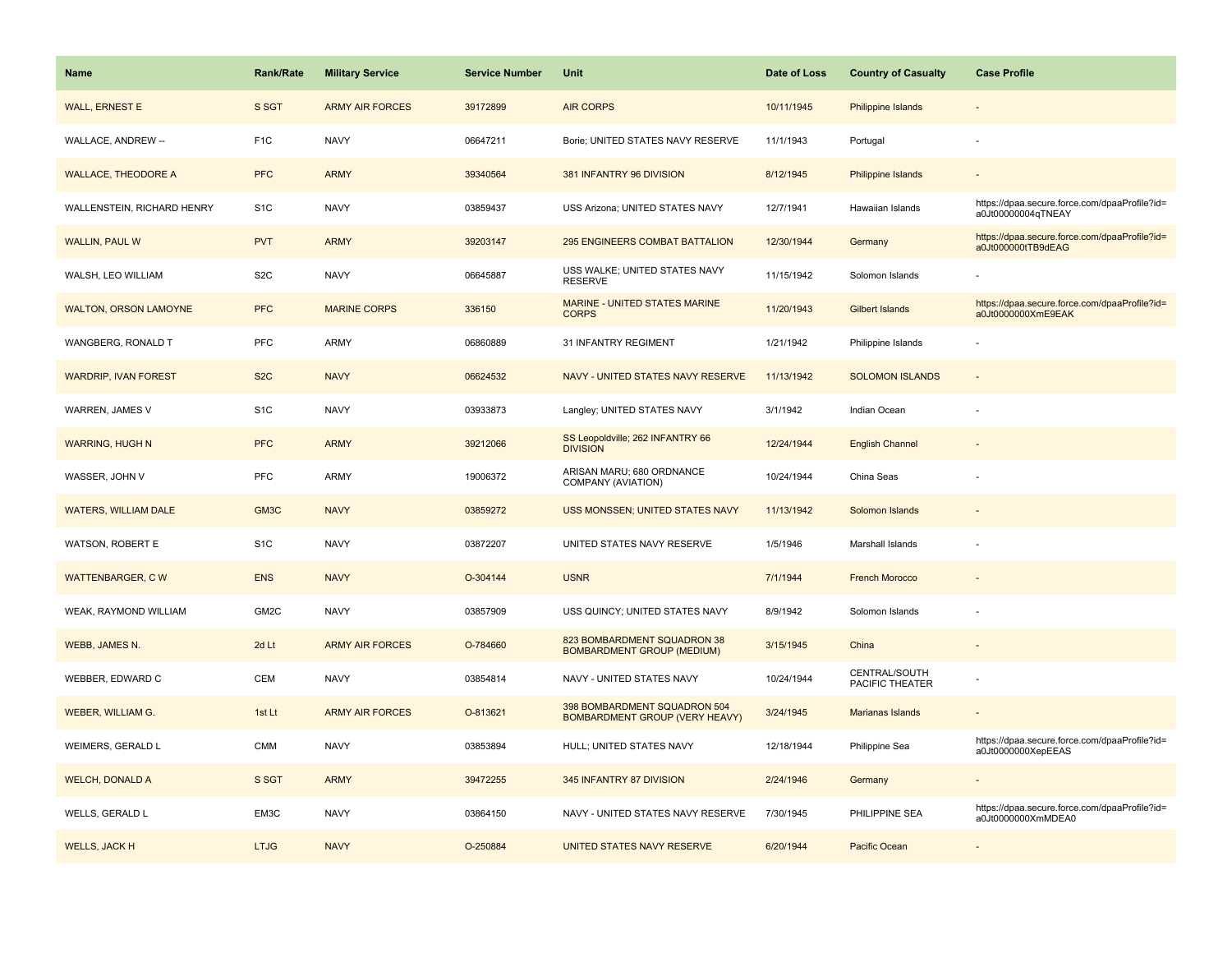| Name                         | <b>Rank/Rate</b> | <b>Military Service</b> | <b>Service Number</b> | Unit                                                                  | Date of Loss | <b>Country of Casualty</b>       | <b>Case Profile</b>                                                 |
|------------------------------|------------------|-------------------------|-----------------------|-----------------------------------------------------------------------|--------------|----------------------------------|---------------------------------------------------------------------|
| <b>WALL, ERNEST E</b>        | S SGT            | <b>ARMY AIR FORCES</b>  | 39172899              | <b>AIR CORPS</b>                                                      | 10/11/1945   | <b>Philippine Islands</b>        |                                                                     |
| WALLACE, ANDREW --           | F <sub>1</sub> C | <b>NAVY</b>             | 06647211              | Borie; UNITED STATES NAVY RESERVE                                     | 11/1/1943    | Portugal                         |                                                                     |
| <b>WALLACE, THEODORE A</b>   | <b>PFC</b>       | <b>ARMY</b>             | 39340564              | 381 INFANTRY 96 DIVISION                                              | 8/12/1945    | <b>Philippine Islands</b>        |                                                                     |
| WALLENSTEIN, RICHARD HENRY   | S <sub>1</sub> C | <b>NAVY</b>             | 03859437              | USS Arizona; UNITED STATES NAVY                                       | 12/7/1941    | Hawaiian Islands                 | https://dpaa.secure.force.com/dpaaProfile?id=<br>a0Jt00000004qTNEAY |
| <b>WALLIN, PAUL W</b>        | <b>PVT</b>       | <b>ARMY</b>             | 39203147              | <b>295 ENGINEERS COMBAT BATTALION</b>                                 | 12/30/1944   | Germany                          | https://dpaa.secure.force.com/dpaaProfile?id=<br>a0Jt000000tTB9dEAG |
| WALSH, LEO WILLIAM           | S <sub>2</sub> C | <b>NAVY</b>             | 06645887              | USS WALKE; UNITED STATES NAVY<br><b>RESERVE</b>                       | 11/15/1942   | Solomon Islands                  |                                                                     |
| <b>WALTON, ORSON LAMOYNE</b> | <b>PFC</b>       | <b>MARINE CORPS</b>     | 336150                | <b>MARINE - UNITED STATES MARINE</b><br><b>CORPS</b>                  | 11/20/1943   | Gilbert Islands                  | https://dpaa.secure.force.com/dpaaProfile?id=<br>a0Jt0000000XmE9EAK |
| WANGBERG, RONALD T           | PFC              | <b>ARMY</b>             | 06860889              | 31 INFANTRY REGIMENT                                                  | 1/21/1942    | Philippine Islands               |                                                                     |
| <b>WARDRIP, IVAN FOREST</b>  | S <sub>2</sub> C | <b>NAVY</b>             | 06624532              | NAVY - UNITED STATES NAVY RESERVE                                     | 11/13/1942   | <b>SOLOMON ISLANDS</b>           |                                                                     |
| WARREN, JAMES V              | S <sub>1</sub> C | <b>NAVY</b>             | 03933873              | Langley; UNITED STATES NAVY                                           | 3/1/1942     | Indian Ocean                     |                                                                     |
| <b>WARRING, HUGH N</b>       | <b>PFC</b>       | <b>ARMY</b>             | 39212066              | SS Leopoldville; 262 INFANTRY 66<br><b>DIVISION</b>                   | 12/24/1944   | <b>English Channel</b>           |                                                                     |
| WASSER, JOHN V               | PFC              | <b>ARMY</b>             | 19006372              | ARISAN MARU; 680 ORDNANCE<br>COMPANY (AVIATION)                       | 10/24/1944   | China Seas                       |                                                                     |
| <b>WATERS, WILLIAM DALE</b>  | GM3C             | <b>NAVY</b>             | 03859272              | USS MONSSEN; UNITED STATES NAVY                                       | 11/13/1942   | Solomon Islands                  |                                                                     |
| <b>WATSON, ROBERT E</b>      | S <sub>1</sub> C | <b>NAVY</b>             | 03872207              | UNITED STATES NAVY RESERVE                                            | 1/5/1946     | Marshall Islands                 |                                                                     |
| <b>WATTENBARGER, CW</b>      | <b>ENS</b>       | <b>NAVY</b>             | O-304144              | <b>USNR</b>                                                           | 7/1/1944     | <b>French Morocco</b>            |                                                                     |
| WEAK, RAYMOND WILLIAM        | GM2C             | <b>NAVY</b>             | 03857909              | USS QUINCY; UNITED STATES NAVY                                        | 8/9/1942     | Solomon Islands                  |                                                                     |
| WEBB, JAMES N.               | 2d Lt            | <b>ARMY AIR FORCES</b>  | O-784660              | 823 BOMBARDMENT SQUADRON 38<br><b>BOMBARDMENT GROUP (MEDIUM)</b>      | 3/15/1945    | China                            |                                                                     |
| WEBBER, EDWARD C             | <b>CEM</b>       | <b>NAVY</b>             | 03854814              | NAVY - UNITED STATES NAVY                                             | 10/24/1944   | CENTRAL/SOUTH<br>PACIFIC THEATER |                                                                     |
| WEBER, WILLIAM G.            | 1st Lt           | <b>ARMY AIR FORCES</b>  | O-813621              | 398 BOMBARDMENT SQUADRON 504<br><b>BOMBARDMENT GROUP (VERY HEAVY)</b> | 3/24/1945    | Marianas Islands                 |                                                                     |
| WEIMERS, GERALD L            | <b>CMM</b>       | <b>NAVY</b>             | 03853894              | HULL; UNITED STATES NAVY                                              | 12/18/1944   | Philippine Sea                   | https://dpaa.secure.force.com/dpaaProfile?id=<br>a0Jt0000000XepEEAS |
| <b>WELCH, DONALD A</b>       | S SGT            | <b>ARMY</b>             | 39472255              | 345 INFANTRY 87 DIVISION                                              | 2/24/1946    | Germany                          |                                                                     |
| WELLS, GERALD L              | EM3C             | <b>NAVY</b>             | 03864150              | NAVY - UNITED STATES NAVY RESERVE                                     | 7/30/1945    | PHILIPPINE SEA                   | https://dpaa.secure.force.com/dpaaProfile?id=<br>a0Jt0000000XmMDEA0 |
| <b>WELLS, JACK H</b>         | <b>LTJG</b>      | <b>NAVY</b>             | O-250884              | UNITED STATES NAVY RESERVE                                            | 6/20/1944    | Pacific Ocean                    |                                                                     |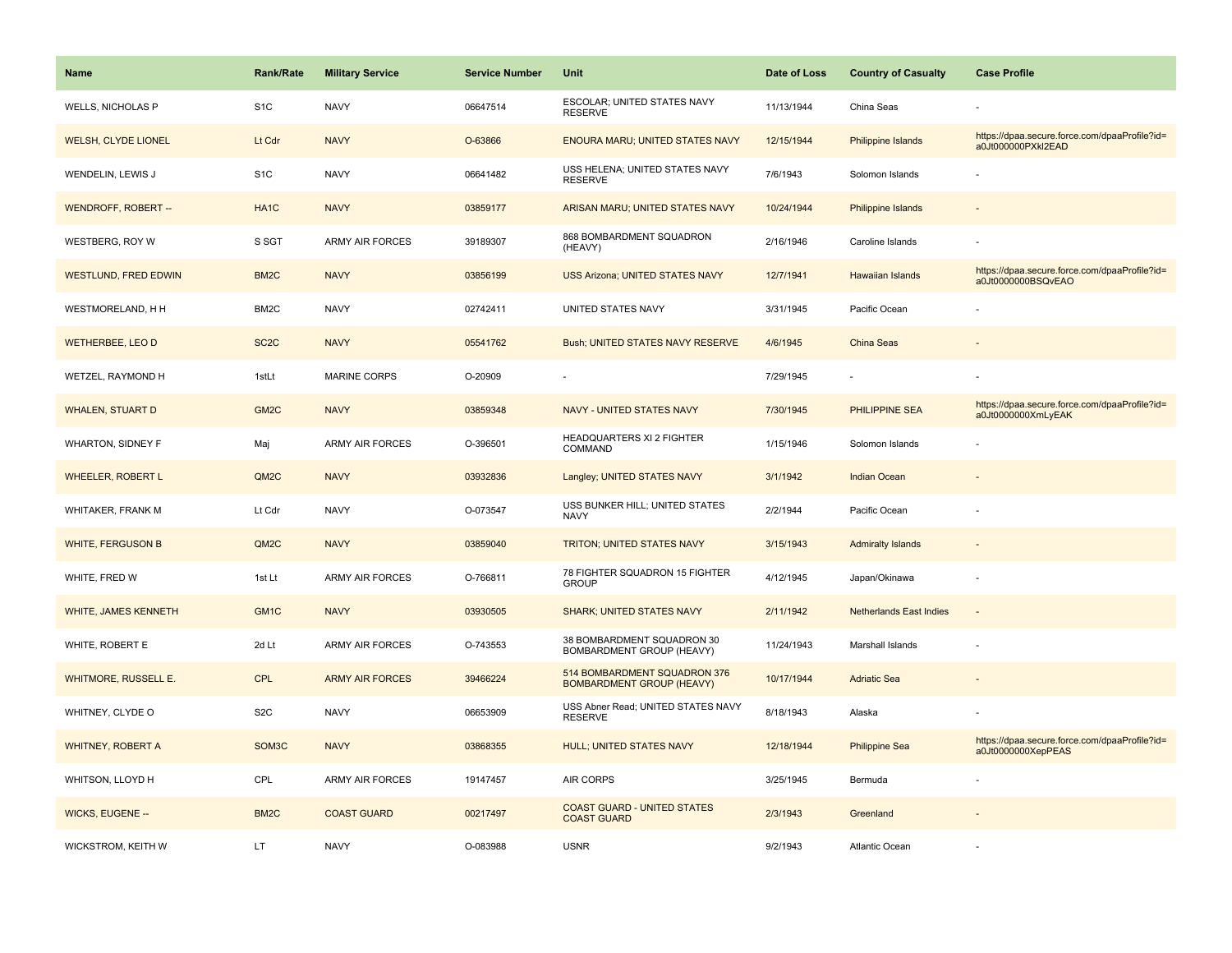| <b>Name</b>                 | Rank/Rate         | <b>Military Service</b> | <b>Service Number</b> | Unit                                                             | Date of Loss | <b>Country of Casualty</b>     | <b>Case Profile</b>                                                 |
|-----------------------------|-------------------|-------------------------|-----------------------|------------------------------------------------------------------|--------------|--------------------------------|---------------------------------------------------------------------|
| <b>WELLS, NICHOLAS P</b>    | S <sub>1</sub> C  | <b>NAVY</b>             | 06647514              | ESCOLAR; UNITED STATES NAVY<br><b>RESERVE</b>                    | 11/13/1944   | China Seas                     |                                                                     |
| <b>WELSH, CLYDE LIONEL</b>  | Lt Cdr            | <b>NAVY</b>             | O-63866               | <b>ENOURA MARU; UNITED STATES NAVY</b>                           | 12/15/1944   | <b>Philippine Islands</b>      | https://dpaa.secure.force.com/dpaaProfile?id=<br>a0Jt000000PXkl2EAD |
| WENDELIN, LEWIS J           | S <sub>1</sub> C  | <b>NAVY</b>             | 06641482              | USS HELENA; UNITED STATES NAVY<br><b>RESERVE</b>                 | 7/6/1943     | Solomon Islands                |                                                                     |
| <b>WENDROFF, ROBERT --</b>  | HA <sub>1</sub> C | <b>NAVY</b>             | 03859177              | ARISAN MARU; UNITED STATES NAVY                                  | 10/24/1944   | <b>Philippine Islands</b>      |                                                                     |
| WESTBERG, ROY W             | S SGT             | <b>ARMY AIR FORCES</b>  | 39189307              | 868 BOMBARDMENT SQUADRON<br>(HEAVY)                              | 2/16/1946    | Caroline Islands               |                                                                     |
| <b>WESTLUND, FRED EDWIN</b> | BM <sub>2</sub> C | <b>NAVY</b>             | 03856199              | <b>USS Arizona; UNITED STATES NAVY</b>                           | 12/7/1941    | Hawaiian Islands               | https://dpaa.secure.force.com/dpaaProfile?id=<br>a0Jt0000000BSQvEAO |
| WESTMORELAND, H H           | BM <sub>2</sub> C | <b>NAVY</b>             | 02742411              | UNITED STATES NAVY                                               | 3/31/1945    | Pacific Ocean                  |                                                                     |
| <b>WETHERBEE, LEO D</b>     | SC <sub>2</sub> C | <b>NAVY</b>             | 05541762              | Bush; UNITED STATES NAVY RESERVE                                 | 4/6/1945     | <b>China Seas</b>              |                                                                     |
| WETZEL, RAYMOND H           | 1stLt             | MARINE CORPS            | O-20909               |                                                                  | 7/29/1945    |                                |                                                                     |
| <b>WHALEN, STUART D</b>     | GM <sub>2</sub> C | <b>NAVY</b>             | 03859348              | NAVY - UNITED STATES NAVY                                        | 7/30/1945    | PHILIPPINE SEA                 | https://dpaa.secure.force.com/dpaaProfile?id=<br>a0Jt0000000XmLyEAK |
| <b>WHARTON, SIDNEY F</b>    | Maj               | <b>ARMY AIR FORCES</b>  | O-396501              | HEADQUARTERS XI 2 FIGHTER<br>COMMAND                             | 1/15/1946    | Solomon Islands                |                                                                     |
| <b>WHEELER, ROBERT L</b>    | QM <sub>2</sub> C | <b>NAVY</b>             | 03932836              | Langley; UNITED STATES NAVY                                      | 3/1/1942     | <b>Indian Ocean</b>            |                                                                     |
| WHITAKER, FRANK M           | Lt Cdr            | <b>NAVY</b>             | O-073547              | USS BUNKER HILL; UNITED STATES<br><b>NAVY</b>                    | 2/2/1944     | Pacific Ocean                  |                                                                     |
| <b>WHITE, FERGUSON B</b>    | QM <sub>2</sub> C | <b>NAVY</b>             | 03859040              | TRITON; UNITED STATES NAVY                                       | 3/15/1943    | <b>Admiralty Islands</b>       |                                                                     |
| WHITE, FRED W               | 1st Lt            | <b>ARMY AIR FORCES</b>  | O-766811              | 78 FIGHTER SQUADRON 15 FIGHTER<br><b>GROUP</b>                   | 4/12/1945    | Japan/Okinawa                  | ÷,                                                                  |
| <b>WHITE, JAMES KENNETH</b> | GM <sub>1C</sub>  | <b>NAVY</b>             | 03930505              | <b>SHARK; UNITED STATES NAVY</b>                                 | 2/11/1942    | <b>Netherlands East Indies</b> |                                                                     |
| WHITE, ROBERT E             | 2d Lt             | <b>ARMY AIR FORCES</b>  | O-743553              | 38 BOMBARDMENT SQUADRON 30<br>BOMBARDMENT GROUP (HEAVY)          | 11/24/1943   | Marshall Islands               |                                                                     |
| <b>WHITMORE, RUSSELL E.</b> | <b>CPL</b>        | <b>ARMY AIR FORCES</b>  | 39466224              | 514 BOMBARDMENT SQUADRON 376<br><b>BOMBARDMENT GROUP (HEAVY)</b> | 10/17/1944   | <b>Adriatic Sea</b>            |                                                                     |
| WHITNEY, CLYDE O            | S <sub>2</sub> C  | <b>NAVY</b>             | 06653909              | USS Abner Read; UNITED STATES NAVY<br><b>RESERVE</b>             | 8/18/1943    | Alaska                         |                                                                     |
| <b>WHITNEY, ROBERT A</b>    | SOM3C             | <b>NAVY</b>             | 03868355              | HULL; UNITED STATES NAVY                                         | 12/18/1944   | <b>Philippine Sea</b>          | https://dpaa.secure.force.com/dpaaProfile?id=<br>a0Jt0000000XepPEAS |
| WHITSON, LLOYD H            | CPL               | <b>ARMY AIR FORCES</b>  | 19147457              | AIR CORPS                                                        | 3/25/1945    | Bermuda                        |                                                                     |
| <b>WICKS, EUGENE --</b>     | BM <sub>2</sub> C | <b>COAST GUARD</b>      | 00217497              | <b>COAST GUARD - UNITED STATES</b><br><b>COAST GUARD</b>         | 2/3/1943     | Greenland                      |                                                                     |
| <b>WICKSTROM, KEITH W</b>   | LT                | <b>NAVY</b>             | O-083988              | <b>USNR</b>                                                      | 9/2/1943     | Atlantic Ocean                 |                                                                     |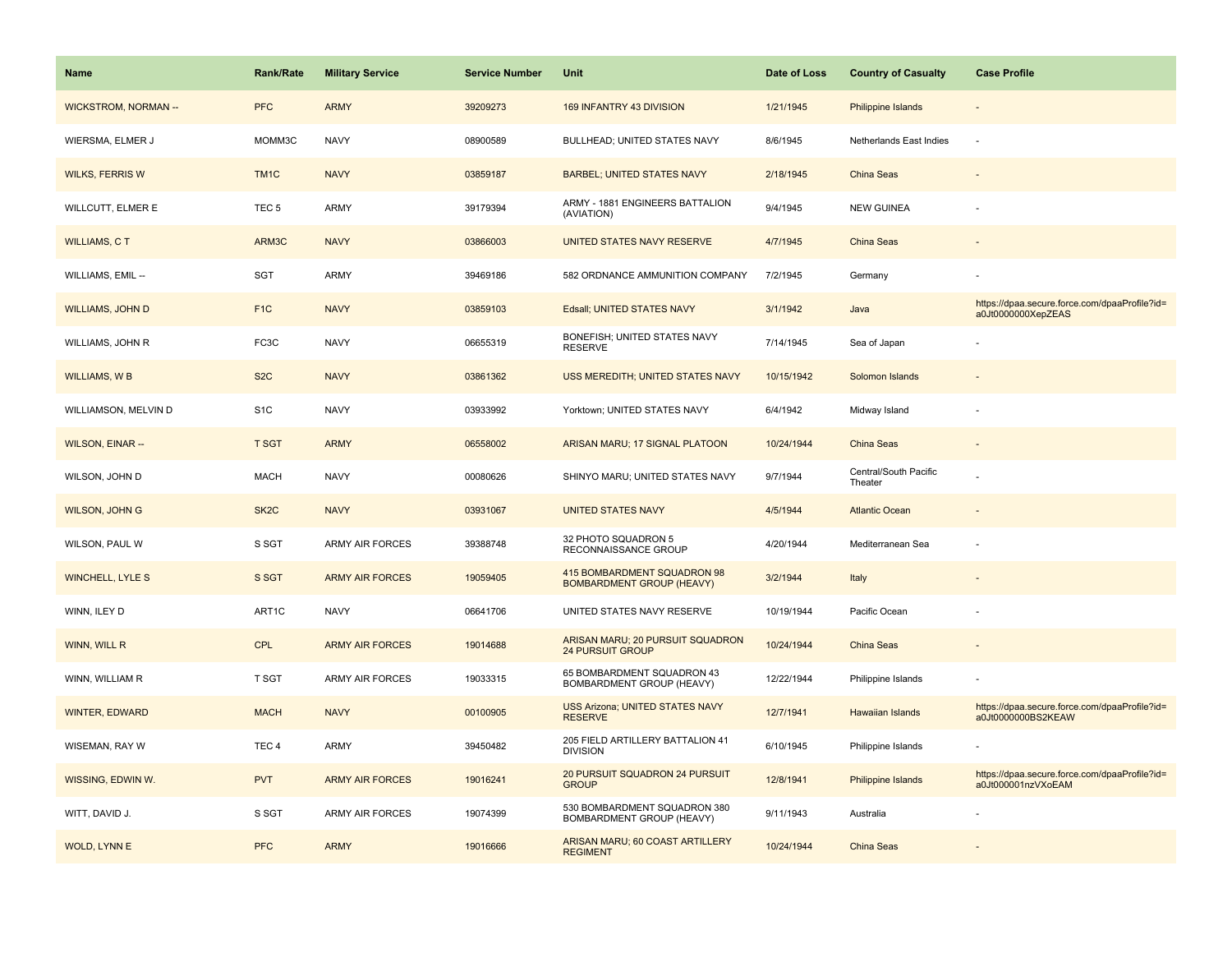| Name                       | <b>Rank/Rate</b>  | <b>Military Service</b> | <b>Service Number</b> | Unit                                                            | Date of Loss | <b>Country of Casualty</b>       | <b>Case Profile</b>                                                 |
|----------------------------|-------------------|-------------------------|-----------------------|-----------------------------------------------------------------|--------------|----------------------------------|---------------------------------------------------------------------|
| <b>WICKSTROM, NORMAN--</b> | <b>PFC</b>        | <b>ARMY</b>             | 39209273              | 169 INFANTRY 43 DIVISION                                        | 1/21/1945    | <b>Philippine Islands</b>        |                                                                     |
| WIERSMA, ELMER J           | MOMM3C            | <b>NAVY</b>             | 08900589              | BULLHEAD; UNITED STATES NAVY                                    | 8/6/1945     | Netherlands East Indies          | J.                                                                  |
| <b>WILKS, FERRIS W</b>     | TM <sub>1C</sub>  | <b>NAVY</b>             | 03859187              | <b>BARBEL; UNITED STATES NAVY</b>                               | 2/18/1945    | China Seas                       |                                                                     |
| WILLCUTT, ELMER E          | TEC <sub>5</sub>  | <b>ARMY</b>             | 39179394              | ARMY - 1881 ENGINEERS BATTALION<br>(AVIATION)                   | 9/4/1945     | <b>NEW GUINEA</b>                |                                                                     |
| <b>WILLIAMS, CT</b>        | ARM3C             | <b>NAVY</b>             | 03866003              | <b>UNITED STATES NAVY RESERVE</b>                               | 4/7/1945     | China Seas                       |                                                                     |
| WILLIAMS, EMIL --          | SGT               | <b>ARMY</b>             | 39469186              | 582 ORDNANCE AMMUNITION COMPANY                                 | 7/2/1945     | Germany                          |                                                                     |
| <b>WILLIAMS, JOHN D</b>    | F <sub>1C</sub>   | <b>NAVY</b>             | 03859103              | Edsall; UNITED STATES NAVY                                      | 3/1/1942     | Java                             | https://dpaa.secure.force.com/dpaaProfile?id=<br>a0Jt0000000XepZEAS |
| WILLIAMS, JOHN R           | FC3C              | <b>NAVY</b>             | 06655319              | BONEFISH; UNITED STATES NAVY<br><b>RESERVE</b>                  | 7/14/1945    | Sea of Japan                     |                                                                     |
| <b>WILLIAMS, WB</b>        | S <sub>2</sub> C  | <b>NAVY</b>             | 03861362              | USS MEREDITH; UNITED STATES NAVY                                | 10/15/1942   | Solomon Islands                  |                                                                     |
| WILLIAMSON, MELVIN D       | S <sub>1</sub> C  | <b>NAVY</b>             | 03933992              | Yorktown; UNITED STATES NAVY                                    | 6/4/1942     | Midway Island                    |                                                                     |
| <b>WILSON, EINAR --</b>    | <b>T SGT</b>      | <b>ARMY</b>             | 06558002              | ARISAN MARU; 17 SIGNAL PLATOON                                  | 10/24/1944   | China Seas                       |                                                                     |
| WILSON, JOHN D             | <b>MACH</b>       | <b>NAVY</b>             | 00080626              | SHINYO MARU; UNITED STATES NAVY                                 | 9/7/1944     | Central/South Pacific<br>Theater |                                                                     |
| <b>WILSON, JOHN G</b>      | SK <sub>2</sub> C | <b>NAVY</b>             | 03931067              | <b>UNITED STATES NAVY</b>                                       | 4/5/1944     | <b>Atlantic Ocean</b>            |                                                                     |
| WILSON, PAUL W             | S SGT             | ARMY AIR FORCES         | 39388748              | 32 PHOTO SQUADRON 5<br>RECONNAISSANCE GROUP                     | 4/20/1944    | Mediterranean Sea                |                                                                     |
| <b>WINCHELL, LYLE S</b>    | S SGT             | <b>ARMY AIR FORCES</b>  | 19059405              | 415 BOMBARDMENT SQUADRON 98<br><b>BOMBARDMENT GROUP (HEAVY)</b> | 3/2/1944     | Italy                            |                                                                     |
| WINN, ILEY D               | ART1C             | <b>NAVY</b>             | 06641706              | UNITED STATES NAVY RESERVE                                      | 10/19/1944   | Pacific Ocean                    |                                                                     |
| <b>WINN, WILL R</b>        | <b>CPL</b>        | <b>ARMY AIR FORCES</b>  | 19014688              | ARISAN MARU; 20 PURSUIT SQUADRON<br><b>24 PURSUIT GROUP</b>     | 10/24/1944   | <b>China Seas</b>                |                                                                     |
| WINN, WILLIAM R            | T SGT             | ARMY AIR FORCES         | 19033315              | 65 BOMBARDMENT SQUADRON 43<br>BOMBARDMENT GROUP (HEAVY)         | 12/22/1944   | Philippine Islands               |                                                                     |
| <b>WINTER, EDWARD</b>      | <b>MACH</b>       | <b>NAVY</b>             | 00100905              | <b>USS Arizona; UNITED STATES NAVY</b><br><b>RESERVE</b>        | 12/7/1941    | Hawaiian Islands                 | https://dpaa.secure.force.com/dpaaProfile?id=<br>a0Jt0000000BS2KEAW |
| WISEMAN, RAY W             | TEC <sub>4</sub>  | <b>ARMY</b>             | 39450482              | 205 FIELD ARTILLERY BATTALION 41<br><b>DIVISION</b>             | 6/10/1945    | Philippine Islands               |                                                                     |
| WISSING, EDWIN W.          | <b>PVT</b>        | <b>ARMY AIR FORCES</b>  | 19016241              | 20 PURSUIT SQUADRON 24 PURSUIT<br><b>GROUP</b>                  | 12/8/1941    | Philippine Islands               | https://dpaa.secure.force.com/dpaaProfile?id=<br>a0Jt000001nzVXoEAM |
| WITT, DAVID J.             | S SGT             | <b>ARMY AIR FORCES</b>  | 19074399              | 530 BOMBARDMENT SQUADRON 380<br>BOMBARDMENT GROUP (HEAVY)       | 9/11/1943    | Australia                        |                                                                     |
| <b>WOLD, LYNNE</b>         | <b>PFC</b>        | <b>ARMY</b>             | 19016666              | ARISAN MARU; 60 COAST ARTILLERY<br><b>REGIMENT</b>              | 10/24/1944   | China Seas                       |                                                                     |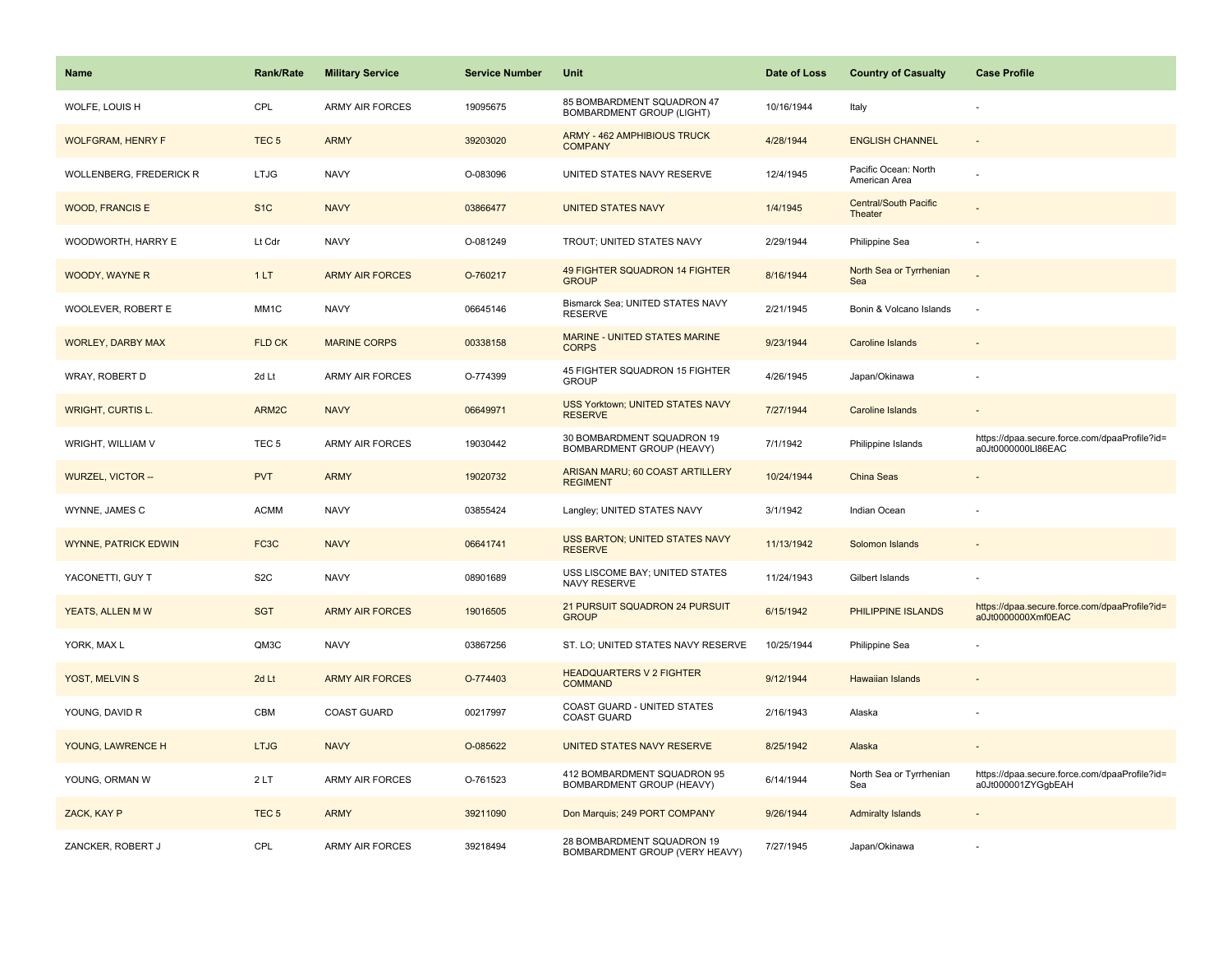| <b>Name</b>                    | <b>Rank/Rate</b> | <b>Military Service</b> | <b>Service Number</b> | Unit                                                         | Date of Loss | <b>Country of Casualty</b>            | <b>Case Profile</b>                                                 |
|--------------------------------|------------------|-------------------------|-----------------------|--------------------------------------------------------------|--------------|---------------------------------------|---------------------------------------------------------------------|
| WOLFE, LOUIS H                 | CPL              | <b>ARMY AIR FORCES</b>  | 19095675              | 85 BOMBARDMENT SQUADRON 47<br>BOMBARDMENT GROUP (LIGHT)      | 10/16/1944   | Italy                                 |                                                                     |
| <b>WOLFGRAM, HENRY F</b>       | TEC <sub>5</sub> | <b>ARMY</b>             | 39203020              | <b>ARMY - 462 AMPHIBIOUS TRUCK</b><br><b>COMPANY</b>         | 4/28/1944    | <b>ENGLISH CHANNEL</b>                |                                                                     |
| <b>WOLLENBERG, FREDERICK R</b> | <b>LTJG</b>      | <b>NAVY</b>             | O-083096              | UNITED STATES NAVY RESERVE                                   | 12/4/1945    | Pacific Ocean: North<br>American Area |                                                                     |
| <b>WOOD, FRANCIS E</b>         | S <sub>1</sub> C | <b>NAVY</b>             | 03866477              | <b>UNITED STATES NAVY</b>                                    | 1/4/1945     | Central/South Pacific<br>Theater      |                                                                     |
| WOODWORTH, HARRY E             | Lt Cdr           | <b>NAVY</b>             | O-081249              | TROUT; UNITED STATES NAVY                                    | 2/29/1944    | Philippine Sea                        |                                                                     |
| WOODY, WAYNE R                 | 1LT              | <b>ARMY AIR FORCES</b>  | O-760217              | 49 FIGHTER SQUADRON 14 FIGHTER<br><b>GROUP</b>               | 8/16/1944    | North Sea or Tyrrhenian<br>Sea        |                                                                     |
| WOOLEVER, ROBERT E             | MM1C             | <b>NAVY</b>             | 06645146              | Bismarck Sea; UNITED STATES NAVY<br><b>RESERVE</b>           | 2/21/1945    | Bonin & Volcano Islands               | $\sim$                                                              |
| <b>WORLEY, DARBY MAX</b>       | FLD CK           | <b>MARINE CORPS</b>     | 00338158              | <b>MARINE - UNITED STATES MARINE</b><br><b>CORPS</b>         | 9/23/1944    | <b>Caroline Islands</b>               |                                                                     |
| WRAY, ROBERT D                 | 2d Lt            | <b>ARMY AIR FORCES</b>  | O-774399              | 45 FIGHTER SQUADRON 15 FIGHTER<br><b>GROUP</b>               | 4/26/1945    | Japan/Okinawa                         |                                                                     |
| <b>WRIGHT, CURTIS L.</b>       | ARM2C            | <b>NAVY</b>             | 06649971              | <b>USS Yorktown; UNITED STATES NAVY</b><br><b>RESERVE</b>    | 7/27/1944    | Caroline Islands                      |                                                                     |
| WRIGHT, WILLIAM V              | TEC <sub>5</sub> | <b>ARMY AIR FORCES</b>  | 19030442              | 30 BOMBARDMENT SQUADRON 19<br>BOMBARDMENT GROUP (HEAVY)      | 7/1/1942     | Philippine Islands                    | https://dpaa.secure.force.com/dpaaProfile?id=<br>a0Jt0000000LI86EAC |
| <b>WURZEL, VICTOR --</b>       | <b>PVT</b>       | <b>ARMY</b>             | 19020732              | ARISAN MARU; 60 COAST ARTILLERY<br><b>REGIMENT</b>           | 10/24/1944   | <b>China Seas</b>                     |                                                                     |
| WYNNE, JAMES C                 | <b>ACMM</b>      | <b>NAVY</b>             | 03855424              | Langley; UNITED STATES NAVY                                  | 3/1/1942     | Indian Ocean                          |                                                                     |
| <b>WYNNE, PATRICK EDWIN</b>    | FC3C             | <b>NAVY</b>             | 06641741              | USS BARTON; UNITED STATES NAVY<br><b>RESERVE</b>             | 11/13/1942   | Solomon Islands                       |                                                                     |
| YACONETTI, GUY T               | S <sub>2</sub> C | <b>NAVY</b>             | 08901689              | USS LISCOME BAY; UNITED STATES<br>NAVY RESERVE               | 11/24/1943   | Gilbert Islands                       |                                                                     |
| YEATS, ALLEN MW                | <b>SGT</b>       | <b>ARMY AIR FORCES</b>  | 19016505              | 21 PURSUIT SQUADRON 24 PURSUIT<br><b>GROUP</b>               | 6/15/1942    | PHILIPPINE ISLANDS                    | https://dpaa.secure.force.com/dpaaProfile?id=<br>a0Jt0000000Xmf0EAC |
| YORK, MAX L                    | QM3C             | <b>NAVY</b>             | 03867256              | ST. LO; UNITED STATES NAVY RESERVE                           | 10/25/1944   | Philippine Sea                        |                                                                     |
| YOST, MELVIN S                 | 2d Lt            | <b>ARMY AIR FORCES</b>  | O-774403              | <b>HEADQUARTERS V 2 FIGHTER</b><br><b>COMMAND</b>            | 9/12/1944    | Hawaiian Islands                      |                                                                     |
| YOUNG, DAVID R                 | CBM              | <b>COAST GUARD</b>      | 00217997              | COAST GUARD - UNITED STATES<br><b>COAST GUARD</b>            | 2/16/1943    | Alaska                                |                                                                     |
| YOUNG, LAWRENCE H              | <b>LTJG</b>      | <b>NAVY</b>             | O-085622              | UNITED STATES NAVY RESERVE                                   | 8/25/1942    | Alaska                                |                                                                     |
| YOUNG, ORMAN W                 | 2LT              | <b>ARMY AIR FORCES</b>  | O-761523              | 412 BOMBARDMENT SQUADRON 95<br>BOMBARDMENT GROUP (HEAVY)     | 6/14/1944    | North Sea or Tyrrhenian<br>Sea        | https://dpaa.secure.force.com/dpaaProfile?id=<br>a0Jt000001ZYGgbEAH |
| ZACK, KAY P                    | TEC <sub>5</sub> | <b>ARMY</b>             | 39211090              | Don Marquis; 249 PORT COMPANY                                | 9/26/1944    | <b>Admiralty Islands</b>              |                                                                     |
| ZANCKER, ROBERT J              | CPL              | <b>ARMY AIR FORCES</b>  | 39218494              | 28 BOMBARDMENT SQUADRON 19<br>BOMBARDMENT GROUP (VERY HEAVY) | 7/27/1945    | Japan/Okinawa                         |                                                                     |